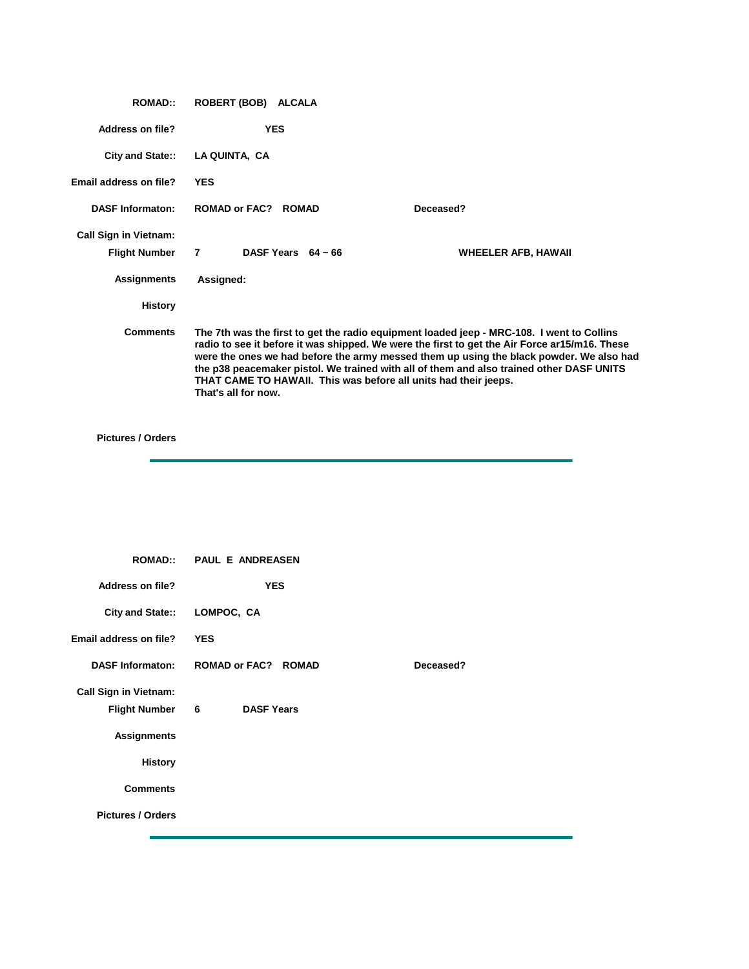| <b>ROMAD::</b>               | ROBERT (BOB) ALCALA  |                                                                 |                                                                                                                                                                                                                                                                                                                                                                                   |
|------------------------------|----------------------|-----------------------------------------------------------------|-----------------------------------------------------------------------------------------------------------------------------------------------------------------------------------------------------------------------------------------------------------------------------------------------------------------------------------------------------------------------------------|
| Address on file?             | <b>YES</b>           |                                                                 |                                                                                                                                                                                                                                                                                                                                                                                   |
| City and State::             | LA QUINTA, CA        |                                                                 |                                                                                                                                                                                                                                                                                                                                                                                   |
| Email address on file?       | <b>YES</b>           |                                                                 |                                                                                                                                                                                                                                                                                                                                                                                   |
| <b>DASF Informaton:</b>      | <b>ROMAD or FAC?</b> | <b>ROMAD</b>                                                    | Deceased?                                                                                                                                                                                                                                                                                                                                                                         |
| <b>Call Sign in Vietnam:</b> |                      |                                                                 |                                                                                                                                                                                                                                                                                                                                                                                   |
| <b>Flight Number</b>         | $\overline{7}$       | DASF Years $64 \approx 66$                                      | WHEELER AFB, HAWAII                                                                                                                                                                                                                                                                                                                                                               |
| <b>Assignments</b>           | Assigned:            |                                                                 |                                                                                                                                                                                                                                                                                                                                                                                   |
| <b>History</b>               |                      |                                                                 |                                                                                                                                                                                                                                                                                                                                                                                   |
| <b>Comments</b>              | That's all for now.  | THAT CAME TO HAWAII. This was before all units had their jeeps. | The 7th was the first to get the radio equipment loaded jeep - MRC-108. I went to Collins<br>radio to see it before it was shipped. We were the first to get the Air Force ar15/m16. These<br>were the ones we had before the army messed them up using the black powder. We also had<br>the p38 peacemaker pistol. We trained with all of them and also trained other DASF UNITS |

|                              | <b>ROMAD:: PAUL E ANDREASEN</b>      |           |
|------------------------------|--------------------------------------|-----------|
| <b>Address on file?</b>      | <b>YES</b>                           |           |
| <b>City and State::</b>      | LOMPOC, CA                           |           |
| Email address on file?       | <b>YES</b>                           |           |
| <b>DASF Informaton:</b>      | <b>ROMAD or FAC? ROMAD</b>           | Deceased? |
| <b>Call Sign in Vietnam:</b> |                                      |           |
| <b>Flight Number</b>         | $6\overline{6}$<br><b>DASF Years</b> |           |
| <b>Assignments</b>           |                                      |           |
| <b>History</b>               |                                      |           |
| <b>Comments</b>              |                                      |           |
| <b>Pictures / Orders</b>     |                                      |           |
|                              |                                      |           |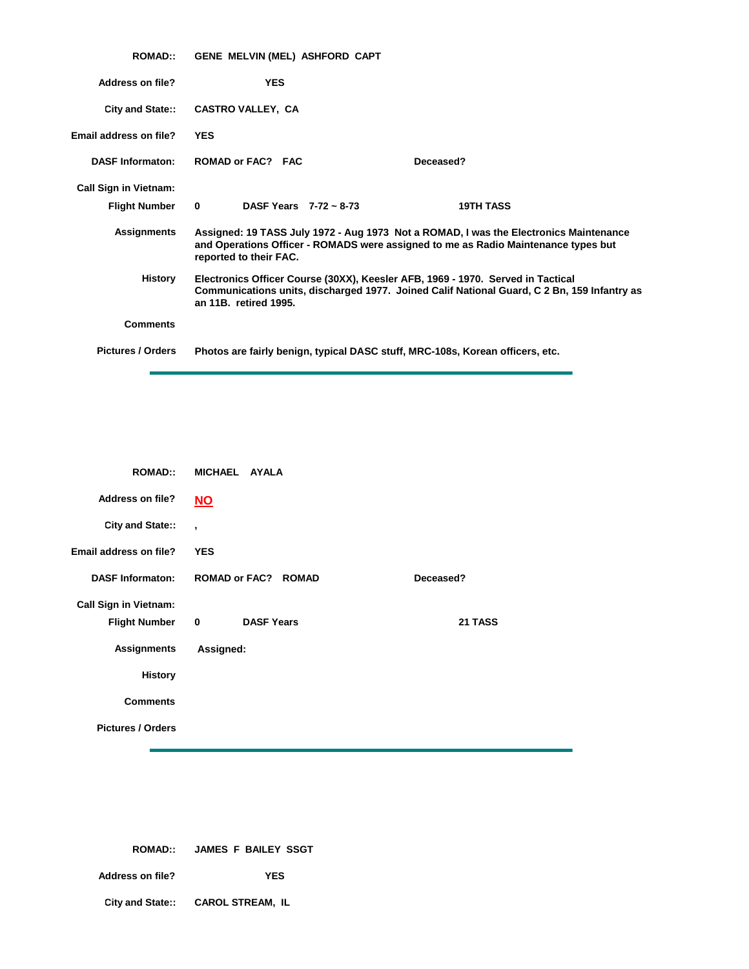| <b>ROMAD::</b>               | GENE MELVIN (MEL) ASHFORD CAPT                                                                                                                                                                          |                  |
|------------------------------|---------------------------------------------------------------------------------------------------------------------------------------------------------------------------------------------------------|------------------|
| Address on file?             | <b>YES</b>                                                                                                                                                                                              |                  |
| City and State::             | <b>CASTRO VALLEY, CA</b>                                                                                                                                                                                |                  |
| Email address on file?       | <b>YES</b>                                                                                                                                                                                              |                  |
| <b>DASF Informaton:</b>      | ROMAD or FAC? FAC<br>Deceased?                                                                                                                                                                          |                  |
| <b>Call Sign in Vietnam:</b> |                                                                                                                                                                                                         |                  |
| <b>Flight Number</b>         | $\bf{0}$<br>DASF Years $7-72 \approx 8-73$                                                                                                                                                              | <b>19TH TASS</b> |
| <b>Assignments</b>           | Assigned: 19 TASS July 1972 - Aug 1973 Not a ROMAD, I was the Electronics Maintenance<br>and Operations Officer - ROMADS were assigned to me as Radio Maintenance types but<br>reported to their FAC.   |                  |
| History                      | Electronics Officer Course (30XX), Keesler AFB, 1969 - 1970. Served in Tactical<br>Communications units, discharged 1977. Joined Calif National Guard, C 2 Bn, 159 Infantry as<br>an 11B. retired 1995. |                  |
| <b>Comments</b>              |                                                                                                                                                                                                         |                  |
| <b>Pictures / Orders</b>     | Photos are fairly benign, typical DASC stuff, MRC-108s, Korean officers, etc.                                                                                                                           |                  |

| <b>ROMAD::</b>               | MICHAEL AYALA                    |           |
|------------------------------|----------------------------------|-----------|
| <b>Address on file?</b>      | $NO$                             |           |
| City and State::             | $\overline{ }$                   |           |
| Email address on file?       | <b>YES</b>                       |           |
| <b>DASF Informaton:</b>      | <b>ROMAD or FAC? ROMAD</b>       | Deceased? |
| <b>Call Sign in Vietnam:</b> |                                  |           |
| <b>Flight Number</b>         | $\mathbf 0$<br><b>DASF Years</b> | 21 TASS   |
| <b>Assignments</b>           | Assigned:                        |           |
| <b>History</b>               |                                  |           |
| <b>Comments</b>              |                                  |           |
| <b>Pictures / Orders</b>     |                                  |           |

|                  | ROMAD:: JAMES F BAILEY SSGT       |  |
|------------------|-----------------------------------|--|
| Address on file? | <b>YES</b>                        |  |
|                  | City and State:: CAROL STREAM, IL |  |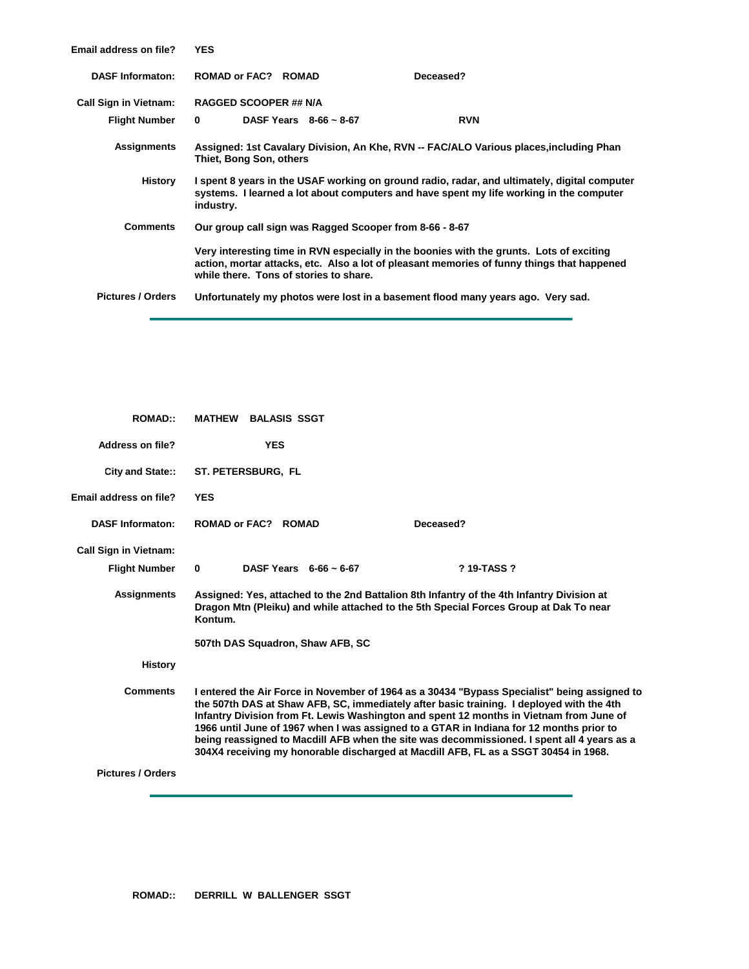| <b>Email address on file?</b> | <b>YES</b>                             |                             |                                                                                                                                                                                         |  |
|-------------------------------|----------------------------------------|-----------------------------|-----------------------------------------------------------------------------------------------------------------------------------------------------------------------------------------|--|
| <b>DASF Informaton:</b>       | ROMAD or FAC? ROMAD                    |                             | Deceased?                                                                                                                                                                               |  |
| <b>Call Sign in Vietnam:</b>  | <b>RAGGED SCOOPER ## N/A</b>           |                             |                                                                                                                                                                                         |  |
| <b>Flight Number</b>          | $\bf{0}$                               | DASF Years $8-66 \sim 8-67$ | <b>RVN</b>                                                                                                                                                                              |  |
| <b>Assignments</b>            | Thiet, Bong Son, others                |                             | Assigned: 1st Cavalary Division, An Khe, RVN -- FAC/ALO Various places, including Phan                                                                                                  |  |
| History                       | industry.                              |                             | I spent 8 years in the USAF working on ground radio, radar, and ultimately, digital computer<br>systems. I learned a lot about computers and have spent my life working in the computer |  |
| <b>Comments</b>               |                                        |                             | Our group call sign was Ragged Scooper from 8-66 - 8-67                                                                                                                                 |  |
|                               | while there. Tons of stories to share. |                             | Very interesting time in RVN especially in the boonies with the grunts. Lots of exciting<br>action, mortar attacks, etc. Also a lot of pleasant memories of funny things that happened  |  |
| <b>Pictures / Orders</b>      |                                        |                             | Unfortunately my photos were lost in a basement flood many years ago. Very sad.                                                                                                         |  |

| <b>ROMAD::</b>                | <b>MATHEW BALASIS SSGT</b>              |                                                                                                                                                                                                                                                                                                                                                                                                                                                                                                                                                                     |
|-------------------------------|-----------------------------------------|---------------------------------------------------------------------------------------------------------------------------------------------------------------------------------------------------------------------------------------------------------------------------------------------------------------------------------------------------------------------------------------------------------------------------------------------------------------------------------------------------------------------------------------------------------------------|
| Address on file?              | <b>YES</b>                              |                                                                                                                                                                                                                                                                                                                                                                                                                                                                                                                                                                     |
| City and State::              | ST. PETERSBURG, FL                      |                                                                                                                                                                                                                                                                                                                                                                                                                                                                                                                                                                     |
| <b>Email address on file?</b> | <b>YES</b>                              |                                                                                                                                                                                                                                                                                                                                                                                                                                                                                                                                                                     |
| <b>DASF Informaton:</b>       | <b>ROMAD or FAC? ROMAD</b>              | Deceased?                                                                                                                                                                                                                                                                                                                                                                                                                                                                                                                                                           |
| <b>Call Sign in Vietnam:</b>  |                                         |                                                                                                                                                                                                                                                                                                                                                                                                                                                                                                                                                                     |
| <b>Flight Number</b>          | $\bf{0}$<br>DASF Years $6-66 \sim 6-67$ | ? 19-TASS ?                                                                                                                                                                                                                                                                                                                                                                                                                                                                                                                                                         |
| <b>Assignments</b>            | Kontum.                                 | Assigned: Yes, attached to the 2nd Battalion 8th Infantry of the 4th Infantry Division at<br>Dragon Mtn (Pleiku) and while attached to the 5th Special Forces Group at Dak To near                                                                                                                                                                                                                                                                                                                                                                                  |
|                               | 507th DAS Squadron, Shaw AFB, SC        |                                                                                                                                                                                                                                                                                                                                                                                                                                                                                                                                                                     |
| <b>History</b>                |                                         |                                                                                                                                                                                                                                                                                                                                                                                                                                                                                                                                                                     |
| <b>Comments</b>               |                                         | I entered the Air Force in November of 1964 as a 30434 "Bypass Specialist" being assigned to<br>the 507th DAS at Shaw AFB, SC, immediately after basic training. I deployed with the 4th<br>Infantry Division from Ft. Lewis Washington and spent 12 months in Vietnam from June of<br>1966 until June of 1967 when I was assigned to a GTAR in Indiana for 12 months prior to<br>being reassigned to Macdill AFB when the site was decommissioned. I spent all 4 years as a<br>304X4 receiving my honorable discharged at Macdill AFB, FL as a SSGT 30454 in 1968. |
| <b>Pictures / Orders</b>      |                                         |                                                                                                                                                                                                                                                                                                                                                                                                                                                                                                                                                                     |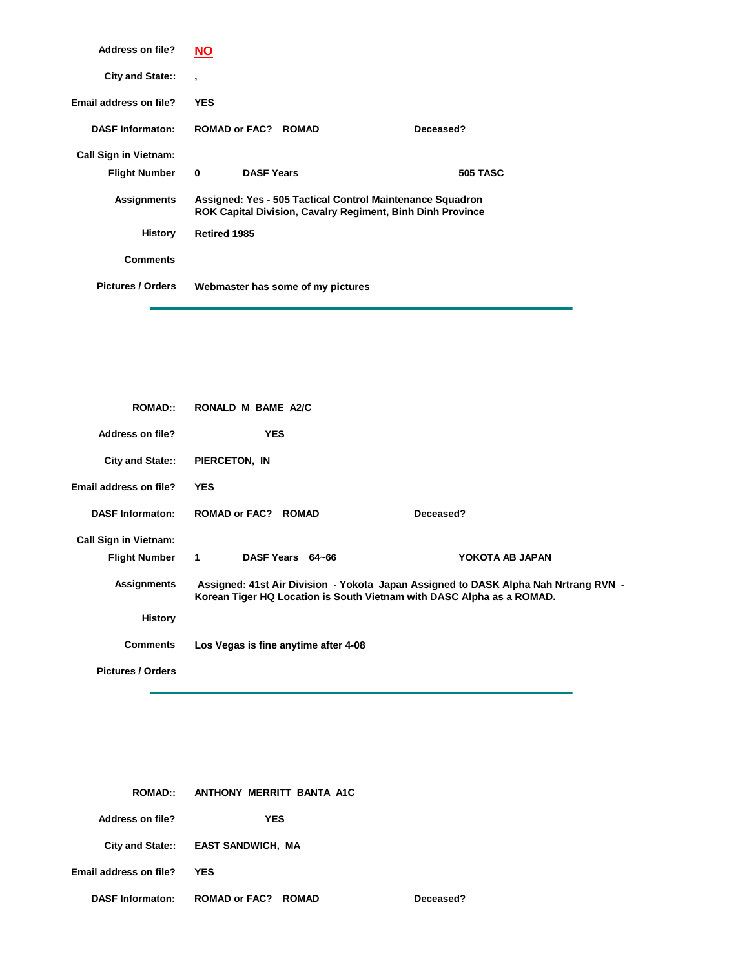| Address on file?             | NΟ                       |                   |                                   |                                                                                                                                |                 |
|------------------------------|--------------------------|-------------------|-----------------------------------|--------------------------------------------------------------------------------------------------------------------------------|-----------------|
| City and State::             | $\overline{\phantom{a}}$ |                   |                                   |                                                                                                                                |                 |
| Email address on file?       | <b>YES</b>               |                   |                                   |                                                                                                                                |                 |
| <b>DASF Informaton:</b>      |                          |                   | <b>ROMAD or FAC? ROMAD</b>        |                                                                                                                                | Deceased?       |
| <b>Call Sign in Vietnam:</b> |                          |                   |                                   |                                                                                                                                |                 |
| <b>Flight Number</b>         | $\bf{0}$                 | <b>DASF Years</b> |                                   |                                                                                                                                | <b>505 TASC</b> |
| <b>Assignments</b>           |                          |                   |                                   | Assigned: Yes - 505 Tactical Control Maintenance Squadron<br><b>ROK Capital Division, Cavalry Regiment, Binh Dinh Province</b> |                 |
| History                      | <b>Retired 1985</b>      |                   |                                   |                                                                                                                                |                 |
| <b>Comments</b>              |                          |                   |                                   |                                                                                                                                |                 |
| <b>Pictures / Orders</b>     |                          |                   | Webmaster has some of my pictures |                                                                                                                                |                 |

| <b>ROMAD::</b>               | RONALD M BAME A2/C                                                    |                                                                                     |
|------------------------------|-----------------------------------------------------------------------|-------------------------------------------------------------------------------------|
| Address on file?             | <b>YES</b>                                                            |                                                                                     |
| City and State::             | PIERCETON, IN                                                         |                                                                                     |
| Email address on file?       | <b>YES</b>                                                            |                                                                                     |
| <b>DASF Informaton:</b>      | <b>ROMAD or FAC? ROMAD</b>                                            | Deceased?                                                                           |
| <b>Call Sign in Vietnam:</b> |                                                                       |                                                                                     |
| Flight Number 1              | DASF Years 64~66                                                      | YOKOTA AB JAPAN                                                                     |
| <b>Assignments</b>           | Korean Tiger HQ Location is South Vietnam with DASC Alpha as a ROMAD. | Assigned: 41st Air Division - Yokota Japan Assigned to DASK Alpha Nah Nrtrang RVN - |
| <b>History</b>               |                                                                       |                                                                                     |
| <b>Comments</b>              | Los Vegas is fine anytime after 4-08                                  |                                                                                     |
| <b>Pictures / Orders</b>     |                                                                       |                                                                                     |

 $Deceased?$ 

| <b>ROMAD</b>            | ANTHONY MERRITT BANTA A1C          |
|-------------------------|------------------------------------|
| Address on file?        | YES                                |
|                         | City and State:: EAST SANDWICH, MA |
| Email address on file?  | YES                                |
| <b>DASF Informaton:</b> | ROMAD or FAC? ROMAD                |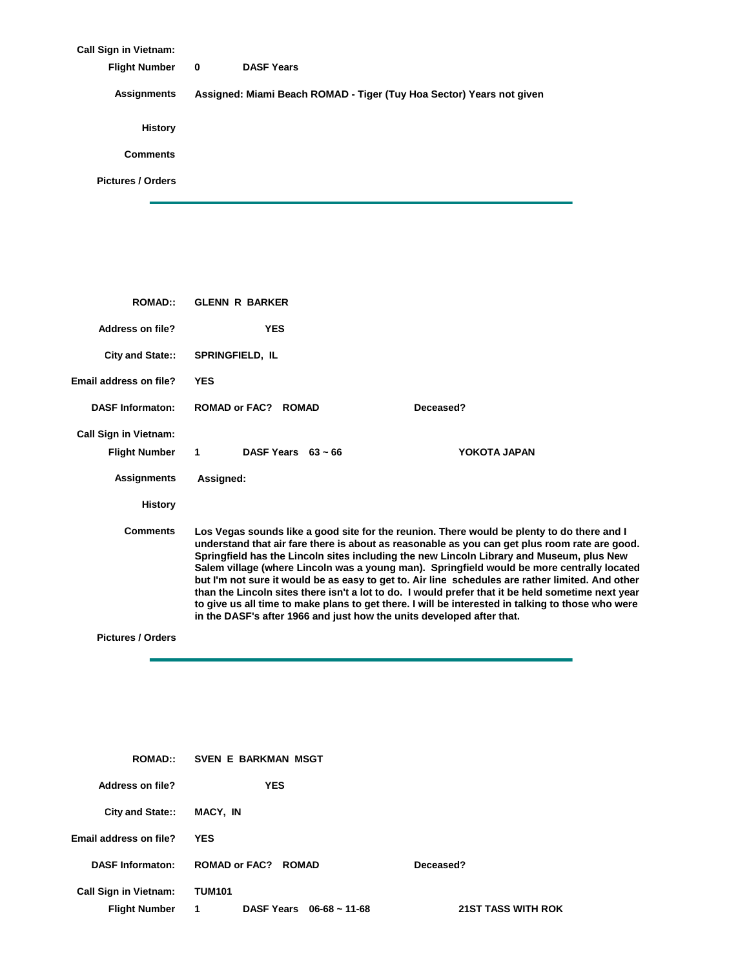| <b>Call Sign in Vietnam:</b> |                                                                      |
|------------------------------|----------------------------------------------------------------------|
| <b>Flight Number</b>         | <b>DASF Years</b><br>$\mathbf 0$                                     |
| Assignments                  | Assigned: Miami Beach ROMAD - Tiger (Tuy Hoa Sector) Years not given |
| <b>History</b>               |                                                                      |
| <b>Comments</b>              |                                                                      |
| <b>Pictures / Orders</b>     |                                                                      |
|                              |                                                                      |

| <b>ROMAD::</b>                                       | <b>GLENN R BARKER</b>                                                 |                                                                                                                                                                                                                                                                                                                                                                                                                                                                                                                                                                                                                                                                                                     |  |  |  |
|------------------------------------------------------|-----------------------------------------------------------------------|-----------------------------------------------------------------------------------------------------------------------------------------------------------------------------------------------------------------------------------------------------------------------------------------------------------------------------------------------------------------------------------------------------------------------------------------------------------------------------------------------------------------------------------------------------------------------------------------------------------------------------------------------------------------------------------------------------|--|--|--|
| <b>Address on file?</b>                              | <b>YES</b>                                                            |                                                                                                                                                                                                                                                                                                                                                                                                                                                                                                                                                                                                                                                                                                     |  |  |  |
| City and State::                                     | <b>SPRINGFIELD, IL</b>                                                |                                                                                                                                                                                                                                                                                                                                                                                                                                                                                                                                                                                                                                                                                                     |  |  |  |
| Email address on file?                               | <b>YES</b>                                                            |                                                                                                                                                                                                                                                                                                                                                                                                                                                                                                                                                                                                                                                                                                     |  |  |  |
| <b>DASF Informaton:</b>                              | <b>ROMAD or FAC? ROMAD</b>                                            | Deceased?                                                                                                                                                                                                                                                                                                                                                                                                                                                                                                                                                                                                                                                                                           |  |  |  |
| <b>Call Sign in Vietnam:</b>                         | $\mathbf{1}$<br>DASF Years $63 \sim 66$                               | YOKOTA JAPAN                                                                                                                                                                                                                                                                                                                                                                                                                                                                                                                                                                                                                                                                                        |  |  |  |
| <b>Flight Number</b>                                 |                                                                       |                                                                                                                                                                                                                                                                                                                                                                                                                                                                                                                                                                                                                                                                                                     |  |  |  |
| <b>Assignments</b>                                   | Assigned:                                                             |                                                                                                                                                                                                                                                                                                                                                                                                                                                                                                                                                                                                                                                                                                     |  |  |  |
| <b>History</b>                                       |                                                                       |                                                                                                                                                                                                                                                                                                                                                                                                                                                                                                                                                                                                                                                                                                     |  |  |  |
| <b>Comments</b>                                      | in the DASF's after 1966 and just how the units developed after that. | Los Vegas sounds like a good site for the reunion. There would be plenty to do there and I<br>understand that air fare there is about as reasonable as you can get plus room rate are good.<br>Springfield has the Lincoln sites including the new Lincoln Library and Museum, plus New<br>Salem village (where Lincoln was a young man). Springfield would be more centrally located<br>but I'm not sure it would be as easy to get to. Air line schedules are rather limited. And other<br>than the Lincoln sites there isn't a lot to do. I would prefer that it be held sometime next year<br>to give us all time to make plans to get there. I will be interested in talking to those who were |  |  |  |
| <b>Pictures / Orders</b>                             |                                                                       |                                                                                                                                                                                                                                                                                                                                                                                                                                                                                                                                                                                                                                                                                                     |  |  |  |
|                                                      |                                                                       |                                                                                                                                                                                                                                                                                                                                                                                                                                                                                                                                                                                                                                                                                                     |  |  |  |
| <b>ROMAD::</b>                                       | SVEN E BARKMAN MSGT                                                   |                                                                                                                                                                                                                                                                                                                                                                                                                                                                                                                                                                                                                                                                                                     |  |  |  |
| <b>Address on file?</b>                              | <b>YES</b>                                                            |                                                                                                                                                                                                                                                                                                                                                                                                                                                                                                                                                                                                                                                                                                     |  |  |  |
| City and State::                                     | MACY, IN                                                              |                                                                                                                                                                                                                                                                                                                                                                                                                                                                                                                                                                                                                                                                                                     |  |  |  |
| Email address on file?                               | YES                                                                   |                                                                                                                                                                                                                                                                                                                                                                                                                                                                                                                                                                                                                                                                                                     |  |  |  |
| <b>DASF Informaton:</b>                              | <b>ROMAD or FAC? ROMAD</b>                                            | Deceased?                                                                                                                                                                                                                                                                                                                                                                                                                                                                                                                                                                                                                                                                                           |  |  |  |
| <b>Call Sign in Vietnam:</b><br><b>Flight Number</b> | <b>TUM101</b><br>DASF Years 06-68 ~ 11-68<br>1                        | <b>21ST TASS WITH ROK</b>                                                                                                                                                                                                                                                                                                                                                                                                                                                                                                                                                                                                                                                                           |  |  |  |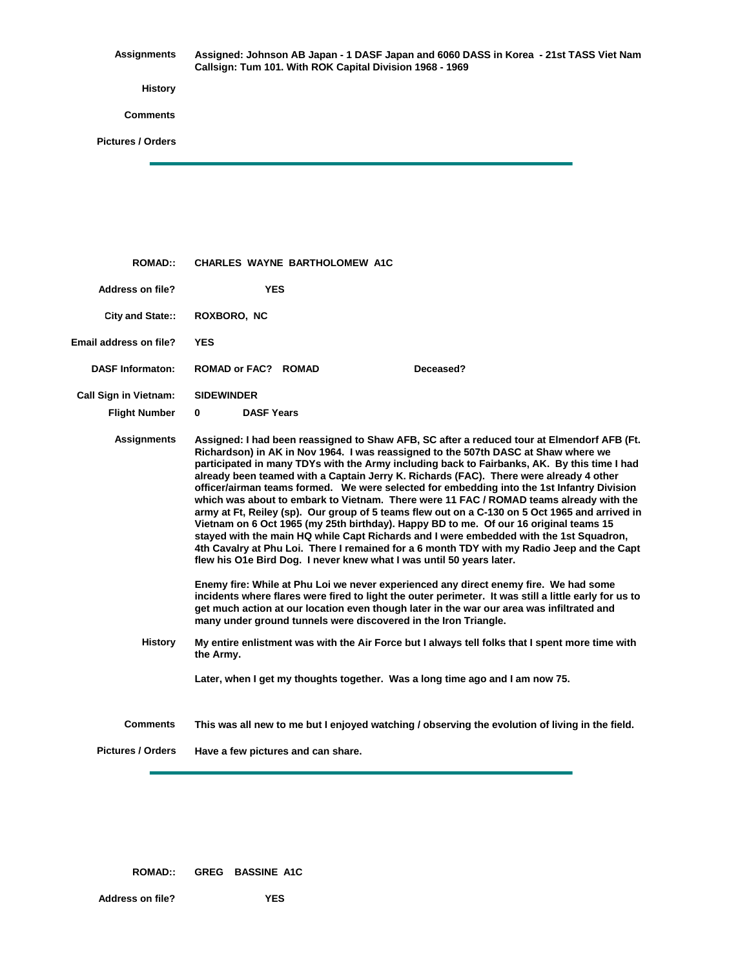**Assignments History Comments Pictures / Orders Assigned: Johnson AB Japan - 1 DASF Japan and 6060 DASS in Korea - 21st TASS Viet Nam Callsign: Tum 101. With ROK Capital Division 1968 - 1969**

| <b>ROMAD::</b>               | <b>CHARLES WAYNE BARTHOLOMEW A1C</b>                                                                                                                                                                                                                                                                                                                                                                                                                                                                                                                                                                                                                                                                                                                                                                                                                                                                                                                                                                                         |
|------------------------------|------------------------------------------------------------------------------------------------------------------------------------------------------------------------------------------------------------------------------------------------------------------------------------------------------------------------------------------------------------------------------------------------------------------------------------------------------------------------------------------------------------------------------------------------------------------------------------------------------------------------------------------------------------------------------------------------------------------------------------------------------------------------------------------------------------------------------------------------------------------------------------------------------------------------------------------------------------------------------------------------------------------------------|
| Address on file?             | <b>YES</b>                                                                                                                                                                                                                                                                                                                                                                                                                                                                                                                                                                                                                                                                                                                                                                                                                                                                                                                                                                                                                   |
| City and State::             | ROXBORO, NC                                                                                                                                                                                                                                                                                                                                                                                                                                                                                                                                                                                                                                                                                                                                                                                                                                                                                                                                                                                                                  |
| Email address on file?       | <b>YES</b>                                                                                                                                                                                                                                                                                                                                                                                                                                                                                                                                                                                                                                                                                                                                                                                                                                                                                                                                                                                                                   |
| <b>DASF Informaton:</b>      | Deceased?<br><b>ROMAD or FAC? ROMAD</b>                                                                                                                                                                                                                                                                                                                                                                                                                                                                                                                                                                                                                                                                                                                                                                                                                                                                                                                                                                                      |
| <b>Call Sign in Vietnam:</b> | <b>SIDEWINDER</b>                                                                                                                                                                                                                                                                                                                                                                                                                                                                                                                                                                                                                                                                                                                                                                                                                                                                                                                                                                                                            |
| <b>Flight Number</b>         | <b>DASF Years</b><br>0                                                                                                                                                                                                                                                                                                                                                                                                                                                                                                                                                                                                                                                                                                                                                                                                                                                                                                                                                                                                       |
| <b>Assignments</b>           | Assigned: I had been reassigned to Shaw AFB, SC after a reduced tour at Elmendorf AFB (Ft.<br>Richardson) in AK in Nov 1964. I was reassigned to the 507th DASC at Shaw where we<br>participated in many TDYs with the Army including back to Fairbanks, AK. By this time I had<br>already been teamed with a Captain Jerry K. Richards (FAC). There were already 4 other<br>officer/airman teams formed. We were selected for embedding into the 1st Infantry Division<br>which was about to embark to Vietnam. There were 11 FAC / ROMAD teams already with the<br>army at Ft, Reiley (sp). Our group of 5 teams flew out on a C-130 on 5 Oct 1965 and arrived in<br>Vietnam on 6 Oct 1965 (my 25th birthday). Happy BD to me. Of our 16 original teams 15<br>stayed with the main HQ while Capt Richards and I were embedded with the 1st Squadron,<br>4th Cavalry at Phu Loi. There I remained for a 6 month TDY with my Radio Jeep and the Capt<br>flew his O1e Bird Dog. I never knew what I was until 50 years later. |
|                              | Enemy fire: While at Phu Loi we never experienced any direct enemy fire. We had some<br>incidents where flares were fired to light the outer perimeter. It was still a little early for us to<br>get much action at our location even though later in the war our area was infiltrated and<br>many under ground tunnels were discovered in the Iron Triangle.                                                                                                                                                                                                                                                                                                                                                                                                                                                                                                                                                                                                                                                                |
| <b>History</b>               | My entire enlistment was with the Air Force but I always tell folks that I spent more time with<br>the Army.                                                                                                                                                                                                                                                                                                                                                                                                                                                                                                                                                                                                                                                                                                                                                                                                                                                                                                                 |
|                              | Later, when I get my thoughts together. Was a long time ago and I am now 75.                                                                                                                                                                                                                                                                                                                                                                                                                                                                                                                                                                                                                                                                                                                                                                                                                                                                                                                                                 |
| <b>Comments</b>              | This was all new to me but I enjoyed watching / observing the evolution of living in the field.                                                                                                                                                                                                                                                                                                                                                                                                                                                                                                                                                                                                                                                                                                                                                                                                                                                                                                                              |
| <b>Pictures / Orders</b>     | Have a few pictures and can share.                                                                                                                                                                                                                                                                                                                                                                                                                                                                                                                                                                                                                                                                                                                                                                                                                                                                                                                                                                                           |

**ROMAD:: GREG BASSINE A1C**

**Address on file? YES**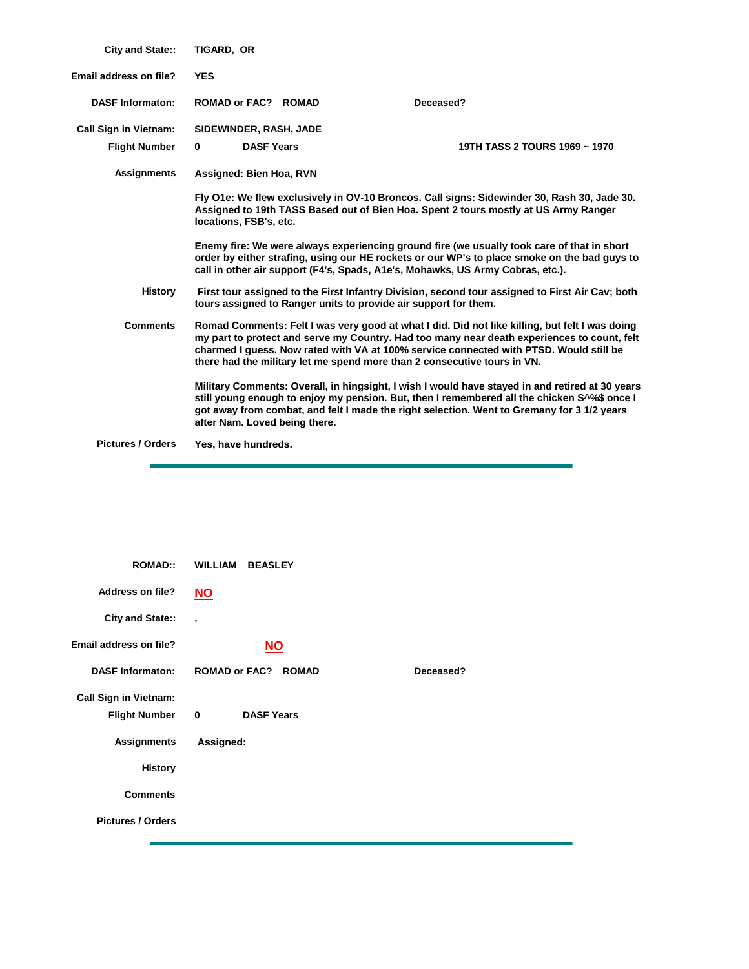| <b>City and State::</b>      | TIGARD, OR                    |                                                                 |                                                                                                                                                                                                                                                                                                                                                                     |
|------------------------------|-------------------------------|-----------------------------------------------------------------|---------------------------------------------------------------------------------------------------------------------------------------------------------------------------------------------------------------------------------------------------------------------------------------------------------------------------------------------------------------------|
| Email address on file?       | <b>YES</b>                    |                                                                 |                                                                                                                                                                                                                                                                                                                                                                     |
| <b>DASF Informaton:</b>      | <b>ROMAD or FAC? ROMAD</b>    |                                                                 | Deceased?                                                                                                                                                                                                                                                                                                                                                           |
| <b>Call Sign in Vietnam:</b> | SIDEWINDER, RASH, JADE        |                                                                 |                                                                                                                                                                                                                                                                                                                                                                     |
| <b>Flight Number</b>         | <b>DASF Years</b><br>0        |                                                                 | 19TH TASS 2 TOURS 1969 ~ 1970                                                                                                                                                                                                                                                                                                                                       |
| <b>Assignments</b>           | Assigned: Bien Hoa, RVN       |                                                                 |                                                                                                                                                                                                                                                                                                                                                                     |
|                              | locations, FSB's, etc.        |                                                                 | Fly O1e: We flew exclusively in OV-10 Broncos. Call signs: Sidewinder 30, Rash 30, Jade 30.<br>Assigned to 19th TASS Based out of Bien Hoa. Spent 2 tours mostly at US Army Ranger                                                                                                                                                                                  |
|                              |                               |                                                                 | Enemy fire: We were always experiencing ground fire (we usually took care of that in short<br>order by either strafing, using our HE rockets or our WP's to place smoke on the bad guys to<br>call in other air support (F4's, Spads, A1e's, Mohawks, US Army Cobras, etc.).                                                                                        |
| <b>History</b>               |                               | tours assigned to Ranger units to provide air support for them. | First tour assigned to the First Infantry Division, second tour assigned to First Air Cav; both                                                                                                                                                                                                                                                                     |
| <b>Comments</b>              |                               |                                                                 | Romad Comments: Felt I was very good at what I did. Did not like killing, but felt I was doing<br>my part to protect and serve my Country. Had too many near death experiences to count, felt<br>charmed I guess. Now rated with VA at 100% service connected with PTSD. Would still be<br>there had the military let me spend more than 2 consecutive tours in VN. |
|                              | after Nam. Loved being there. |                                                                 | Military Comments: Overall, in hingsight, I wish I would have stayed in and retired at 30 years<br>still young enough to enjoy my pension. But, then I remembered all the chicken S <sup>1</sup> % once I<br>got away from combat, and felt I made the right selection. Went to Gremany for 3 1/2 years                                                             |
| <b>Pictures / Orders</b>     | Yes, have hundreds.           |                                                                 |                                                                                                                                                                                                                                                                                                                                                                     |
|                              |                               |                                                                 |                                                                                                                                                                                                                                                                                                                                                                     |

| <b>ROMAD::</b>               | <b>WILLIAM BEASLEY</b>           |           |
|------------------------------|----------------------------------|-----------|
| <b>Address on file?</b>      | <b>NO</b>                        |           |
| City and State::             | $\overline{\phantom{a}}$         |           |
| Email address on file?       | $NO$                             |           |
| <b>DASF Informaton:</b>      | <b>ROMAD or FAC? ROMAD</b>       | Deceased? |
| <b>Call Sign in Vietnam:</b> |                                  |           |
| <b>Flight Number</b>         | <b>DASF Years</b><br>$\mathbf 0$ |           |
| <b>Assignments</b>           | Assigned:                        |           |
| <b>History</b>               |                                  |           |
| <b>Comments</b>              |                                  |           |
| <b>Pictures / Orders</b>     |                                  |           |
|                              |                                  |           |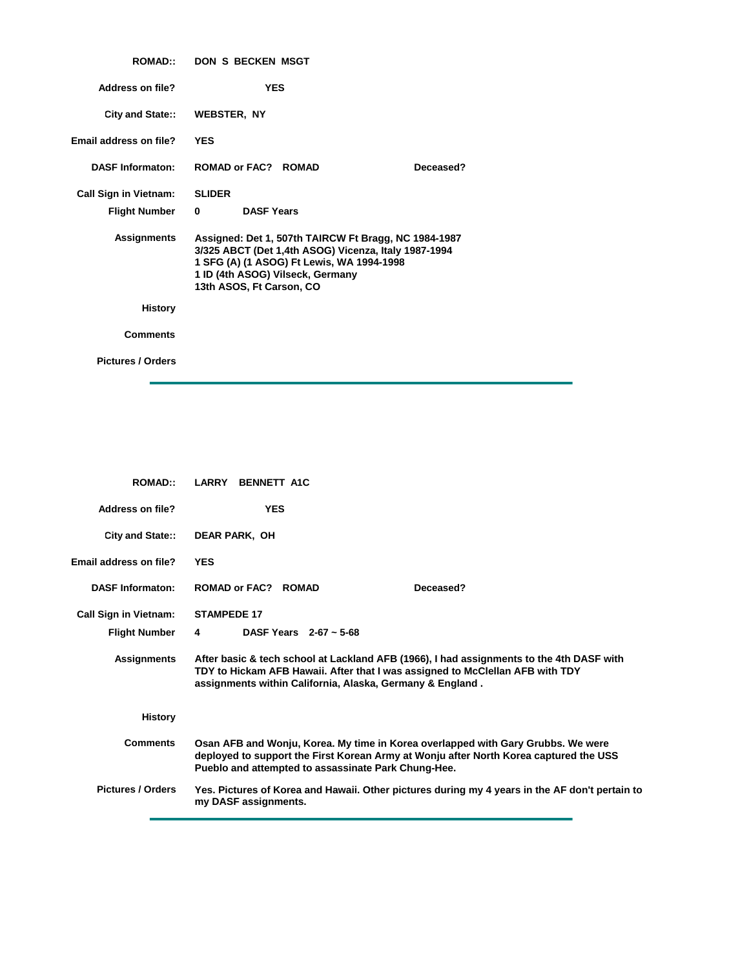| <b>ROMAD:</b>                | <b>DON S BECKEN MSGT</b>                                                                                                                                                                                                  |
|------------------------------|---------------------------------------------------------------------------------------------------------------------------------------------------------------------------------------------------------------------------|
| Address on file?             | <b>YES</b>                                                                                                                                                                                                                |
| City and State::             | WEBSTER, NY                                                                                                                                                                                                               |
| Email address on file?       | <b>YES</b>                                                                                                                                                                                                                |
| <b>DASF Informaton:</b>      | ROMAD or FAC? ROMAD<br>Deceased?                                                                                                                                                                                          |
| <b>Call Sign in Vietnam:</b> | <b>SLIDER</b>                                                                                                                                                                                                             |
| Flight Number                | <b>DASF Years</b><br>$\mathbf{0}$                                                                                                                                                                                         |
| <b>Assignments</b>           | Assigned: Det 1, 507th TAIRCW Ft Bragg, NC 1984-1987<br>3/325 ABCT (Det 1,4th ASOG) Vicenza, Italy 1987-1994<br>1 SFG (A) (1 ASOG) Ft Lewis, WA 1994-1998<br>1 ID (4th ASOG) Vilseck, Germany<br>13th ASOS, Ft Carson, CO |
| <b>History</b>               |                                                                                                                                                                                                                           |
| <b>Comments</b>              |                                                                                                                                                                                                                           |
| <b>Pictures / Orders</b>     |                                                                                                                                                                                                                           |

| <b>ROMAD</b>                 | LARRY BENNETT A1C                                                                                                                                                                                                                      |
|------------------------------|----------------------------------------------------------------------------------------------------------------------------------------------------------------------------------------------------------------------------------------|
| Address on file?             | <b>YES</b>                                                                                                                                                                                                                             |
| City and State::             | <b>DEAR PARK, OH</b>                                                                                                                                                                                                                   |
| Email address on file?       | <b>YES</b>                                                                                                                                                                                                                             |
| <b>DASF Informaton:</b>      | ROMAD or FAC? ROMAD<br>Deceased?                                                                                                                                                                                                       |
| <b>Call Sign in Vietnam:</b> | <b>STAMPEDE 17</b>                                                                                                                                                                                                                     |
| <b>Flight Number</b>         | DASF Years $2-67 \sim 5-68$<br>4                                                                                                                                                                                                       |
| <b>Assignments</b>           | After basic & tech school at Lackland AFB (1966), I had assignments to the 4th DASF with<br>TDY to Hickam AFB Hawaii. After that I was assigned to McClellan AFB with TDY<br>assignments within California, Alaska, Germany & England. |
| <b>History</b>               |                                                                                                                                                                                                                                        |
| <b>Comments</b>              | Osan AFB and Wonju, Korea. My time in Korea overlapped with Gary Grubbs. We were<br>deployed to support the First Korean Army at Wonju after North Korea captured the USS<br>Pueblo and attempted to assassinate Park Chung-Hee.       |
| <b>Pictures / Orders</b>     | Yes. Pictures of Korea and Hawaii. Other pictures during my 4 years in the AF don't pertain to<br>my DASF assignments.                                                                                                                 |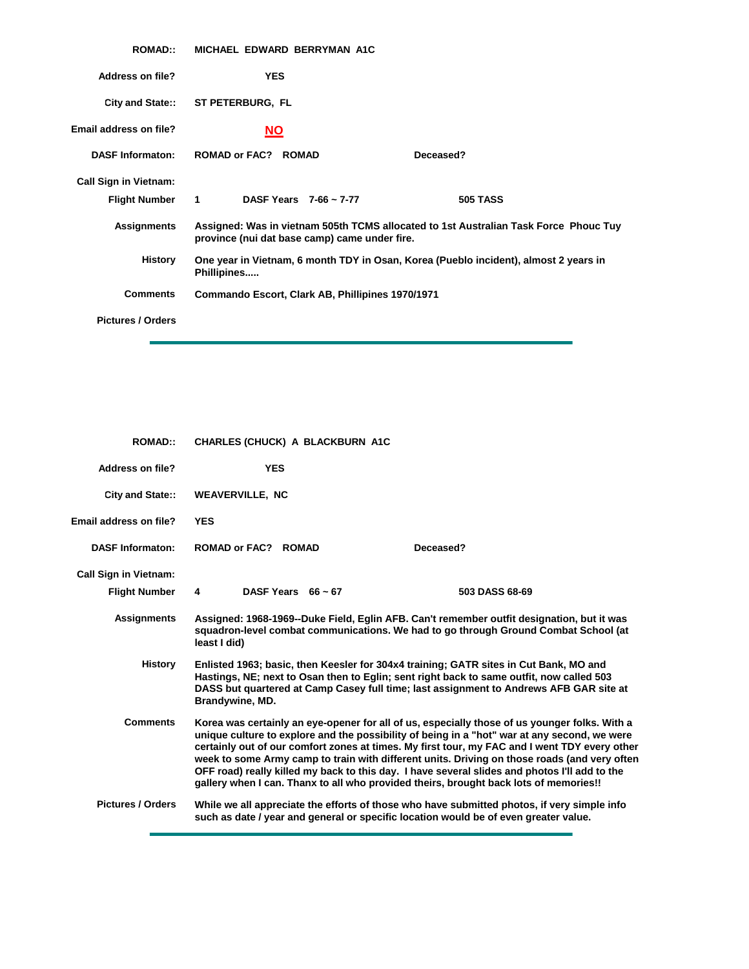| <b>ROMAD::</b>               | MICHAEL EDWARD BERRYMAN A1C                           |                                                                                      |  |
|------------------------------|-------------------------------------------------------|--------------------------------------------------------------------------------------|--|
| <b>Address on file?</b>      | <b>YES</b>                                            |                                                                                      |  |
| <b>City and State::</b>      | ST PETERBURG, FL                                      |                                                                                      |  |
| Email address on file?       | <b>NO</b>                                             |                                                                                      |  |
| <b>DASF Informaton:</b>      | <b>ROMAD or FAC? ROMAD</b>                            | Deceased?                                                                            |  |
| <b>Call Sign in Vietnam:</b> |                                                       |                                                                                      |  |
| <b>Flight Number</b>         | DASF Years $7-66 \sim 7-77$<br>$1 \quad \blacksquare$ | <b>505 TASS</b>                                                                      |  |
| <b>Assignments</b>           | province (nui dat base camp) came under fire.         | Assigned: Was in vietnam 505th TCMS allocated to 1st Australian Task Force Phouc Tuy |  |
| <b>History</b>               | Phillipines                                           | One year in Vietnam, 6 month TDY in Osan, Korea (Pueblo incident), almost 2 years in |  |
| <b>Comments</b>              | Commando Escort, Clark AB, Phillipines 1970/1971      |                                                                                      |  |
| <b>Pictures / Orders</b>     |                                                       |                                                                                      |  |

| <b>ROMAD::</b>               | <b>CHARLES (CHUCK) A BLACKBURN A1C</b> |                                                                                                                                                                                                                                                                                                                                                                                                                                                                                                                                                                                          |
|------------------------------|----------------------------------------|------------------------------------------------------------------------------------------------------------------------------------------------------------------------------------------------------------------------------------------------------------------------------------------------------------------------------------------------------------------------------------------------------------------------------------------------------------------------------------------------------------------------------------------------------------------------------------------|
| <b>Address on file?</b>      | <b>YES</b>                             |                                                                                                                                                                                                                                                                                                                                                                                                                                                                                                                                                                                          |
| <b>City and State::</b>      | <b>WEAVERVILLE, NC</b>                 |                                                                                                                                                                                                                                                                                                                                                                                                                                                                                                                                                                                          |
| Email address on file?       | <b>YES</b>                             |                                                                                                                                                                                                                                                                                                                                                                                                                                                                                                                                                                                          |
| <b>DASF Informaton:</b>      | ROMAD or FAC? ROMAD                    | Deceased?                                                                                                                                                                                                                                                                                                                                                                                                                                                                                                                                                                                |
| <b>Call Sign in Vietnam:</b> |                                        |                                                                                                                                                                                                                                                                                                                                                                                                                                                                                                                                                                                          |
| <b>Flight Number</b>         | DASF Years $66 \sim 67$<br>4           | 503 DASS 68-69                                                                                                                                                                                                                                                                                                                                                                                                                                                                                                                                                                           |
| <b>Assignments</b>           | least I did)                           | Assigned: 1968-1969--Duke Field, Eglin AFB. Can't remember outfit designation, but it was<br>squadron-level combat communications. We had to go through Ground Combat School (at                                                                                                                                                                                                                                                                                                                                                                                                         |
| <b>History</b>               | Brandywine, MD.                        | Enlisted 1963; basic, then Keesler for 304x4 training; GATR sites in Cut Bank, MO and<br>Hastings, NE; next to Osan then to Eglin; sent right back to same outfit, now called 503<br>DASS but quartered at Camp Casey full time; last assignment to Andrews AFB GAR site at                                                                                                                                                                                                                                                                                                              |
| <b>Comments</b>              |                                        | Korea was certainly an eye-opener for all of us, especially those of us younger folks. With a<br>unique culture to explore and the possibility of being in a "hot" war at any second, we were<br>certainly out of our comfort zones at times. My first tour, my FAC and I went TDY every other<br>week to some Army camp to train with different units. Driving on those roads (and very often<br>OFF road) really killed my back to this day. I have several slides and photos I'll add to the<br>gallery when I can. Thanx to all who provided theirs, brought back lots of memories!! |
| <b>Pictures / Orders</b>     |                                        | While we all appreciate the efforts of those who have submitted photos, if very simple info<br>such as date / year and general or specific location would be of even greater value.                                                                                                                                                                                                                                                                                                                                                                                                      |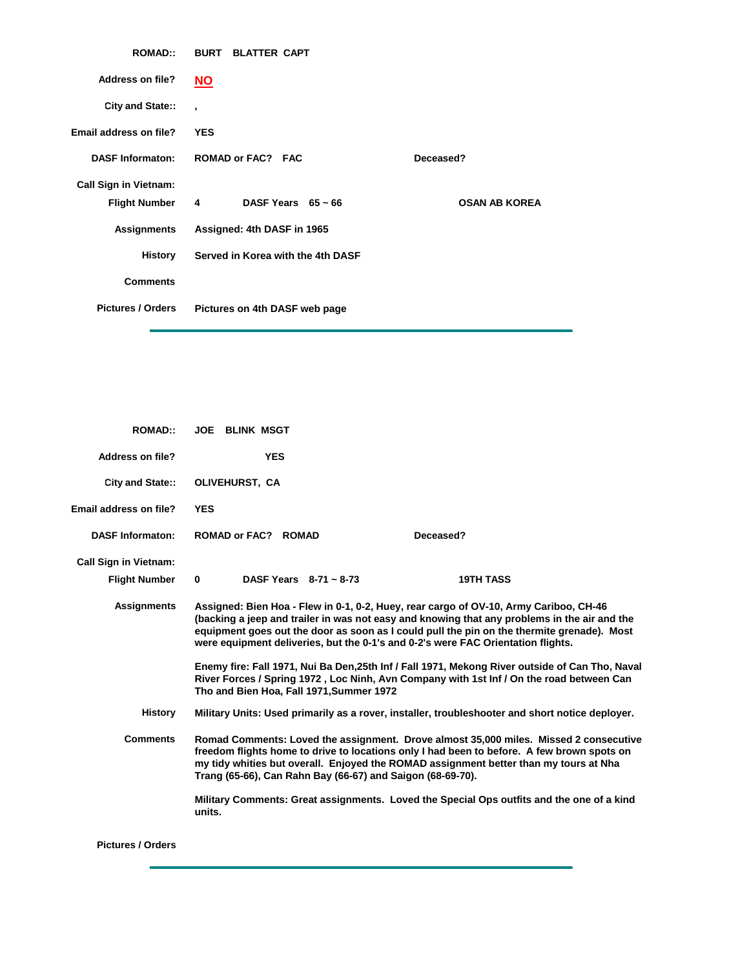| <b>ROMAD::</b>               | <b>BURT BLATTER CAPT</b>                  |                      |
|------------------------------|-------------------------------------------|----------------------|
| <b>Address on file?</b>      | <b>NO</b>                                 |                      |
| City and State::             | $\cdot$                                   |                      |
| Email address on file?       | <b>YES</b>                                |                      |
| <b>DASF Informaton:</b>      | <b>ROMAD or FAC? FAC</b>                  | Deceased?            |
| <b>Call Sign in Vietnam:</b> |                                           |                      |
| <b>Flight Number</b>         | DASF Years $65 \sim 66$<br>$\overline{4}$ | <b>OSAN AB KOREA</b> |
| Assignments                  | Assigned: 4th DASF in 1965                |                      |
| History                      | Served in Korea with the 4th DASF         |                      |
| <b>Comments</b>              |                                           |                      |
| <b>Pictures / Orders</b>     | Pictures on 4th DASF web page             |                      |

| <b>ROMAD::</b>                | <b>JOE BLINK MSGT</b>                                      |                                                                                                                                                                                                                                                                                                                                                                         |  |
|-------------------------------|------------------------------------------------------------|-------------------------------------------------------------------------------------------------------------------------------------------------------------------------------------------------------------------------------------------------------------------------------------------------------------------------------------------------------------------------|--|
| Address on file?              | <b>YES</b>                                                 |                                                                                                                                                                                                                                                                                                                                                                         |  |
| City and State::              | OLIVEHURST, CA                                             |                                                                                                                                                                                                                                                                                                                                                                         |  |
| <b>Email address on file?</b> | <b>YES</b>                                                 |                                                                                                                                                                                                                                                                                                                                                                         |  |
| <b>DASF Informaton:</b>       | ROMAD or FAC? ROMAD                                        | Deceased?                                                                                                                                                                                                                                                                                                                                                               |  |
| <b>Call Sign in Vietnam:</b>  |                                                            |                                                                                                                                                                                                                                                                                                                                                                         |  |
| <b>Flight Number</b>          | DASF Years $8-71 \sim 8-73$<br>0                           | <b>19TH TASS</b>                                                                                                                                                                                                                                                                                                                                                        |  |
| <b>Assignments</b>            |                                                            | Assigned: Bien Hoa - Flew in 0-1, 0-2, Huey, rear cargo of OV-10, Army Cariboo, CH-46<br>(backing a jeep and trailer in was not easy and knowing that any problems in the air and the<br>equipment goes out the door as soon as I could pull the pin on the thermite grenade). Most<br>were equipment deliveries, but the 0-1's and 0-2's were FAC Orientation flights. |  |
|                               | Tho and Bien Hoa, Fall 1971, Summer 1972                   | Enemy fire: Fall 1971, Nui Ba Den, 25th Inf / Fall 1971, Mekong River outside of Can Tho, Naval<br>River Forces / Spring 1972, Loc Ninh, Avn Company with 1st Inf / On the road between Can                                                                                                                                                                             |  |
| <b>History</b>                |                                                            | Military Units: Used primarily as a rover, installer, troubleshooter and short notice deployer.                                                                                                                                                                                                                                                                         |  |
| <b>Comments</b>               | Trang (65-66), Can Rahn Bay (66-67) and Saigon (68-69-70). | Romad Comments: Loved the assignment. Drove almost 35,000 miles. Missed 2 consecutive<br>freedom flights home to drive to locations only I had been to before. A few brown spots on<br>my tidy whities but overall. Enjoyed the ROMAD assignment better than my tours at Nha                                                                                            |  |
|                               | units.                                                     | Military Comments: Great assignments. Loved the Special Ops outfits and the one of a kind                                                                                                                                                                                                                                                                               |  |

**Pictures / Orders**

ř.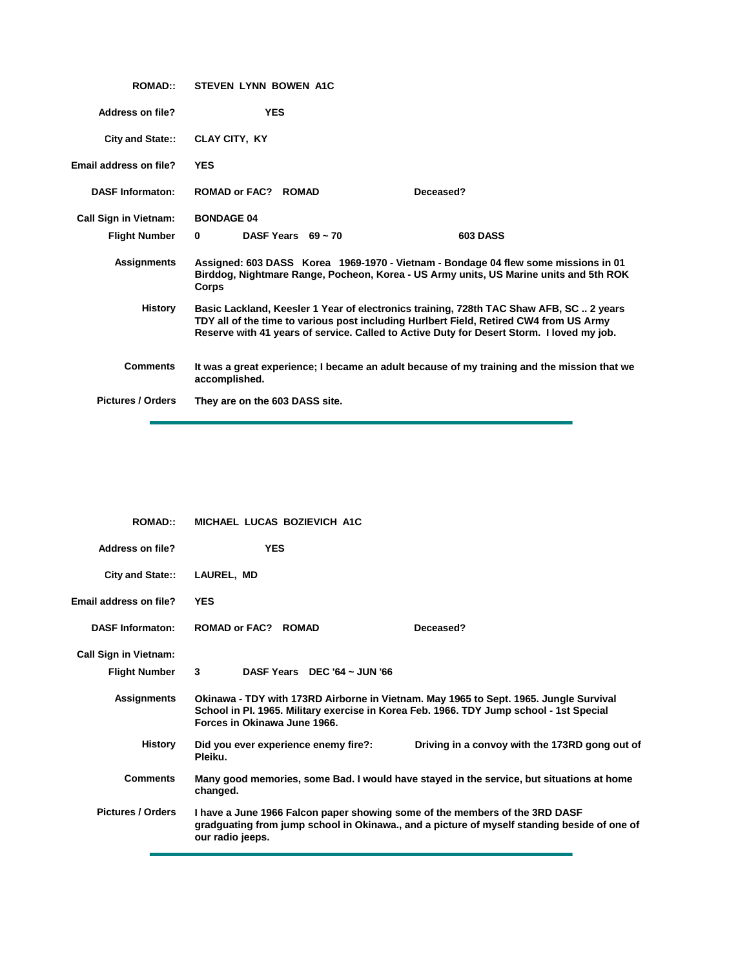| <b>ROMAD::</b>               | <b>STEVEN LYNN BOWEN A1C</b>                                                                                                                                                                                                                                                   |
|------------------------------|--------------------------------------------------------------------------------------------------------------------------------------------------------------------------------------------------------------------------------------------------------------------------------|
| <b>Address on file?</b>      | <b>YES</b>                                                                                                                                                                                                                                                                     |
| City and State::             | <b>CLAY CITY, KY</b>                                                                                                                                                                                                                                                           |
| Email address on file?       | <b>YES</b>                                                                                                                                                                                                                                                                     |
| <b>DASF Informaton:</b>      | ROMAD or FAC? ROMAD<br>Deceased?                                                                                                                                                                                                                                               |
| <b>Call Sign in Vietnam:</b> | <b>BONDAGE 04</b>                                                                                                                                                                                                                                                              |
| <b>Flight Number</b>         | <b>603 DASS</b><br>DASF Years $69 - 70$<br>$\mathbf{0}$                                                                                                                                                                                                                        |
| <b>Assignments</b>           | Assigned: 603 DASS Korea 1969-1970 - Vietnam - Bondage 04 flew some missions in 01<br>Birddog, Nightmare Range, Pocheon, Korea - US Army units, US Marine units and 5th ROK<br>Corps                                                                                           |
| <b>History</b>               | Basic Lackland, Keesler 1 Year of electronics training, 728th TAC Shaw AFB, SC  2 years<br>TDY all of the time to various post including Hurlbert Field, Retired CW4 from US Army<br>Reserve with 41 years of service. Called to Active Duty for Desert Storm. I loved my job. |
| <b>Comments</b>              | It was a great experience; I became an adult because of my training and the mission that we<br>accomplished.                                                                                                                                                                   |
| <b>Pictures / Orders</b>     | They are on the 603 DASS site.                                                                                                                                                                                                                                                 |
|                              |                                                                                                                                                                                                                                                                                |

| <b>ROMAD::</b>               | MICHAEL LUCAS BOZIEVICH A1C                                                                                                                                                                                      |
|------------------------------|------------------------------------------------------------------------------------------------------------------------------------------------------------------------------------------------------------------|
| <b>Address on file?</b>      | <b>YES</b>                                                                                                                                                                                                       |
| City and State::             | LAUREL, MD                                                                                                                                                                                                       |
| Email address on file?       | <b>YES</b>                                                                                                                                                                                                       |
| <b>DASF Informaton:</b>      | <b>ROMAD or FAC? ROMAD</b><br>Deceased?                                                                                                                                                                          |
| <b>Call Sign in Vietnam:</b> |                                                                                                                                                                                                                  |
| <b>Flight Number</b>         | 3<br>DASF Years DEC '64 ~ JUN '66                                                                                                                                                                                |
| <b>Assignments</b>           | Okinawa - TDY with 173RD Airborne in Vietnam. May 1965 to Sept. 1965. Jungle Survival<br>School in Pl. 1965. Military exercise in Korea Feb. 1966. TDY Jump school - 1st Special<br>Forces in Okinawa June 1966. |
| <b>History</b>               | Did you ever experience enemy fire?:<br>Driving in a convoy with the 173RD gong out of<br>Pleiku.                                                                                                                |
| <b>Comments</b>              | Many good memories, some Bad. I would have stayed in the service, but situations at home<br>changed.                                                                                                             |
| <b>Pictures / Orders</b>     | I have a June 1966 Falcon paper showing some of the members of the 3RD DASF<br>gradguating from jump school in Okinawa., and a picture of myself standing beside of one of<br>our radio jeeps.                   |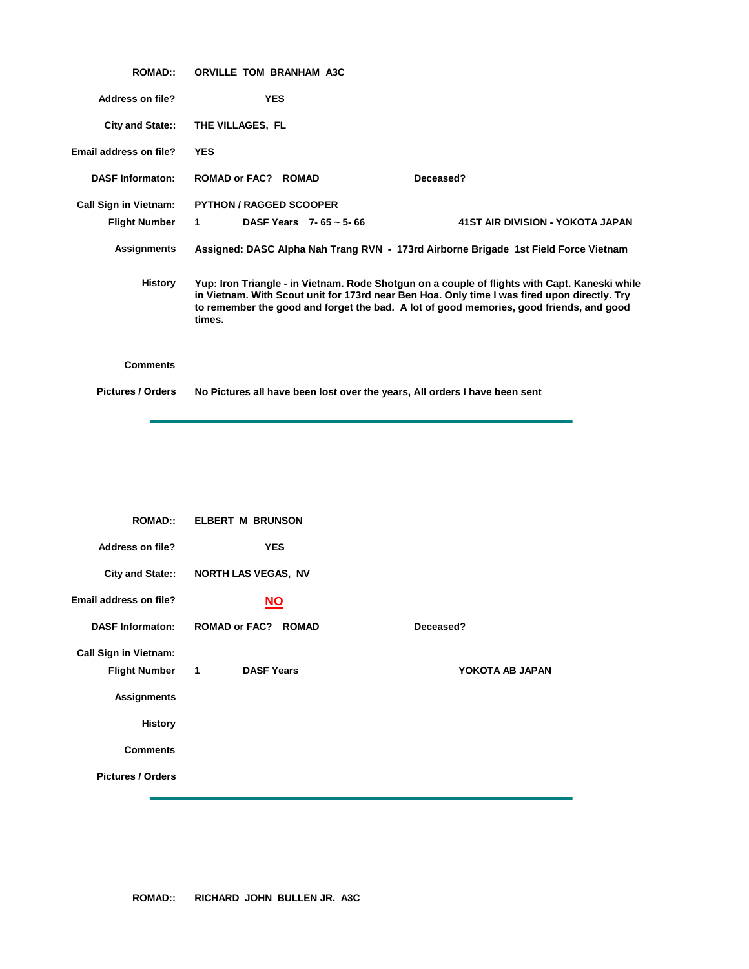| <b>ROMAD::</b>               | <b>ORVILLE TOM BRANHAM A3C</b>                                                                                                                                                                                                                                                                     |
|------------------------------|----------------------------------------------------------------------------------------------------------------------------------------------------------------------------------------------------------------------------------------------------------------------------------------------------|
| Address on file?             | <b>YES</b>                                                                                                                                                                                                                                                                                         |
| City and State::             | THE VILLAGES, FL                                                                                                                                                                                                                                                                                   |
| Email address on file?       | <b>YES</b>                                                                                                                                                                                                                                                                                         |
| <b>DASF Informaton:</b>      | <b>ROMAD or FAC? ROMAD</b><br>Deceased?                                                                                                                                                                                                                                                            |
| <b>Call Sign in Vietnam:</b> | <b>PYTHON / RAGGED SCOOPER</b>                                                                                                                                                                                                                                                                     |
| <b>Flight Number</b>         | DASF Years $7 - 65 \approx 5 - 66$<br>41ST AIR DIVISION - YOKOTA JAPAN<br>1                                                                                                                                                                                                                        |
| <b>Assignments</b>           | Assigned: DASC Alpha Nah Trang RVN - 173rd Airborne Brigade 1st Field Force Vietnam                                                                                                                                                                                                                |
| History                      | Yup: Iron Triangle - in Vietnam. Rode Shotgun on a couple of flights with Capt. Kaneski while<br>in Vietnam. With Scout unit for 173rd near Ben Hoa. Only time I was fired upon directly. Try<br>to remember the good and forget the bad. A lot of good memories, good friends, and good<br>times. |
| <b>Comments</b>              |                                                                                                                                                                                                                                                                                                    |
| <b>Pictures / Orders</b>     | No Pictures all have been lost over the years, All orders I have been sent                                                                                                                                                                                                                         |

| <b>ROMAD::</b>               | <b>ELBERT M BRUNSON</b>             |                 |
|------------------------------|-------------------------------------|-----------------|
| <b>Address on file?</b>      | <b>YES</b>                          |                 |
| City and State::             | NORTH LAS VEGAS, NV                 |                 |
| Email address on file?       | <u>NO</u>                           |                 |
| <b>DASF Informaton:</b>      | <b>ROMAD or FAC? ROMAD</b>          | Deceased?       |
| <b>Call Sign in Vietnam:</b> |                                     |                 |
| <b>Flight Number</b>         | <b>DASF Years</b><br>$\blacksquare$ | YOKOTA AB JAPAN |
| <b>Assignments</b>           |                                     |                 |
| <b>History</b>               |                                     |                 |
| <b>Comments</b>              |                                     |                 |
| <b>Pictures / Orders</b>     |                                     |                 |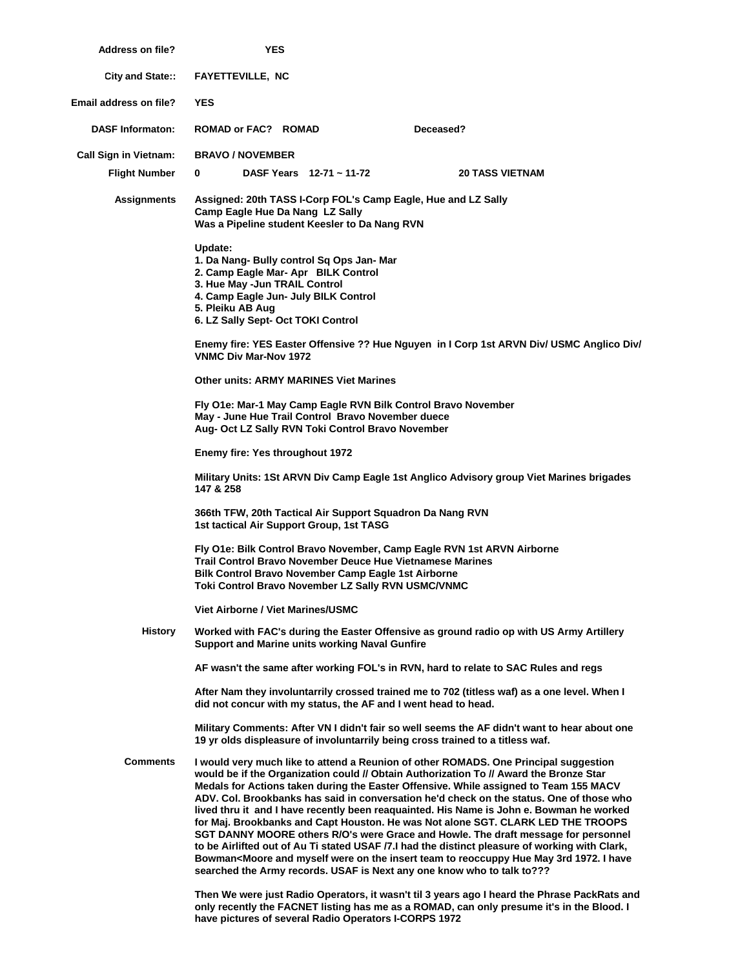| <b>Address on file?</b>      | YES                                                                                                                                                                               |                                                                                                                                                                                      |                                                                                                                                                                                                                                                                                                                                                                                                                                                                                                                                                                                                                                                                                                                                                                                                                                                                                                                                                                      |  |
|------------------------------|-----------------------------------------------------------------------------------------------------------------------------------------------------------------------------------|--------------------------------------------------------------------------------------------------------------------------------------------------------------------------------------|----------------------------------------------------------------------------------------------------------------------------------------------------------------------------------------------------------------------------------------------------------------------------------------------------------------------------------------------------------------------------------------------------------------------------------------------------------------------------------------------------------------------------------------------------------------------------------------------------------------------------------------------------------------------------------------------------------------------------------------------------------------------------------------------------------------------------------------------------------------------------------------------------------------------------------------------------------------------|--|
| City and State::             | <b>FAYETTEVILLE, NC</b>                                                                                                                                                           |                                                                                                                                                                                      |                                                                                                                                                                                                                                                                                                                                                                                                                                                                                                                                                                                                                                                                                                                                                                                                                                                                                                                                                                      |  |
| Email address on file?       | <b>YES</b>                                                                                                                                                                        |                                                                                                                                                                                      |                                                                                                                                                                                                                                                                                                                                                                                                                                                                                                                                                                                                                                                                                                                                                                                                                                                                                                                                                                      |  |
| <b>DASF Informaton:</b>      | ROMAD or FAC? ROMAD                                                                                                                                                               |                                                                                                                                                                                      | Deceased?                                                                                                                                                                                                                                                                                                                                                                                                                                                                                                                                                                                                                                                                                                                                                                                                                                                                                                                                                            |  |
| <b>Call Sign in Vietnam:</b> | <b>BRAVO / NOVEMBER</b>                                                                                                                                                           |                                                                                                                                                                                      |                                                                                                                                                                                                                                                                                                                                                                                                                                                                                                                                                                                                                                                                                                                                                                                                                                                                                                                                                                      |  |
| <b>Flight Number</b>         | $\mathbf{0}$                                                                                                                                                                      | DASF Years 12-71 ~ 11-72                                                                                                                                                             | <b>20 TASS VIETNAM</b>                                                                                                                                                                                                                                                                                                                                                                                                                                                                                                                                                                                                                                                                                                                                                                                                                                                                                                                                               |  |
| <b>Assignments</b>           | Camp Eagle Hue Da Nang LZ Sally                                                                                                                                                   | Was a Pipeline student Keesler to Da Nang RVN                                                                                                                                        | Assigned: 20th TASS I-Corp FOL's Camp Eagle, Hue and LZ Sally                                                                                                                                                                                                                                                                                                                                                                                                                                                                                                                                                                                                                                                                                                                                                                                                                                                                                                        |  |
|                              | Update:<br>2. Camp Eagle Mar- Apr BILK Control<br>3. Hue May -Jun TRAIL Control<br>4. Camp Eagle Jun- July BILK Control<br>5. Pleiku AB Aug<br>6. LZ Sally Sept- Oct TOKI Control | 1. Da Nang- Bully control Sq Ops Jan- Mar                                                                                                                                            |                                                                                                                                                                                                                                                                                                                                                                                                                                                                                                                                                                                                                                                                                                                                                                                                                                                                                                                                                                      |  |
|                              | <b>VNMC Div Mar-Nov 1972</b>                                                                                                                                                      |                                                                                                                                                                                      | Enemy fire: YES Easter Offensive ?? Hue Nguyen in I Corp 1st ARVN Div/ USMC Anglico Div/                                                                                                                                                                                                                                                                                                                                                                                                                                                                                                                                                                                                                                                                                                                                                                                                                                                                             |  |
|                              |                                                                                                                                                                                   | <b>Other units: ARMY MARINES Viet Marines</b>                                                                                                                                        |                                                                                                                                                                                                                                                                                                                                                                                                                                                                                                                                                                                                                                                                                                                                                                                                                                                                                                                                                                      |  |
|                              |                                                                                                                                                                                   | May - June Hue Trail Control Bravo November duece<br>Aug- Oct LZ Sally RVN Toki Control Bravo November                                                                               | Fly O1e: Mar-1 May Camp Eagle RVN Bilk Control Bravo November                                                                                                                                                                                                                                                                                                                                                                                                                                                                                                                                                                                                                                                                                                                                                                                                                                                                                                        |  |
|                              |                                                                                                                                                                                   | Enemy fire: Yes throughout 1972                                                                                                                                                      |                                                                                                                                                                                                                                                                                                                                                                                                                                                                                                                                                                                                                                                                                                                                                                                                                                                                                                                                                                      |  |
|                              | 147 & 258                                                                                                                                                                         |                                                                                                                                                                                      | Military Units: 1St ARVN Div Camp Eagle 1st Anglico Advisory group Viet Marines brigades                                                                                                                                                                                                                                                                                                                                                                                                                                                                                                                                                                                                                                                                                                                                                                                                                                                                             |  |
|                              | 1st tactical Air Support Group, 1st TASG                                                                                                                                          | 366th TFW, 20th Tactical Air Support Squadron Da Nang RVN                                                                                                                            |                                                                                                                                                                                                                                                                                                                                                                                                                                                                                                                                                                                                                                                                                                                                                                                                                                                                                                                                                                      |  |
|                              |                                                                                                                                                                                   | <b>Trail Control Bravo November Deuce Hue Vietnamese Marines</b><br><b>Bilk Control Bravo November Camp Eagle 1st Airborne</b><br>Toki Control Bravo November LZ Sally RVN USMC/VNMC | Fly O1e: Bilk Control Bravo November, Camp Eagle RVN 1st ARVN Airborne                                                                                                                                                                                                                                                                                                                                                                                                                                                                                                                                                                                                                                                                                                                                                                                                                                                                                               |  |
|                              | <b>Viet Airborne / Viet Marines/USMC</b>                                                                                                                                          |                                                                                                                                                                                      |                                                                                                                                                                                                                                                                                                                                                                                                                                                                                                                                                                                                                                                                                                                                                                                                                                                                                                                                                                      |  |
| <b>History</b>               |                                                                                                                                                                                   | <b>Support and Marine units working Naval Gunfire</b>                                                                                                                                | Worked with FAC's during the Easter Offensive as ground radio op with US Army Artillery                                                                                                                                                                                                                                                                                                                                                                                                                                                                                                                                                                                                                                                                                                                                                                                                                                                                              |  |
|                              |                                                                                                                                                                                   |                                                                                                                                                                                      | AF wasn't the same after working FOL's in RVN, hard to relate to SAC Rules and regs                                                                                                                                                                                                                                                                                                                                                                                                                                                                                                                                                                                                                                                                                                                                                                                                                                                                                  |  |
|                              |                                                                                                                                                                                   | did not concur with my status, the AF and I went head to head.                                                                                                                       | After Nam they involuntarrily crossed trained me to 702 (titless waf) as a one level. When I                                                                                                                                                                                                                                                                                                                                                                                                                                                                                                                                                                                                                                                                                                                                                                                                                                                                         |  |
|                              |                                                                                                                                                                                   |                                                                                                                                                                                      | Military Comments: After VN I didn't fair so well seems the AF didn't want to hear about one<br>19 yr olds displeasure of involuntarrily being cross trained to a titless waf.                                                                                                                                                                                                                                                                                                                                                                                                                                                                                                                                                                                                                                                                                                                                                                                       |  |
| <b>Comments</b>              |                                                                                                                                                                                   |                                                                                                                                                                                      | I would very much like to attend a Reunion of other ROMADS. One Principal suggestion<br>would be if the Organization could // Obtain Authorization To // Award the Bronze Star<br>Medals for Actions taken during the Easter Offensive. While assigned to Team 155 MACV<br>ADV. Col. Brookbanks has said in conversation he'd check on the status. One of those who<br>lived thru it and I have recently been reaguainted. His Name is John e. Bowman he worked<br>for Maj. Brookbanks and Capt Houston. He was Not alone SGT. CLARK LED THE TROOPS<br>SGT DANNY MOORE others R/O's were Grace and Howle. The draft message for personnel<br>to be Airlifted out of Au Ti stated USAF /7.I had the distinct pleasure of working with Clark,<br>Bowman <moore 1972.="" 3rd="" and="" have<br="" hue="" i="" insert="" may="" myself="" on="" reoccuppy="" team="" the="" to="" were="">searched the Army records. USAF is Next any one know who to talk to???</moore> |  |
|                              |                                                                                                                                                                                   |                                                                                                                                                                                      | Then We were just Radio Operators, it wasn't til 3 years ago I heard the Phrase PackRats and<br>only recently the FACNET listing has me as a ROMAD, can only presume it's in the Blood. I                                                                                                                                                                                                                                                                                                                                                                                                                                                                                                                                                                                                                                                                                                                                                                            |  |

**have pictures of several Radio Operators I-CORPS 1972**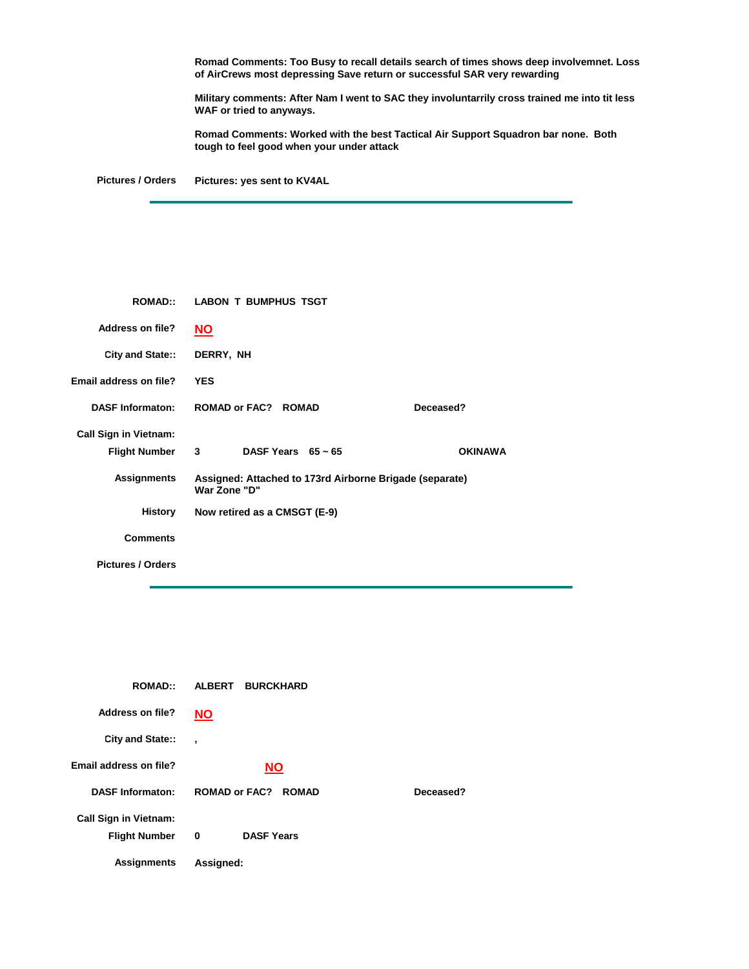**Romad Comments: Too Busy to recall details search of times shows deep involvemnet. Loss of AirCrews most depressing Save return or successful SAR very rewarding**

**Military comments: After Nam I went to SAC they involuntarrily cross trained me into tit less WAF or tried to anyways.**

**Romad Comments: Worked with the best Tactical Air Support Squadron bar none. Both tough to feel good when your under attack**

**Pictures / Orders Pictures: yes sent to KV4AL**

| <b>ROMAD:</b>                | <b>LABON T BUMPHUS TSGT</b>                                             |                |  |
|------------------------------|-------------------------------------------------------------------------|----------------|--|
| <b>Address on file?</b>      | <u>NO</u>                                                               |                |  |
| City and State::             | DERRY, NH                                                               |                |  |
| Email address on file?       | <b>YES</b>                                                              |                |  |
| <b>DASF Informaton:</b>      | ROMAD or FAC? ROMAD                                                     | Deceased?      |  |
| <b>Call Sign in Vietnam:</b> |                                                                         |                |  |
| <b>Flight Number</b>         | DASF Years $65 \sim 65$<br>3                                            | <b>OKINAWA</b> |  |
| <b>Assignments</b>           | Assigned: Attached to 173rd Airborne Brigade (separate)<br>War Zone "D" |                |  |
| <b>History</b>               | Now retired as a CMSGT (E-9)                                            |                |  |
| <b>Comments</b>              |                                                                         |                |  |
| <b>Pictures / Orders</b>     |                                                                         |                |  |

| <b>ROMAD::</b>               | <b>ALBERT</b><br><b>BURCKHARD</b>    |           |
|------------------------------|--------------------------------------|-----------|
| Address on file?             | ΝO                                   |           |
| City and State::             | $\overline{\phantom{a}}$             |           |
| Email address on file?       | <b>NO</b>                            |           |
| <b>DASF Informaton:</b>      | <b>ROMAD or FAC?</b><br><b>ROMAD</b> | Deceased? |
| <b>Call Sign in Vietnam:</b> |                                      |           |
| <b>Flight Number</b>         | <b>DASF Years</b><br>0               |           |
| <b>Assignments</b>           | Assigned:                            |           |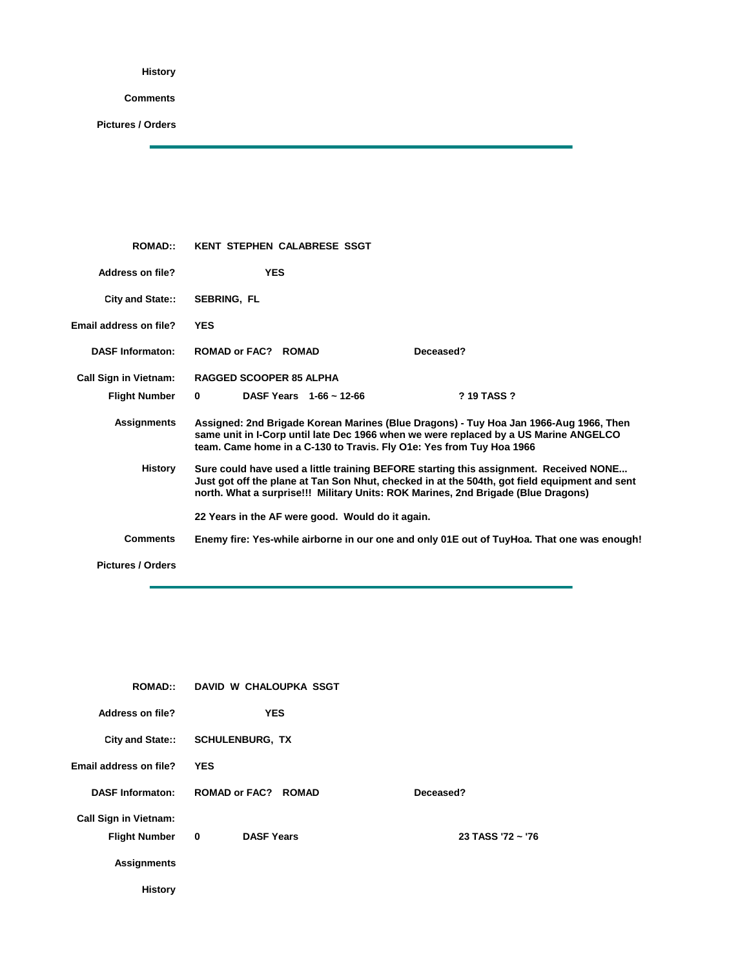**History**

**Comments**

| <b>ROMAD:</b>                | <b>KENT STEPHEN CALABRESE SSGT</b>                                                                                                                           |                                                                                                                                                                                        |
|------------------------------|--------------------------------------------------------------------------------------------------------------------------------------------------------------|----------------------------------------------------------------------------------------------------------------------------------------------------------------------------------------|
| <b>Address on file?</b>      | <b>YES</b>                                                                                                                                                   |                                                                                                                                                                                        |
| <b>City and State::</b>      | <b>SEBRING, FL</b>                                                                                                                                           |                                                                                                                                                                                        |
| Email address on file?       | <b>YES</b>                                                                                                                                                   |                                                                                                                                                                                        |
| <b>DASF Informaton:</b>      | ROMAD or FAC? ROMAD                                                                                                                                          | Deceased?                                                                                                                                                                              |
| <b>Call Sign in Vietnam:</b> | <b>RAGGED SCOOPER 85 ALPHA</b>                                                                                                                               |                                                                                                                                                                                        |
| <b>Flight Number</b>         | DASF Years $1-66 \sim 12-66$<br>$\bf{0}$                                                                                                                     | ? 19 TASS ?                                                                                                                                                                            |
| Assignments                  | same unit in I-Corp until late Dec 1966 when we were replaced by a US Marine ANGELCO<br>team. Came home in a C-130 to Travis. Fly O1e: Yes from Tuy Hoa 1966 | Assigned: 2nd Brigade Korean Marines (Blue Dragons) - Tuy Hoa Jan 1966-Aug 1966, Then                                                                                                  |
| History                      | north. What a surprise!!! Military Units: ROK Marines, 2nd Brigade (Blue Dragons)                                                                            | Sure could have used a little training BEFORE starting this assignment. Received NONE<br>Just got off the plane at Tan Son Nhut, checked in at the 504th, got field equipment and sent |
|                              | 22 Years in the AF were good. Would do it again.                                                                                                             |                                                                                                                                                                                        |
| <b>Comments</b>              |                                                                                                                                                              | Enemy fire: Yes-while airborne in our one and only 01E out of TuyHoa. That one was enough!                                                                                             |
| <b>Pictures / Orders</b>     |                                                                                                                                                              |                                                                                                                                                                                        |

|                              | ROMAD:: DAVID W CHALOUPKA SSGT               |                   |
|------------------------------|----------------------------------------------|-------------------|
| Address on file?             | <b>YES</b>                                   |                   |
|                              | City and State:: SCHULENBURG, TX             |                   |
| Email address on file?       | <b>YES</b>                                   |                   |
| <b>DASF Informaton:</b>      | <b>ROMAD or FAC? ROMAD</b>                   | Deceased?         |
| <b>Call Sign in Vietnam:</b> |                                              |                   |
| <b>Flight Number</b>         | <b>DASF Years</b><br>$\overline{\mathbf{0}}$ | 23 TASS '72 ~ '76 |
| <b>Assignments</b>           |                                              |                   |
| <b>History</b>               |                                              |                   |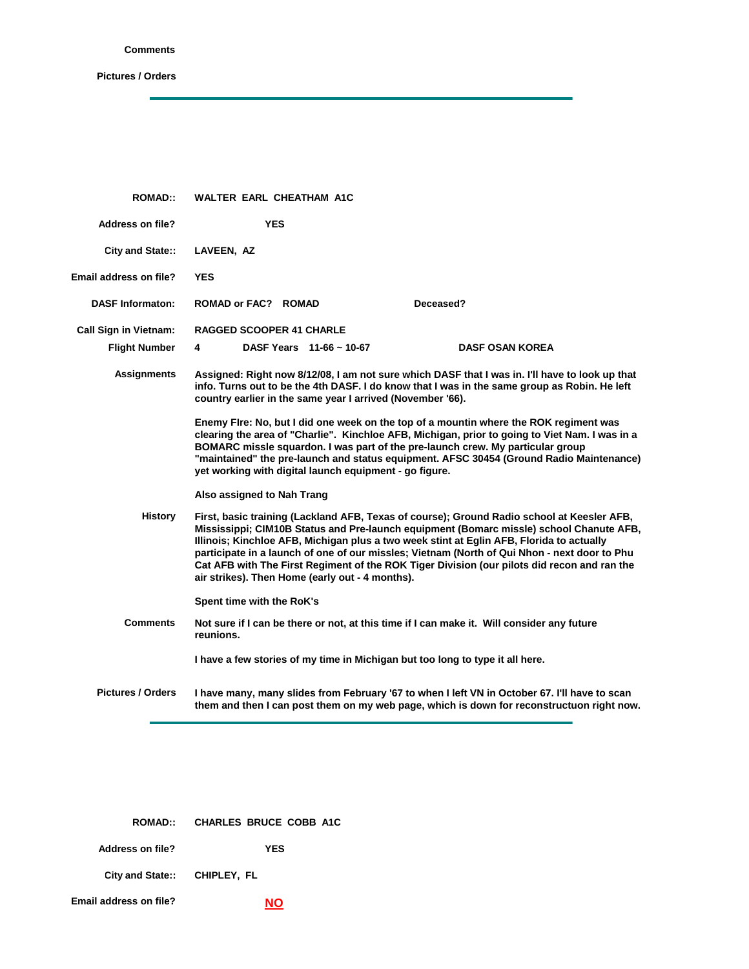## **Comments**

ċ

| <b>ROMAD::</b>                | WALTER EARL CHEATHAM A1C                                                                                                                                                                                                                                                                                                                                                                                                                                                                                                            |
|-------------------------------|-------------------------------------------------------------------------------------------------------------------------------------------------------------------------------------------------------------------------------------------------------------------------------------------------------------------------------------------------------------------------------------------------------------------------------------------------------------------------------------------------------------------------------------|
| <b>Address on file?</b>       | <b>YES</b>                                                                                                                                                                                                                                                                                                                                                                                                                                                                                                                          |
| City and State::              | LAVEEN, AZ                                                                                                                                                                                                                                                                                                                                                                                                                                                                                                                          |
| <b>Email address on file?</b> | <b>YES</b>                                                                                                                                                                                                                                                                                                                                                                                                                                                                                                                          |
| <b>DASF Informaton:</b>       | Deceased?<br>ROMAD or FAC? ROMAD                                                                                                                                                                                                                                                                                                                                                                                                                                                                                                    |
| <b>Call Sign in Vietnam:</b>  | <b>RAGGED SCOOPER 41 CHARLE</b>                                                                                                                                                                                                                                                                                                                                                                                                                                                                                                     |
| <b>Flight Number</b>          | DASF Years $11-66 \sim 10-67$<br><b>DASF OSAN KOREA</b><br>4                                                                                                                                                                                                                                                                                                                                                                                                                                                                        |
| <b>Assignments</b>            | Assigned: Right now 8/12/08, I am not sure which DASF that I was in. I'll have to look up that<br>info. Turns out to be the 4th DASF. I do know that I was in the same group as Robin. He left<br>country earlier in the same year I arrived (November '66).                                                                                                                                                                                                                                                                        |
|                               | Enemy Fire: No, but I did one week on the top of a mountin where the ROK regiment was<br>clearing the area of "Charlie". Kinchloe AFB, Michigan, prior to going to Viet Nam. I was in a<br>BOMARC missle squardon. I was part of the pre-launch crew. My particular group<br>"maintained" the pre-launch and status equipment. AFSC 30454 (Ground Radio Maintenance)<br>yet working with digital launch equipment - go figure.                                                                                                      |
|                               | Also assigned to Nah Trang                                                                                                                                                                                                                                                                                                                                                                                                                                                                                                          |
| <b>History</b>                | First, basic training (Lackland AFB, Texas of course); Ground Radio school at Keesler AFB,<br>Mississippi; CIM10B Status and Pre-launch equipment (Bomarc missle) school Chanute AFB,<br>Illinois; Kinchloe AFB, Michigan plus a two week stint at Eglin AFB, Florida to actually<br>participate in a launch of one of our missles; Vietnam (North of Qui Nhon - next door to Phu<br>Cat AFB with The First Regiment of the ROK Tiger Division (our pilots did recon and ran the<br>air strikes). Then Home (early out - 4 months). |
|                               | Spent time with the RoK's                                                                                                                                                                                                                                                                                                                                                                                                                                                                                                           |
| <b>Comments</b>               | Not sure if I can be there or not, at this time if I can make it. Will consider any future<br>reunions.                                                                                                                                                                                                                                                                                                                                                                                                                             |
|                               | I have a few stories of my time in Michigan but too long to type it all here.                                                                                                                                                                                                                                                                                                                                                                                                                                                       |
| <b>Pictures / Orders</b>      | I have many, many slides from February '67 to when I left VN in October 67. I'll have to scan<br>them and then I can post them on my web page, which is down for reconstructuon right now.                                                                                                                                                                                                                                                                                                                                          |

|                              | ROMAD:: CHARLES BRUCE COBB A1C |
|------------------------------|--------------------------------|
| Address on file?             | YES                            |
| City and State:: CHIPLEY, FL |                                |
| Email address on file?       |                                |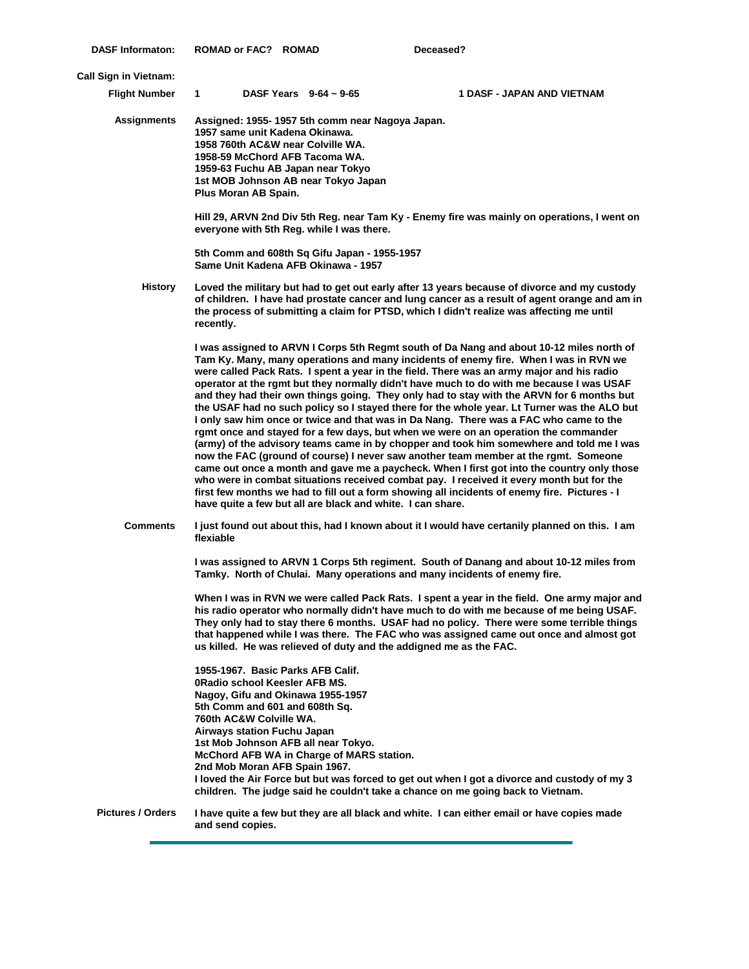| <b>DASF Informaton:</b>      | ROMAD or FAC? ROMAD                                                                                                                                                                                                                  |                                                                                        | Deceased?                                                                                                                                                                                                                                                                                                                                                                                                                                                                                                                                                                                                                                                                                                                                                                                                                                                                                                                                                                                                                                                                                                                                                                                                                          |
|------------------------------|--------------------------------------------------------------------------------------------------------------------------------------------------------------------------------------------------------------------------------------|----------------------------------------------------------------------------------------|------------------------------------------------------------------------------------------------------------------------------------------------------------------------------------------------------------------------------------------------------------------------------------------------------------------------------------------------------------------------------------------------------------------------------------------------------------------------------------------------------------------------------------------------------------------------------------------------------------------------------------------------------------------------------------------------------------------------------------------------------------------------------------------------------------------------------------------------------------------------------------------------------------------------------------------------------------------------------------------------------------------------------------------------------------------------------------------------------------------------------------------------------------------------------------------------------------------------------------|
| <b>Call Sign in Vietnam:</b> |                                                                                                                                                                                                                                      |                                                                                        |                                                                                                                                                                                                                                                                                                                                                                                                                                                                                                                                                                                                                                                                                                                                                                                                                                                                                                                                                                                                                                                                                                                                                                                                                                    |
| <b>Flight Number</b>         | $\mathbf 1$                                                                                                                                                                                                                          | DASF Years $9-64 \sim 9-65$                                                            | 1 DASF - JAPAN AND VIETNAM                                                                                                                                                                                                                                                                                                                                                                                                                                                                                                                                                                                                                                                                                                                                                                                                                                                                                                                                                                                                                                                                                                                                                                                                         |
| <b>Assignments</b>           | 1957 same unit Kadena Okinawa.<br>1958 760th AC&W near Colville WA.<br>1958-59 McChord AFB Tacoma WA.<br>1959-63 Fuchu AB Japan near Tokyo<br>Plus Moran AB Spain.                                                                   | Assigned: 1955-1957 5th comm near Nagoya Japan.<br>1st MOB Johnson AB near Tokyo Japan |                                                                                                                                                                                                                                                                                                                                                                                                                                                                                                                                                                                                                                                                                                                                                                                                                                                                                                                                                                                                                                                                                                                                                                                                                                    |
|                              |                                                                                                                                                                                                                                      | everyone with 5th Reg. while I was there.                                              | Hill 29, ARVN 2nd Div 5th Reg. near Tam Ky - Enemy fire was mainly on operations, I went on                                                                                                                                                                                                                                                                                                                                                                                                                                                                                                                                                                                                                                                                                                                                                                                                                                                                                                                                                                                                                                                                                                                                        |
|                              |                                                                                                                                                                                                                                      | 5th Comm and 608th Sq Gifu Japan - 1955-1957<br>Same Unit Kadena AFB Okinawa - 1957    |                                                                                                                                                                                                                                                                                                                                                                                                                                                                                                                                                                                                                                                                                                                                                                                                                                                                                                                                                                                                                                                                                                                                                                                                                                    |
| <b>History</b>               | recently.                                                                                                                                                                                                                            |                                                                                        | Loved the military but had to get out early after 13 years because of divorce and my custody<br>of children. I have had prostate cancer and lung cancer as a result of agent orange and am in<br>the process of submitting a claim for PTSD, which I didn't realize was affecting me until                                                                                                                                                                                                                                                                                                                                                                                                                                                                                                                                                                                                                                                                                                                                                                                                                                                                                                                                         |
|                              |                                                                                                                                                                                                                                      | have quite a few but all are black and white. I can share.                             | I was assigned to ARVN I Corps 5th Regmt south of Da Nang and about 10-12 miles north of<br>Tam Ky. Many, many operations and many incidents of enemy fire. When I was in RVN we<br>were called Pack Rats. I spent a year in the field. There was an army major and his radio<br>operator at the rgmt but they normally didn't have much to do with me because I was USAF<br>and they had their own things going. They only had to stay with the ARVN for 6 months but<br>the USAF had no such policy so I stayed there for the whole year. Lt Turner was the ALO but<br>I only saw him once or twice and that was in Da Nang. There was a FAC who came to the<br>rgmt once and stayed for a few days, but when we were on an operation the commander<br>(army) of the advisory teams came in by chopper and took him somewhere and told me I was<br>now the FAC (ground of course) I never saw another team member at the rgmt. Someone<br>came out once a month and gave me a paycheck. When I first got into the country only those<br>who were in combat situations received combat pay. I received it every month but for the<br>first few months we had to fill out a form showing all incidents of enemy fire. Pictures - I |
| <b>Comments</b>              | flexiable                                                                                                                                                                                                                            |                                                                                        | I just found out about this, had I known about it I would have certanily planned on this. I am                                                                                                                                                                                                                                                                                                                                                                                                                                                                                                                                                                                                                                                                                                                                                                                                                                                                                                                                                                                                                                                                                                                                     |
|                              |                                                                                                                                                                                                                                      |                                                                                        | I was assigned to ARVN 1 Corps 5th regiment. South of Danang and about 10-12 miles from<br>Tamky. North of Chulai. Many operations and many incidents of enemy fire.                                                                                                                                                                                                                                                                                                                                                                                                                                                                                                                                                                                                                                                                                                                                                                                                                                                                                                                                                                                                                                                               |
|                              |                                                                                                                                                                                                                                      | us killed. He was relieved of duty and the addigned me as the FAC.                     | When I was in RVN we were called Pack Rats. I spent a year in the field. One army major and<br>his radio operator who normally didn't have much to do with me because of me being USAF.<br>They only had to stay there 6 months. USAF had no policy. There were some terrible things<br>that happened while I was there. The FAC who was assigned came out once and almost got                                                                                                                                                                                                                                                                                                                                                                                                                                                                                                                                                                                                                                                                                                                                                                                                                                                     |
|                              | 1955-1967. Basic Parks AFB Calif.<br>0Radio school Keesler AFB MS.<br>Nagoy, Gifu and Okinawa 1955-1957<br>5th Comm and 601 and 608th Sq.<br>760th AC&W Colville WA.<br>Airways station Fuchu Japan<br>2nd Mob Moran AFB Spain 1967. | 1st Mob Johnson AFB all near Tokyo.<br>McChord AFB WA in Charge of MARS station.       | I loved the Air Force but but was forced to get out when I got a divorce and custody of my 3<br>children. The judge said he couldn't take a chance on me going back to Vietnam.                                                                                                                                                                                                                                                                                                                                                                                                                                                                                                                                                                                                                                                                                                                                                                                                                                                                                                                                                                                                                                                    |
| <b>Pictures / Orders</b>     | and send copies.                                                                                                                                                                                                                     |                                                                                        | I have quite a few but they are all black and white. I can either email or have copies made                                                                                                                                                                                                                                                                                                                                                                                                                                                                                                                                                                                                                                                                                                                                                                                                                                                                                                                                                                                                                                                                                                                                        |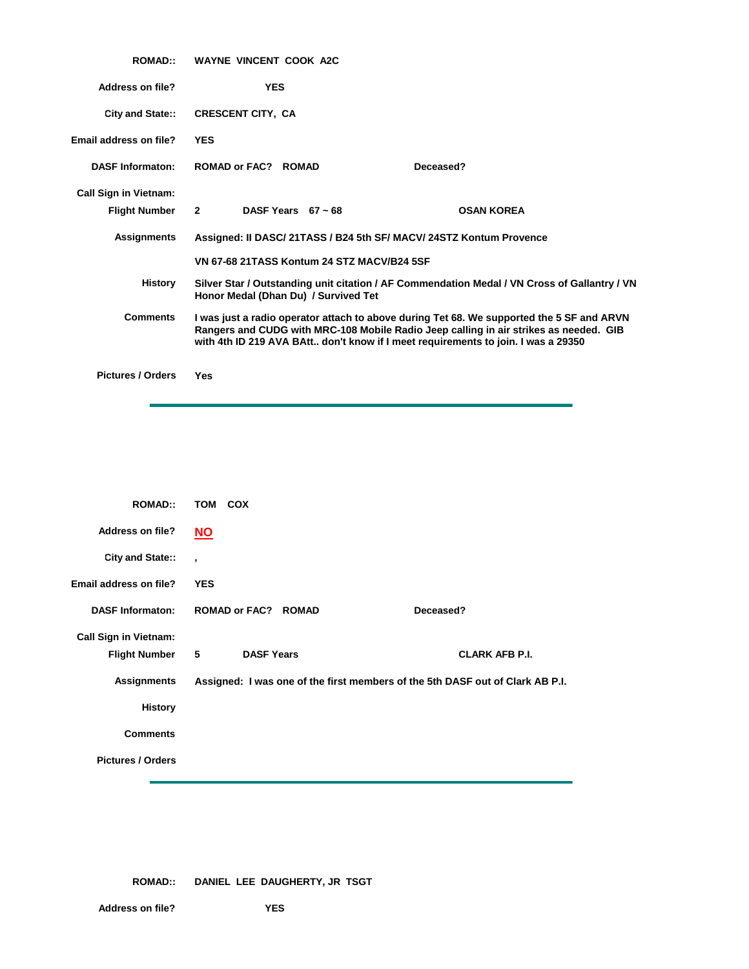| <b>ROMAD::</b>               | <b>WAYNE VINCENT COOK A2C</b>                                                                                                                                                                                                                                           |                                                                                              |
|------------------------------|-------------------------------------------------------------------------------------------------------------------------------------------------------------------------------------------------------------------------------------------------------------------------|----------------------------------------------------------------------------------------------|
| <b>Address on file?</b>      | <b>YES</b>                                                                                                                                                                                                                                                              |                                                                                              |
| City and State::             | <b>CRESCENT CITY, CA</b>                                                                                                                                                                                                                                                |                                                                                              |
| Email address on file?       | <b>YES</b>                                                                                                                                                                                                                                                              |                                                                                              |
| <b>DASF Informaton:</b>      | <b>ROMAD or FAC? ROMAD</b>                                                                                                                                                                                                                                              | Deceased?                                                                                    |
| <b>Call Sign in Vietnam:</b> |                                                                                                                                                                                                                                                                         |                                                                                              |
| <b>Flight Number</b>         | $2^{\circ}$<br>DASF Years $67 \approx 68$                                                                                                                                                                                                                               | <b>OSAN KOREA</b>                                                                            |
| <b>Assignments</b>           | Assigned: II DASC/ 21TASS / B24 5th SF/ MACV/ 24STZ Kontum Provence                                                                                                                                                                                                     |                                                                                              |
|                              | VN 67-68 21TASS Kontum 24 STZ MACV/B24 5SF                                                                                                                                                                                                                              |                                                                                              |
| History                      | Honor Medal (Dhan Du) / Survived Tet                                                                                                                                                                                                                                    | Silver Star / Outstanding unit citation / AF Commendation Medal / VN Cross of Gallantry / VN |
| <b>Comments</b>              | I was just a radio operator attach to above during Tet 68. We supported the 5 SF and ARVN<br>Rangers and CUDG with MRC-108 Mobile Radio Jeep calling in air strikes as needed. GIB<br>with 4th ID 219 AVA BAtt don't know if I meet requirements to join. I was a 29350 |                                                                                              |
| <b>Pictures / Orders</b>     | Yes                                                                                                                                                                                                                                                                     |                                                                                              |

| <b>ROMAD::</b>               | TOM COX                             |                                                                               |
|------------------------------|-------------------------------------|-------------------------------------------------------------------------------|
| <b>Address on file?</b>      | <u>NO</u>                           |                                                                               |
| City and State::             | $\cdot$                             |                                                                               |
| Email address on file?       | <b>YES</b>                          |                                                                               |
| <b>DASF Informaton:</b>      | <b>ROMAD or FAC? ROMAD</b>          | Deceased?                                                                     |
| <b>Call Sign in Vietnam:</b> |                                     |                                                                               |
| <b>Flight Number</b>         | 5 <sub>5</sub><br><b>DASF Years</b> | <b>CLARK AFB P.I.</b>                                                         |
| <b>Assignments</b>           |                                     | Assigned: I was one of the first members of the 5th DASF out of Clark AB P.I. |
| <b>History</b>               |                                     |                                                                               |
| <b>Comments</b>              |                                     |                                                                               |
| <b>Pictures / Orders</b>     |                                     |                                                                               |

**ROMAD:: DANIEL LEE DAUGHERTY, JR TSGT**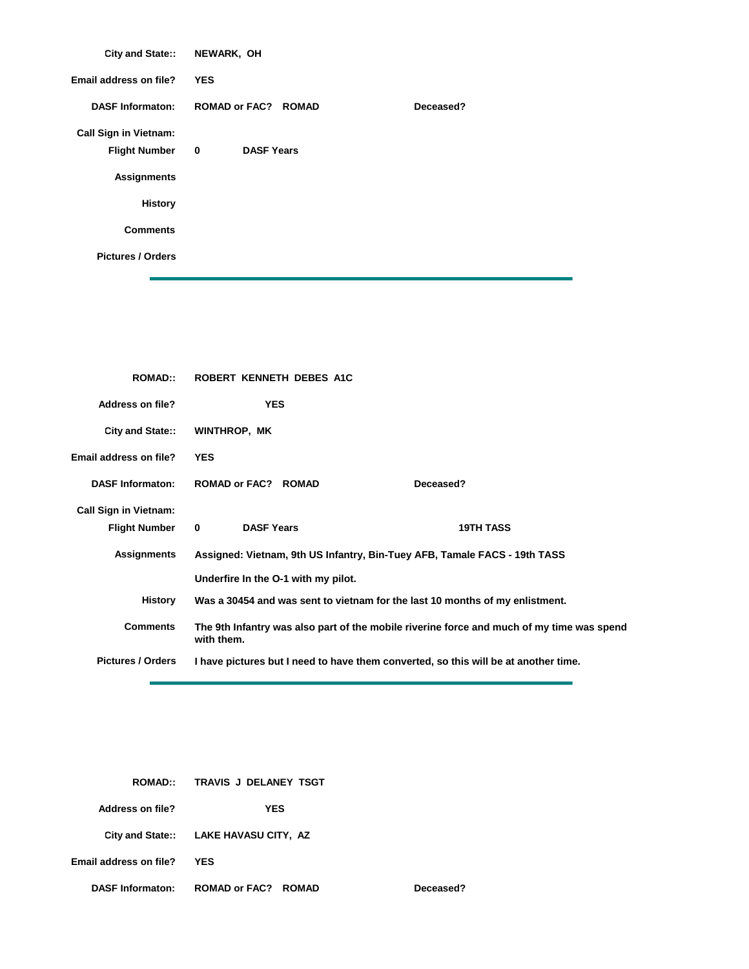| City and State:: NEWARK, OH  |                                   |           |
|------------------------------|-----------------------------------|-----------|
| Email address on file?       | <b>YES</b>                        |           |
| <b>DASF Informaton:</b>      | <b>ROMAD or FAC? ROMAD</b>        | Deceased? |
| <b>Call Sign in Vietnam:</b> |                                   |           |
| <b>Flight Number</b>         | <b>DASF Years</b><br>$\mathbf{0}$ |           |
| <b>Assignments</b>           |                                   |           |
| <b>History</b>               |                                   |           |
| <b>Comments</b>              |                                   |           |
| <b>Pictures / Orders</b>     |                                   |           |

| <b>ROMAD::</b>                | ROBERT KENNETH DEBES A1C            |                                                                                           |  |
|-------------------------------|-------------------------------------|-------------------------------------------------------------------------------------------|--|
| Address on file?              | <b>YES</b>                          |                                                                                           |  |
| City and State::              | <b>WINTHROP, MK</b>                 |                                                                                           |  |
| <b>Email address on file?</b> | <b>YES</b>                          |                                                                                           |  |
| <b>DASF Informaton:</b>       | <b>ROMAD or FAC? ROMAD</b>          | Deceased?                                                                                 |  |
| <b>Call Sign in Vietnam:</b>  |                                     |                                                                                           |  |
| <b>Flight Number</b>          | <b>DASF Years</b><br>$\mathbf{0}$   | <b>19TH TASS</b>                                                                          |  |
| <b>Assignments</b>            |                                     | Assigned: Vietnam, 9th US Infantry, Bin-Tuey AFB, Tamale FACS - 19th TASS                 |  |
|                               | Underfire In the O-1 with my pilot. |                                                                                           |  |
| History                       |                                     | Was a 30454 and was sent to vietnam for the last 10 months of my enlistment.              |  |
| <b>Comments</b>               | with them.                          | The 9th Infantry was also part of the mobile riverine force and much of my time was spend |  |
| <b>Pictures / Orders</b>      |                                     | I have pictures but I need to have them converted, so this will be at another time.       |  |

 $Deceased?$ 

| <b>ROMAD::</b>          | TRAVIS J DELANEY TSGT                 |
|-------------------------|---------------------------------------|
| Address on file?        | YES                                   |
|                         | City and State:: LAKE HAVASU CITY, AZ |
| Email address on file?  | YES                                   |
| <b>DASF Informaton:</b> | ROMAD or FAC? ROMAD                   |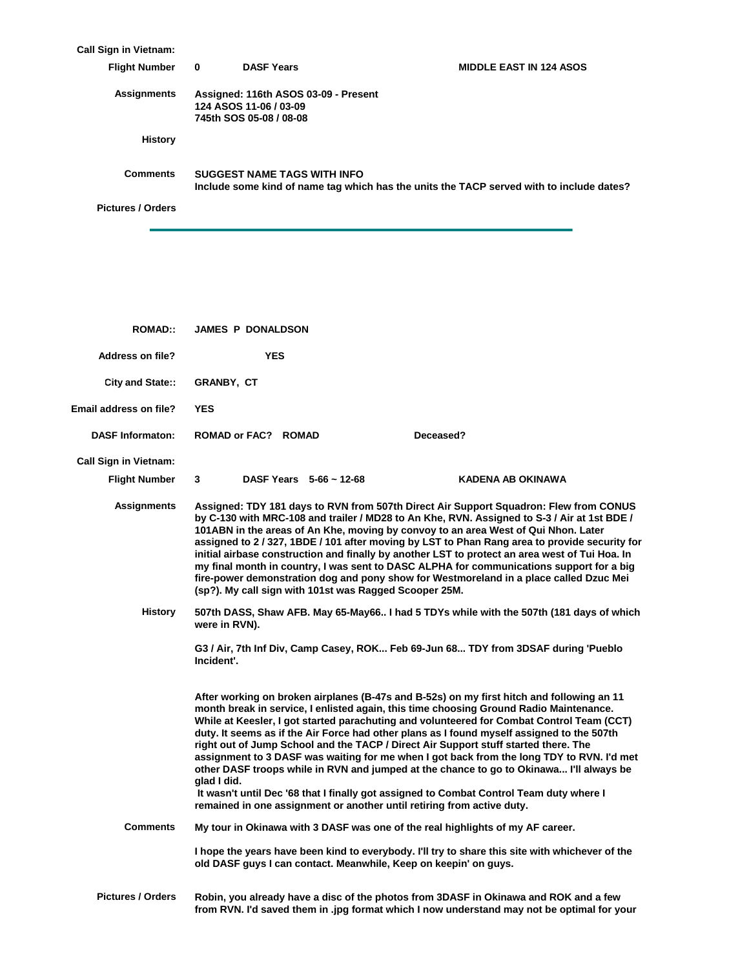| <b>Call Sign in Vietnam:</b><br><b>Flight Number</b> | <b>DASF Years</b><br>$\mathbf{0}$                                                         | <b>MIDDLE EAST IN 124 ASOS</b>                                                           |
|------------------------------------------------------|-------------------------------------------------------------------------------------------|------------------------------------------------------------------------------------------|
| Assignments                                          | Assigned: 116th ASOS 03-09 - Present<br>124 ASOS 11-06 / 03-09<br>745th SOS 05-08 / 08-08 |                                                                                          |
| History                                              |                                                                                           |                                                                                          |
| <b>Comments</b>                                      | <b>SUGGEST NAME TAGS WITH INFO</b>                                                        | Include some kind of name tag which has the units the TACP served with to include dates? |
| <b>Pictures / Orders</b>                             |                                                                                           |                                                                                          |

| <b>ROMAD::</b>                | <b>JAMES P DONALDSON</b>                                                                                                                                                                                                                                                                                                                                                                                                                                                                                                                                                                                                                                                                                                                                                |                          |
|-------------------------------|-------------------------------------------------------------------------------------------------------------------------------------------------------------------------------------------------------------------------------------------------------------------------------------------------------------------------------------------------------------------------------------------------------------------------------------------------------------------------------------------------------------------------------------------------------------------------------------------------------------------------------------------------------------------------------------------------------------------------------------------------------------------------|--------------------------|
| Address on file?              | <b>YES</b>                                                                                                                                                                                                                                                                                                                                                                                                                                                                                                                                                                                                                                                                                                                                                              |                          |
| City and State::              | <b>GRANBY, CT</b>                                                                                                                                                                                                                                                                                                                                                                                                                                                                                                                                                                                                                                                                                                                                                       |                          |
| <b>Email address on file?</b> | <b>YES</b>                                                                                                                                                                                                                                                                                                                                                                                                                                                                                                                                                                                                                                                                                                                                                              |                          |
| <b>DASF Informaton:</b>       | Deceased?<br>ROMAD or FAC? ROMAD                                                                                                                                                                                                                                                                                                                                                                                                                                                                                                                                                                                                                                                                                                                                        |                          |
| <b>Call Sign in Vietnam:</b>  |                                                                                                                                                                                                                                                                                                                                                                                                                                                                                                                                                                                                                                                                                                                                                                         |                          |
| <b>Flight Number</b>          | DASF Years 5-66 ~ 12-68<br>$\mathbf{3}$                                                                                                                                                                                                                                                                                                                                                                                                                                                                                                                                                                                                                                                                                                                                 | <b>KADENA AB OKINAWA</b> |
| Assignments                   | Assigned: TDY 181 days to RVN from 507th Direct Air Support Squadron: Flew from CONUS<br>by C-130 with MRC-108 and trailer / MD28 to An Khe, RVN. Assigned to S-3 / Air at 1st BDE /<br>101ABN in the areas of An Khe, moving by convoy to an area West of Qui Nhon. Later<br>assigned to 2/327, 1BDE/101 after moving by LST to Phan Rang area to provide security for<br>initial airbase construction and finally by another LST to protect an area west of Tui Hoa. In<br>my final month in country, I was sent to DASC ALPHA for communications support for a big<br>fire-power demonstration dog and pony show for Westmoreland in a place called Dzuc Mei<br>(sp?). My call sign with 101st was Ragged Scooper 25M.                                               |                          |
| <b>History</b>                | 507th DASS, Shaw AFB. May 65-May66 I had 5 TDYs while with the 507th (181 days of which<br>were in RVN).<br>G3 / Air, 7th Inf Div, Camp Casey, ROK Feb 69-Jun 68 TDY from 3DSAF during 'Pueblo<br>Incident'.                                                                                                                                                                                                                                                                                                                                                                                                                                                                                                                                                            |                          |
|                               | After working on broken airplanes (B-47s and B-52s) on my first hitch and following an 11<br>month break in service, I enlisted again, this time choosing Ground Radio Maintenance.<br>While at Keesler, I got started parachuting and volunteered for Combat Control Team (CCT)<br>duty. It seems as if the Air Force had other plans as I found myself assigned to the 507th<br>right out of Jump School and the TACP / Direct Air Support stuff started there. The<br>assignment to 3 DASF was waiting for me when I got back from the long TDY to RVN. I'd met<br>other DASF troops while in RVN and jumped at the chance to go to Okinawa I'll always be<br>glad I did.<br>It wasn't until Dec '68 that I finally got assigned to Combat Control Team duty where I |                          |
| <b>Comments</b>               | remained in one assignment or another until retiring from active duty.<br>My tour in Okinawa with 3 DASF was one of the real highlights of my AF career.                                                                                                                                                                                                                                                                                                                                                                                                                                                                                                                                                                                                                |                          |
|                               | I hope the years have been kind to everybody. I'll try to share this site with whichever of the<br>old DASF guys I can contact. Meanwhile, Keep on keepin' on guys.                                                                                                                                                                                                                                                                                                                                                                                                                                                                                                                                                                                                     |                          |
| <b>Pictures / Orders</b>      | Robin, you already have a disc of the photos from 3DASF in Okinawa and ROK and a few<br>from RVN. I'd saved them in .jpg format which I now understand may not be optimal for your                                                                                                                                                                                                                                                                                                                                                                                                                                                                                                                                                                                      |                          |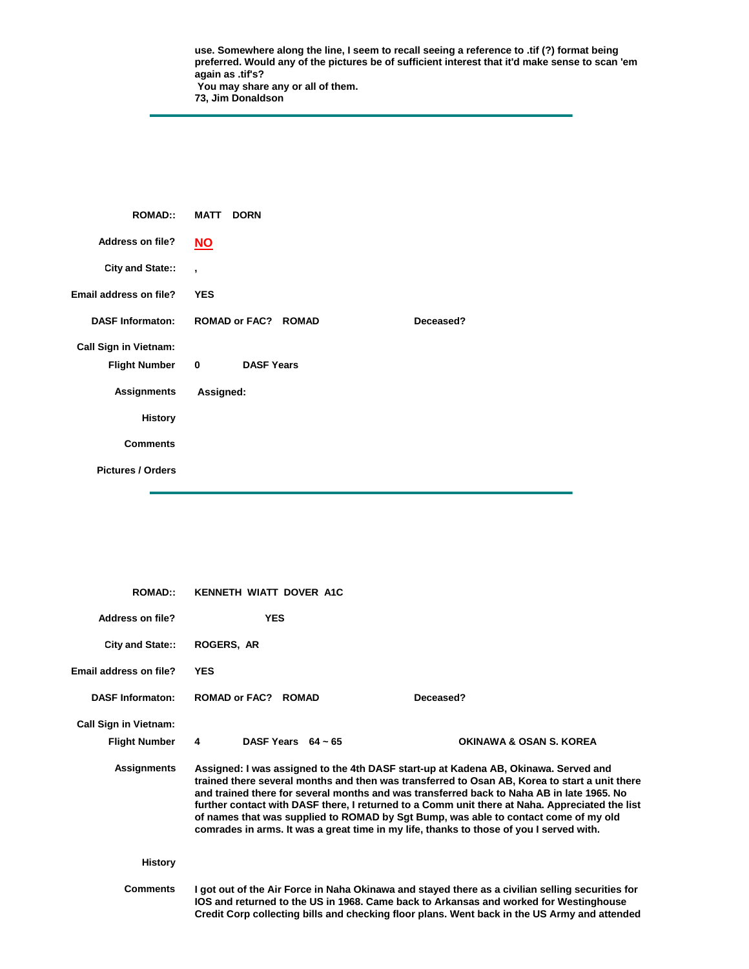**use. Somewhere along the line, I seem to recall seeing a reference to .tif (?) format being preferred. Would any of the pictures be of sufficient interest that it'd make sense to scan 'em again as .tif's? You may share any or all of them. 73, Jim Donaldson** 

| <b>ROMAD::</b>               | <b>MATT</b><br><b>DORN</b>              |
|------------------------------|-----------------------------------------|
| <b>Address on file?</b>      | $\underline{\mathsf{NO}}$               |
| City and State::             | $\overline{ }$                          |
| Email address on file?       | <b>YES</b>                              |
| <b>DASF Informaton:</b>      | <b>ROMAD or FAC? ROMAD</b><br>Deceased? |
| <b>Call Sign in Vietnam:</b> |                                         |
| <b>Flight Number</b>         | $\mathbf 0$<br><b>DASF Years</b>        |
| <b>Assignments</b>           | Assigned:                               |
| <b>History</b>               |                                         |
| <b>Comments</b>              |                                         |
| <b>Pictures / Orders</b>     |                                         |

| <b>ROMAD:</b>                | KENNETH WIATT DOVER A1C                                                                                                                                                                                                                                                                                                                                                                                                                                                                                                                                               |                                    |
|------------------------------|-----------------------------------------------------------------------------------------------------------------------------------------------------------------------------------------------------------------------------------------------------------------------------------------------------------------------------------------------------------------------------------------------------------------------------------------------------------------------------------------------------------------------------------------------------------------------|------------------------------------|
| Address on file?             | <b>YES</b>                                                                                                                                                                                                                                                                                                                                                                                                                                                                                                                                                            |                                    |
| <b>City and State::</b>      | <b>ROGERS, AR</b>                                                                                                                                                                                                                                                                                                                                                                                                                                                                                                                                                     |                                    |
| Email address on file?       | <b>YES</b>                                                                                                                                                                                                                                                                                                                                                                                                                                                                                                                                                            |                                    |
| <b>DASF Informaton:</b>      | ROMAD or FAC? ROMAD<br>Deceased?                                                                                                                                                                                                                                                                                                                                                                                                                                                                                                                                      |                                    |
| <b>Call Sign in Vietnam:</b> |                                                                                                                                                                                                                                                                                                                                                                                                                                                                                                                                                                       |                                    |
| <b>Flight Number</b>         | DASF Years $64 \sim 65$<br>4                                                                                                                                                                                                                                                                                                                                                                                                                                                                                                                                          | <b>OKINAWA &amp; OSAN S. KOREA</b> |
| <b>Assignments</b>           | Assigned: I was assigned to the 4th DASF start-up at Kadena AB, Okinawa. Served and<br>trained there several months and then was transferred to Osan AB, Korea to start a unit there<br>and trained there for several months and was transferred back to Naha AB in late 1965. No<br>further contact with DASF there, I returned to a Comm unit there at Naha. Appreciated the list<br>of names that was supplied to ROMAD by Sgt Bump, was able to contact come of my old<br>comrades in arms. It was a great time in my life, thanks to those of you I served with. |                                    |
| <b>History</b>               |                                                                                                                                                                                                                                                                                                                                                                                                                                                                                                                                                                       |                                    |
| <b>Comments</b>              | I got out of the Air Force in Naha Okinawa and stayed there as a civilian selling securities for<br>IOS and returned to the US in 1968. Came back to Arkansas and worked for Westinghouse<br>Credit Corp collecting bills and checking floor plans. Went back in the US Army and attended                                                                                                                                                                                                                                                                             |                                    |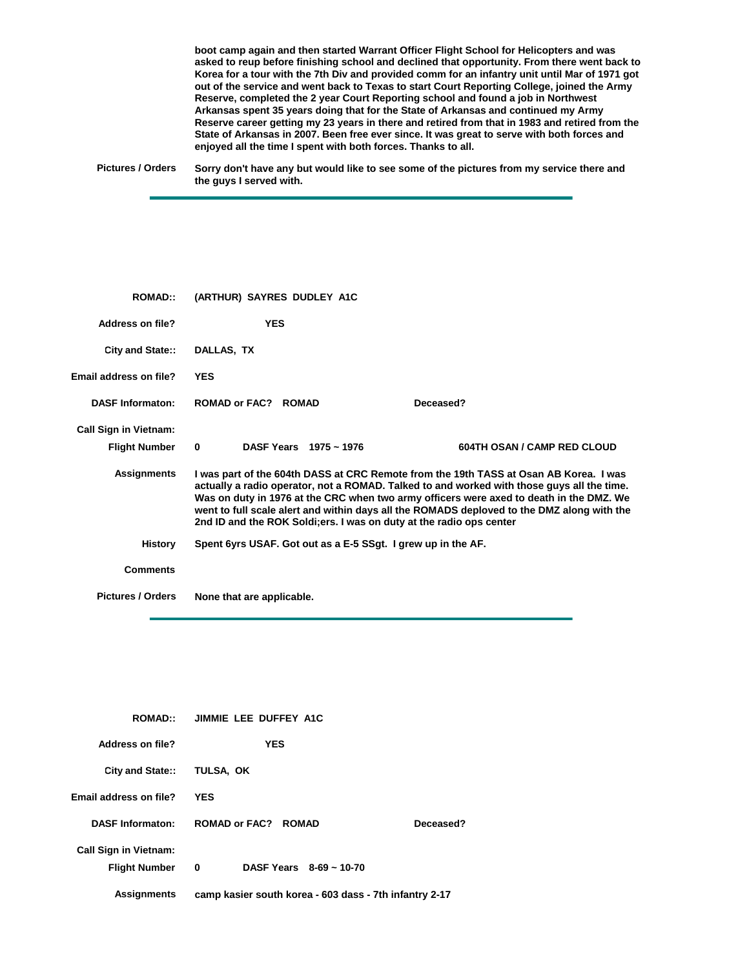**boot camp again and then started Warrant Officer Flight School for Helicopters and was asked to reup before finishing school and declined that opportunity. From there went back to Korea for a tour with the 7th Div and provided comm for an infantry unit until Mar of 1971 got out of the service and went back to Texas to start Court Reporting College, joined the Army Reserve, completed the 2 year Court Reporting school and found a job in Northwest Arkansas spent 35 years doing that for the State of Arkansas and continued my Army Reserve career getting my 23 years in there and retired from that in 1983 and retired from the State of Arkansas in 2007. Been free ever since. It was great to serve with both forces and enjoyed all the time I spent with both forces. Thanks to all.**

**Pictures / Orders Sorry don't have any but would like to see some of the pictures from my service there and the guys I served with.**

| <b>ROMAD::</b>               | (ARTHUR) SAYRES DUDLEY A1C                                           |                                                                                                                                                                                                                                                                                                                                                                              |
|------------------------------|----------------------------------------------------------------------|------------------------------------------------------------------------------------------------------------------------------------------------------------------------------------------------------------------------------------------------------------------------------------------------------------------------------------------------------------------------------|
| Address on file?             | <b>YES</b>                                                           |                                                                                                                                                                                                                                                                                                                                                                              |
| City and State::             | DALLAS, TX                                                           |                                                                                                                                                                                                                                                                                                                                                                              |
| Email address on file?       | <b>YES</b>                                                           |                                                                                                                                                                                                                                                                                                                                                                              |
| <b>DASF Informaton:</b>      | ROMAD or FAC? ROMAD                                                  | Deceased?                                                                                                                                                                                                                                                                                                                                                                    |
| <b>Call Sign in Vietnam:</b> |                                                                      |                                                                                                                                                                                                                                                                                                                                                                              |
| <b>Flight Number</b>         | DASF Years 1975 ~ 1976<br>$\bf{0}$                                   | <b>604TH OSAN / CAMP RED CLOUD</b>                                                                                                                                                                                                                                                                                                                                           |
| <b>Assignments</b>           | 2nd ID and the ROK Soldi; ers. I was on duty at the radio ops center | I was part of the 604th DASS at CRC Remote from the 19th TASS at Osan AB Korea. I was<br>actually a radio operator, not a ROMAD. Talked to and worked with those guys all the time.<br>Was on duty in 1976 at the CRC when two army officers were axed to death in the DMZ. We<br>went to full scale alert and within days all the ROMADS deploved to the DMZ along with the |
| <b>History</b>               | Spent 6yrs USAF. Got out as a E-5 SSgt. I grew up in the AF.         |                                                                                                                                                                                                                                                                                                                                                                              |
| <b>Comments</b>              |                                                                      |                                                                                                                                                                                                                                                                                                                                                                              |
| <b>Pictures / Orders</b>     | None that are applicable.                                            |                                                                                                                                                                                                                                                                                                                                                                              |

| <b>ROMAD::</b>                                       | JIMMIE LEE DUFFEY A1C                                  |           |
|------------------------------------------------------|--------------------------------------------------------|-----------|
| Address on file?                                     | <b>YES</b>                                             |           |
| <b>City and State::</b>                              | TULSA, OK                                              |           |
| Email address on file?                               | <b>YES</b>                                             |           |
| <b>DASF Informaton:</b>                              | ROMAD or FAC? ROMAD                                    | Deceased? |
| <b>Call Sign in Vietnam:</b><br><b>Flight Number</b> | DASF Years $8-69 \sim 10-70$<br>0                      |           |
| Assignments                                          | camp kasier south korea - 603 dass - 7th infantry 2-17 |           |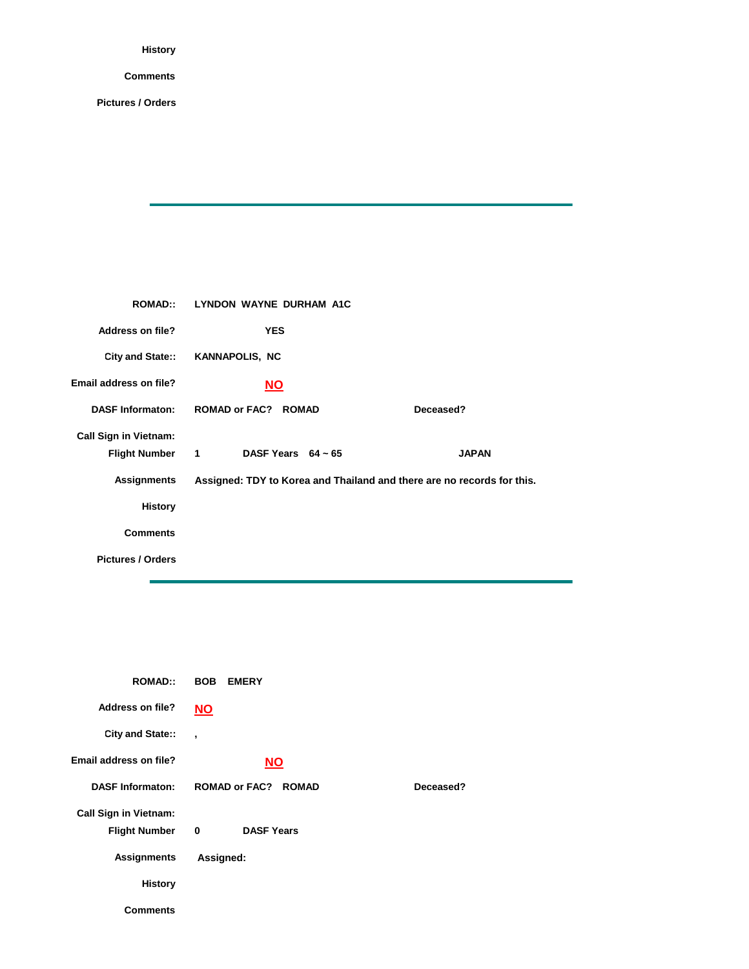## **Comments**

| <b>ROMAD</b> :               | LYNDON WAYNE DURHAM A1C                                                |              |
|------------------------------|------------------------------------------------------------------------|--------------|
| <b>Address on file?</b>      | <b>YES</b>                                                             |              |
|                              | City and State:: KANNAPOLIS, NC                                        |              |
| Email address on file?       | <b>NO</b>                                                              |              |
| <b>DASF Informaton:</b>      | <b>ROMAD or FAC? ROMAD</b>                                             | Deceased?    |
| <b>Call Sign in Vietnam:</b> |                                                                        |              |
| Flight Number 1              | DASF Years $64 \sim 65$                                                | <b>JAPAN</b> |
| <b>Assignments</b>           | Assigned: TDY to Korea and Thailand and there are no records for this. |              |
| <b>History</b>               |                                                                        |              |
| <b>Comments</b>              |                                                                        |              |
| <b>Pictures / Orders</b>     |                                                                        |              |
|                              |                                                                        |              |

| <b>ROMAD::</b>               | <b>BOB</b><br><b>EMERY</b> |           |
|------------------------------|----------------------------|-----------|
| Address on file?             | <u>NO</u>                  |           |
| City and State::             | $\overline{\phantom{a}}$   |           |
| Email address on file?       | <b>NO</b>                  |           |
| <b>DASF Informaton:</b>      | <b>ROMAD or FAC? ROMAD</b> | Deceased? |
| <b>Call Sign in Vietnam:</b> |                            |           |
| <b>Flight Number</b>         | <b>DASF Years</b><br>0     |           |
| <b>Assignments</b>           | Assigned:                  |           |
| <b>History</b>               |                            |           |
| Comments                     |                            |           |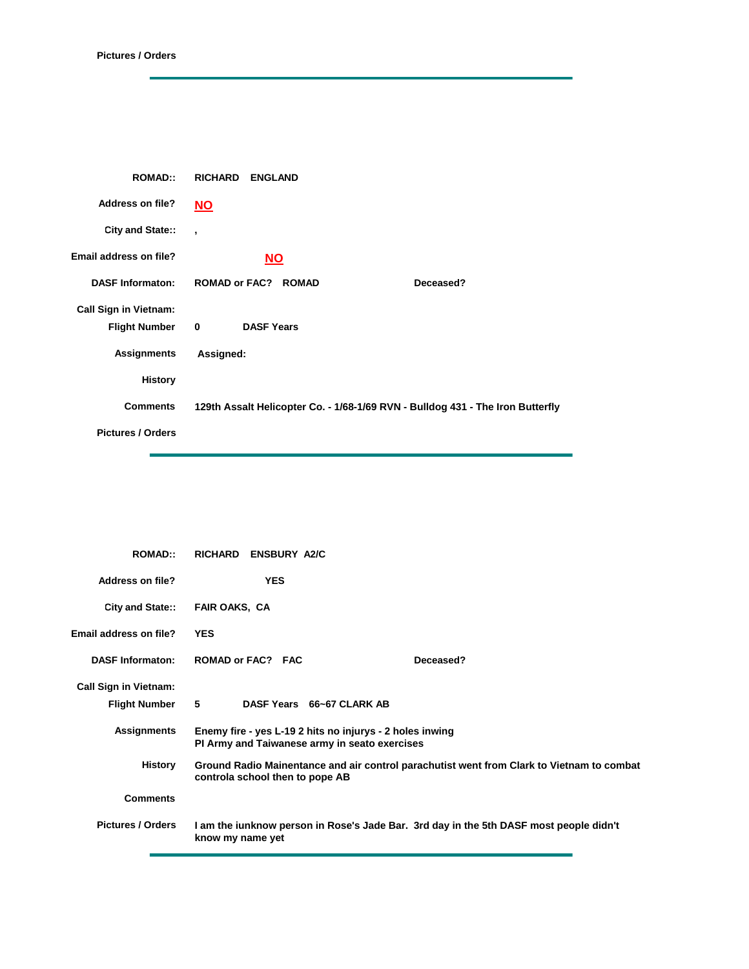| <b>ROMAD::</b>                                       |           | <b>RICHARD ENGLAND</b>     |                                                                                |
|------------------------------------------------------|-----------|----------------------------|--------------------------------------------------------------------------------|
| <b>Address on file?</b>                              | <u>NO</u> |                            |                                                                                |
| City and State::                                     | $\cdot$   |                            |                                                                                |
| Email address on file?                               |           | <b>NO</b>                  |                                                                                |
| <b>DASF Informaton:</b>                              |           | <b>ROMAD or FAC? ROMAD</b> | Deceased?                                                                      |
| <b>Call Sign in Vietnam:</b><br><b>Flight Number</b> | $\bf{0}$  | <b>DASF Years</b>          |                                                                                |
| <b>Assignments</b>                                   | Assigned: |                            |                                                                                |
| <b>History</b>                                       |           |                            |                                                                                |
| <b>Comments</b>                                      |           |                            | 129th Assalt Helicopter Co. - 1/68-1/69 RVN - Bulldog 431 - The Iron Butterfly |
| <b>Pictures / Orders</b>                             |           |                            |                                                                                |

| <b>ROMAD:</b>                 | RICHARD ENSBURY A2/C                                                                                                         |
|-------------------------------|------------------------------------------------------------------------------------------------------------------------------|
| Address on file?              | <b>YES</b>                                                                                                                   |
| City and State::              | <b>FAIR OAKS, CA</b>                                                                                                         |
| <b>Email address on file?</b> | <b>YES</b>                                                                                                                   |
| <b>DASF Informaton:</b>       | ROMAD or FAC? FAC<br>Deceased?                                                                                               |
| <b>Call Sign in Vietnam:</b>  |                                                                                                                              |
| <b>Flight Number</b>          | 5<br>DASF Years 66~67 CLARK AB                                                                                               |
| <b>Assignments</b>            | Enemy fire - yes L-19 2 hits no injurys - 2 holes inwing<br>PI Army and Taiwanese army in seato exercises                    |
| History                       | Ground Radio Mainentance and air control parachutist went from Clark to Vietnam to combat<br>controla school then to pope AB |
| <b>Comments</b>               |                                                                                                                              |
| <b>Pictures / Orders</b>      | I am the junknow person in Rose's Jade Bar. 3rd day in the 5th DASF most people didn't<br>know my name yet                   |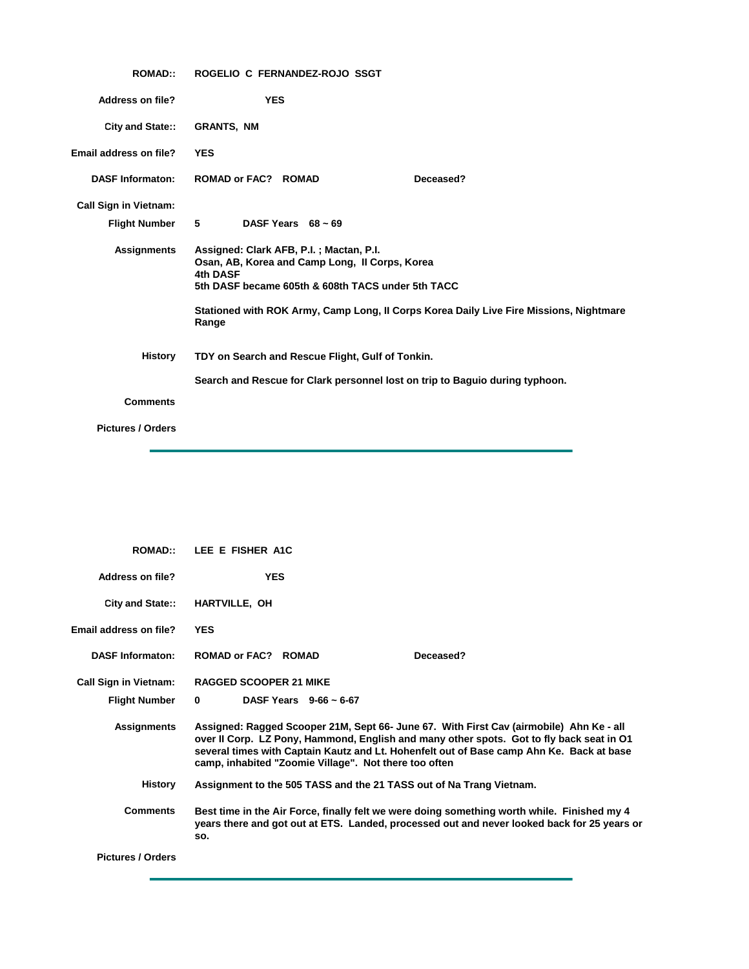| <b>ROMAD::</b>                                       | ROGELIO C FERNANDEZ-ROJO SSGT                                                                                                                                                                                                                                 |  |  |
|------------------------------------------------------|---------------------------------------------------------------------------------------------------------------------------------------------------------------------------------------------------------------------------------------------------------------|--|--|
| <b>Address on file?</b>                              | <b>YES</b>                                                                                                                                                                                                                                                    |  |  |
| City and State::                                     | <b>GRANTS, NM</b>                                                                                                                                                                                                                                             |  |  |
| Email address on file?                               | <b>YES</b>                                                                                                                                                                                                                                                    |  |  |
| <b>DASF Informaton:</b>                              | <b>ROMAD or FAC? ROMAD</b><br>Deceased?                                                                                                                                                                                                                       |  |  |
| <b>Call Sign in Vietnam:</b><br><b>Flight Number</b> | 5<br>DASF Years $68 \sim 69$                                                                                                                                                                                                                                  |  |  |
| <b>Assignments</b>                                   | Assigned: Clark AFB, P.I.; Mactan, P.I.<br>Osan, AB, Korea and Camp Long, II Corps, Korea<br>4th DASF<br>5th DASF became 605th & 608th TACS under 5th TACC<br>Stationed with ROK Army, Camp Long, II Corps Korea Daily Live Fire Missions, Nightmare<br>Range |  |  |
| <b>History</b>                                       | TDY on Search and Rescue Flight, Gulf of Tonkin.<br>Search and Rescue for Clark personnel lost on trip to Baguio during typhoon.                                                                                                                              |  |  |
| <b>Comments</b>                                      |                                                                                                                                                                                                                                                               |  |  |
| <b>Pictures / Orders</b>                             |                                                                                                                                                                                                                                                               |  |  |

 $\sim$ 

| <b>ROMAD::</b>               | LEE E FISHER A1C                                                                                                                                                                                                                                                                                                                         |  |
|------------------------------|------------------------------------------------------------------------------------------------------------------------------------------------------------------------------------------------------------------------------------------------------------------------------------------------------------------------------------------|--|
| Address on file?             | <b>YES</b>                                                                                                                                                                                                                                                                                                                               |  |
| City and State::             | <b>HARTVILLE, OH</b>                                                                                                                                                                                                                                                                                                                     |  |
| Email address on file?       | <b>YES</b>                                                                                                                                                                                                                                                                                                                               |  |
| <b>DASF Informaton:</b>      | <b>ROMAD or FAC? ROMAD</b><br>Deceased?                                                                                                                                                                                                                                                                                                  |  |
| <b>Call Sign in Vietnam:</b> | <b>RAGGED SCOOPER 21 MIKE</b>                                                                                                                                                                                                                                                                                                            |  |
| <b>Flight Number</b>         | DASF Years $9-66 \sim 6-67$<br>$\bf{0}$                                                                                                                                                                                                                                                                                                  |  |
| <b>Assignments</b>           | Assigned: Ragged Scooper 21M, Sept 66- June 67. With First Cav (airmobile) Ahn Ke - all<br>over II Corp. LZ Pony, Hammond, English and many other spots. Got to fly back seat in O1<br>several times with Captain Kautz and Lt. Hohenfelt out of Base camp Ahn Ke. Back at base<br>camp, inhabited "Zoomie Village". Not there too often |  |
| History                      | Assignment to the 505 TASS and the 21 TASS out of Na Trang Vietnam.                                                                                                                                                                                                                                                                      |  |
| <b>Comments</b>              | Best time in the Air Force, finally felt we were doing something worth while. Finished my 4<br>years there and got out at ETS. Landed, processed out and never looked back for 25 years or<br>SO.                                                                                                                                        |  |
| <b>Pictures / Orders</b>     |                                                                                                                                                                                                                                                                                                                                          |  |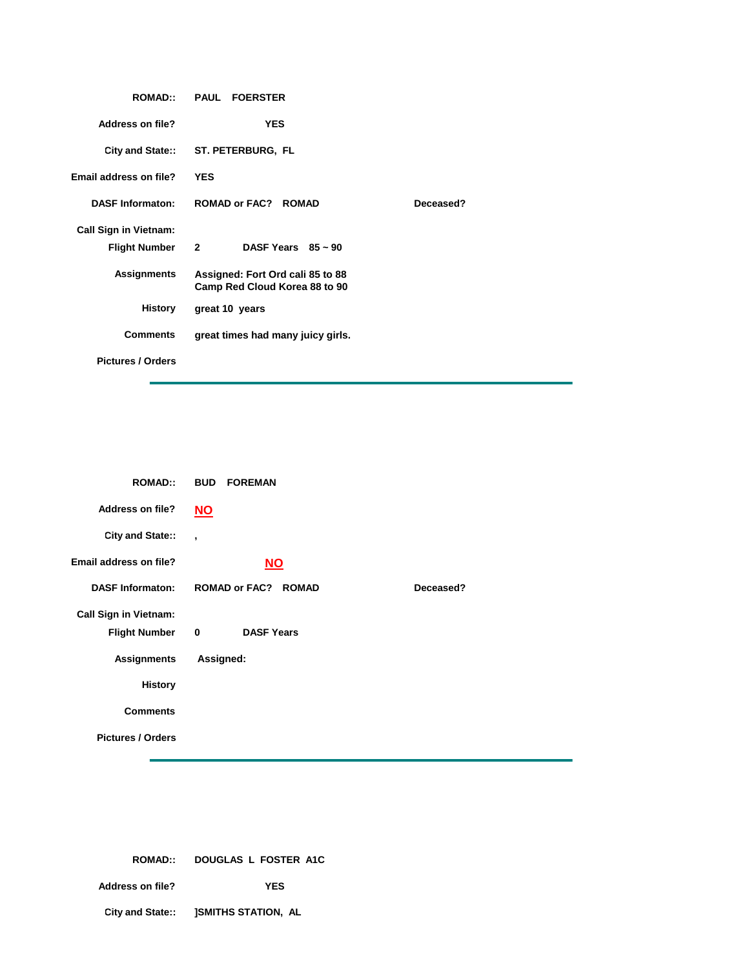|                              | ROMAD:: PAUL FOERSTER                                             |           |
|------------------------------|-------------------------------------------------------------------|-----------|
| <b>Address on file?</b>      | <b>YES</b>                                                        |           |
|                              | City and State:: ST. PETERBURG, FL                                |           |
| Email address on file?       | <b>YES</b>                                                        |           |
| <b>DASF Informaton:</b>      | ROMAD or FAC? ROMAD                                               | Deceased? |
| <b>Call Sign in Vietnam:</b> |                                                                   |           |
| Flight Number 2              | DASF Years $85 \sim 90$                                           |           |
| Assignments                  | Assigned: Fort Ord cali 85 to 88<br>Camp Red Cloud Korea 88 to 90 |           |
| History                      | great 10 years                                                    |           |
| <b>Comments</b>              | great times had many juicy girls.                                 |           |
| <b>Pictures / Orders</b>     |                                                                   |           |

| <b>ROMAD::</b>               | <b>BUD FOREMAN</b>               |           |
|------------------------------|----------------------------------|-----------|
| <b>Address on file?</b>      | <u>NO</u>                        |           |
| City and State::             | $\overline{\phantom{a}}$         |           |
| Email address on file?       | $NO$                             |           |
| <b>DASF Informaton:</b>      | <b>ROMAD or FAC? ROMAD</b>       | Deceased? |
| <b>Call Sign in Vietnam:</b> |                                  |           |
| <b>Flight Number</b>         | <b>DASF Years</b><br>$\mathbf 0$ |           |
| <b>Assignments</b>           | Assigned:                        |           |
| <b>History</b>               |                                  |           |
| <b>Comments</b>              |                                  |           |
| <b>Pictures / Orders</b>     |                                  |           |

|                  | ROMAD:: DOUGLAS L FOSTER A1C                |  |
|------------------|---------------------------------------------|--|
| Address on file? | YES                                         |  |
|                  | City and State:: <b>JSMITHS STATION, AL</b> |  |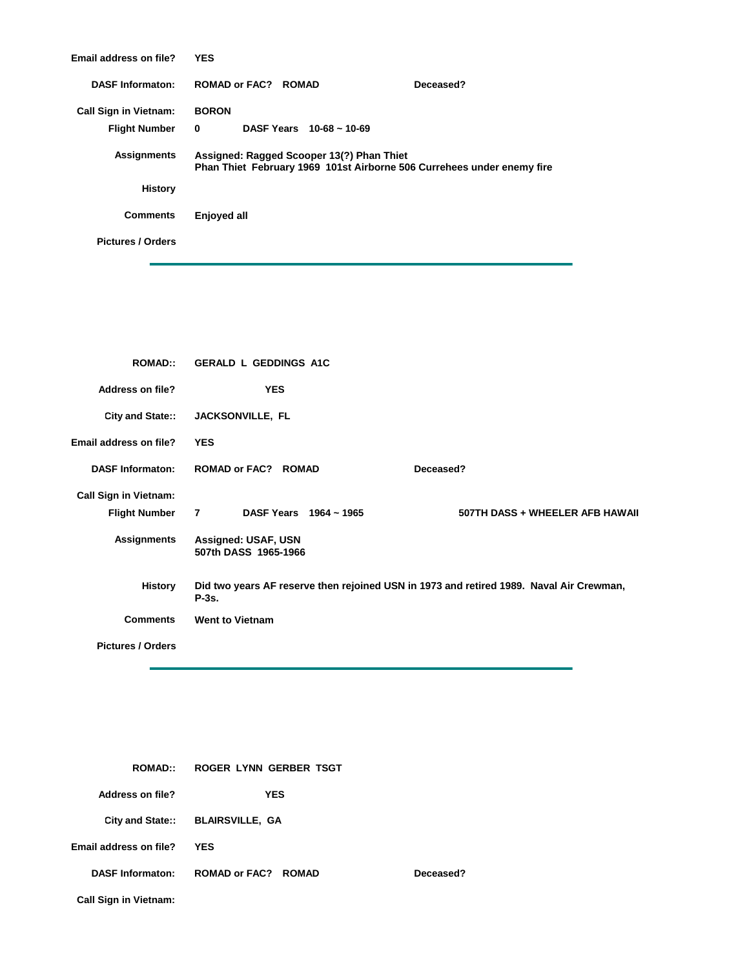| Email address on file?       | <b>YES</b>                                                                                                          |  |
|------------------------------|---------------------------------------------------------------------------------------------------------------------|--|
| <b>DASF Informaton:</b>      | ROMAD or FAC? ROMAD<br>Deceased?                                                                                    |  |
| <b>Call Sign in Vietnam:</b> | <b>BORON</b>                                                                                                        |  |
| <b>Flight Number</b>         | DASF Years $10-68 \approx 10-69$<br>$\mathbf{0}$                                                                    |  |
| <b>Assignments</b>           | Assigned: Ragged Scooper 13(?) Phan Thiet<br>Phan Thiet February 1969 101st Airborne 506 Currehees under enemy fire |  |
| <b>History</b>               |                                                                                                                     |  |
| <b>Comments</b>              | Enjoyed all                                                                                                         |  |
| <b>Pictures / Orders</b>     |                                                                                                                     |  |
|                              |                                                                                                                     |  |

| <b>ROMAD::</b>                                       | <b>GERALD L GEDDINGS A1C</b>                       |                                                                                         |
|------------------------------------------------------|----------------------------------------------------|-----------------------------------------------------------------------------------------|
| Address on file?                                     | <b>YES</b>                                         |                                                                                         |
| City and State::                                     | JACKSONVILLE, FL                                   |                                                                                         |
| Email address on file?                               | <b>YES</b>                                         |                                                                                         |
| <b>DASF Informaton:</b>                              | <b>ROMAD or FAC? ROMAD</b>                         | Deceased?                                                                               |
| <b>Call Sign in Vietnam:</b><br><b>Flight Number</b> | $\overline{7}$<br>DASF Years 1964 ~ 1965           | 507TH DASS + WHEELER AFB HAWAII                                                         |
| <b>Assignments</b>                                   | <b>Assigned: USAF, USN</b><br>507th DASS 1965-1966 |                                                                                         |
| <b>History</b>                                       | $P-3s.$                                            | Did two years AF reserve then rejoined USN in 1973 and retired 1989. Naval Air Crewman, |
| <b>Comments</b>                                      | <b>Went to Vietnam</b>                             |                                                                                         |
| <b>Pictures / Orders</b>                             |                                                    |                                                                                         |

| <b>ROMAD::</b>               | ROGER LYNN GERBER TSGT           |           |
|------------------------------|----------------------------------|-----------|
| Address on file?             | YES                              |           |
|                              | City and State:: BLAIRSVILLE, GA |           |
| Email address on file?       | <b>YES</b>                       |           |
| <b>DASF Informaton:</b>      | ROMAD or FAC? ROMAD              | Deceased? |
| <b>Call Sign in Vietnam:</b> |                                  |           |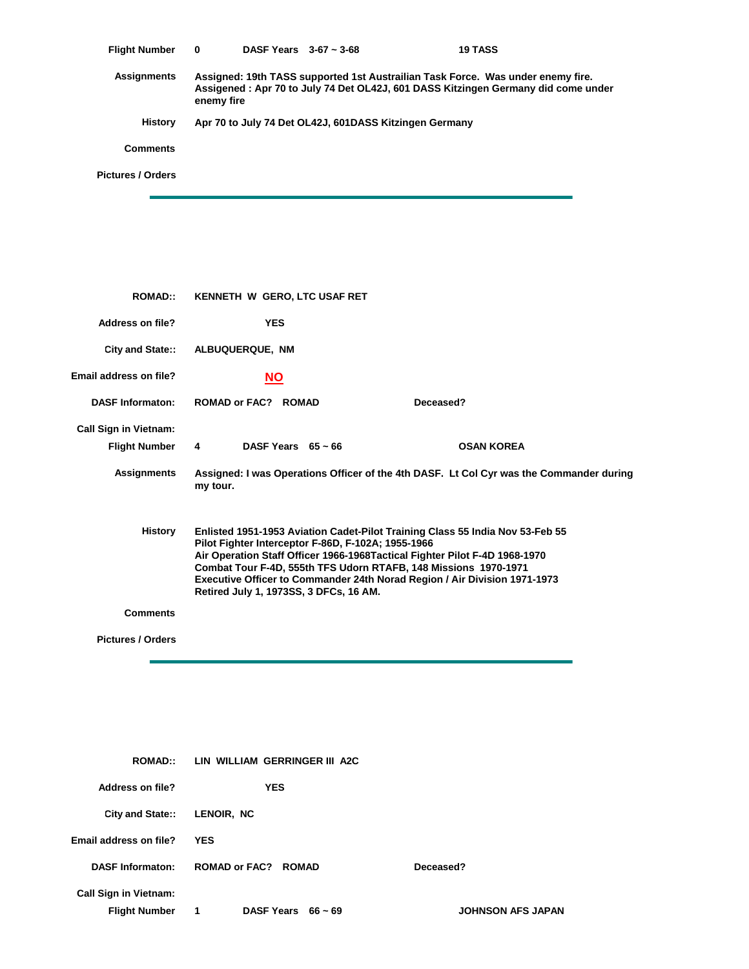| <b>Flight Number</b> | 0          | DASF Years $3-67 \sim 3-68$ |                                                        | <b>19 TASS</b>                                                                                                                                                       |  |
|----------------------|------------|-----------------------------|--------------------------------------------------------|----------------------------------------------------------------------------------------------------------------------------------------------------------------------|--|
| <b>Assignments</b>   | enemy fire |                             |                                                        | Assigned: 19th TASS supported 1st Austrailian Task Force. Was under enemy fire.<br>Assigened: Apr 70 to July 74 Det OL42J, 601 DASS Kitzingen Germany did come under |  |
| <b>History</b>       |            |                             | Apr 70 to July 74 Det OL42J, 601DASS Kitzingen Germany |                                                                                                                                                                      |  |
| <b>Comments</b>      |            |                             |                                                        |                                                                                                                                                                      |  |
| Pictures / Orders    |            |                             |                                                        |                                                                                                                                                                      |  |
|                      |            |                             |                                                        |                                                                                                                                                                      |  |

| <b>ROMAD::</b>               | KENNETH W GERO, LTC USAF RET                                                                                                                                                                                                                                                                                                                                                                                        |                         |                                                                                         |  |
|------------------------------|---------------------------------------------------------------------------------------------------------------------------------------------------------------------------------------------------------------------------------------------------------------------------------------------------------------------------------------------------------------------------------------------------------------------|-------------------------|-----------------------------------------------------------------------------------------|--|
| Address on file?             | <b>YES</b>                                                                                                                                                                                                                                                                                                                                                                                                          |                         |                                                                                         |  |
| <b>City and State::</b>      | <b>ALBUQUERQUE, NM</b>                                                                                                                                                                                                                                                                                                                                                                                              |                         |                                                                                         |  |
| Email address on file?       | <u>NO</u>                                                                                                                                                                                                                                                                                                                                                                                                           |                         |                                                                                         |  |
| <b>DASF Informaton:</b>      | <b>ROMAD or FAC? ROMAD</b>                                                                                                                                                                                                                                                                                                                                                                                          |                         | Deceased?                                                                               |  |
| <b>Call Sign in Vietnam:</b> |                                                                                                                                                                                                                                                                                                                                                                                                                     |                         |                                                                                         |  |
| <b>Flight Number</b>         | $\overline{4}$                                                                                                                                                                                                                                                                                                                                                                                                      | DASF Years $65 \sim 66$ | <b>OSAN KOREA</b>                                                                       |  |
| Assignments                  | my tour.                                                                                                                                                                                                                                                                                                                                                                                                            |                         | Assigned: I was Operations Officer of the 4th DASF. Lt Col Cyr was the Commander during |  |
| History                      | Enlisted 1951-1953 Aviation Cadet-Pilot Training Class 55 India Nov 53-Feb 55<br>Pilot Fighter Interceptor F-86D, F-102A; 1955-1966<br>Air Operation Staff Officer 1966-1968 Tactical Fighter Pilot F-4D 1968-1970<br>Combat Tour F-4D, 555th TFS Udorn RTAFB, 148 Missions 1970-1971<br><b>Executive Officer to Commander 24th Norad Region / Air Division 1971-1973</b><br>Retired July 1, 1973SS, 3 DFCs, 16 AM. |                         |                                                                                         |  |
| <b>Comments</b>              |                                                                                                                                                                                                                                                                                                                                                                                                                     |                         |                                                                                         |  |
| <b>Pictures / Orders</b>     |                                                                                                                                                                                                                                                                                                                                                                                                                     |                         |                                                                                         |  |

| <b>ROMAD::</b>                                  | LIN WILLIAM GERRINGER III A2C |                          |  |
|-------------------------------------------------|-------------------------------|--------------------------|--|
| Address on file?                                | <b>YES</b>                    |                          |  |
| City and State:: LENOIR, NC                     |                               |                          |  |
| Email address on file?                          | <b>YES</b>                    |                          |  |
| <b>DASF Informaton:</b>                         | <b>ROMAD or FAC? ROMAD</b>    | Deceased?                |  |
| <b>Call Sign in Vietnam:</b><br>Flight Number 1 | DASF Years $66 \sim 69$       | <b>JOHNSON AFS JAPAN</b> |  |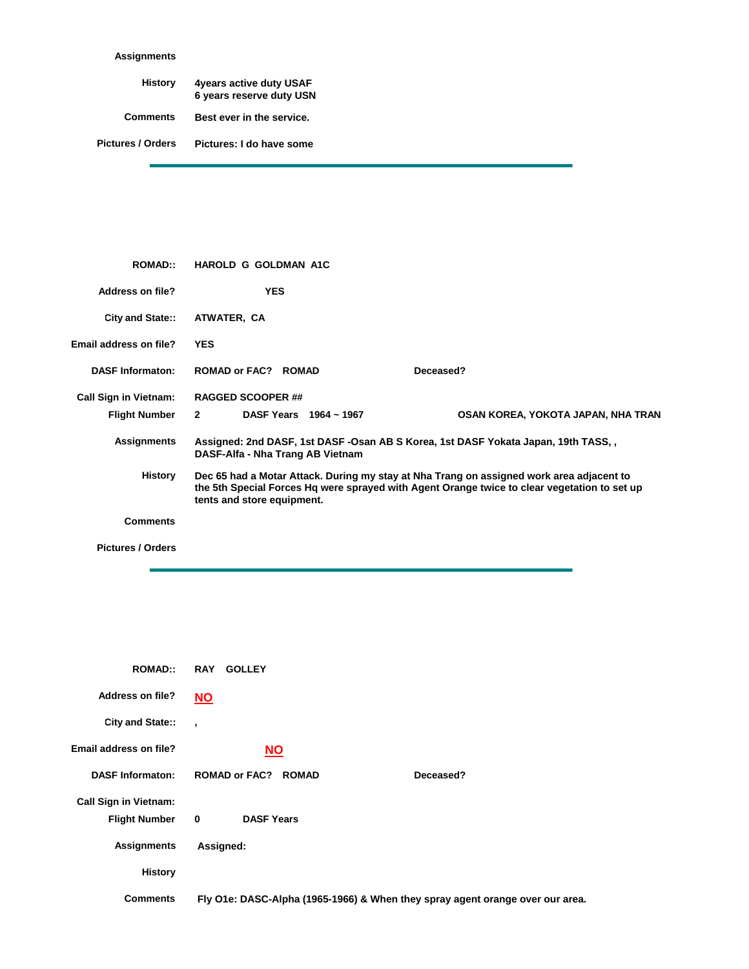## **Assignments**

| History                  | <b>4years active duty USAF</b><br>6 years reserve duty USN |
|--------------------------|------------------------------------------------------------|
| <b>Comments</b>          | Best ever in the service.                                  |
| <b>Pictures / Orders</b> | Pictures: I do have some                                   |

| <b>ROMAD::</b>               | <b>HAROLD G GOLDMAN A1C</b>                                                                                                                                                                                            |  |
|------------------------------|------------------------------------------------------------------------------------------------------------------------------------------------------------------------------------------------------------------------|--|
| Address on file?             | <b>YES</b>                                                                                                                                                                                                             |  |
| <b>City and State::</b>      | ATWATER, CA                                                                                                                                                                                                            |  |
| Email address on file?       | <b>YES</b>                                                                                                                                                                                                             |  |
| <b>DASF Informaton:</b>      | ROMAD or FAC? ROMAD<br>Deceased?                                                                                                                                                                                       |  |
| <b>Call Sign in Vietnam:</b> | <b>RAGGED SCOOPER ##</b>                                                                                                                                                                                               |  |
| <b>Flight Number</b>         | DASF Years 1964 ~ 1967<br>$\overline{2}$<br>OSAN KOREA, YOKOTA JAPAN, NHA TRAN                                                                                                                                         |  |
| <b>Assignments</b>           | Assigned: 2nd DASF, 1st DASF - Osan AB S Korea, 1st DASF Yokata Japan, 19th TASS,<br>DASF-Alfa - Nha Trang AB Vietnam                                                                                                  |  |
| History                      | Dec 65 had a Motar Attack. During my stay at Nha Trang on assigned work area adjacent to<br>the 5th Special Forces Hg were sprayed with Agent Orange twice to clear vegetation to set up<br>tents and store equipment. |  |
| <b>Comments</b>              |                                                                                                                                                                                                                        |  |

**Pictures / Orders**

Ė

| <b>ROMAD::</b>                                       | <b>RAY</b><br><b>GOLLEY</b>                                                   |
|------------------------------------------------------|-------------------------------------------------------------------------------|
| <b>Address on file?</b>                              | <u>NO</u>                                                                     |
| City and State::                                     | $\overline{\phantom{a}}$                                                      |
| Email address on file?                               | <b>NO</b>                                                                     |
| <b>DASF Informaton:</b>                              | <b>ROMAD or FAC? ROMAD</b><br>Deceased?                                       |
| <b>Call Sign in Vietnam:</b><br><b>Flight Number</b> | <b>DASF Years</b><br>0                                                        |
| <b>Assignments</b>                                   | Assigned:                                                                     |
| <b>History</b>                                       |                                                                               |
| <b>Comments</b>                                      | Fly O1e: DASC-Alpha (1965-1966) & When they spray agent orange over our area. |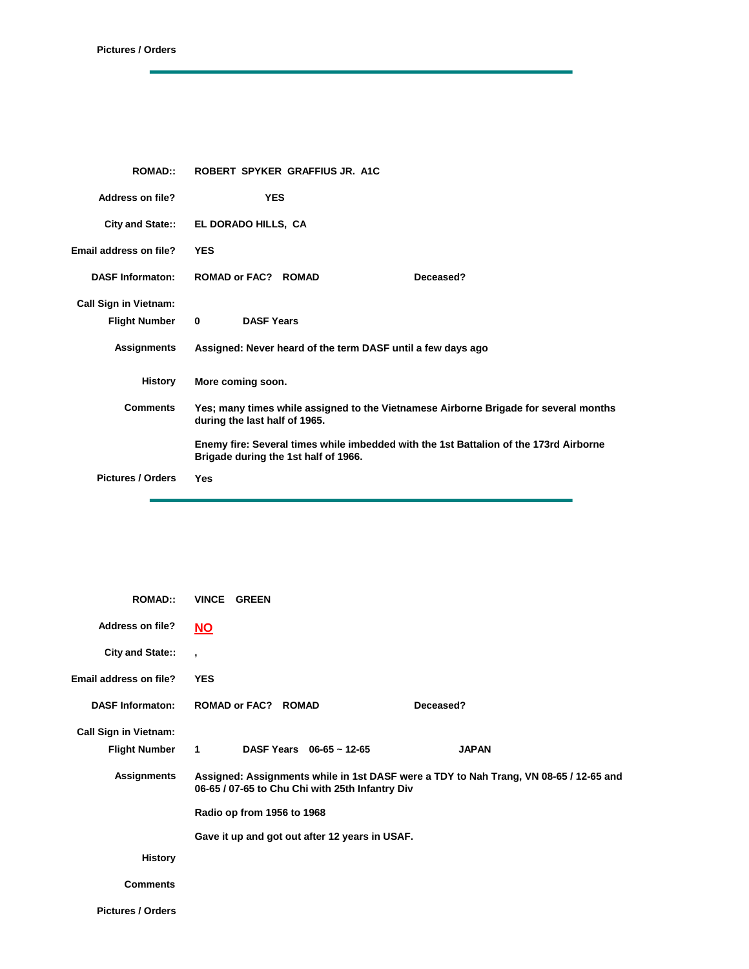| <b>ROMAD::</b>                                       | ROBERT SPYKER GRAFFIUS JR. A1C                                                                                                |  |
|------------------------------------------------------|-------------------------------------------------------------------------------------------------------------------------------|--|
| Address on file?                                     | <b>YES</b>                                                                                                                    |  |
| City and State::                                     | EL DORADO HILLS, CA                                                                                                           |  |
| <b>Email address on file?</b>                        | <b>YES</b>                                                                                                                    |  |
| <b>DASF Informaton:</b>                              | <b>ROMAD or FAC? ROMAD</b><br>Deceased?                                                                                       |  |
| <b>Call Sign in Vietnam:</b><br><b>Flight Number</b> | <b>DASF Years</b><br>$\bf{0}$                                                                                                 |  |
| <b>Assignments</b>                                   | Assigned: Never heard of the term DASF until a few days ago                                                                   |  |
| <b>History</b>                                       | More coming soon.                                                                                                             |  |
| <b>Comments</b>                                      | Yes; many times while assigned to the Vietnamese Airborne Brigade for several months<br>during the last half of 1965.         |  |
|                                                      | Enemy fire: Several times while imbedded with the 1st Battalion of the 173rd Airborne<br>Brigade during the 1st half of 1966. |  |
| <b>Pictures / Orders</b>                             | Yes                                                                                                                           |  |

| <b>ROMAD::</b>               | VINCE GREEN                                                                                                                                                            |              |
|------------------------------|------------------------------------------------------------------------------------------------------------------------------------------------------------------------|--------------|
| <b>Address on file?</b>      | $NO$                                                                                                                                                                   |              |
| City and State::             | $\overline{ }$                                                                                                                                                         |              |
| Email address on file?       | <b>YES</b>                                                                                                                                                             |              |
| <b>DASF Informaton:</b>      | <b>ROMAD or FAC? ROMAD</b>                                                                                                                                             | Deceased?    |
| <b>Call Sign in Vietnam:</b> |                                                                                                                                                                        |              |
| <b>Flight Number</b>         | DASF Years $06-65 \sim 12-65$<br>$1 \quad \blacksquare$                                                                                                                | <b>JAPAN</b> |
| Assignments                  | Assigned: Assignments while in 1st DASF were a TDY to Nah Trang, VN 08-65 / 12-65 and<br>06-65 / 07-65 to Chu Chi with 25th Infantry Div<br>Radio op from 1956 to 1968 |              |
|                              | Gave it up and got out after 12 years in USAF.                                                                                                                         |              |
| <b>History</b>               |                                                                                                                                                                        |              |
| <b>Comments</b>              |                                                                                                                                                                        |              |
| <b>Pictures / Orders</b>     |                                                                                                                                                                        |              |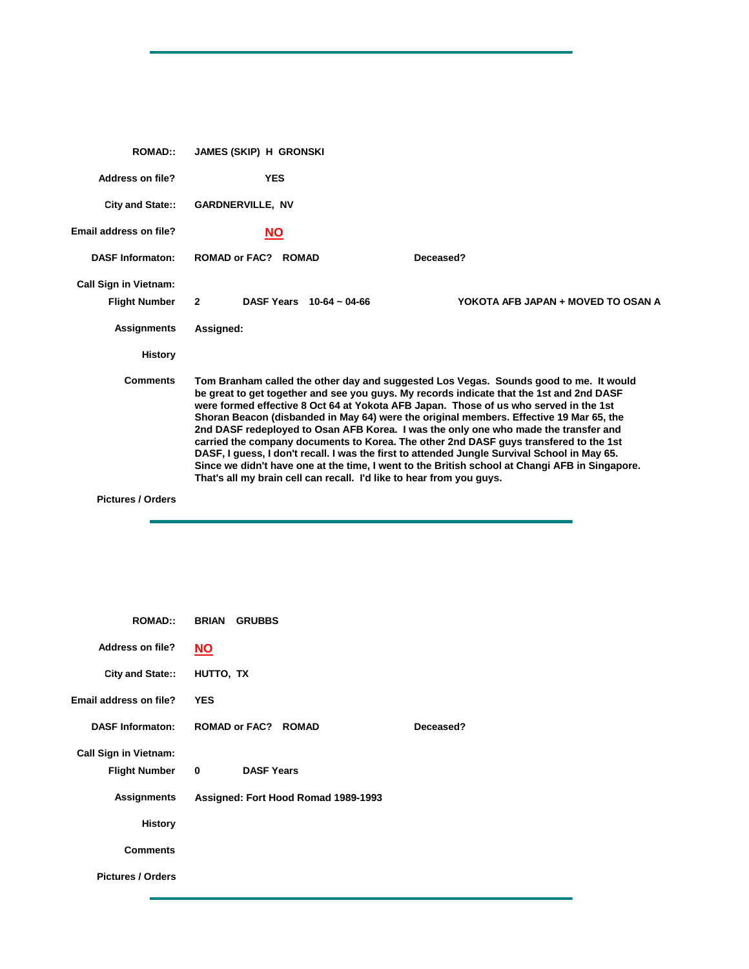| <b>ROMAD::</b>                                       | <b>JAMES (SKIP) H GRONSKI</b>                                                                                                                                                                                                                                                                                                                                                                                                                                                                                                                                                                                                                                                                                                                                                                                                   |  |
|------------------------------------------------------|---------------------------------------------------------------------------------------------------------------------------------------------------------------------------------------------------------------------------------------------------------------------------------------------------------------------------------------------------------------------------------------------------------------------------------------------------------------------------------------------------------------------------------------------------------------------------------------------------------------------------------------------------------------------------------------------------------------------------------------------------------------------------------------------------------------------------------|--|
| Address on file?                                     | <b>YES</b>                                                                                                                                                                                                                                                                                                                                                                                                                                                                                                                                                                                                                                                                                                                                                                                                                      |  |
| City and State::                                     | <b>GARDNERVILLE, NV</b>                                                                                                                                                                                                                                                                                                                                                                                                                                                                                                                                                                                                                                                                                                                                                                                                         |  |
| Email address on file?                               | <b>NO</b>                                                                                                                                                                                                                                                                                                                                                                                                                                                                                                                                                                                                                                                                                                                                                                                                                       |  |
| <b>DASF Informaton:</b>                              | <b>ROMAD or FAC? ROMAD</b><br>Deceased?                                                                                                                                                                                                                                                                                                                                                                                                                                                                                                                                                                                                                                                                                                                                                                                         |  |
| <b>Call Sign in Vietnam:</b><br><b>Flight Number</b> | DASF Years $10-64 \sim 04-66$<br>YOKOTA AFB JAPAN + MOVED TO OSAN A<br>$\overline{2}$                                                                                                                                                                                                                                                                                                                                                                                                                                                                                                                                                                                                                                                                                                                                           |  |
| <b>Assignments</b>                                   | Assigned:                                                                                                                                                                                                                                                                                                                                                                                                                                                                                                                                                                                                                                                                                                                                                                                                                       |  |
| <b>History</b>                                       |                                                                                                                                                                                                                                                                                                                                                                                                                                                                                                                                                                                                                                                                                                                                                                                                                                 |  |
| <b>Comments</b>                                      | Tom Branham called the other day and suggested Los Vegas. Sounds good to me. It would<br>be great to get together and see you guys. My records indicate that the 1st and 2nd DASF<br>were formed effective 8 Oct 64 at Yokota AFB Japan. Those of us who served in the 1st<br>Shoran Beacon (disbanded in May 64) were the original members. Effective 19 Mar 65, the<br>2nd DASF redeployed to Osan AFB Korea. I was the only one who made the transfer and<br>carried the company documents to Korea. The other 2nd DASF guys transfered to the 1st<br>DASF, I guess, I don't recall. I was the first to attended Jungle Survival School in May 65.<br>Since we didn't have one at the time, I went to the British school at Changi AFB in Singapore.<br>That's all my brain cell can recall. I'd like to hear from you guys. |  |
| <b>Pictures / Orders</b>                             |                                                                                                                                                                                                                                                                                                                                                                                                                                                                                                                                                                                                                                                                                                                                                                                                                                 |  |

| <b>ROMAD::</b>               | <b>BRIAN</b><br><b>GRUBBS</b>       |           |
|------------------------------|-------------------------------------|-----------|
| <b>Address on file?</b>      | <b>NO</b>                           |           |
| City and State::             | HUTTO, TX                           |           |
| Email address on file?       | <b>YES</b>                          |           |
| <b>DASF Informaton:</b>      | <b>ROMAD or FAC? ROMAD</b>          | Deceased? |
| <b>Call Sign in Vietnam:</b> |                                     |           |
| <b>Flight Number</b>         | <b>DASF Years</b><br>0              |           |
| <b>Assignments</b>           | Assigned: Fort Hood Romad 1989-1993 |           |
| <b>History</b>               |                                     |           |
| <b>Comments</b>              |                                     |           |
| <b>Pictures / Orders</b>     |                                     |           |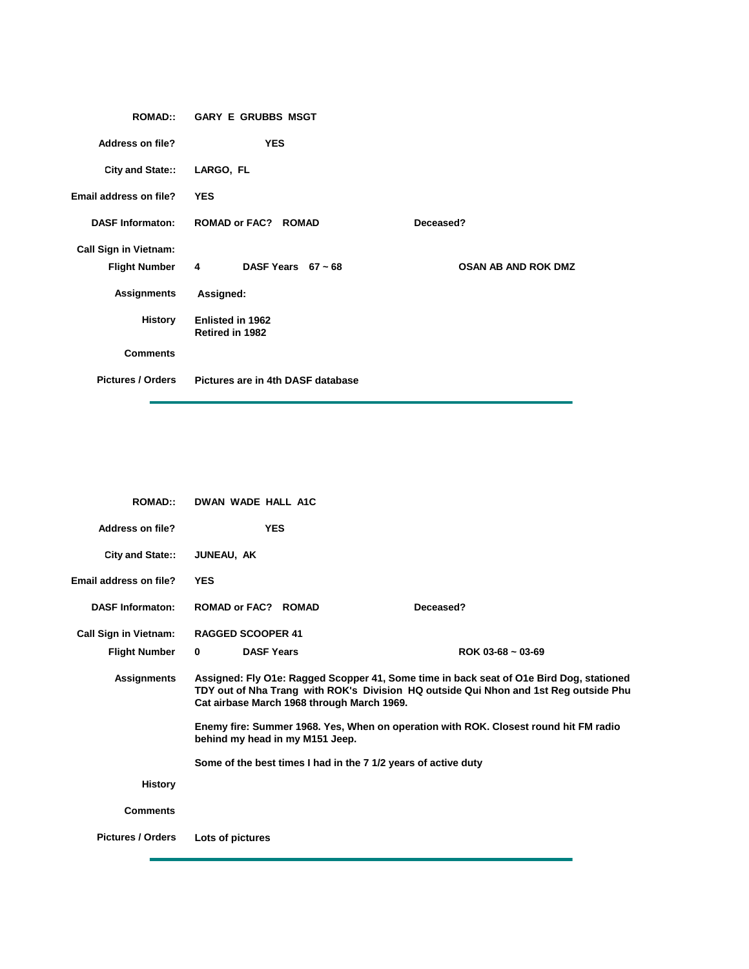| <b>ROMAD::</b>               | <b>GARY E GRUBBS MSGT</b>                  |                     |
|------------------------------|--------------------------------------------|---------------------|
| <b>Address on file?</b>      | <b>YES</b>                                 |                     |
| City and State::             | LARGO, FL                                  |                     |
| Email address on file?       | <b>YES</b>                                 |                     |
| <b>DASF Informaton:</b>      | <b>ROMAD or FAC? ROMAD</b>                 | Deceased?           |
| <b>Call Sign in Vietnam:</b> |                                            |                     |
|                              | Flight Number 4 DASF Years 67 ~ 68         | OSAN AB AND ROK DMZ |
| <b>Assignments</b>           | Assigned:                                  |                     |
| History                      | <b>Enlisted in 1962</b><br>Retired in 1982 |                     |
| <b>Comments</b>              |                                            |                     |
| <b>Pictures / Orders</b>     | Pictures are in 4th DASF database          |                     |

| <b>ROMAD::</b>               | DWAN WADE HALL A1C                                             |                                                                                                                                                                                 |
|------------------------------|----------------------------------------------------------------|---------------------------------------------------------------------------------------------------------------------------------------------------------------------------------|
| Address on file?             | <b>YES</b>                                                     |                                                                                                                                                                                 |
| City and State::             | JUNEAU, AK                                                     |                                                                                                                                                                                 |
| Email address on file?       | <b>YES</b>                                                     |                                                                                                                                                                                 |
| <b>DASF Informaton:</b>      | <b>ROMAD or FAC? ROMAD</b>                                     | Deceased?                                                                                                                                                                       |
| <b>Call Sign in Vietnam:</b> | <b>RAGGED SCOOPER 41</b>                                       |                                                                                                                                                                                 |
| <b>Flight Number</b>         | <b>DASF Years</b><br>$\bf{0}$                                  | ROK 03-68 $\sim$ 03-69                                                                                                                                                          |
| <b>Assignments</b>           | Cat airbase March 1968 through March 1969.                     | Assigned: Fly O1e: Ragged Scopper 41, Some time in back seat of O1e Bird Dog, stationed<br>TDY out of Nha Trang with ROK's Division HQ outside Qui Nhon and 1st Reg outside Phu |
|                              | behind my head in my M151 Jeep.                                | Enemy fire: Summer 1968. Yes, When on operation with ROK. Closest round hit FM radio                                                                                            |
|                              | Some of the best times I had in the 7 1/2 years of active duty |                                                                                                                                                                                 |
| History                      |                                                                |                                                                                                                                                                                 |
| <b>Comments</b>              |                                                                |                                                                                                                                                                                 |
| <b>Pictures / Orders</b>     | Lots of pictures                                               |                                                                                                                                                                                 |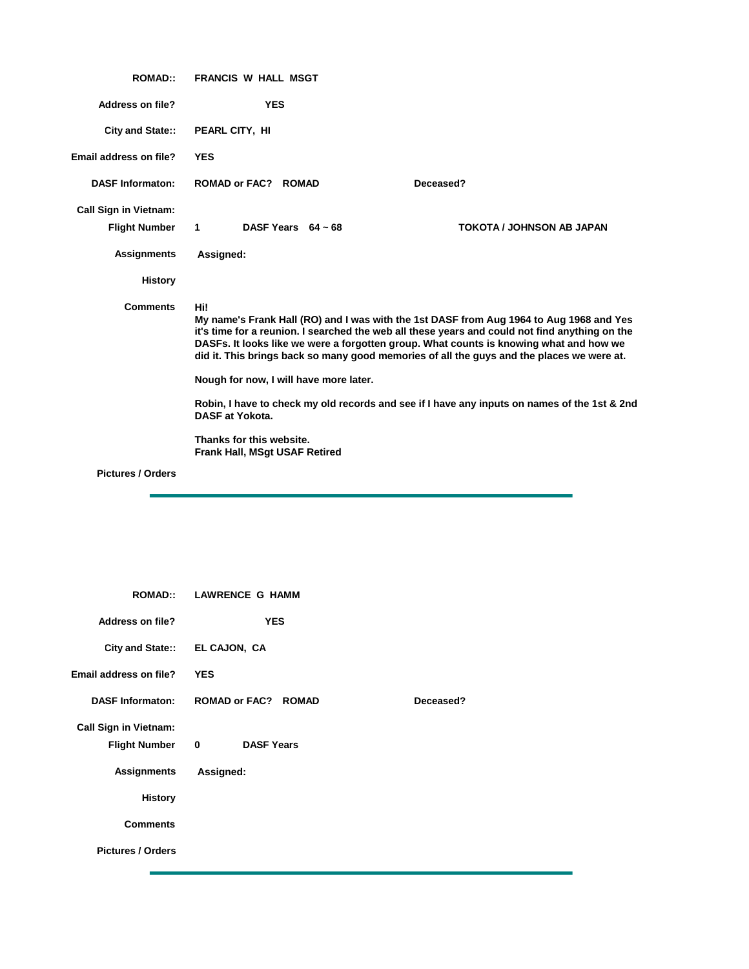| <b>ROMAD::</b>               | <b>FRANCIS W HALL MSGT</b>                                                                                                                                                                                                                                                                                                                                                                                                                                                                                                        |                                  |
|------------------------------|-----------------------------------------------------------------------------------------------------------------------------------------------------------------------------------------------------------------------------------------------------------------------------------------------------------------------------------------------------------------------------------------------------------------------------------------------------------------------------------------------------------------------------------|----------------------------------|
| <b>Address on file?</b>      | <b>YES</b>                                                                                                                                                                                                                                                                                                                                                                                                                                                                                                                        |                                  |
| City and State::             | PEARL CITY, HI                                                                                                                                                                                                                                                                                                                                                                                                                                                                                                                    |                                  |
| Email address on file?       | <b>YES</b>                                                                                                                                                                                                                                                                                                                                                                                                                                                                                                                        |                                  |
| <b>DASF Informaton:</b>      | <b>ROMAD or FAC? ROMAD</b>                                                                                                                                                                                                                                                                                                                                                                                                                                                                                                        | Deceased?                        |
| <b>Call Sign in Vietnam:</b> |                                                                                                                                                                                                                                                                                                                                                                                                                                                                                                                                   |                                  |
| <b>Flight Number</b>         | $\mathbf{1}$<br>DASF Years $64 \sim 68$                                                                                                                                                                                                                                                                                                                                                                                                                                                                                           | <b>TOKOTA / JOHNSON AB JAPAN</b> |
| <b>Assignments</b>           | Assigned:                                                                                                                                                                                                                                                                                                                                                                                                                                                                                                                         |                                  |
| <b>History</b>               |                                                                                                                                                                                                                                                                                                                                                                                                                                                                                                                                   |                                  |
| <b>Comments</b>              | Hi!<br>My name's Frank Hall (RO) and I was with the 1st DASF from Aug 1964 to Aug 1968 and Yes<br>it's time for a reunion. I searched the web all these years and could not find anything on the<br>DASFs. It looks like we were a forgotten group. What counts is knowing what and how we<br>did it. This brings back so many good memories of all the guys and the places we were at.<br>Nough for now, I will have more later.<br>Robin, I have to check my old records and see if I have any inputs on names of the 1st & 2nd |                                  |
|                              | <b>DASF at Yokota.</b>                                                                                                                                                                                                                                                                                                                                                                                                                                                                                                            |                                  |
|                              | Thanks for this website.<br><b>Frank Hall, MSqt USAF Retired</b>                                                                                                                                                                                                                                                                                                                                                                                                                                                                  |                                  |
| <b>Pictures / Orders</b>     |                                                                                                                                                                                                                                                                                                                                                                                                                                                                                                                                   |                                  |

| <b>ROMAD::</b>               | <b>LAWRENCE G HAMM</b>            |           |
|------------------------------|-----------------------------------|-----------|
| Address on file?             | <b>YES</b>                        |           |
|                              | City and State:: EL CAJON, CA     |           |
| Email address on file?       | <b>YES</b>                        |           |
| <b>DASF Informaton:</b>      | <b>ROMAD or FAC? ROMAD</b>        | Deceased? |
| <b>Call Sign in Vietnam:</b> |                                   |           |
| <b>Flight Number</b>         | <b>DASF Years</b><br>$\mathbf{0}$ |           |
| <b>Assignments</b>           | Assigned:                         |           |
| <b>History</b>               |                                   |           |
| <b>Comments</b>              |                                   |           |
| <b>Pictures / Orders</b>     |                                   |           |
|                              |                                   |           |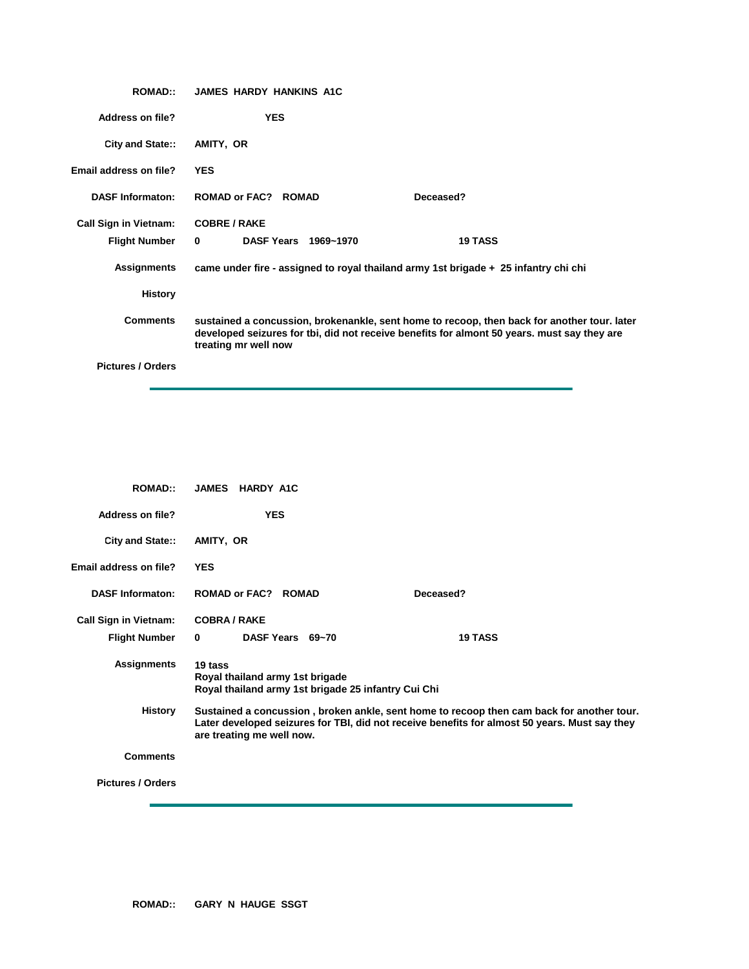| <b>ROMAD::</b>               | <b>JAMES HARDY HANKINS A1C</b>                                                                                                                                                                                     |
|------------------------------|--------------------------------------------------------------------------------------------------------------------------------------------------------------------------------------------------------------------|
| <b>Address on file?</b>      | <b>YES</b>                                                                                                                                                                                                         |
| City and State::             | AMITY, OR                                                                                                                                                                                                          |
| Email address on file?       | <b>YES</b>                                                                                                                                                                                                         |
| <b>DASF Informaton:</b>      | <b>ROMAD or FAC? ROMAD</b><br>Deceased?                                                                                                                                                                            |
| <b>Call Sign in Vietnam:</b> | <b>COBRE / RAKE</b>                                                                                                                                                                                                |
| <b>Flight Number</b>         | DASF Years 1969~1970<br><b>19 TASS</b><br>$\mathbf{0}$                                                                                                                                                             |
| <b>Assignments</b>           | came under fire - assigned to royal thailand army 1st brigade + 25 infantry chi chi                                                                                                                                |
| <b>History</b>               |                                                                                                                                                                                                                    |
| <b>Comments</b>              | sustained a concussion, brokenankle, sent home to recoop, then back for another tour. later<br>developed seizures for tbi, did not receive benefits for almont 50 years. must say they are<br>treating mr well now |
| <b>Pictures / Orders</b>     |                                                                                                                                                                                                                    |

| <b>ROMAD::</b>               | <b>JAMES</b><br><b>HARDY A1C</b>                                                                                                                                                                                        |                |
|------------------------------|-------------------------------------------------------------------------------------------------------------------------------------------------------------------------------------------------------------------------|----------------|
| Address on file?             | <b>YES</b>                                                                                                                                                                                                              |                |
| City and State::             | AMITY, OR                                                                                                                                                                                                               |                |
| Email address on file?       | <b>YES</b>                                                                                                                                                                                                              |                |
| <b>DASF Informaton:</b>      | <b>ROMAD or FAC? ROMAD</b>                                                                                                                                                                                              | Deceased?      |
| <b>Call Sign in Vietnam:</b> | <b>COBRA/RAKE</b>                                                                                                                                                                                                       |                |
| <b>Flight Number</b>         | DASF Years 69~70<br>$\bf{0}$                                                                                                                                                                                            | <b>19 TASS</b> |
| <b>Assignments</b>           | 19 tass<br>Royal thailand army 1st brigade<br>Royal thailand army 1st brigade 25 infantry Cui Chi                                                                                                                       |                |
| <b>History</b>               | Sustained a concussion, broken ankle, sent home to recoop then cam back for another tour.<br>Later developed seizures for TBI, did not receive benefits for almost 50 years. Must say they<br>are treating me well now. |                |
| <b>Comments</b>              |                                                                                                                                                                                                                         |                |
| <b>Pictures / Orders</b>     |                                                                                                                                                                                                                         |                |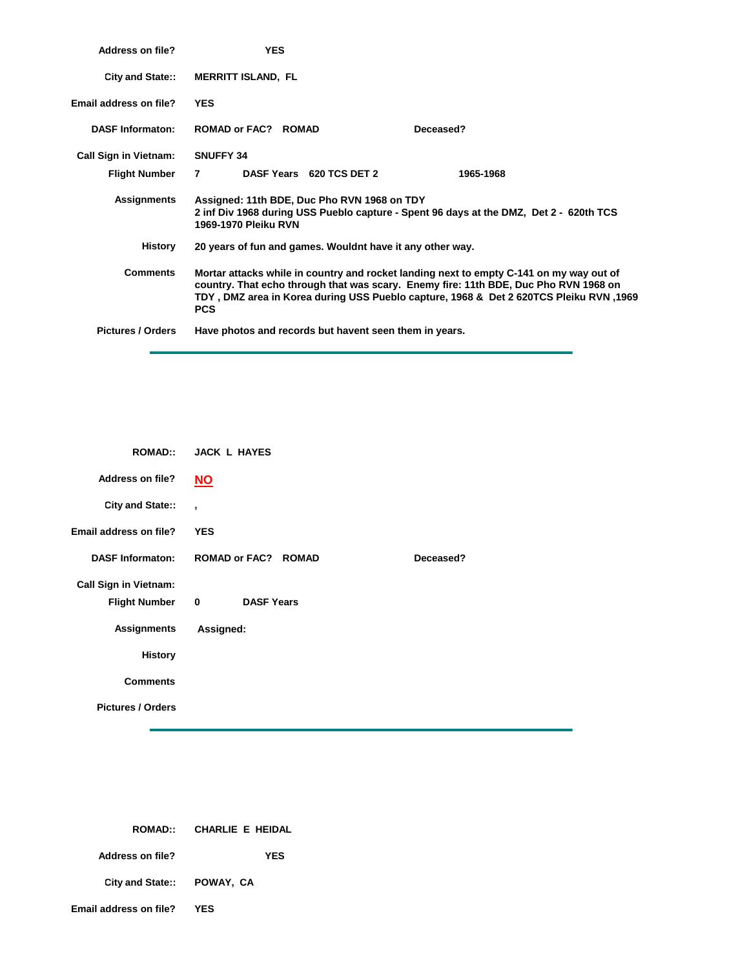| Address on file?             | <b>YES</b>                                                                                                                                                                                                                                                                              |  |  |
|------------------------------|-----------------------------------------------------------------------------------------------------------------------------------------------------------------------------------------------------------------------------------------------------------------------------------------|--|--|
| <b>City and State::</b>      | <b>MERRITT ISLAND, FL</b>                                                                                                                                                                                                                                                               |  |  |
| Email address on file?       | <b>YES</b>                                                                                                                                                                                                                                                                              |  |  |
| <b>DASF Informaton:</b>      | <b>ROMAD or FAC? ROMAD</b><br>Deceased?                                                                                                                                                                                                                                                 |  |  |
| <b>Call Sign in Vietnam:</b> | <b>SNUFFY 34</b>                                                                                                                                                                                                                                                                        |  |  |
| <b>Flight Number</b>         | DASF Years 620 TCS DET 2<br>1965-1968<br>7                                                                                                                                                                                                                                              |  |  |
| Assignments                  | Assigned: 11th BDE, Duc Pho RVN 1968 on TDY<br>2 inf Div 1968 during USS Pueblo capture - Spent 96 days at the DMZ, Det 2 - 620th TCS<br>1969-1970 Pleiku RVN                                                                                                                           |  |  |
| History                      | 20 years of fun and games. Wouldnt have it any other way.                                                                                                                                                                                                                               |  |  |
| <b>Comments</b>              | Mortar attacks while in country and rocket landing next to empty C-141 on my way out of<br>country. That echo through that was scary. Enemy fire: 11th BDE, Duc Pho RVN 1968 on<br>1969, TDY, DMZ area in Korea during USS Pueblo capture, 1968 & Det 2 620TCS Pleiku RVN<br><b>PCS</b> |  |  |
| <b>Pictures / Orders</b>     | Have photos and records but havent seen them in years.                                                                                                                                                                                                                                  |  |  |

|                              | ROMAD:: JACK L HAYES                         |
|------------------------------|----------------------------------------------|
| <b>Address on file?</b>      | $NO$                                         |
| City and State::             | $\overline{ }$                               |
| Email address on file?       | <b>YES</b>                                   |
| <b>DASF Informaton:</b>      | <b>ROMAD or FAC? ROMAD</b><br>Deceased?      |
| <b>Call Sign in Vietnam:</b> |                                              |
| <b>Flight Number</b>         | $\overline{\mathbf{0}}$<br><b>DASF Years</b> |
| <b>Assignments</b>           | Assigned:                                    |
| <b>History</b>               |                                              |
| <b>Comments</b>              |                                              |
| <b>Pictures / Orders</b>     |                                              |

|                            | ROMAD:: CHARLIE E HEIDAL |
|----------------------------|--------------------------|
| Address on file?           | YES                      |
| City and State:: POWAY, CA |                          |
| Email address on file?     | YES                      |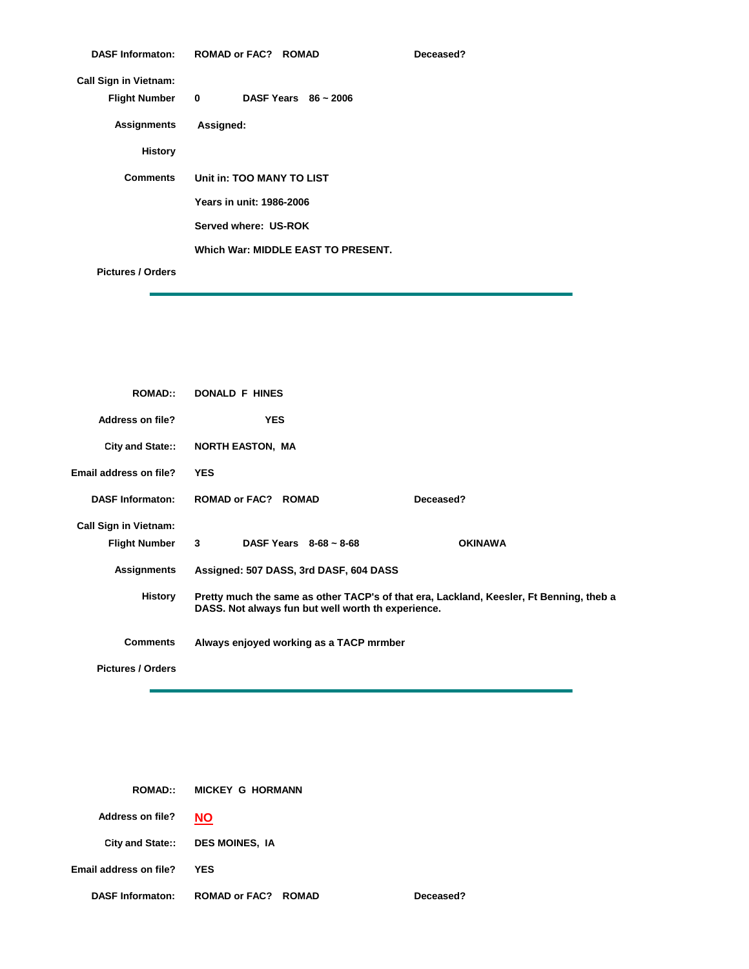|                              | DASF Informaton: ROMAD or FAC? ROMAD | Deceased? |
|------------------------------|--------------------------------------|-----------|
| <b>Call Sign in Vietnam:</b> |                                      |           |
| <b>Flight Number</b>         | DASF Years $86 - 2006$<br>$\bullet$  |           |
| <b>Assignments</b>           | Assigned:                            |           |
| <b>History</b>               |                                      |           |
| <b>Comments</b>              | Unit in: TOO MANY TO LIST            |           |
|                              | Years in unit: 1986-2006             |           |
|                              | Served where: US-ROK                 |           |
|                              | Which War: MIDDLE EAST TO PRESENT.   |           |
| <b>Pictures / Orders</b>     |                                      |           |

| <b>ROMAD::</b>               | <b>DONALD F HINES</b>                                                                                                                         |                |
|------------------------------|-----------------------------------------------------------------------------------------------------------------------------------------------|----------------|
| <b>Address on file?</b>      | <b>YES</b>                                                                                                                                    |                |
| City and State::             | <b>NORTH EASTON, MA</b>                                                                                                                       |                |
| Email address on file?       | <b>YES</b>                                                                                                                                    |                |
| <b>DASF Informaton:</b>      | <b>ROMAD or FAC? ROMAD</b>                                                                                                                    | Deceased?      |
| <b>Call Sign in Vietnam:</b> |                                                                                                                                               |                |
| <b>Flight Number</b>         | $3^{\circ}$<br>DASF Years $8-68 \sim 8-68$                                                                                                    | <b>OKINAWA</b> |
| <b>Assignments</b>           | Assigned: 507 DASS, 3rd DASF, 604 DASS                                                                                                        |                |
| <b>History</b>               | Pretty much the same as other TACP's of that era, Lackland, Keesler, Ft Benning, theb a<br>DASS. Not always fun but well worth th experience. |                |
| <b>Comments</b>              | Always enjoyed working as a TACP mrmber                                                                                                       |                |
| <b>Pictures / Orders</b>     |                                                                                                                                               |                |

| <b>ROMAD::</b>                | <b>MICKEY G HORMANN</b>         |           |
|-------------------------------|---------------------------------|-----------|
| <b>Address on file?</b>       | <b>NO</b>                       |           |
|                               | City and State:: DES MOINES, IA |           |
| <b>Email address on file?</b> | <b>YES</b>                      |           |
| <b>DASF Informaton:</b>       | <b>ROMAD or FAC? ROMAD</b>      | Deceased? |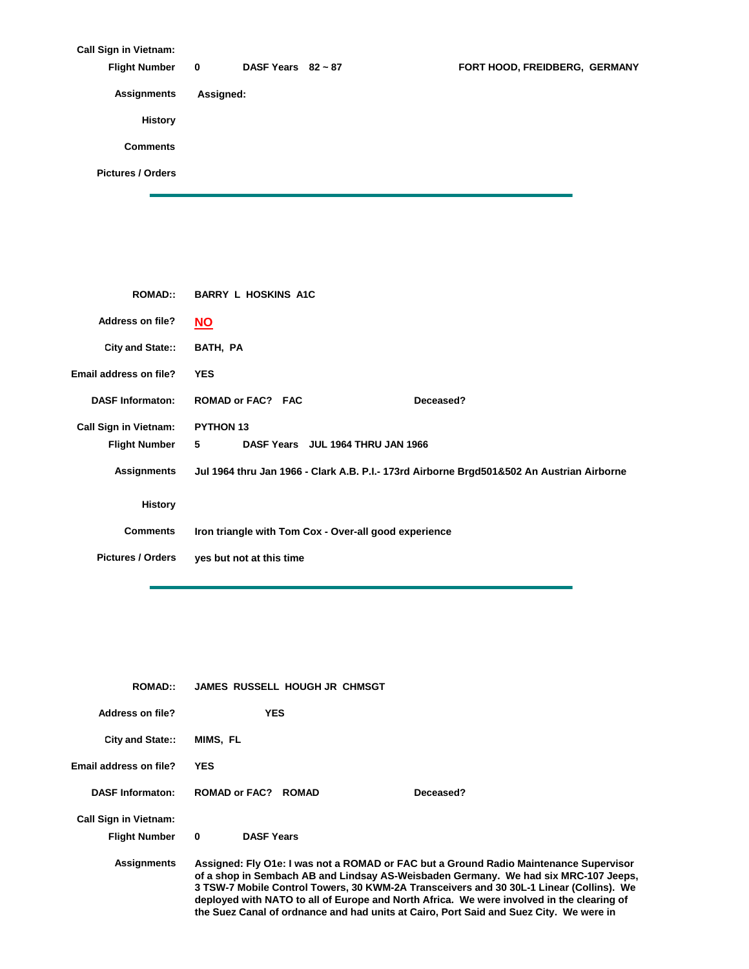| <b>Call Sign in Vietnam:</b> |              |                         |                               |
|------------------------------|--------------|-------------------------|-------------------------------|
| <b>Flight Number</b>         | $\mathbf{0}$ | DASF Years $82 \sim 87$ | FORT HOOD, FREIDBERG, GERMANY |
| <b>Assignments</b>           | Assigned:    |                         |                               |
| <b>History</b>               |              |                         |                               |
| <b>Comments</b>              |              |                         |                               |
| <b>Pictures / Orders</b>     |              |                         |                               |
|                              |              |                         |                               |

| <b>ROMAD::</b>               | <b>BARRY L HOSKINS A1C</b>                                                                |
|------------------------------|-------------------------------------------------------------------------------------------|
| <b>Address on file?</b>      | <b>NO</b>                                                                                 |
| City and State::             | BATH, PA                                                                                  |
| Email address on file?       | <b>YES</b>                                                                                |
| <b>DASF Informaton:</b>      | <b>ROMAD or FAC? FAC</b><br>Deceased?                                                     |
| <b>Call Sign in Vietnam:</b> | <b>PYTHON 13</b>                                                                          |
| <b>Flight Number</b>         | 5<br>DASF Years JUL 1964 THRU JAN 1966                                                    |
| Assignments                  | Jul 1964 thru Jan 1966 - Clark A.B. P.I.- 173rd Airborne Brgd501&502 An Austrian Airborne |
| <b>History</b>               |                                                                                           |
| <b>Comments</b>              | Iron triangle with Tom Cox - Over-all good experience                                     |
| <b>Pictures / Orders</b>     | yes but not at this time                                                                  |
|                              |                                                                                           |

| <b>ROMAD</b>                 | <b>JAMES RUSSELL HOUGH JR CHMSGT</b>                                                                                                                                                                                                                                                                                                                                                                                                                           |
|------------------------------|----------------------------------------------------------------------------------------------------------------------------------------------------------------------------------------------------------------------------------------------------------------------------------------------------------------------------------------------------------------------------------------------------------------------------------------------------------------|
| Address on file?             | <b>YES</b>                                                                                                                                                                                                                                                                                                                                                                                                                                                     |
| <b>City and State::</b>      | MIMS, FL                                                                                                                                                                                                                                                                                                                                                                                                                                                       |
| Email address on file?       | <b>YES</b>                                                                                                                                                                                                                                                                                                                                                                                                                                                     |
| <b>DASF Informaton:</b>      | Deceased?<br><b>ROMAD or FAC?</b><br><b>ROMAD</b>                                                                                                                                                                                                                                                                                                                                                                                                              |
| <b>Call Sign in Vietnam:</b> |                                                                                                                                                                                                                                                                                                                                                                                                                                                                |
| <b>Flight Number</b>         | <b>DASF Years</b><br>$\bf{0}$                                                                                                                                                                                                                                                                                                                                                                                                                                  |
| <b>Assignments</b>           | Assigned: Fly O1e: I was not a ROMAD or FAC but a Ground Radio Maintenance Supervisor<br>of a shop in Sembach AB and Lindsay AS-Weisbaden Germany. We had six MRC-107 Jeeps,<br>3 TSW-7 Mobile Control Towers, 30 KWM-2A Transceivers and 30 30L-1 Linear (Collins). We<br>deployed with NATO to all of Europe and North Africa. We were involved in the clearing of<br>the Suez Canal of ordnance and had units at Cairo, Port Said and Suez City. We were in |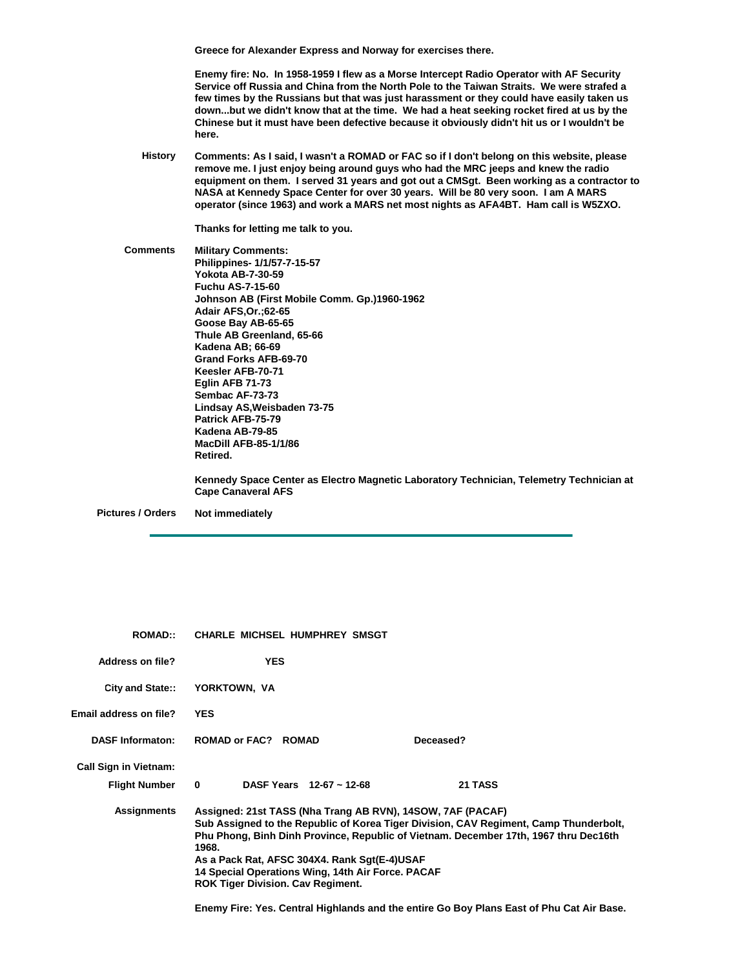**Greece for Alexander Express and Norway for exercises there.**

**Enemy fire: No. In 1958-1959 I flew as a Morse Intercept Radio Operator with AF Security Service off Russia and China from the North Pole to the Taiwan Straits. We were strafed a few times by the Russians but that was just harassment or they could have easily taken us down...but we didn't know that at the time. We had a heat seeking rocket fired at us by the Chinese but it must have been defective because it obviously didn't hit us or I wouldn't be here.**

**History Comments: As I said, I wasn't a ROMAD or FAC so if I don't belong on this website, please remove me. I just enjoy being around guys who had the MRC jeeps and knew the radio equipment on them. I served 31 years and got out a CMSgt. Been working as a contractor to NASA at Kennedy Space Center for over 30 years. Will be 80 very soon. I am A MARS operator (since 1963) and work a MARS net most nights as AFA4BT. Ham call is W5ZXO.**

**Thanks for letting me talk to you.**

**Comments Military Comments: Philippines- 1/1/57-7-15-57 Yokota AB-7-30-59 Fuchu AS-7-15-60 Johnson AB (First Mobile Comm. Gp.)1960-1962 Adair AFS,Or.;62-65 Goose Bay AB-65-65 Thule AB Greenland, 65-66 Kadena AB; 66-69 Grand Forks AFB-69-70 Keesler AFB-70-71 Eglin AFB 71-73 Sembac AF-73-73 Lindsay AS,Weisbaden 73-75 Patrick AFB-75-79 Kadena AB-79-85 MacDill AFB-85-1/1/86 Retired. Kennedy Space Center as Electro Magnetic Laboratory Technician, Telemetry Technician at Cape Canaveral AFS**

**Pictures / Orders**

**Not immediately**

| <b>ROMAD</b> ::              | <b>CHARLE MICHSEL HUMPHREY SMSGT</b>                                                                                                                                                                                 |                                                                                                                                                                               |  |
|------------------------------|----------------------------------------------------------------------------------------------------------------------------------------------------------------------------------------------------------------------|-------------------------------------------------------------------------------------------------------------------------------------------------------------------------------|--|
| Address on file?             | <b>YES</b>                                                                                                                                                                                                           |                                                                                                                                                                               |  |
| <b>City and State::</b>      | YORKTOWN, VA                                                                                                                                                                                                         |                                                                                                                                                                               |  |
| Email address on file?       | <b>YES</b>                                                                                                                                                                                                           |                                                                                                                                                                               |  |
| <b>DASF Informaton:</b>      | <b>ROMAD or FAC? ROMAD</b>                                                                                                                                                                                           | Deceased?                                                                                                                                                                     |  |
| <b>Call Sign in Vietnam:</b> |                                                                                                                                                                                                                      |                                                                                                                                                                               |  |
| <b>Flight Number</b>         | DASF Years $12-67 \sim 12-68$<br>$\mathbf{0}$                                                                                                                                                                        | 21 TASS                                                                                                                                                                       |  |
| <b>Assignments</b>           | Assigned: 21st TASS (Nha Trang AB RVN), 14SOW, 7AF (PACAF)<br>1968.<br>As a Pack Rat, AFSC 304X4. Rank Sgt(E-4)USAF<br>14 Special Operations Wing, 14th Air Force. PACAF<br><b>ROK Tiger Division. Cav Regiment.</b> | Sub Assigned to the Republic of Korea Tiger Division, CAV Regiment, Camp Thunderbolt,<br>Phu Phong, Binh Dinh Province, Republic of Vietnam. December 17th, 1967 thru Dec16th |  |

**Enemy Fire: Yes. Central Highlands and the entire Go Boy Plans East of Phu Cat Air Base.**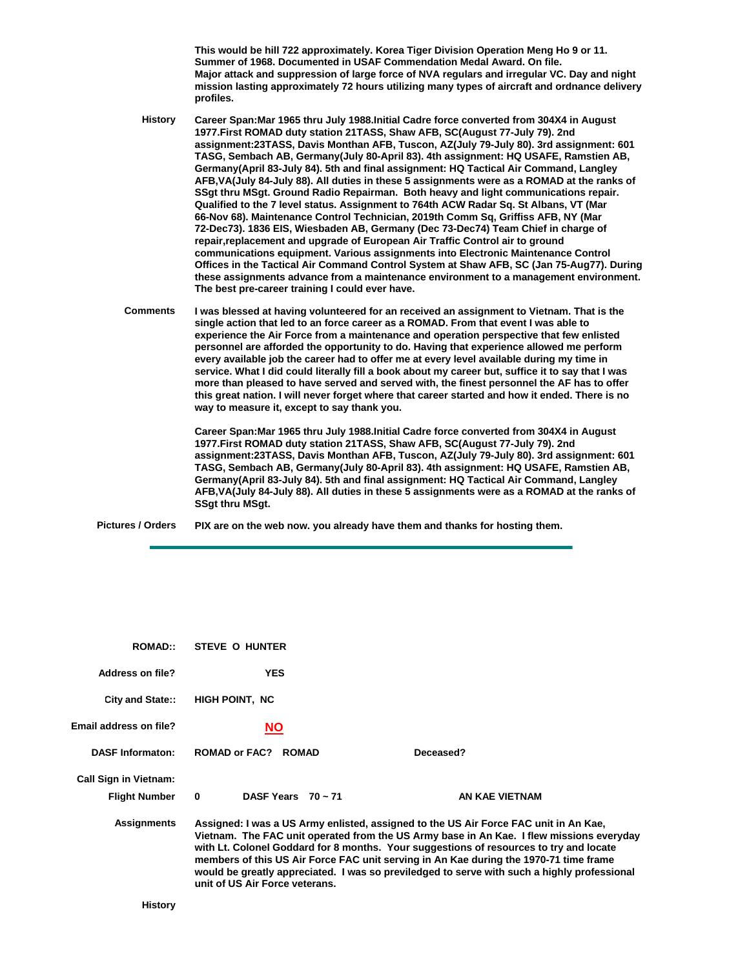**This would be hill 722 approximately. Korea Tiger Division Operation Meng Ho 9 or 11. Summer of 1968. Documented in USAF Commendation Medal Award. On file. Major attack and suppression of large force of NVA regulars and irregular VC. Day and night mission lasting approximately 72 hours utilizing many types of aircraft and ordnance delivery profiles.**

**History Career Span:Mar 1965 thru July 1988.Initial Cadre force converted from 304X4 in August 1977.First ROMAD duty station 21TASS, Shaw AFB, SC(August 77-July 79). 2nd assignment:23TASS, Davis Monthan AFB, Tuscon, AZ(July 79-July 80). 3rd assignment: 601 TASG, Sembach AB, Germany(July 80-April 83). 4th assignment: HQ USAFE, Ramstien AB, Germany(April 83-July 84). 5th and final assignment: HQ Tactical Air Command, Langley AFB,VA(July 84-July 88). All duties in these 5 assignments were as a ROMAD at the ranks of SSgt thru MSgt. Ground Radio Repairman. Both heavy and light communications repair. Qualified to the 7 level status. Assignment to 764th ACW Radar Sq. St Albans, VT (Mar 66-Nov 68). Maintenance Control Technician, 2019th Comm Sq, Griffiss AFB, NY (Mar 72-Dec73). 1836 EIS, Wiesbaden AB, Germany (Dec 73-Dec74) Team Chief in charge of repair,replacement and upgrade of European Air Traffic Control air to ground communications equipment. Various assignments into Electronic Maintenance Control Offices in the Tactical Air Command Control System at Shaw AFB, SC (Jan 75-Aug77). During these assignments advance from a maintenance environment to a management environment. The best pre-career training I could ever have.**

**Comments I was blessed at having volunteered for an received an assignment to Vietnam. That is the single action that led to an force career as a ROMAD. From that event I was able to experience the Air Force from a maintenance and operation perspective that few enlisted personnel are afforded the opportunity to do. Having that experience allowed me perform every available job the career had to offer me at every level available during my time in service. What I did could literally fill a book about my career but, suffice it to say that I was more than pleased to have served and served with, the finest personnel the AF has to offer this great nation. I will never forget where that career started and how it ended. There is no way to measure it, except to say thank you.**

> **Career Span:Mar 1965 thru July 1988.Initial Cadre force converted from 304X4 in August 1977.First ROMAD duty station 21TASS, Shaw AFB, SC(August 77-July 79). 2nd assignment:23TASS, Davis Monthan AFB, Tuscon, AZ(July 79-July 80). 3rd assignment: 601 TASG, Sembach AB, Germany(July 80-April 83). 4th assignment: HQ USAFE, Ramstien AB, Germany(April 83-July 84). 5th and final assignment: HQ Tactical Air Command, Langley AFB,VA(July 84-July 88). All duties in these 5 assignments were as a ROMAD at the ranks of SSgt thru MSgt.**

**Pictures / Orders PIX are on the web now. you already have them and thanks for hosting them.**

| <b>ROMAD::</b>               | STEVE O HUNTER                          |                                                                                                                                                                                                                                                                                                                                                                                                                                                                    |  |
|------------------------------|-----------------------------------------|--------------------------------------------------------------------------------------------------------------------------------------------------------------------------------------------------------------------------------------------------------------------------------------------------------------------------------------------------------------------------------------------------------------------------------------------------------------------|--|
| Address on file?             | <b>YES</b>                              |                                                                                                                                                                                                                                                                                                                                                                                                                                                                    |  |
| City and State::             | <b>HIGH POINT, NC</b>                   |                                                                                                                                                                                                                                                                                                                                                                                                                                                                    |  |
| Email address on file?       | <b>NO</b>                               |                                                                                                                                                                                                                                                                                                                                                                                                                                                                    |  |
| <b>DASF Informaton:</b>      | <b>ROMAD or FAC?</b><br><b>ROMAD</b>    | Deceased?                                                                                                                                                                                                                                                                                                                                                                                                                                                          |  |
| <b>Call Sign in Vietnam:</b> |                                         |                                                                                                                                                                                                                                                                                                                                                                                                                                                                    |  |
| <b>Flight Number</b>         | DASF Years $70 \sim 71$<br>$\mathbf{0}$ | AN KAE VIETNAM                                                                                                                                                                                                                                                                                                                                                                                                                                                     |  |
| <b>Assignments</b>           | unit of US Air Force veterans.          | Assigned: I was a US Army enlisted, assigned to the US Air Force FAC unit in An Kae,<br>Vietnam. The FAC unit operated from the US Army base in An Kae. I flew missions everyday<br>with Lt. Colonel Goddard for 8 months. Your suggestions of resources to try and locate<br>members of this US Air Force FAC unit serving in An Kae during the 1970-71 time frame<br>would be greatly appreciated. I was so previledged to serve with such a highly professional |  |
| History                      |                                         |                                                                                                                                                                                                                                                                                                                                                                                                                                                                    |  |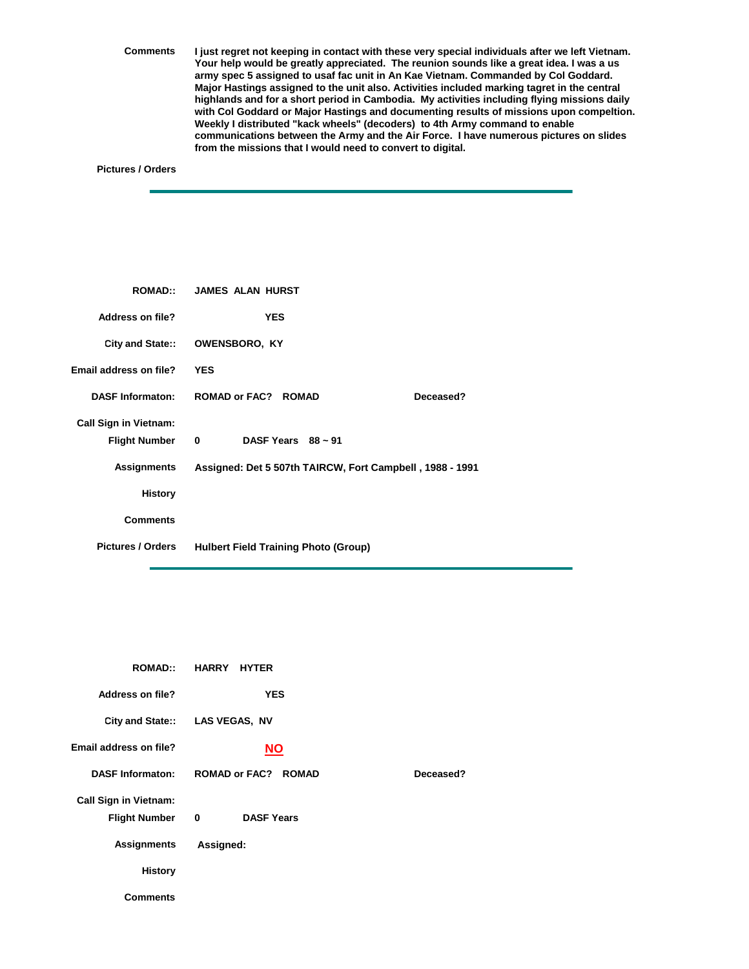**Comments I just regret not keeping in contact with these very special individuals after we left Vietnam. Your help would be greatly appreciated. The reunion sounds like a great idea. I was a us army spec 5 assigned to usaf fac unit in An Kae Vietnam. Commanded by Col Goddard. Major Hastings assigned to the unit also. Activities included marking tagret in the central highlands and for a short period in Cambodia. My activities including flying missions daily with Col Goddard or Major Hastings and documenting results of missions upon compeltion. Weekly I distributed "kack wheels" (decoders) to 4th Army command to enable communications between the Army and the Air Force. I have numerous pictures on slides from the missions that I would need to convert to digital.**

## **Pictures / Orders**

|                                                      | ROMAD:: JAMES ALAN HURST                                 |
|------------------------------------------------------|----------------------------------------------------------|
| <b>Address on file?</b>                              | <b>YES</b>                                               |
| City and State::                                     | <b>OWENSBORO, KY</b>                                     |
| Email address on file?                               | <b>YES</b>                                               |
| <b>DASF Informaton:</b>                              | <b>ROMAD or FAC? ROMAD</b><br>Deceased?                  |
| <b>Call Sign in Vietnam:</b><br><b>Flight Number</b> | DASF Years $88 \sim 91$<br>$\mathbf{0}$                  |
| Assignments                                          | Assigned: Det 5 507th TAIRCW, Fort Campbell, 1988 - 1991 |
| <b>History</b>                                       |                                                          |
| <b>Comments</b>                                      |                                                          |
| <b>Pictures / Orders</b>                             | <b>Hulbert Field Training Photo (Group)</b>              |

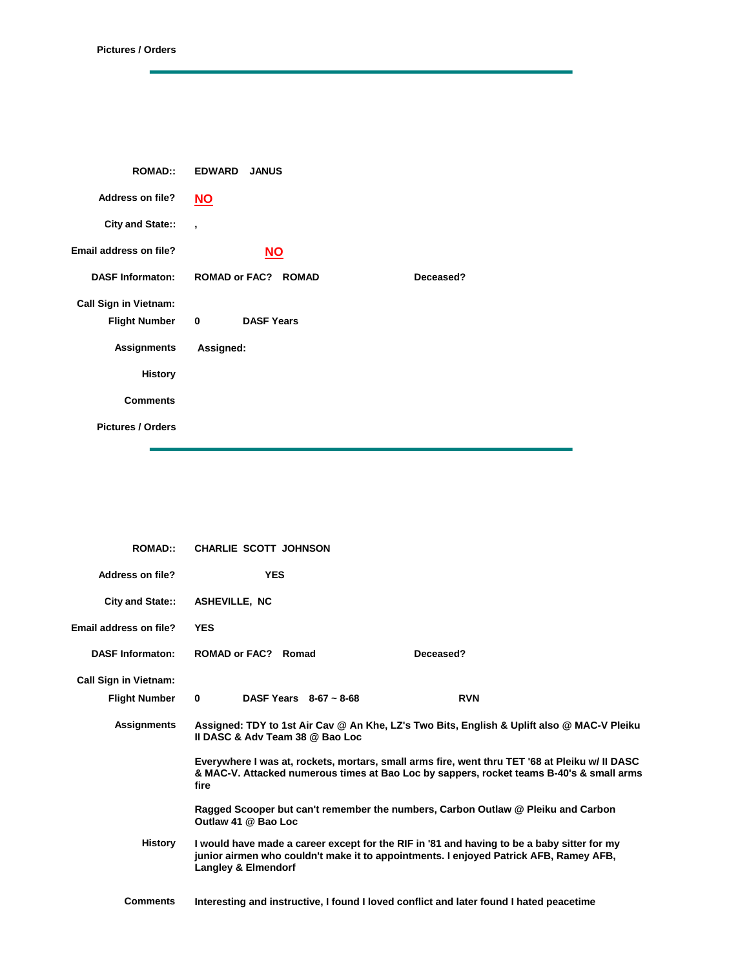| <b>ROMAD::</b>               | <b>EDWARD</b><br><b>JANUS</b> |           |
|------------------------------|-------------------------------|-----------|
| <b>Address on file?</b>      | $NO$                          |           |
| City and State::             | $\overline{\phantom{a}}$      |           |
| Email address on file?       | $NO$                          |           |
| <b>DASF Informaton:</b>      | <b>ROMAD or FAC? ROMAD</b>    | Deceased? |
| <b>Call Sign in Vietnam:</b> |                               |           |
| Flight Number 0              | <b>DASF Years</b>             |           |
| <b>Assignments</b>           | Assigned:                     |           |
| <b>History</b>               |                               |           |
| <b>Comments</b>              |                               |           |
| <b>Pictures / Orders</b>     |                               |           |

| <b>ROMAD::</b>                                       | <b>CHARLIE SCOTT JOHNSON</b>                   |                                                                                                                                                                                            |  |
|------------------------------------------------------|------------------------------------------------|--------------------------------------------------------------------------------------------------------------------------------------------------------------------------------------------|--|
| Address on file?                                     | <b>YES</b>                                     |                                                                                                                                                                                            |  |
| City and State::                                     | <b>ASHEVILLE, NC</b>                           |                                                                                                                                                                                            |  |
| Email address on file?                               | <b>YES</b>                                     |                                                                                                                                                                                            |  |
| <b>DASF Informaton:</b>                              | ROMAD or FAC? Romad                            | Deceased?                                                                                                                                                                                  |  |
| <b>Call Sign in Vietnam:</b><br><b>Flight Number</b> | DASF Years $8-67 \approx 8-68$<br>$\mathbf{0}$ | <b>RVN</b>                                                                                                                                                                                 |  |
| <b>Assignments</b>                                   | Il DASC & Adv Team 38 @ Bao Loc                | Assigned: TDY to 1st Air Cav @ An Khe, LZ's Two Bits, English & Uplift also @ MAC-V Pleiku                                                                                                 |  |
|                                                      | fire                                           | Everywhere I was at, rockets, mortars, small arms fire, went thru TET '68 at Pleiku w/ II DASC<br>& MAC-V. Attacked numerous times at Bao Loc by sappers, rocket teams B-40's & small arms |  |
|                                                      | Outlaw 41 @ Bao Loc                            | Ragged Scooper but can't remember the numbers, Carbon Outlaw @ Pleiku and Carbon                                                                                                           |  |
| <b>History</b>                                       | <b>Langley &amp; Elmendorf</b>                 | I would have made a career except for the RIF in '81 and having to be a baby sitter for my<br>junior airmen who couldn't make it to appointments. I enjoyed Patrick AFB, Ramey AFB,        |  |
| <b>Comments</b>                                      |                                                | Interesting and instructive, I found I loved conflict and later found I hated peacetime                                                                                                    |  |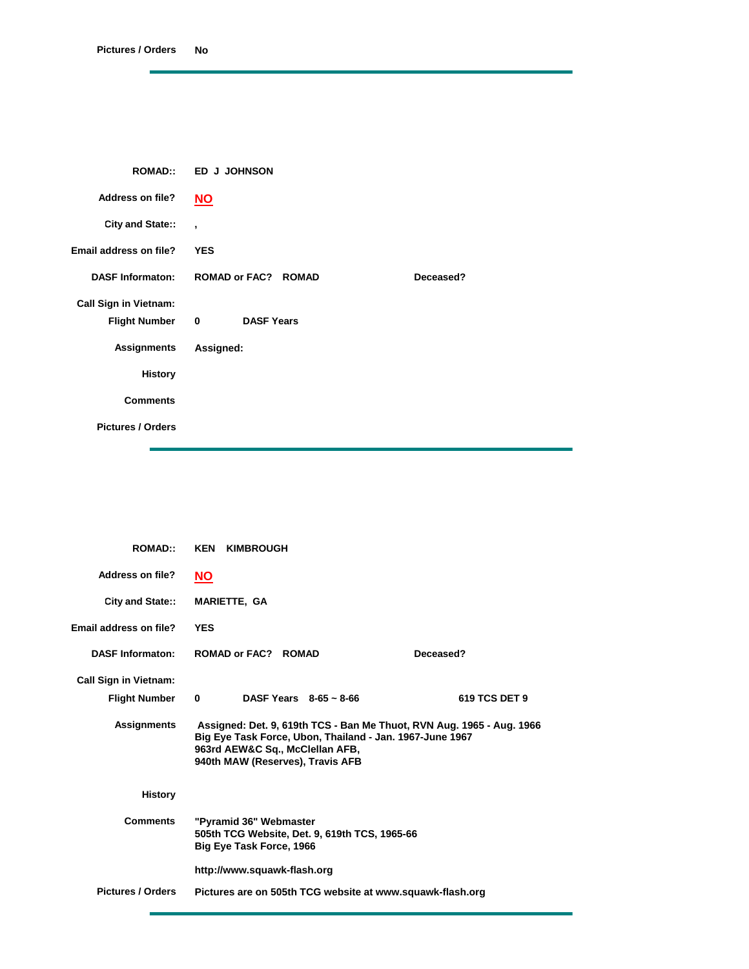| <b>ROMAD::</b>               | <b>ED J JOHNSON</b>                          |           |  |
|------------------------------|----------------------------------------------|-----------|--|
| <b>Address on file?</b>      | $NO$                                         |           |  |
| City and State::             | $\overline{\phantom{a}}$                     |           |  |
| Email address on file?       | <b>YES</b>                                   |           |  |
| <b>DASF Informaton:</b>      | <b>ROMAD or FAC? ROMAD</b>                   | Deceased? |  |
| <b>Call Sign in Vietnam:</b> |                                              |           |  |
| <b>Flight Number</b>         | $\overline{\mathbf{0}}$<br><b>DASF Years</b> |           |  |
| <b>Assignments</b>           | Assigned:                                    |           |  |
| <b>History</b>               |                                              |           |  |
| <b>Comments</b>              |                                              |           |  |
| <b>Pictures / Orders</b>     |                                              |           |  |

| <b>ROMAD::</b>                                       | <b>KEN KIMBROUGH</b>                                                                                                                                                                                     |               |
|------------------------------------------------------|----------------------------------------------------------------------------------------------------------------------------------------------------------------------------------------------------------|---------------|
| Address on file?                                     | <u>NO</u>                                                                                                                                                                                                |               |
| City and State::                                     | <b>MARIETTE, GA</b>                                                                                                                                                                                      |               |
| Email address on file?                               | <b>YES</b>                                                                                                                                                                                               |               |
| <b>DASF Informaton:</b>                              | ROMAD or FAC? ROMAD                                                                                                                                                                                      | Deceased?     |
| <b>Call Sign in Vietnam:</b><br><b>Flight Number</b> | DASF Years $8-65 \sim 8-66$<br>$\bf{0}$                                                                                                                                                                  | 619 TCS DET 9 |
| <b>Assignments</b>                                   | Assigned: Det. 9, 619th TCS - Ban Me Thuot, RVN Aug. 1965 - Aug. 1966<br>Big Eye Task Force, Ubon, Thailand - Jan. 1967-June 1967<br>963rd AEW&C Sq., McClellan AFB,<br>940th MAW (Reserves), Travis AFB |               |
| <b>History</b>                                       |                                                                                                                                                                                                          |               |
| <b>Comments</b>                                      | "Pyramid 36" Webmaster<br>505th TCG Website, Det. 9, 619th TCS, 1965-66<br>Big Eye Task Force, 1966                                                                                                      |               |
|                                                      | http://www.squawk-flash.org                                                                                                                                                                              |               |
| <b>Pictures / Orders</b>                             | Pictures are on 505th TCG website at www.squawk-flash.org                                                                                                                                                |               |
|                                                      |                                                                                                                                                                                                          |               |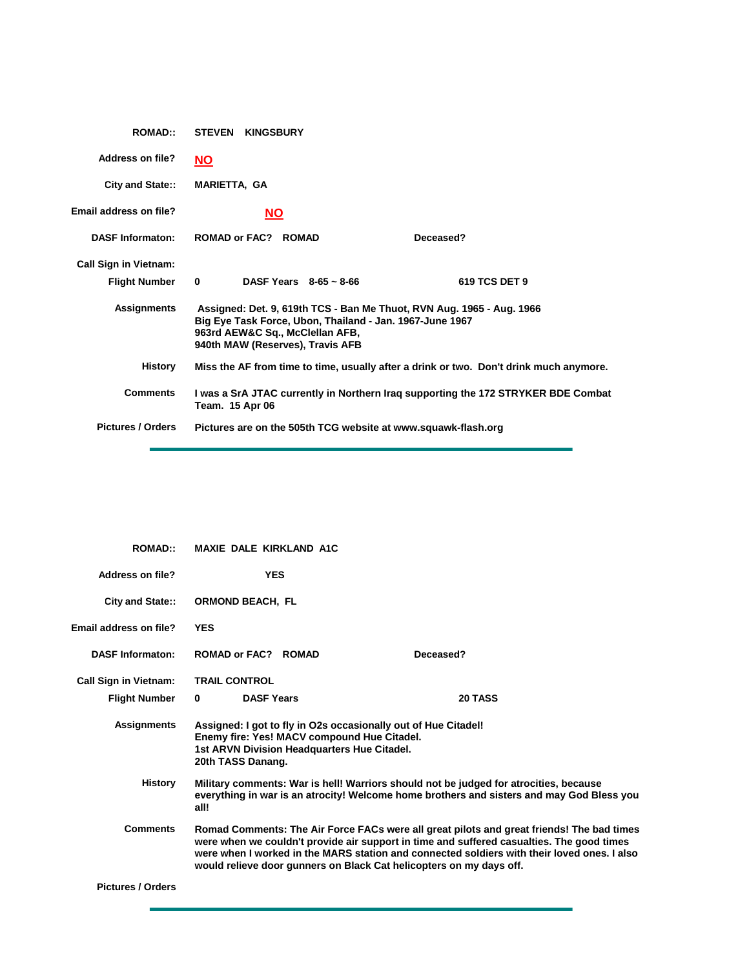| <b>ROMAD::</b>               | <b>STEVEN KINGSBURY</b>                                                                                                                                                                                  |                                                               |               |
|------------------------------|----------------------------------------------------------------------------------------------------------------------------------------------------------------------------------------------------------|---------------------------------------------------------------|---------------|
| <b>Address on file?</b>      | <u>NO</u>                                                                                                                                                                                                |                                                               |               |
| City and State::             | <b>MARIETTA, GA</b>                                                                                                                                                                                      |                                                               |               |
| Email address on file?       | <b>NO</b>                                                                                                                                                                                                |                                                               |               |
| <b>DASF Informaton:</b>      | <b>ROMAD or FAC? ROMAD</b>                                                                                                                                                                               |                                                               | Deceased?     |
| <b>Call Sign in Vietnam:</b> |                                                                                                                                                                                                          |                                                               |               |
| <b>Flight Number</b>         | $\bf{0}$                                                                                                                                                                                                 | DASF Years $8-65 \sim 8-66$                                   | 619 TCS DET 9 |
| <b>Assignments</b>           | Assigned: Det. 9, 619th TCS - Ban Me Thuot, RVN Aug. 1965 - Aug. 1966<br>Big Eye Task Force, Ubon, Thailand - Jan. 1967-June 1967<br>963rd AEW&C Sq., McClellan AFB,<br>940th MAW (Reserves), Travis AFB |                                                               |               |
| History                      | Miss the AF from time to time, usually after a drink or two. Don't drink much anymore.                                                                                                                   |                                                               |               |
| <b>Comments</b>              | I was a SrA JTAC currently in Northern Iraq supporting the 172 STRYKER BDE Combat<br>Team. 15 Apr 06                                                                                                     |                                                               |               |
| <b>Pictures / Orders</b>     |                                                                                                                                                                                                          | Pictures are on the 505th TCG website at www.squawk-flash.org |               |

| <b>ROMAD::</b>               | <b>MAXIE DALE KIRKLAND A1C</b>                                                                                                                                                                                                                                                                                                                               |                                                                                                                                                                                    |  |
|------------------------------|--------------------------------------------------------------------------------------------------------------------------------------------------------------------------------------------------------------------------------------------------------------------------------------------------------------------------------------------------------------|------------------------------------------------------------------------------------------------------------------------------------------------------------------------------------|--|
| <b>Address on file?</b>      | <b>YES</b>                                                                                                                                                                                                                                                                                                                                                   |                                                                                                                                                                                    |  |
| City and State::             | <b>ORMOND BEACH. FL</b>                                                                                                                                                                                                                                                                                                                                      |                                                                                                                                                                                    |  |
| Email address on file?       | <b>YES</b>                                                                                                                                                                                                                                                                                                                                                   |                                                                                                                                                                                    |  |
| <b>DASF Informaton:</b>      | ROMAD or FAC? ROMAD                                                                                                                                                                                                                                                                                                                                          | Deceased?                                                                                                                                                                          |  |
| <b>Call Sign in Vietnam:</b> | <b>TRAIL CONTROL</b>                                                                                                                                                                                                                                                                                                                                         |                                                                                                                                                                                    |  |
| <b>Flight Number</b>         | <b>DASF Years</b><br>$\bf{0}$                                                                                                                                                                                                                                                                                                                                | 20 TASS                                                                                                                                                                            |  |
| <b>Assignments</b>           | Assigned: I got to fly in O2s occasionally out of Hue Citadel!<br>Enemy fire: Yes! MACV compound Hue Citadel.<br>1st ARVN Division Headquarters Hue Citadel.<br>20th TASS Danang.                                                                                                                                                                            |                                                                                                                                                                                    |  |
| <b>History</b>               | all!                                                                                                                                                                                                                                                                                                                                                         | Military comments: War is hell! Warriors should not be judged for atrocities, because<br>everything in war is an atrocity! Welcome home brothers and sisters and may God Bless you |  |
| <b>Comments</b>              | Romad Comments: The Air Force FACs were all great pilots and great friends! The bad times<br>were when we couldn't provide air support in time and suffered casualties. The good times<br>were when I worked in the MARS station and connected soldiers with their loved ones. I also<br>would relieve door gunners on Black Cat helicopters on my days off. |                                                                                                                                                                                    |  |
| <b>Pictures / Orders</b>     |                                                                                                                                                                                                                                                                                                                                                              |                                                                                                                                                                                    |  |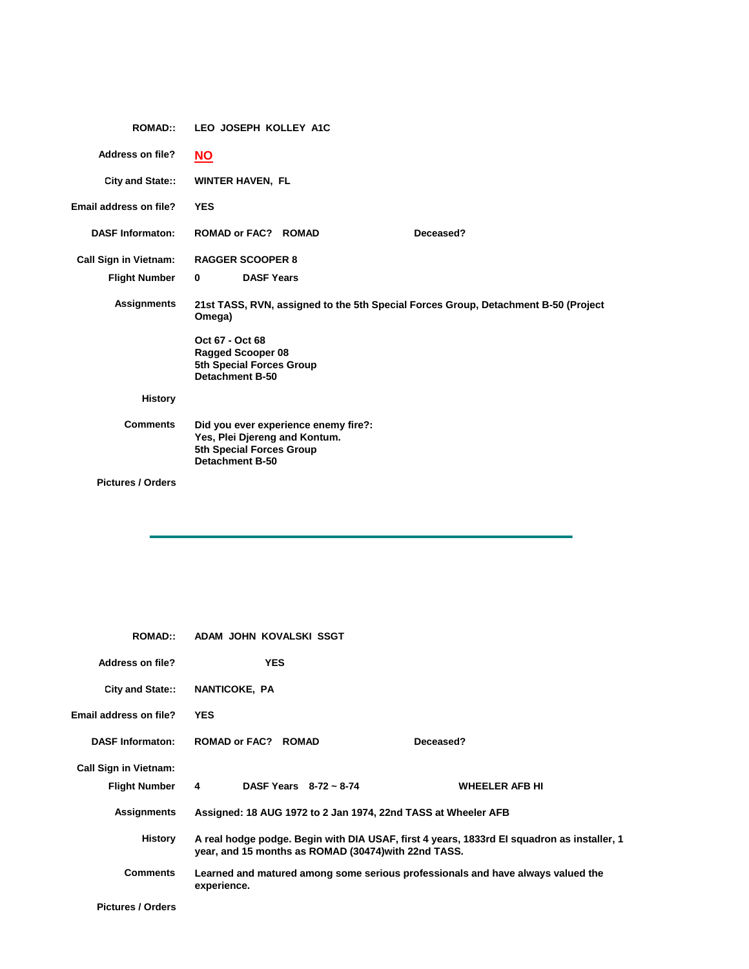| <b>ROMAD::</b>                                       | LEO JOSEPH KOLLEY A1C                                                                                                       |  |  |
|------------------------------------------------------|-----------------------------------------------------------------------------------------------------------------------------|--|--|
| <b>Address on file?</b>                              | $NO$                                                                                                                        |  |  |
| <b>City and State::</b>                              | <b>WINTER HAVEN, FL</b>                                                                                                     |  |  |
| Email address on file?                               | <b>YES</b>                                                                                                                  |  |  |
| <b>DASF Informaton:</b>                              | <b>ROMAD or FAC? ROMAD</b><br>Deceased?                                                                                     |  |  |
| <b>Call Sign in Vietnam:</b><br><b>Flight Number</b> | <b>RAGGER SCOOPER 8</b><br><b>DASF Years</b><br>$\bf{0}$                                                                    |  |  |
| <b>Assignments</b>                                   | 21st TASS, RVN, assigned to the 5th Special Forces Group, Detachment B-50 (Project<br>Omega)                                |  |  |
|                                                      | Oct 67 - Oct 68<br><b>Ragged Scooper 08</b><br>5th Special Forces Group<br><b>Detachment B-50</b>                           |  |  |
| <b>History</b>                                       |                                                                                                                             |  |  |
| <b>Comments</b>                                      | Did you ever experience enemy fire?:<br>Yes, Plei Djereng and Kontum.<br>5th Special Forces Group<br><b>Detachment B-50</b> |  |  |
| <b>Pictures / Orders</b>                             |                                                                                                                             |  |  |

| <b>ROMAD::</b>               | ADAM JOHN KOVALSKI SSGT                                                                                                                            |                       |  |
|------------------------------|----------------------------------------------------------------------------------------------------------------------------------------------------|-----------------------|--|
| Address on file?             | <b>YES</b>                                                                                                                                         |                       |  |
| <b>City and State::</b>      | NANTICOKE, PA                                                                                                                                      |                       |  |
| Email address on file?       | <b>YES</b>                                                                                                                                         |                       |  |
| <b>DASF Informaton:</b>      | <b>ROMAD or FAC? ROMAD</b>                                                                                                                         | Deceased?             |  |
| <b>Call Sign in Vietnam:</b> |                                                                                                                                                    |                       |  |
| <b>Flight Number</b>         | DASF Years $8-72 \approx 8-74$<br>$\overline{4}$                                                                                                   | <b>WHEELER AFB HI</b> |  |
| <b>Assignments</b>           | Assigned: 18 AUG 1972 to 2 Jan 1974, 22nd TASS at Wheeler AFB                                                                                      |                       |  |
| History                      | A real hodge podge. Begin with DIA USAF, first 4 years, 1833rd El squadron as installer, 1<br>year, and 15 months as ROMAD (30474) with 22nd TASS. |                       |  |
| <b>Comments</b>              | Learned and matured among some serious professionals and have always valued the<br>experience.                                                     |                       |  |
| <b>Pictures / Orders</b>     |                                                                                                                                                    |                       |  |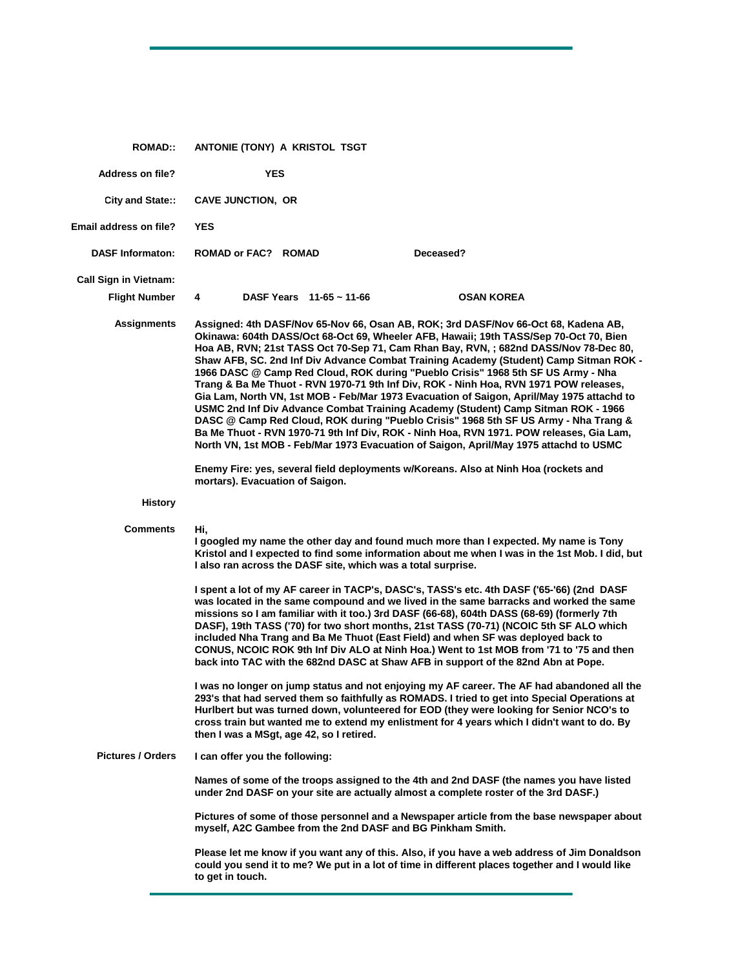| <b>ROMAD::</b>                | ANTONIE (TONY) A KRISTOL TSGT   |                                                              |                                                                                                                                                                                                                                                                                                                                                                                                                                                                                                                                                                                                                                                                                                                                                                                                                                                                                                                                                                                                        |
|-------------------------------|---------------------------------|--------------------------------------------------------------|--------------------------------------------------------------------------------------------------------------------------------------------------------------------------------------------------------------------------------------------------------------------------------------------------------------------------------------------------------------------------------------------------------------------------------------------------------------------------------------------------------------------------------------------------------------------------------------------------------------------------------------------------------------------------------------------------------------------------------------------------------------------------------------------------------------------------------------------------------------------------------------------------------------------------------------------------------------------------------------------------------|
| <b>Address on file?</b>       | <b>YES</b>                      |                                                              |                                                                                                                                                                                                                                                                                                                                                                                                                                                                                                                                                                                                                                                                                                                                                                                                                                                                                                                                                                                                        |
| <b>City and State::</b>       | <b>CAVE JUNCTION, OR</b>        |                                                              |                                                                                                                                                                                                                                                                                                                                                                                                                                                                                                                                                                                                                                                                                                                                                                                                                                                                                                                                                                                                        |
| <b>Email address on file?</b> | <b>YES</b>                      |                                                              |                                                                                                                                                                                                                                                                                                                                                                                                                                                                                                                                                                                                                                                                                                                                                                                                                                                                                                                                                                                                        |
| <b>DASF Informaton:</b>       | ROMAD or FAC? ROMAD             |                                                              | Deceased?                                                                                                                                                                                                                                                                                                                                                                                                                                                                                                                                                                                                                                                                                                                                                                                                                                                                                                                                                                                              |
| <b>Call Sign in Vietnam:</b>  |                                 |                                                              |                                                                                                                                                                                                                                                                                                                                                                                                                                                                                                                                                                                                                                                                                                                                                                                                                                                                                                                                                                                                        |
| <b>Flight Number</b>          | 4                               | DASF Years $11-65 \sim 11-66$                                | <b>OSAN KOREA</b>                                                                                                                                                                                                                                                                                                                                                                                                                                                                                                                                                                                                                                                                                                                                                                                                                                                                                                                                                                                      |
| <b>Assignments</b>            |                                 |                                                              | Assigned: 4th DASF/Nov 65-Nov 66, Osan AB, ROK; 3rd DASF/Nov 66-Oct 68, Kadena AB,<br>Okinawa: 604th DASS/Oct 68-Oct 69, Wheeler AFB, Hawaii; 19th TASS/Sep 70-Oct 70, Bien<br>Hoa AB, RVN; 21st TASS Oct 70-Sep 71, Cam Rhan Bay, RVN, ; 682nd DASS/Nov 78-Dec 80,<br>Shaw AFB, SC. 2nd Inf Div Advance Combat Training Academy (Student) Camp Sitman ROK -<br>1966 DASC @ Camp Red Cloud, ROK during "Pueblo Crisis" 1968 5th SF US Army - Nha<br>Trang & Ba Me Thuot - RVN 1970-71 9th Inf Div, ROK - Ninh Hoa, RVN 1971 POW releases,<br>Gia Lam, North VN, 1st MOB - Feb/Mar 1973 Evacuation of Saigon, April/May 1975 attachd to<br>USMC 2nd Inf Div Advance Combat Training Academy (Student) Camp Sitman ROK - 1966<br>DASC @ Camp Red Cloud, ROK during "Pueblo Crisis" 1968 5th SF US Army - Nha Trang &<br>Ba Me Thuot - RVN 1970-71 9th Inf Div, ROK - Ninh Hoa, RVN 1971. POW releases, Gia Lam,<br>North VN, 1st MOB - Feb/Mar 1973 Evacuation of Saigon, April/May 1975 attachd to USMC |
|                               | mortars). Evacuation of Saigon. |                                                              | Enemy Fire: yes, several field deployments w/Koreans. Also at Ninh Hoa (rockets and                                                                                                                                                                                                                                                                                                                                                                                                                                                                                                                                                                                                                                                                                                                                                                                                                                                                                                                    |
| <b>History</b>                |                                 |                                                              |                                                                                                                                                                                                                                                                                                                                                                                                                                                                                                                                                                                                                                                                                                                                                                                                                                                                                                                                                                                                        |
| Comments                      | Hi,                             | I also ran across the DASF site, which was a total surprise. | I googled my name the other day and found much more than I expected. My name is Tony<br>Kristol and I expected to find some information about me when I was in the 1st Mob. I did, but                                                                                                                                                                                                                                                                                                                                                                                                                                                                                                                                                                                                                                                                                                                                                                                                                 |
|                               |                                 |                                                              | I spent a lot of my AF career in TACP's, DASC's, TASS's etc. 4th DASF ('65-'66) (2nd DASF<br>was located in the same compound and we lived in the same barracks and worked the same<br>missions so I am familiar with it too.) 3rd DASF (66-68), 604th DASS (68-69) (formerly 7th<br>DASF), 19th TASS ('70) for two short months, 21st TASS (70-71) (NCOIC 5th SF ALO which<br>included Nha Trang and Ba Me Thuot (East Field) and when SF was deployed back to<br>CONUS, NCOIC ROK 9th Inf Div ALO at Ninh Hoa.) Went to 1st MOB from '71 to '75 and then<br>back into TAC with the 682nd DASC at Shaw AFB in support of the 82nd Abn at Pope.                                                                                                                                                                                                                                                                                                                                                        |
|                               |                                 | then I was a MSgt, age 42, so I retired.                     | I was no longer on jump status and not enjoying my AF career. The AF had abandoned all the<br>293's that had served them so faithfully as ROMADS. I tried to get into Special Operations at<br>Hurlbert but was turned down, volunteered for EOD (they were looking for Senior NCO's to<br>cross train but wanted me to extend my enlistment for 4 years which I didn't want to do. By                                                                                                                                                                                                                                                                                                                                                                                                                                                                                                                                                                                                                 |
| <b>Pictures / Orders</b>      | I can offer you the following:  |                                                              |                                                                                                                                                                                                                                                                                                                                                                                                                                                                                                                                                                                                                                                                                                                                                                                                                                                                                                                                                                                                        |
|                               |                                 |                                                              | Names of some of the troops assigned to the 4th and 2nd DASF (the names you have listed<br>under 2nd DASF on your site are actually almost a complete roster of the 3rd DASF.)                                                                                                                                                                                                                                                                                                                                                                                                                                                                                                                                                                                                                                                                                                                                                                                                                         |
|                               |                                 | myself, A2C Gambee from the 2nd DASF and BG Pinkham Smith.   | Pictures of some of those personnel and a Newspaper article from the base newspaper about                                                                                                                                                                                                                                                                                                                                                                                                                                                                                                                                                                                                                                                                                                                                                                                                                                                                                                              |
|                               | to get in touch.                |                                                              | Please let me know if you want any of this. Also, if you have a web address of Jim Donaldson<br>could you send it to me? We put in a lot of time in different places together and I would like                                                                                                                                                                                                                                                                                                                                                                                                                                                                                                                                                                                                                                                                                                                                                                                                         |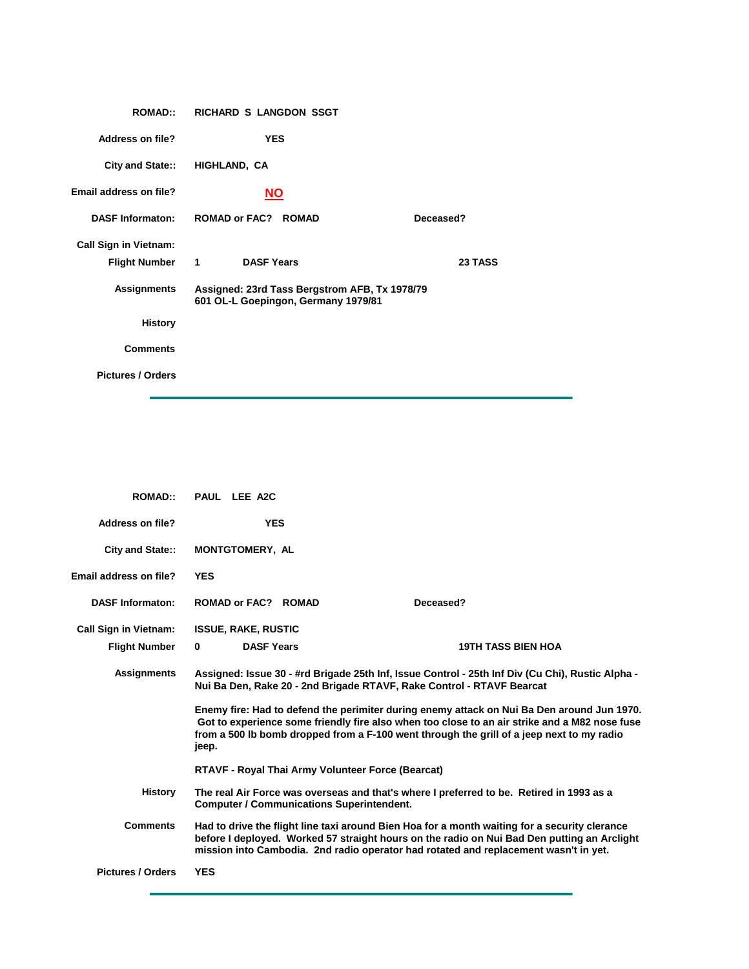| <b>ROMAD::</b>               | RICHARD S LANGDON SSGT                                                               |           |  |
|------------------------------|--------------------------------------------------------------------------------------|-----------|--|
| <b>Address on file?</b>      | <b>YES</b>                                                                           |           |  |
|                              | City and State:: HIGHLAND, CA                                                        |           |  |
| Email address on file?       | <b>NO</b>                                                                            |           |  |
|                              | DASF Informaton: ROMAD or FAC? ROMAD                                                 | Deceased? |  |
| <b>Call Sign in Vietnam:</b> |                                                                                      |           |  |
| Flight Number 1              | <b>DASF Years</b>                                                                    | 23 TASS   |  |
| Assignments                  | Assigned: 23rd Tass Bergstrom AFB, Tx 1978/79<br>601 OL-L Goepingon, Germany 1979/81 |           |  |
| <b>History</b>               |                                                                                      |           |  |
| <b>Comments</b>              |                                                                                      |           |  |
| <b>Pictures / Orders</b>     |                                                                                      |           |  |

| <b>ROMAD::</b>               | PAUL LEE A2C                                                                                                                                                                                                                                                                         |                                                   |                                                                                                                                                                                                                                                                                          |
|------------------------------|--------------------------------------------------------------------------------------------------------------------------------------------------------------------------------------------------------------------------------------------------------------------------------------|---------------------------------------------------|------------------------------------------------------------------------------------------------------------------------------------------------------------------------------------------------------------------------------------------------------------------------------------------|
| Address on file?             | <b>YES</b>                                                                                                                                                                                                                                                                           |                                                   |                                                                                                                                                                                                                                                                                          |
| City and State::             | <b>MONTGTOMERY, AL</b>                                                                                                                                                                                                                                                               |                                                   |                                                                                                                                                                                                                                                                                          |
| Email address on file?       | <b>YES</b>                                                                                                                                                                                                                                                                           |                                                   |                                                                                                                                                                                                                                                                                          |
| <b>DASF Informaton:</b>      | <b>ROMAD or FAC? ROMAD</b>                                                                                                                                                                                                                                                           |                                                   | Deceased?                                                                                                                                                                                                                                                                                |
| <b>Call Sign in Vietnam:</b> | <b>ISSUE, RAKE, RUSTIC</b>                                                                                                                                                                                                                                                           |                                                   |                                                                                                                                                                                                                                                                                          |
| <b>Flight Number</b>         | <b>DASF Years</b><br>$\bf{0}$                                                                                                                                                                                                                                                        |                                                   | <b>19TH TASS BIEN HOA</b>                                                                                                                                                                                                                                                                |
| <b>Assignments</b>           | Assigned: Issue 30 - #rd Brigade 25th Inf, Issue Control - 25th Inf Div (Cu Chi), Rustic Alpha -<br>Nui Ba Den, Rake 20 - 2nd Brigade RTAVF, Rake Control - RTAVF Bearcat                                                                                                            |                                                   |                                                                                                                                                                                                                                                                                          |
|                              | jeep.                                                                                                                                                                                                                                                                                |                                                   | Enemy fire: Had to defend the perimiter during enemy attack on Nui Ba Den around Jun 1970.<br>Got to experience some friendly fire also when too close to an air strike and a M82 nose fuse<br>from a 500 lb bomb dropped from a F-100 went through the grill of a jeep next to my radio |
|                              |                                                                                                                                                                                                                                                                                      | RTAVF - Royal Thai Army Volunteer Force (Bearcat) |                                                                                                                                                                                                                                                                                          |
| <b>History</b>               | The real Air Force was overseas and that's where I preferred to be. Retired in 1993 as a<br><b>Computer / Communications Superintendent.</b>                                                                                                                                         |                                                   |                                                                                                                                                                                                                                                                                          |
| <b>Comments</b>              | Had to drive the flight line taxi around Bien Hoa for a month waiting for a security clerance<br>before I deployed. Worked 57 straight hours on the radio on Nui Bad Den putting an Arclight<br>mission into Cambodia. 2nd radio operator had rotated and replacement wasn't in yet. |                                                   |                                                                                                                                                                                                                                                                                          |
| <b>Pictures / Orders</b>     | <b>YES</b>                                                                                                                                                                                                                                                                           |                                                   |                                                                                                                                                                                                                                                                                          |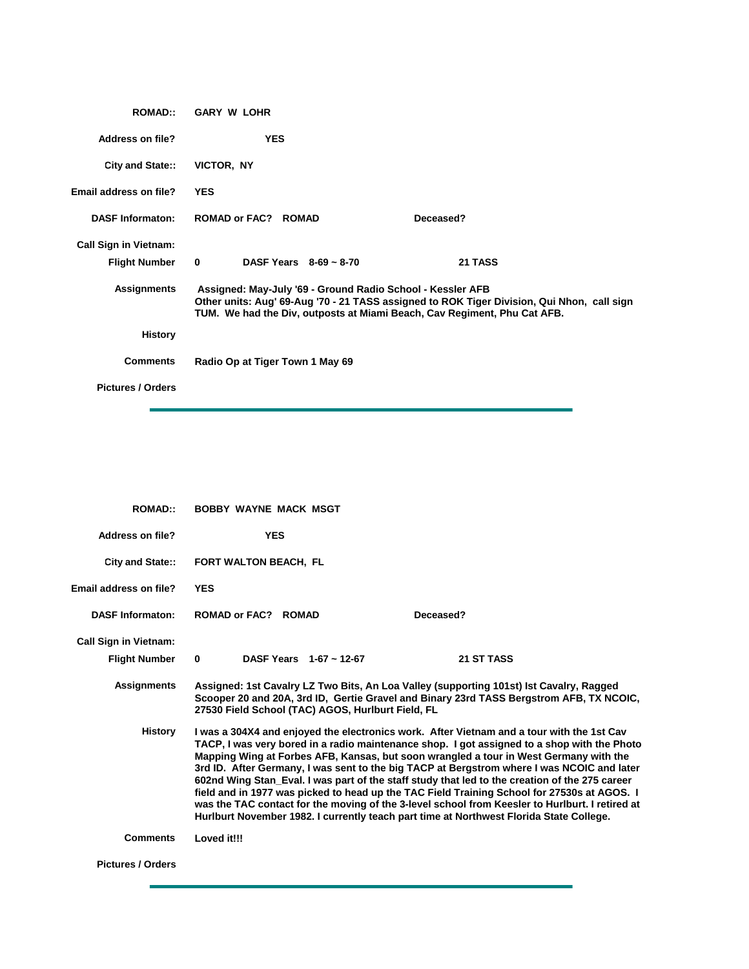| <b>ROMAD::</b>                | <b>GARY W LOHR</b>                                                                                                                     |                                                                                            |
|-------------------------------|----------------------------------------------------------------------------------------------------------------------------------------|--------------------------------------------------------------------------------------------|
| Address on file?              | <b>YES</b>                                                                                                                             |                                                                                            |
| <b>City and State::</b>       | VICTOR, NY                                                                                                                             |                                                                                            |
| <b>Email address on file?</b> | <b>YES</b>                                                                                                                             |                                                                                            |
| <b>DASF Informaton:</b>       | <b>ROMAD or FAC? ROMAD</b>                                                                                                             | Deceased?                                                                                  |
| <b>Call Sign in Vietnam:</b>  |                                                                                                                                        |                                                                                            |
| <b>Flight Number</b>          | $\mathbf 0$<br>DASF Years $8-69 \sim 8-70$                                                                                             | 21 TASS                                                                                    |
| <b>Assignments</b>            | Assigned: May-July '69 - Ground Radio School - Kessler AFB<br>TUM. We had the Div, outposts at Miami Beach, Cav Regiment, Phu Cat AFB. | Other units: Aug' 69-Aug '70 - 21 TASS assigned to ROK Tiger Division, Qui Nhon, call sign |
| <b>History</b>                |                                                                                                                                        |                                                                                            |
| <b>Comments</b>               | Radio Op at Tiger Town 1 May 69                                                                                                        |                                                                                            |
| <b>Pictures / Orders</b>      |                                                                                                                                        |                                                                                            |

| <b>ROMAD::</b>               | <b>BOBBY WAYNE MACK MSGT</b>                                                                                                                                                                                                                                                                                                                                                                                                                                                                                                                                                                                                                                                                                                                                                   |                                                                                                                                                                                    |  |
|------------------------------|--------------------------------------------------------------------------------------------------------------------------------------------------------------------------------------------------------------------------------------------------------------------------------------------------------------------------------------------------------------------------------------------------------------------------------------------------------------------------------------------------------------------------------------------------------------------------------------------------------------------------------------------------------------------------------------------------------------------------------------------------------------------------------|------------------------------------------------------------------------------------------------------------------------------------------------------------------------------------|--|
| <b>Address on file?</b>      | <b>YES</b>                                                                                                                                                                                                                                                                                                                                                                                                                                                                                                                                                                                                                                                                                                                                                                     |                                                                                                                                                                                    |  |
| <b>City and State::</b>      | <b>FORT WALTON BEACH, FL</b>                                                                                                                                                                                                                                                                                                                                                                                                                                                                                                                                                                                                                                                                                                                                                   |                                                                                                                                                                                    |  |
| Email address on file?       | <b>YES</b>                                                                                                                                                                                                                                                                                                                                                                                                                                                                                                                                                                                                                                                                                                                                                                     |                                                                                                                                                                                    |  |
| <b>DASF Informaton:</b>      | <b>ROMAD or FAC? ROMAD</b>                                                                                                                                                                                                                                                                                                                                                                                                                                                                                                                                                                                                                                                                                                                                                     | Deceased?                                                                                                                                                                          |  |
| <b>Call Sign in Vietnam:</b> |                                                                                                                                                                                                                                                                                                                                                                                                                                                                                                                                                                                                                                                                                                                                                                                |                                                                                                                                                                                    |  |
| <b>Flight Number</b>         | $\bf{0}$<br>DASF Years $1-67 \sim 12-67$                                                                                                                                                                                                                                                                                                                                                                                                                                                                                                                                                                                                                                                                                                                                       | 21 ST TASS                                                                                                                                                                         |  |
| <b>Assignments</b>           | 27530 Field School (TAC) AGOS, Hurlburt Field, FL                                                                                                                                                                                                                                                                                                                                                                                                                                                                                                                                                                                                                                                                                                                              | Assigned: 1st Cavalry LZ Two Bits, An Loa Valley (supporting 101st) Ist Cavalry, Ragged<br>Scooper 20 and 20A, 3rd ID, Gertie Gravel and Binary 23rd TASS Bergstrom AFB, TX NCOIC, |  |
| <b>History</b>               | I was a 304X4 and enjoyed the electronics work. After Vietnam and a tour with the 1st Cav<br>TACP, I was very bored in a radio maintenance shop. I got assigned to a shop with the Photo<br>Mapping Wing at Forbes AFB, Kansas, but soon wrangled a tour in West Germany with the<br>3rd ID. After Germany, I was sent to the big TACP at Bergstrom where I was NCOIC and later<br>602nd Wing Stan_Eval. I was part of the staff study that led to the creation of the 275 career<br>field and in 1977 was picked to head up the TAC Field Training School for 27530s at AGOS. I<br>was the TAC contact for the moving of the 3-level school from Keesler to Hurlburt. I retired at<br>Hurlburt November 1982. I currently teach part time at Northwest Florida State College. |                                                                                                                                                                                    |  |
| <b>Comments</b>              | Loved it!!!                                                                                                                                                                                                                                                                                                                                                                                                                                                                                                                                                                                                                                                                                                                                                                    |                                                                                                                                                                                    |  |
| <b>Pictures / Orders</b>     |                                                                                                                                                                                                                                                                                                                                                                                                                                                                                                                                                                                                                                                                                                                                                                                |                                                                                                                                                                                    |  |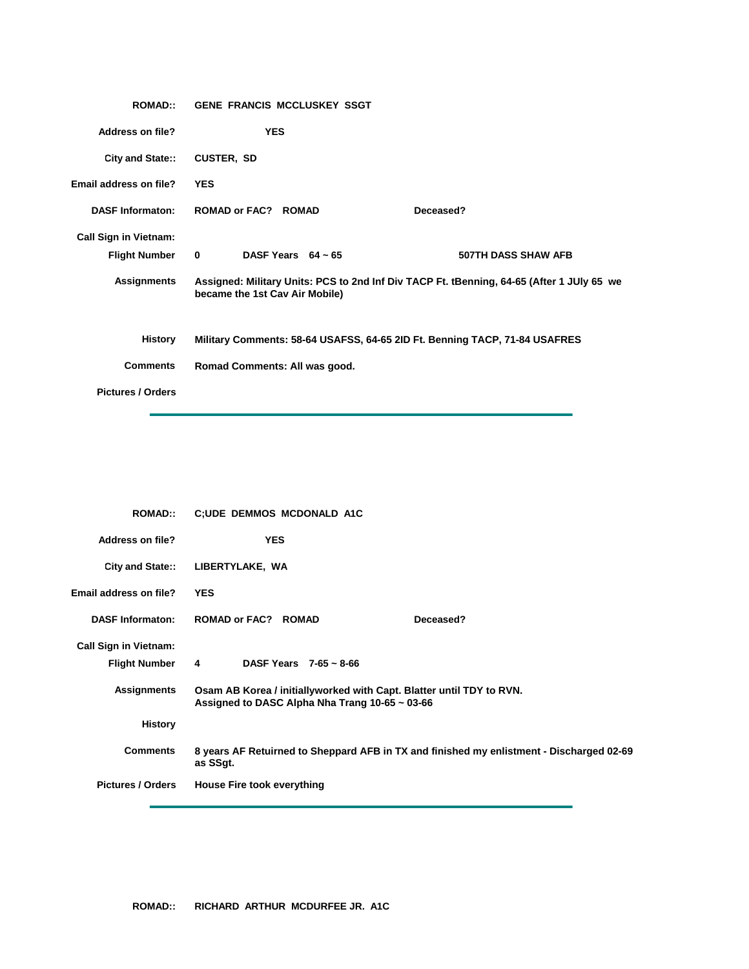| <b>ROMAD::</b>               | <b>GENE FRANCIS MCCLUSKEY SSGT</b>                                         |                                                                                           |
|------------------------------|----------------------------------------------------------------------------|-------------------------------------------------------------------------------------------|
| <b>Address on file?</b>      | <b>YES</b>                                                                 |                                                                                           |
| City and State::             | <b>CUSTER, SD</b>                                                          |                                                                                           |
| Email address on file?       | <b>YES</b>                                                                 |                                                                                           |
| <b>DASF Informaton:</b>      | <b>ROMAD or FAC? ROMAD</b>                                                 | Deceased?                                                                                 |
| <b>Call Sign in Vietnam:</b> |                                                                            |                                                                                           |
| <b>Flight Number</b>         | DASF Years $64 \sim 65$<br>$\mathbf{0}$                                    | 507TH DASS SHAW AFB                                                                       |
| <b>Assignments</b>           | became the 1st Cav Air Mobile)                                             | Assigned: Military Units: PCS to 2nd Inf Div TACP Ft. tBenning, 64-65 (After 1 JUly 65 we |
| <b>History</b>               | Military Comments: 58-64 USAFSS, 64-65 2ID Ft. Benning TACP, 71-84 USAFRES |                                                                                           |
| <b>Comments</b>              | Romad Comments: All was good.                                              |                                                                                           |
| <b>Pictures / Orders</b>     |                                                                            |                                                                                           |

| <b>ROMAD::</b>               | <b>C;UDE DEMMOS MCDONALD A1C</b>                                                                                            |  |  |
|------------------------------|-----------------------------------------------------------------------------------------------------------------------------|--|--|
| <b>Address on file?</b>      | <b>YES</b>                                                                                                                  |  |  |
| City and State::             | LIBERTYLAKE, WA                                                                                                             |  |  |
| Email address on file?       | <b>YES</b>                                                                                                                  |  |  |
| <b>DASF Informaton:</b>      | <b>ROMAD or FAC? ROMAD</b><br>Deceased?                                                                                     |  |  |
| <b>Call Sign in Vietnam:</b> |                                                                                                                             |  |  |
| Flight Number 4              | DASF Years $7-65 \sim 8-66$                                                                                                 |  |  |
| <b>Assignments</b>           | Osam AB Korea / initiallyworked with Capt. Blatter until TDY to RVN.<br>Assigned to DASC Alpha Nha Trang $10-65 \sim 03-66$ |  |  |
| <b>History</b>               |                                                                                                                             |  |  |
| <b>Comments</b>              | 8 years AF Retuirned to Sheppard AFB in TX and finished my enlistment - Discharged 02-69<br>as SSgt.                        |  |  |
| <b>Pictures / Orders</b>     | <b>House Fire took everything</b>                                                                                           |  |  |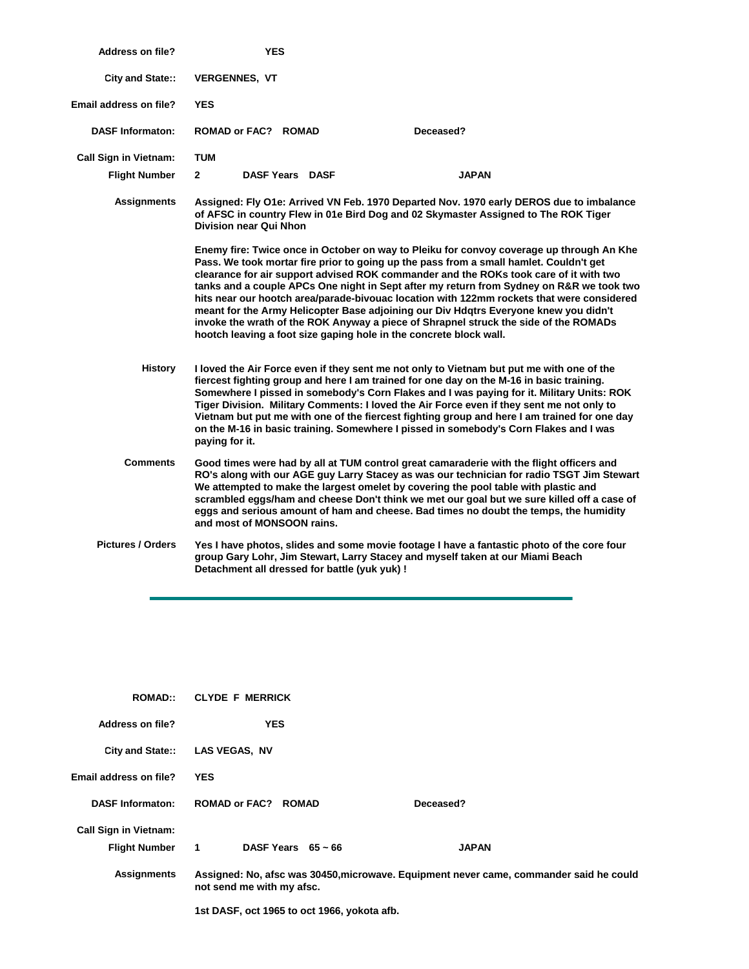| <b>Address on file?</b>      | <b>YES</b>                                                                                                                                                                                                                                                                                                                                                                                                                                                                                                                                                                                                                                                                                                                 |              |
|------------------------------|----------------------------------------------------------------------------------------------------------------------------------------------------------------------------------------------------------------------------------------------------------------------------------------------------------------------------------------------------------------------------------------------------------------------------------------------------------------------------------------------------------------------------------------------------------------------------------------------------------------------------------------------------------------------------------------------------------------------------|--------------|
| City and State::             | <b>VERGENNES, VT</b>                                                                                                                                                                                                                                                                                                                                                                                                                                                                                                                                                                                                                                                                                                       |              |
| Email address on file?       | <b>YES</b>                                                                                                                                                                                                                                                                                                                                                                                                                                                                                                                                                                                                                                                                                                                 |              |
| <b>DASF Informaton:</b>      | ROMAD or FAC? ROMAD                                                                                                                                                                                                                                                                                                                                                                                                                                                                                                                                                                                                                                                                                                        | Deceased?    |
| <b>Call Sign in Vietnam:</b> | <b>TUM</b>                                                                                                                                                                                                                                                                                                                                                                                                                                                                                                                                                                                                                                                                                                                 |              |
| <b>Flight Number</b>         | $\mathbf{2}$<br><b>DASF Years DASF</b>                                                                                                                                                                                                                                                                                                                                                                                                                                                                                                                                                                                                                                                                                     | <b>JAPAN</b> |
| <b>Assignments</b>           | Assigned: Fly O1e: Arrived VN Feb. 1970 Departed Nov. 1970 early DEROS due to imbalance<br>of AFSC in country Flew in 01e Bird Dog and 02 Skymaster Assigned to The ROK Tiger<br><b>Division near Qui Nhon</b>                                                                                                                                                                                                                                                                                                                                                                                                                                                                                                             |              |
|                              | Enemy fire: Twice once in October on way to Pleiku for convoy coverage up through An Khe<br>Pass. We took mortar fire prior to going up the pass from a small hamlet. Couldn't get<br>clearance for air support advised ROK commander and the ROKs took care of it with two<br>tanks and a couple APCs One night in Sept after my return from Sydney on R&R we took two<br>hits near our hootch area/parade-bivouac location with 122mm rockets that were considered<br>meant for the Army Helicopter Base adjoining our Div Hdqtrs Everyone knew you didn't<br>invoke the wrath of the ROK Anyway a piece of Shrapnel struck the side of the ROMADs<br>hootch leaving a foot size gaping hole in the concrete block wall. |              |
| <b>History</b>               | I loved the Air Force even if they sent me not only to Vietnam but put me with one of the<br>fiercest fighting group and here I am trained for one day on the M-16 in basic training.<br>Somewhere I pissed in somebody's Corn Flakes and I was paying for it. Military Units: ROK<br>Tiger Division. Military Comments: I loved the Air Force even if they sent me not only to<br>Vietnam but put me with one of the fiercest fighting group and here I am trained for one day<br>on the M-16 in basic training. Somewhere I pissed in somebody's Corn Flakes and I was<br>paying for it.                                                                                                                                 |              |
| <b>Comments</b>              | Good times were had by all at TUM control great camaraderie with the flight officers and<br>RO's along with our AGE guy Larry Stacey as was our technician for radio TSGT Jim Stewart<br>We attempted to make the largest omelet by covering the pool table with plastic and<br>scrambled eggs/ham and cheese Don't think we met our goal but we sure killed off a case of<br>eggs and serious amount of ham and cheese. Bad times no doubt the temps, the humidity<br>and most of MONSOON rains.                                                                                                                                                                                                                          |              |
| <b>Pictures / Orders</b>     | Yes I have photos, slides and some movie footage I have a fantastic photo of the core four<br>group Gary Lohr, Jim Stewart, Larry Stacey and myself taken at our Miami Beach<br>Detachment all dressed for battle (yuk yuk) !                                                                                                                                                                                                                                                                                                                                                                                                                                                                                              |              |
|                              |                                                                                                                                                                                                                                                                                                                                                                                                                                                                                                                                                                                                                                                                                                                            |              |

| <b>ROMAD::</b>               | <b>CLYDE F MERRICK</b>                      |                                                                                        |  |
|------------------------------|---------------------------------------------|----------------------------------------------------------------------------------------|--|
| Address on file?             | <b>YES</b>                                  |                                                                                        |  |
| <b>City and State::</b>      | <b>LAS VEGAS, NV</b>                        |                                                                                        |  |
| Email address on file?       | <b>YES</b>                                  |                                                                                        |  |
| <b>DASF Informaton:</b>      | <b>ROMAD or FAC? ROMAD</b>                  | Deceased?                                                                              |  |
| <b>Call Sign in Vietnam:</b> |                                             |                                                                                        |  |
| Flight Number 1              | DASF Years $65 \sim 66$                     | <b>JAPAN</b>                                                                           |  |
| <b>Assignments</b>           | not send me with my afsc.                   | Assigned: No, afsc was 30450, microwave. Equipment never came, commander said he could |  |
|                              | 1st DASF, oct 1965 to oct 1966, yokota afb. |                                                                                        |  |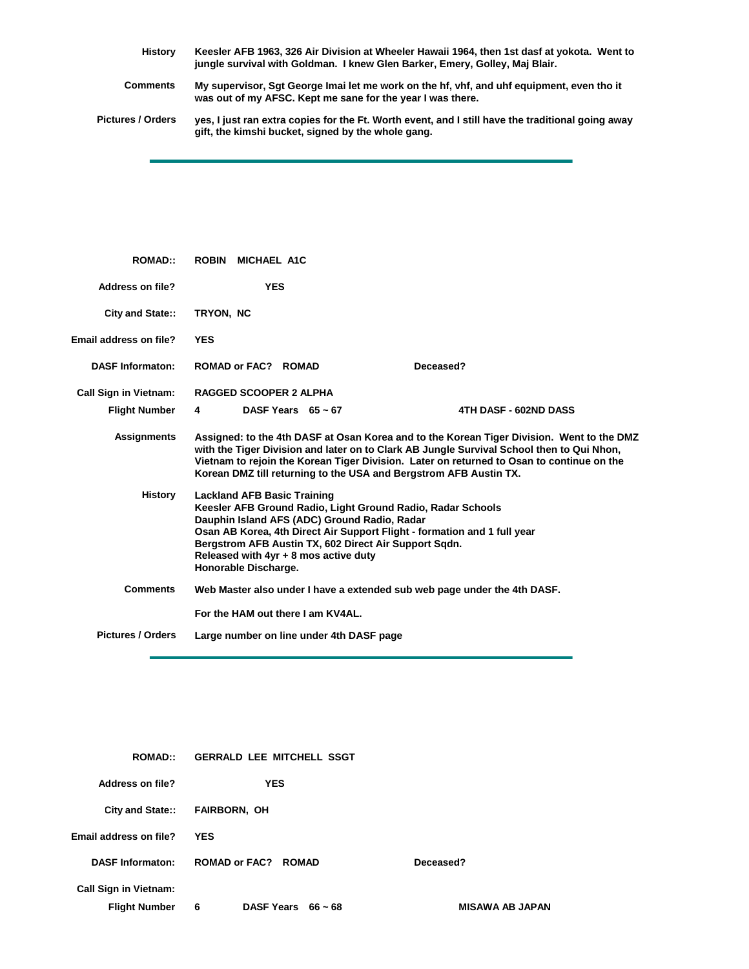**History Comments Keesler AFB 1963, 326 Air Division at Wheeler Hawaii 1964, then 1st dasf at yokota. Went to jungle survival with Goldman. I knew Glen Barker, Emery, Golley, Maj Blair. My supervisor, Sgt George Imai let me work on the hf, vhf, and uhf equipment, even tho it** 

**was out of my AFSC. Kept me sane for the year I was there.**

**Pictures / Orders yes, I just ran extra copies for the Ft. Worth event, and I still have the traditional going away gift, the kimshi bucket, signed by the whole gang.**

| <b>ROMAD::</b>               | <b>ROBIN</b><br>MICHAEL A1C                                                                                                                                                                                                                                                                                                                             |                                                                   |                                                                                                                                                                                                                                                                                     |
|------------------------------|---------------------------------------------------------------------------------------------------------------------------------------------------------------------------------------------------------------------------------------------------------------------------------------------------------------------------------------------------------|-------------------------------------------------------------------|-------------------------------------------------------------------------------------------------------------------------------------------------------------------------------------------------------------------------------------------------------------------------------------|
| Address on file?             | <b>YES</b>                                                                                                                                                                                                                                                                                                                                              |                                                                   |                                                                                                                                                                                                                                                                                     |
| City and State::             | TRYON, NC                                                                                                                                                                                                                                                                                                                                               |                                                                   |                                                                                                                                                                                                                                                                                     |
| Email address on file?       | <b>YES</b>                                                                                                                                                                                                                                                                                                                                              |                                                                   |                                                                                                                                                                                                                                                                                     |
| <b>DASF Informaton:</b>      | ROMAD or FAC? ROMAD                                                                                                                                                                                                                                                                                                                                     |                                                                   | Deceased?                                                                                                                                                                                                                                                                           |
| <b>Call Sign in Vietnam:</b> | <b>RAGGED SCOOPER 2 ALPHA</b>                                                                                                                                                                                                                                                                                                                           |                                                                   |                                                                                                                                                                                                                                                                                     |
| <b>Flight Number</b>         | 4                                                                                                                                                                                                                                                                                                                                                       | DASF Years $65 \sim 67$                                           | 4TH DASF - 602ND DASS                                                                                                                                                                                                                                                               |
| <b>Assignments</b>           |                                                                                                                                                                                                                                                                                                                                                         | Korean DMZ till returning to the USA and Bergstrom AFB Austin TX. | Assigned: to the 4th DASF at Osan Korea and to the Korean Tiger Division. Went to the DMZ<br>with the Tiger Division and later on to Clark AB Jungle Survival School then to Qui Nhon,<br>Vietnam to rejoin the Korean Tiger Division. Later on returned to Osan to continue on the |
| <b>History</b>               | <b>Lackland AFB Basic Training</b><br>Keesler AFB Ground Radio, Light Ground Radio, Radar Schools<br>Dauphin Island AFS (ADC) Ground Radio, Radar<br>Osan AB Korea, 4th Direct Air Support Flight - formation and 1 full year<br>Bergstrom AFB Austin TX, 602 Direct Air Support Sgdn.<br>Released with 4yr + 8 mos active duty<br>Honorable Discharge. |                                                                   |                                                                                                                                                                                                                                                                                     |
| <b>Comments</b>              |                                                                                                                                                                                                                                                                                                                                                         |                                                                   | Web Master also under I have a extended sub web page under the 4th DASF.                                                                                                                                                                                                            |
|                              |                                                                                                                                                                                                                                                                                                                                                         | For the HAM out there I am KV4AL.                                 |                                                                                                                                                                                                                                                                                     |
| <b>Pictures / Orders</b>     |                                                                                                                                                                                                                                                                                                                                                         | Large number on line under 4th DASF page                          |                                                                                                                                                                                                                                                                                     |

| <b>ROMAD::</b>               | <b>GERRALD LEE MITCHELL SSGT</b> |                        |  |
|------------------------------|----------------------------------|------------------------|--|
| Address on file?             | <b>YES</b>                       |                        |  |
|                              | City and State:: FAIRBORN, OH    |                        |  |
| Email address on file?       | <b>YES</b>                       |                        |  |
| <b>DASF Informaton:</b>      | <b>ROMAD or FAC? ROMAD</b>       | Deceased?              |  |
| <b>Call Sign in Vietnam:</b> |                                  |                        |  |
| <b>Flight Number</b>         | DASF Years $66 \sim 68$<br>6     | <b>MISAWA AB JAPAN</b> |  |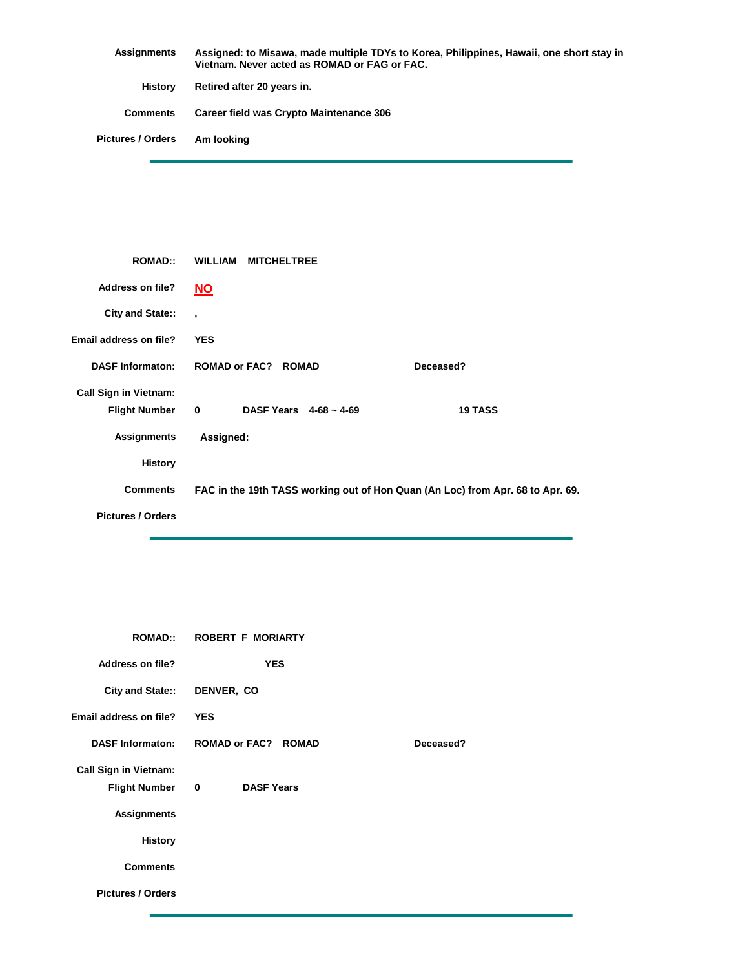| Assignments              | Assigned: to Misawa, made multiple TDYs to Korea, Philippines, Hawaii, one short stay in<br>Vietnam. Never acted as ROMAD or FAG or FAC. |
|--------------------------|------------------------------------------------------------------------------------------------------------------------------------------|
| History                  | Retired after 20 years in.                                                                                                               |
| <b>Comments</b>          | Career field was Crypto Maintenance 306                                                                                                  |
| <b>Pictures / Orders</b> | Am Iooking                                                                                                                               |

| <b>ROMAD::</b>               | <b>WILLIAM</b><br><b>MITCHELTREE</b>       |                                                                                |
|------------------------------|--------------------------------------------|--------------------------------------------------------------------------------|
| <b>Address on file?</b>      | <b>NO</b>                                  |                                                                                |
| City and State::             | $\overline{ }$                             |                                                                                |
| Email address on file?       | <b>YES</b>                                 |                                                                                |
| <b>DASF Informaton:</b>      | <b>ROMAD or FAC? ROMAD</b>                 | Deceased?                                                                      |
| <b>Call Sign in Vietnam:</b> |                                            |                                                                                |
| <b>Flight Number</b>         | $\mathbf 0$<br>DASF Years $4-68 \sim 4-69$ | <b>19 TASS</b>                                                                 |
| <b>Assignments</b>           | Assigned:                                  |                                                                                |
| <b>History</b>               |                                            |                                                                                |
| <b>Comments</b>              |                                            | FAC in the 19th TASS working out of Hon Quan (An Loc) from Apr. 68 to Apr. 69. |
| <b>Pictures / Orders</b>     |                                            |                                                                                |

| <b>ROMAD::</b>               | <b>ROBERT F MORIARTY</b>         |           |  |
|------------------------------|----------------------------------|-----------|--|
| <b>Address on file?</b>      | <b>YES</b>                       |           |  |
| <b>City and State::</b>      | DENVER, CO                       |           |  |
| Email address on file?       | <b>YES</b>                       |           |  |
| <b>DASF Informaton:</b>      | <b>ROMAD or FAC? ROMAD</b>       | Deceased? |  |
| <b>Call Sign in Vietnam:</b> |                                  |           |  |
| <b>Flight Number</b>         | <b>DASF Years</b><br>$\mathbf 0$ |           |  |
| <b>Assignments</b>           |                                  |           |  |
| <b>History</b>               |                                  |           |  |
| <b>Comments</b>              |                                  |           |  |
| <b>Pictures / Orders</b>     |                                  |           |  |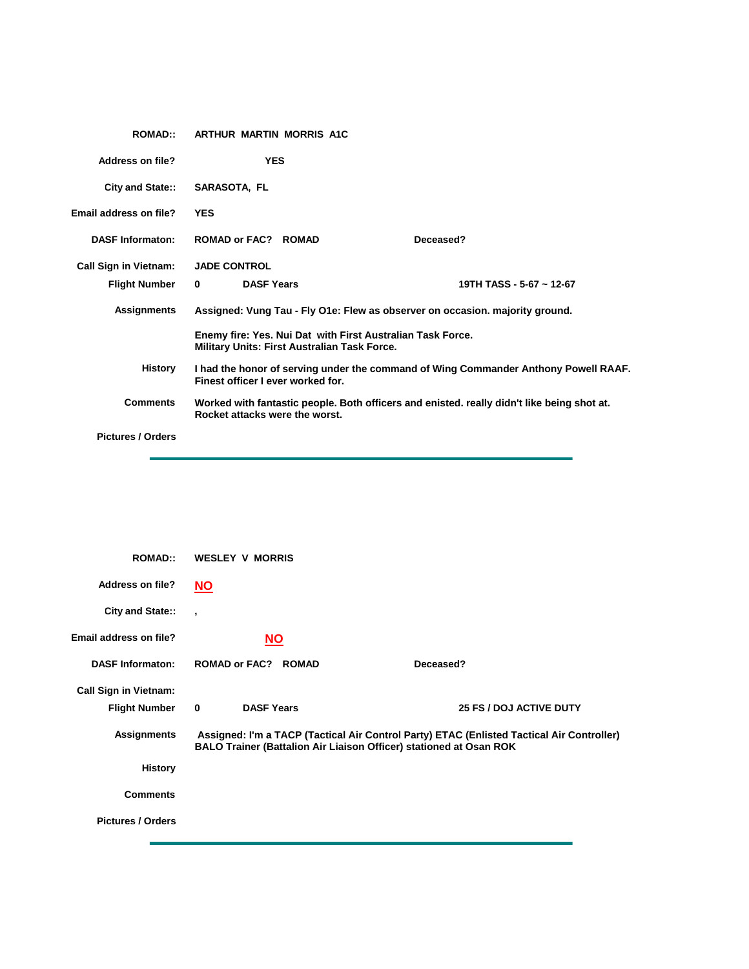| <b>ROMAD::</b>               | <b>ARTHUR MARTIN MORRIS A1C</b>                                                                                   |                                                                                            |
|------------------------------|-------------------------------------------------------------------------------------------------------------------|--------------------------------------------------------------------------------------------|
| <b>Address on file?</b>      | <b>YES</b>                                                                                                        |                                                                                            |
| City and State::             | <b>SARASOTA, FL</b>                                                                                               |                                                                                            |
| Email address on file?       | <b>YES</b>                                                                                                        |                                                                                            |
| <b>DASF Informaton:</b>      | <b>ROMAD or FAC? ROMAD</b>                                                                                        | Deceased?                                                                                  |
| <b>Call Sign in Vietnam:</b> | <b>JADE CONTROL</b>                                                                                               |                                                                                            |
| <b>Flight Number</b>         | <b>DASF Years</b><br>$\mathbf{0}$                                                                                 | 19TH TASS - 5-67 ~ 12-67                                                                   |
| Assignments                  |                                                                                                                   | Assigned: Vung Tau - Fly O1e: Flew as observer on occasion. majority ground.               |
|                              | Enemy fire: Yes. Nui Dat with First Australian Task Force.<br><b>Military Units: First Australian Task Force.</b> |                                                                                            |
| <b>History</b>               | Finest officer I ever worked for.                                                                                 | I had the honor of serving under the command of Wing Commander Anthony Powell RAAF.        |
| <b>Comments</b>              | Rocket attacks were the worst.                                                                                    | Worked with fantastic people. Both officers and enisted. really didn't like being shot at. |
| <b>Pictures / Orders</b>     |                                                                                                                   |                                                                                            |

| <b>ROMAD::</b>               | <b>WESLEY V MORRIS</b>            |                                                                                                                                                                 |
|------------------------------|-----------------------------------|-----------------------------------------------------------------------------------------------------------------------------------------------------------------|
| <b>Address on file?</b>      | $NO$                              |                                                                                                                                                                 |
| City and State::             | $\overline{\phantom{a}}$          |                                                                                                                                                                 |
| Email address on file?       | <u>NO</u>                         |                                                                                                                                                                 |
| <b>DASF Informaton:</b>      | <b>ROMAD or FAC? ROMAD</b>        | Deceased?                                                                                                                                                       |
| <b>Call Sign in Vietnam:</b> |                                   |                                                                                                                                                                 |
| <b>Flight Number</b>         | <b>DASF Years</b><br>$\mathbf{0}$ | <b>25 FS / DOJ ACTIVE DUTY</b>                                                                                                                                  |
| <b>Assignments</b>           |                                   | Assigned: I'm a TACP (Tactical Air Control Party) ETAC (Enlisted Tactical Air Controller)<br>BALO Trainer (Battalion Air Liaison Officer) stationed at Osan ROK |
| <b>History</b>               |                                   |                                                                                                                                                                 |
| <b>Comments</b>              |                                   |                                                                                                                                                                 |
| <b>Pictures / Orders</b>     |                                   |                                                                                                                                                                 |
|                              |                                   |                                                                                                                                                                 |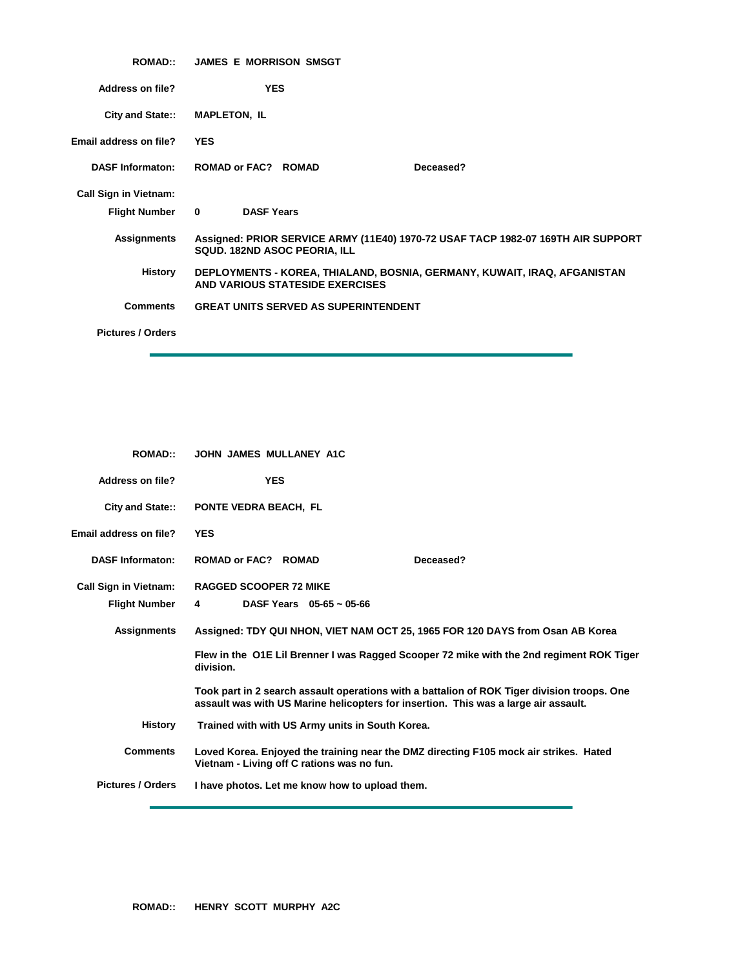| <b>ROMAD::</b>               | <b>JAMES E MORRISON SMSGT</b>                                                                                    |
|------------------------------|------------------------------------------------------------------------------------------------------------------|
| Address on file?             | <b>YES</b>                                                                                                       |
| City and State::             | <b>MAPLETON, IL</b>                                                                                              |
| Email address on file?       | <b>YES</b>                                                                                                       |
| <b>DASF Informaton:</b>      | ROMAD or FAC? ROMAD<br>Deceased?                                                                                 |
| <b>Call Sign in Vietnam:</b> |                                                                                                                  |
| <b>Flight Number</b>         | <b>DASF Years</b><br>$\mathbf{0}$                                                                                |
| <b>Assignments</b>           | Assigned: PRIOR SERVICE ARMY (11E40) 1970-72 USAF TACP 1982-07 169TH AIR SUPPORT<br>SQUD. 182ND ASOC PEORIA, ILL |
| History                      | DEPLOYMENTS - KOREA, THIALAND, BOSNIA, GERMANY, KUWAIT, IRAQ, AFGANISTAN<br>AND VARIOUS STATESIDE EXERCISES      |
| <b>Comments</b>              | <b>GREAT UNITS SERVED AS SUPERINTENDENT</b>                                                                      |
| <b>Pictures / Orders</b>     |                                                                                                                  |

| <b>ROMAD::</b>               | JOHN JAMES MULLANEY A1C                                                                                                                                                            |
|------------------------------|------------------------------------------------------------------------------------------------------------------------------------------------------------------------------------|
| <b>Address on file?</b>      | <b>YES</b>                                                                                                                                                                         |
| <b>City and State::</b>      | <b>PONTE VEDRA BEACH, FL</b>                                                                                                                                                       |
| Email address on file?       | <b>YES</b>                                                                                                                                                                         |
| <b>DASF Informaton:</b>      | ROMAD or FAC? ROMAD<br>Deceased?                                                                                                                                                   |
| <b>Call Sign in Vietnam:</b> | <b>RAGGED SCOOPER 72 MIKE</b>                                                                                                                                                      |
| <b>Flight Number</b>         | DASF Years $05-65 \sim 05-66$<br>4                                                                                                                                                 |
| <b>Assignments</b>           | Assigned: TDY QUI NHON, VIET NAM OCT 25, 1965 FOR 120 DAYS from Osan AB Korea                                                                                                      |
|                              | Flew in the O1E Lil Brenner I was Ragged Scooper 72 mike with the 2nd regiment ROK Tiger<br>division.                                                                              |
|                              | Took part in 2 search assault operations with a battalion of ROK Tiger division troops. One<br>assault was with US Marine helicopters for insertion. This was a large air assault. |
| <b>History</b>               | Trained with with US Army units in South Korea.                                                                                                                                    |
| <b>Comments</b>              | Loved Korea. Enjoyed the training near the DMZ directing F105 mock air strikes. Hated<br>Vietnam - Living off C rations was no fun.                                                |
| <b>Pictures / Orders</b>     | I have photos. Let me know how to upload them.                                                                                                                                     |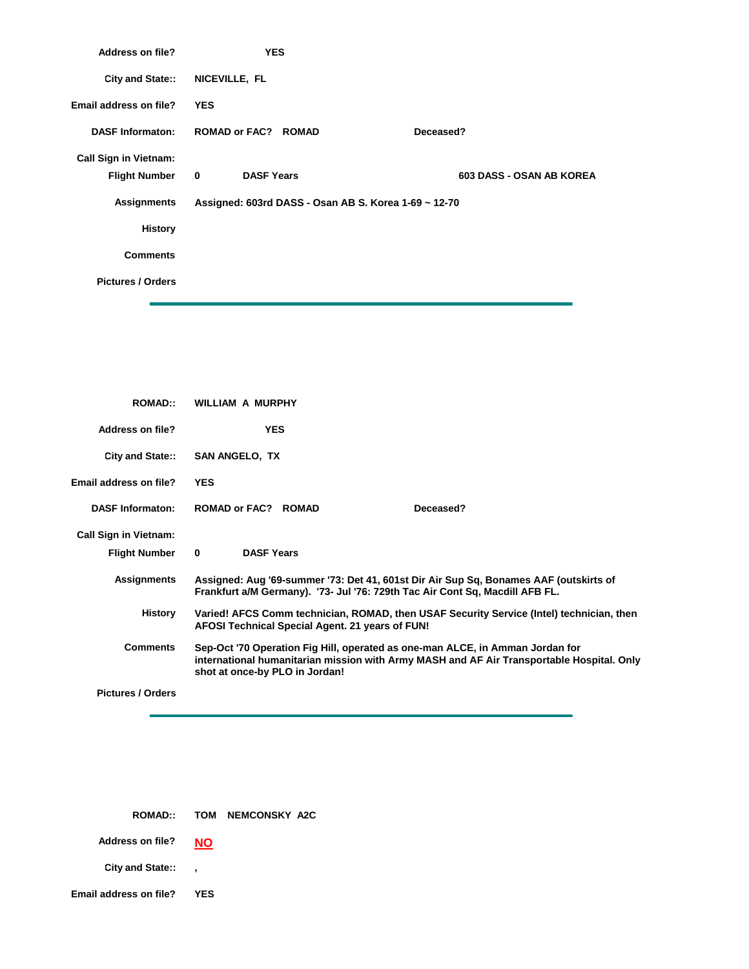| Address on file?             | <b>YES</b>                                           |                                 |
|------------------------------|------------------------------------------------------|---------------------------------|
| City and State::             | NICEVILLE, FL                                        |                                 |
| Email address on file?       | <b>YES</b>                                           |                                 |
| <b>DASF Informaton:</b>      | <b>ROMAD or FAC? ROMAD</b>                           | Deceased?                       |
| <b>Call Sign in Vietnam:</b> |                                                      |                                 |
| Flight Number 0              | <b>DASF Years</b>                                    | <b>603 DASS - OSAN AB KOREA</b> |
| <b>Assignments</b>           | Assigned: 603rd DASS - Osan AB S. Korea 1-69 ~ 12-70 |                                 |
| <b>History</b>               |                                                      |                                 |
| <b>Comments</b>              |                                                      |                                 |
|                              |                                                      |                                 |

| <b>ROMAD::</b>               | <b>WILLIAM A MURPHY</b>                                                                                                                                                                                      |
|------------------------------|--------------------------------------------------------------------------------------------------------------------------------------------------------------------------------------------------------------|
| Address on file?             | <b>YES</b>                                                                                                                                                                                                   |
| City and State::             | <b>SAN ANGELO, TX</b>                                                                                                                                                                                        |
| Email address on file?       | <b>YES</b>                                                                                                                                                                                                   |
| <b>DASF Informaton:</b>      | ROMAD or FAC? ROMAD<br>Deceased?                                                                                                                                                                             |
| <b>Call Sign in Vietnam:</b> |                                                                                                                                                                                                              |
| <b>Flight Number</b>         | <b>DASF Years</b><br>$\mathbf 0$                                                                                                                                                                             |
| <b>Assignments</b>           | Assigned: Aug '69-summer '73: Det 41, 601st Dir Air Sup Sq, Bonames AAF (outskirts of<br>Frankfurt a/M Germany). '73- Jul '76: 729th Tac Air Cont Sq, Macdill AFB FL.                                        |
| History                      | Varied! AFCS Comm technician, ROMAD, then USAF Security Service (Intel) technician, then<br>AFOSI Technical Special Agent. 21 years of FUN!                                                                  |
| <b>Comments</b>              | Sep-Oct '70 Operation Fig Hill, operated as one-man ALCE, in Amman Jordan for<br>international humanitarian mission with Army MASH and AF Air Transportable Hospital. Only<br>shot at once-by PLO in Jordan! |
| <b>Pictures / Orders</b>     |                                                                                                                                                                                                              |

|                         |           | ROMAD:: TOM NEMCONSKY A2C |  |
|-------------------------|-----------|---------------------------|--|
| <b>Address on file?</b> | <b>NO</b> |                           |  |
| <b>City and State::</b> |           |                           |  |
| Email address on file?  | YES       |                           |  |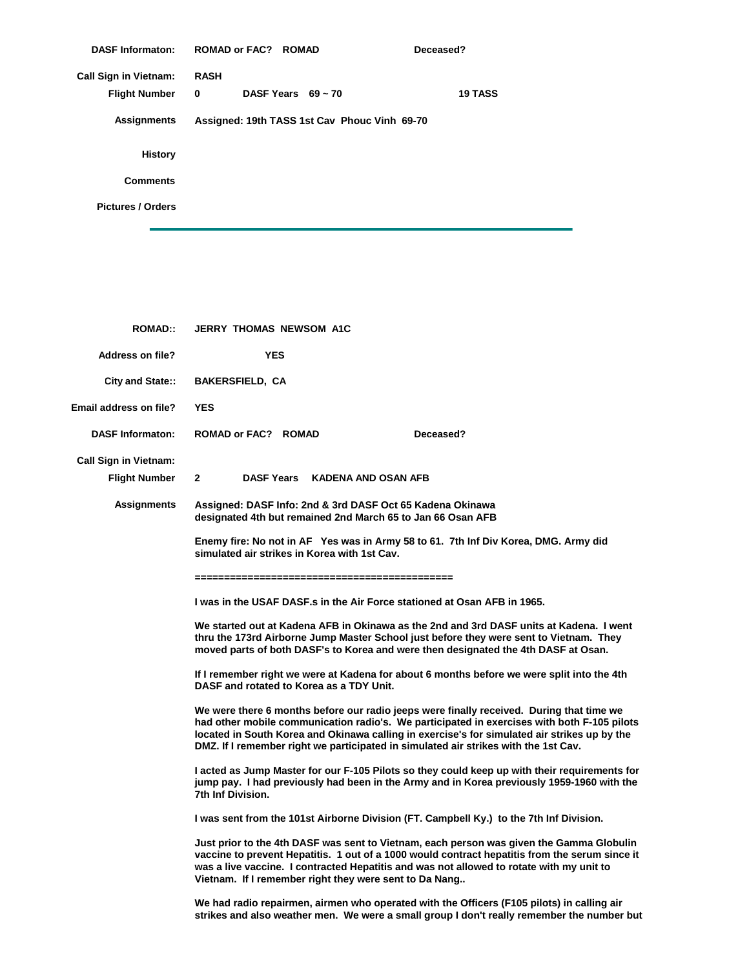| <b>DASF Informaton:</b>      | <b>ROMAD or FAC? ROMAD</b> |                                              | Deceased?      |
|------------------------------|----------------------------|----------------------------------------------|----------------|
| <b>Call Sign in Vietnam:</b> | <b>RASH</b>                |                                              |                |
| <b>Flight Number</b>         | 0                          | DASF Years $69 - 70$                         | <b>19 TASS</b> |
| <b>Assignments</b>           |                            | Assigned: 19th TASS 1st Cav Phouc Vinh 69-70 |                |
| <b>History</b>               |                            |                                              |                |
| <b>Comments</b>              |                            |                                              |                |
| <b>Pictures / Orders</b>     |                            |                                              |                |
|                              |                            |                                              |                |

| <b>ROMAD::</b>                                | <b>JERRY THOMAS NEWSOM A1C</b>                                                                                                                                                                                                                                                                                                                                                 |
|-----------------------------------------------|--------------------------------------------------------------------------------------------------------------------------------------------------------------------------------------------------------------------------------------------------------------------------------------------------------------------------------------------------------------------------------|
| Address on file?                              | <b>YES</b>                                                                                                                                                                                                                                                                                                                                                                     |
| City and State::                              | <b>BAKERSFIELD, CA</b>                                                                                                                                                                                                                                                                                                                                                         |
| Email address on file?                        | <b>YES</b>                                                                                                                                                                                                                                                                                                                                                                     |
| <b>DASF Informaton:</b>                       | Deceased?<br>ROMAD or FAC? ROMAD                                                                                                                                                                                                                                                                                                                                               |
| <b>Call Sign in Vietnam:</b><br>Flight Number | $2^{\circ}$<br>DASF Years KADENA AND OSAN AFB                                                                                                                                                                                                                                                                                                                                  |
| Assignments                                   | Assigned: DASF Info: 2nd & 3rd DASF Oct 65 Kadena Okinawa<br>designated 4th but remained 2nd March 65 to Jan 66 Osan AFB                                                                                                                                                                                                                                                       |
|                                               | Enemy fire: No not in AF Yes was in Army 58 to 61. 7th Inf Div Korea, DMG. Army did<br>simulated air strikes in Korea with 1st Cav.                                                                                                                                                                                                                                            |
|                                               | I was in the USAF DASF s in the Air Force stationed at Osan AFB in 1965.                                                                                                                                                                                                                                                                                                       |
|                                               | We started out at Kadena AFB in Okinawa as the 2nd and 3rd DASF units at Kadena. I went<br>thru the 173rd Airborne Jump Master School just before they were sent to Vietnam. They<br>moved parts of both DASF's to Korea and were then designated the 4th DASF at Osan.                                                                                                        |
|                                               | If I remember right we were at Kadena for about 6 months before we were split into the 4th<br>DASF and rotated to Korea as a TDY Unit.                                                                                                                                                                                                                                         |
|                                               | We were there 6 months before our radio jeeps were finally received. During that time we<br>had other mobile communication radio's. We participated in exercises with both F-105 pilots<br>located in South Korea and Okinawa calling in exercise's for simulated air strikes up by the<br>DMZ. If I remember right we participated in simulated air strikes with the 1st Cav. |
|                                               | I acted as Jump Master for our F-105 Pilots so they could keep up with their requirements for<br>jump pay. I had previously had been in the Army and in Korea previously 1959-1960 with the<br>7th Inf Division.                                                                                                                                                               |
|                                               | I was sent from the 101st Airborne Division (FT. Campbell Ky.) to the 7th Inf Division.                                                                                                                                                                                                                                                                                        |
|                                               | Just prior to the 4th DASF was sent to Vietnam, each person was given the Gamma Globulin<br>vaccine to prevent Hepatitis. 1 out of a 1000 would contract hepatitis from the serum since it<br>was a live vaccine. I contracted Hepatitis and was not allowed to rotate with my unit to<br>Vietnam. If I remember right they were sent to Da Nang                               |
|                                               | We had radio repairmen, airmen who operated with the Officers (F105 pilots) in calling air<br>strikes and also weather men. We were a small group I don't really remember the number but                                                                                                                                                                                       |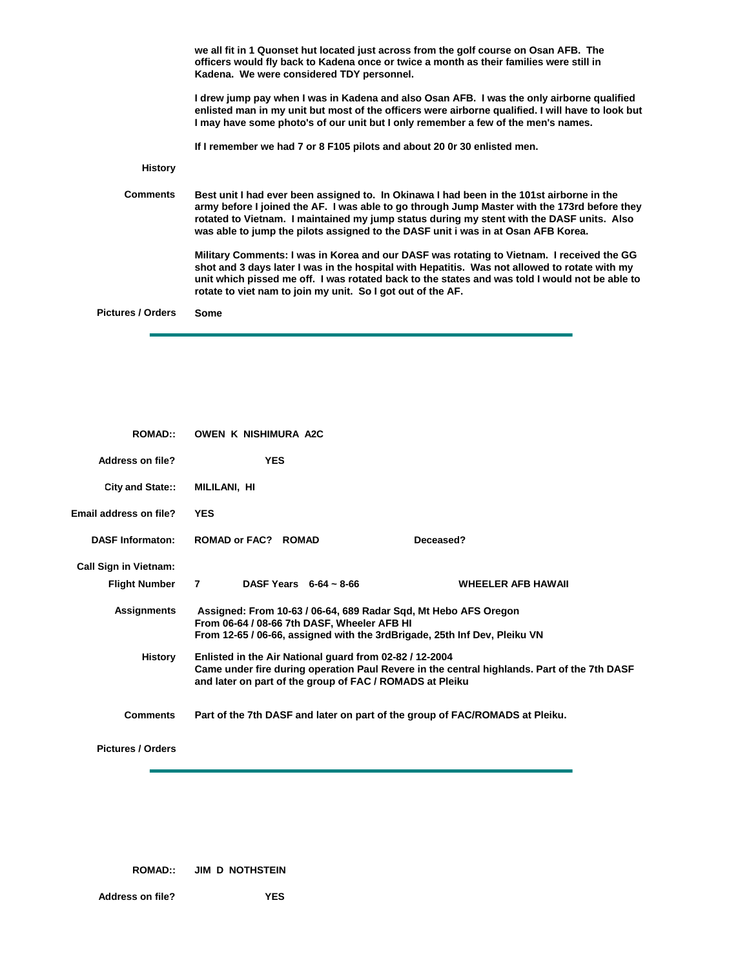**History Comments Pictures / Orders we all fit in 1 Quonset hut located just across from the golf course on Osan AFB. The officers would fly back to Kadena once or twice a month as their families were still in Kadena. We were considered TDY personnel. I drew jump pay when I was in Kadena and also Osan AFB. I was the only airborne qualified enlisted man in my unit but most of the officers were airborne qualified. I will have to look but I may have some photo's of our unit but I only remember a few of the men's names. If I remember we had 7 or 8 F105 pilots and about 20 0r 30 enlisted men. Best unit I had ever been assigned to. In Okinawa I had been in the 101st airborne in the army before I joined the AF. I was able to go through Jump Master with the 173rd before they rotated to Vietnam. I maintained my jump status during my stent with the DASF units. Also was able to jump the pilots assigned to the DASF unit i was in at Osan AFB Korea. Military Comments: I was in Korea and our DASF was rotating to Vietnam. I received the GG shot and 3 days later I was in the hospital with Hepatitis. Was not allowed to rotate with my unit which pissed me off. I was rotated back to the states and was told I would not be able to rotate to viet nam to join my unit. So I got out of the AF. Some**

| <b>ROMAD</b> :                | <b>OWEN K NISHIMURA A2C</b>                                                                                                                                                                                                                                                                                                                                       |                                                                              |
|-------------------------------|-------------------------------------------------------------------------------------------------------------------------------------------------------------------------------------------------------------------------------------------------------------------------------------------------------------------------------------------------------------------|------------------------------------------------------------------------------|
| <b>Address on file?</b>       | <b>YES</b>                                                                                                                                                                                                                                                                                                                                                        |                                                                              |
| City and State::              | MILILANI, HI                                                                                                                                                                                                                                                                                                                                                      |                                                                              |
| <b>Email address on file?</b> | <b>YES</b>                                                                                                                                                                                                                                                                                                                                                        |                                                                              |
| <b>DASF Informaton:</b>       | ROMAD or FAC? ROMAD                                                                                                                                                                                                                                                                                                                                               | Deceased?                                                                    |
| <b>Call Sign in Vietnam:</b>  |                                                                                                                                                                                                                                                                                                                                                                   |                                                                              |
| <b>Flight Number</b>          | $\overline{7}$ and $\overline{7}$ and $\overline{7}$ and $\overline{7}$ and $\overline{7}$ and $\overline{7}$ and $\overline{7}$ and $\overline{7}$ and $\overline{7}$ and $\overline{7}$ and $\overline{7}$ and $\overline{7}$ and $\overline{7}$ and $\overline{7}$ and $\overline{7}$ and $\overline{7}$ and $\overline{7}$ and<br>DASF Years $6-64 \sim 8-66$ | <b>WHEELER AFB HAWAII</b>                                                    |
| <b>Assignments</b>            | Assigned: From 10-63 / 06-64, 689 Radar Sqd, Mt Hebo AFS Oregon<br>From 06-64 / 08-66 7th DASF, Wheeler AFB HI<br>From 12-65 / 06-66, assigned with the 3rdBrigade, 25th Inf Dev, Pleiku VN                                                                                                                                                                       |                                                                              |
| History                       | Enlisted in the Air National guard from 02-82 / 12-2004<br>Came under fire during operation Paul Revere in the central highlands. Part of the 7th DASF<br>and later on part of the group of FAC / ROMADS at Pleiku                                                                                                                                                |                                                                              |
| <b>Comments</b>               |                                                                                                                                                                                                                                                                                                                                                                   | Part of the 7th DASF and later on part of the group of FAC/ROMADS at Pleiku. |

**Pictures / Orders**

**ROMAD:: JIM D NOTHSTEIN**

**Address on file? YES**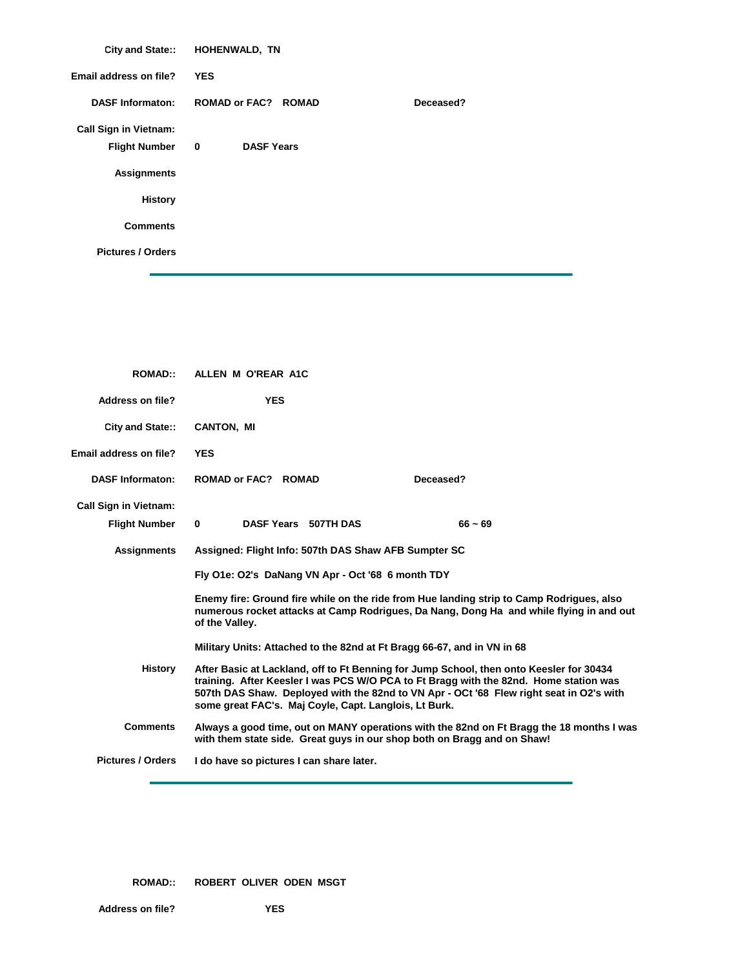|                              | City and State:: HOHENWALD, TN |           |
|------------------------------|--------------------------------|-----------|
| Email address on file?       | <b>YES</b>                     |           |
| <b>DASF Informaton:</b>      | <b>ROMAD or FAC? ROMAD</b>     | Deceased? |
| <b>Call Sign in Vietnam:</b> |                                |           |
| <b>Flight Number</b>         | <b>DASF Years</b><br>$\bf{0}$  |           |
| <b>Assignments</b>           |                                |           |
| <b>History</b>               |                                |           |
| <b>Comments</b>              |                                |           |
| <b>Pictures / Orders</b>     |                                |           |

| <b>YES</b><br>Address on file?<br><b>CANTON, MI</b><br>City and State::<br>Email address on file?<br><b>YES</b><br><b>DASF Informaton:</b><br><b>ROMAD or FAC? ROMAD</b><br>Deceased?<br><b>Call Sign in Vietnam:</b><br>DASF Years 507TH DAS<br><b>Flight Number</b><br>0<br>$66 - 69$<br><b>Assignments</b><br>Assigned: Flight Info: 507th DAS Shaw AFB Sumpter SC<br>Fly O1e: O2's DaNang VN Apr - Oct '68 6 month TDY<br>Enemy fire: Ground fire while on the ride from Hue landing strip to Camp Rodrigues, also<br>numerous rocket attacks at Camp Rodrigues, Da Nang, Dong Ha and while flying in and out<br>of the Valley.<br>Military Units: Attached to the 82nd at Ft Bragg 66-67, and in VN in 68<br><b>History</b><br>After Basic at Lackland, off to Ft Benning for Jump School, then onto Keesler for 30434<br>training. After Keesler I was PCS W/O PCA to Ft Bragg with the 82nd. Home station was<br>some great FAC's. Maj Coyle, Capt. Langlois, Lt Burk.<br><b>Comments</b><br>with them state side. Great guys in our shop both on Bragg and on Shaw!<br><b>Pictures / Orders</b><br>I do have so pictures I can share later. | <b>ROMAD::</b> | ALLEN M O'REAR A1C                                                                       |  |
|-----------------------------------------------------------------------------------------------------------------------------------------------------------------------------------------------------------------------------------------------------------------------------------------------------------------------------------------------------------------------------------------------------------------------------------------------------------------------------------------------------------------------------------------------------------------------------------------------------------------------------------------------------------------------------------------------------------------------------------------------------------------------------------------------------------------------------------------------------------------------------------------------------------------------------------------------------------------------------------------------------------------------------------------------------------------------------------------------------------------------------------------------------|----------------|------------------------------------------------------------------------------------------|--|
|                                                                                                                                                                                                                                                                                                                                                                                                                                                                                                                                                                                                                                                                                                                                                                                                                                                                                                                                                                                                                                                                                                                                                     |                |                                                                                          |  |
|                                                                                                                                                                                                                                                                                                                                                                                                                                                                                                                                                                                                                                                                                                                                                                                                                                                                                                                                                                                                                                                                                                                                                     |                |                                                                                          |  |
|                                                                                                                                                                                                                                                                                                                                                                                                                                                                                                                                                                                                                                                                                                                                                                                                                                                                                                                                                                                                                                                                                                                                                     |                |                                                                                          |  |
|                                                                                                                                                                                                                                                                                                                                                                                                                                                                                                                                                                                                                                                                                                                                                                                                                                                                                                                                                                                                                                                                                                                                                     |                |                                                                                          |  |
|                                                                                                                                                                                                                                                                                                                                                                                                                                                                                                                                                                                                                                                                                                                                                                                                                                                                                                                                                                                                                                                                                                                                                     |                |                                                                                          |  |
|                                                                                                                                                                                                                                                                                                                                                                                                                                                                                                                                                                                                                                                                                                                                                                                                                                                                                                                                                                                                                                                                                                                                                     |                |                                                                                          |  |
|                                                                                                                                                                                                                                                                                                                                                                                                                                                                                                                                                                                                                                                                                                                                                                                                                                                                                                                                                                                                                                                                                                                                                     |                |                                                                                          |  |
|                                                                                                                                                                                                                                                                                                                                                                                                                                                                                                                                                                                                                                                                                                                                                                                                                                                                                                                                                                                                                                                                                                                                                     |                |                                                                                          |  |
|                                                                                                                                                                                                                                                                                                                                                                                                                                                                                                                                                                                                                                                                                                                                                                                                                                                                                                                                                                                                                                                                                                                                                     |                |                                                                                          |  |
|                                                                                                                                                                                                                                                                                                                                                                                                                                                                                                                                                                                                                                                                                                                                                                                                                                                                                                                                                                                                                                                                                                                                                     |                | 507th DAS Shaw. Deployed with the 82nd to VN Apr - OCt '68 Flew right seat in O2's with  |  |
|                                                                                                                                                                                                                                                                                                                                                                                                                                                                                                                                                                                                                                                                                                                                                                                                                                                                                                                                                                                                                                                                                                                                                     |                | Always a good time, out on MANY operations with the 82nd on Ft Bragg the 18 months I was |  |
|                                                                                                                                                                                                                                                                                                                                                                                                                                                                                                                                                                                                                                                                                                                                                                                                                                                                                                                                                                                                                                                                                                                                                     |                |                                                                                          |  |

**ROMAD:: ROBERT OLIVER ODEN MSGT**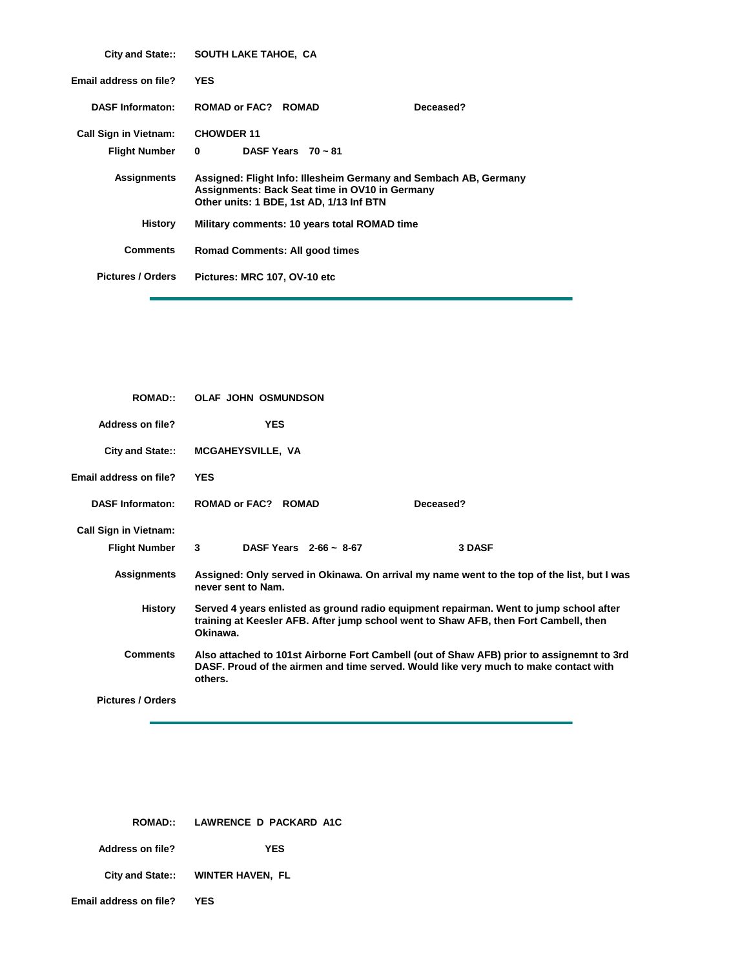|                               | City and State:: SOUTH LAKE TAHOE, CA                                                                                                                          |           |  |
|-------------------------------|----------------------------------------------------------------------------------------------------------------------------------------------------------------|-----------|--|
| <b>Email address on file?</b> | <b>YES</b>                                                                                                                                                     |           |  |
| <b>DASF Informaton:</b>       | <b>ROMAD or FAC? ROMAD</b>                                                                                                                                     | Deceased? |  |
| <b>Call Sign in Vietnam:</b>  | <b>CHOWDER 11</b>                                                                                                                                              |           |  |
| <b>Flight Number</b>          | DASF Years $70 \sim 81$<br>$\Omega$                                                                                                                            |           |  |
| <b>Assignments</b>            | Assigned: Flight Info: Illesheim Germany and Sembach AB, Germany<br>Assignments: Back Seat time in OV10 in Germany<br>Other units: 1 BDE, 1st AD, 1/13 Inf BTN |           |  |
| History                       | Military comments: 10 years total ROMAD time                                                                                                                   |           |  |
| <b>Comments</b>               | <b>Romad Comments: All good times</b>                                                                                                                          |           |  |
| <b>Pictures / Orders</b>      | Pictures: MRC 107, OV-10 etc                                                                                                                                   |           |  |
|                               |                                                                                                                                                                |           |  |

| <b>ROMAD::</b>               | <b>OLAF JOHN OSMUNDSON</b>                                                                                                                                                                   |                                                                                             |  |
|------------------------------|----------------------------------------------------------------------------------------------------------------------------------------------------------------------------------------------|---------------------------------------------------------------------------------------------|--|
| Address on file?             | <b>YES</b>                                                                                                                                                                                   |                                                                                             |  |
| City and State::             | <b>MCGAHEYSVILLE, VA</b>                                                                                                                                                                     |                                                                                             |  |
| Email address on file?       | <b>YES</b>                                                                                                                                                                                   |                                                                                             |  |
| <b>DASF Informaton:</b>      | <b>ROMAD or FAC? ROMAD</b>                                                                                                                                                                   | Deceased?                                                                                   |  |
| <b>Call Sign in Vietnam:</b> |                                                                                                                                                                                              |                                                                                             |  |
| <b>Flight Number</b>         | DASF Years $2-66 \sim 8-67$<br>3                                                                                                                                                             | <b>3 DASF</b>                                                                               |  |
| <b>Assignments</b>           | never sent to Nam.                                                                                                                                                                           | Assigned: Only served in Okinawa. On arrival my name went to the top of the list, but I was |  |
| History                      | Served 4 years enlisted as ground radio equipment repairman. Went to jump school after<br>training at Keesler AFB. After jump school went to Shaw AFB, then Fort Cambell, then<br>Okinawa.   |                                                                                             |  |
| <b>Comments</b>              | Also attached to 101st Airborne Fort Cambell (out of Shaw AFB) prior to assignemnt to 3rd<br>DASF. Proud of the airmen and time served. Would like very much to make contact with<br>others. |                                                                                             |  |
| <b>Pictures / Orders</b>     |                                                                                                                                                                                              |                                                                                             |  |

|                               | ROMAD:: LAWRENCE D PACKARD A1C    |
|-------------------------------|-----------------------------------|
| Address on file?              | <b>YES</b>                        |
|                               | City and State:: WINTER HAVEN, FL |
| <b>Email address on file?</b> | YES                               |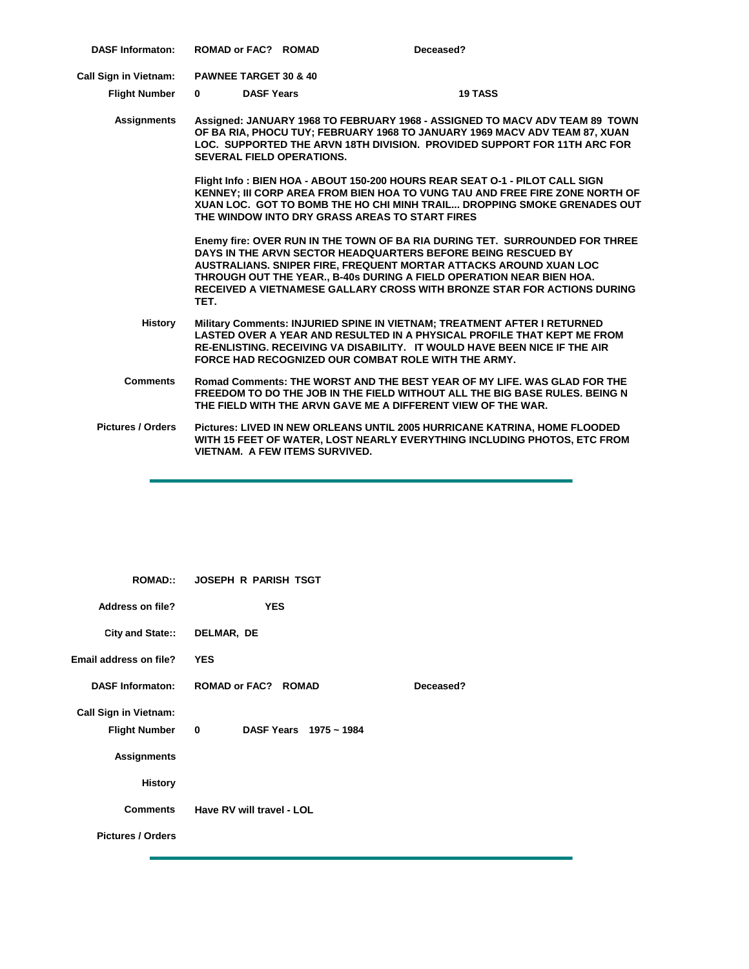| <b>DASF Informaton:</b>      | <b>ROMAD or FAC? ROMAD</b>       |                                       | Deceased?                                                                                                                                                                                                                                                                                                                                                         |
|------------------------------|----------------------------------|---------------------------------------|-------------------------------------------------------------------------------------------------------------------------------------------------------------------------------------------------------------------------------------------------------------------------------------------------------------------------------------------------------------------|
| <b>Call Sign in Vietnam:</b> | <b>PAWNEE TARGET 30 &amp; 40</b> |                                       |                                                                                                                                                                                                                                                                                                                                                                   |
| <b>Flight Number</b>         | $\mathbf{0}$                     | <b>DASF Years</b>                     | <b>19 TASS</b>                                                                                                                                                                                                                                                                                                                                                    |
| Assignments                  |                                  | <b>SEVERAL FIELD OPERATIONS.</b>      | Assigned: JANUARY 1968 TO FEBRUARY 1968 - ASSIGNED TO MACV ADV TEAM 89 TOWN<br>OF BA RIA, PHOCU TUY; FEBRUARY 1968 TO JANUARY 1969 MACV ADV TEAM 87, XUAN<br>LOC. SUPPORTED THE ARVN 18TH DIVISION. PROVIDED SUPPORT FOR 11TH ARC FOR                                                                                                                             |
|                              |                                  |                                       | Flight Info: BIEN HOA - ABOUT 150-200 HOURS REAR SEAT O-1 - PILOT CALL SIGN<br>KENNEY; III CORP AREA FROM BIEN HOA TO VUNG TAU AND FREE FIRE ZONE NORTH OF<br>XUAN LOC. GOT TO BOMB THE HO CHI MINH TRAIL DROPPING SMOKE GRENADES OUT<br>THE WINDOW INTO DRY GRASS AREAS TO START FIRES                                                                           |
|                              | TET.                             |                                       | Enemy fire: OVER RUN IN THE TOWN OF BA RIA DURING TET. SURROUNDED FOR THREE<br>DAYS IN THE ARVN SECTOR HEADQUARTERS BEFORE BEING RESCUED BY<br>AUSTRALIANS. SNIPER FIRE, FREQUENT MORTAR ATTACKS AROUND XUAN LOC<br>THROUGH OUT THE YEAR B-40s DURING A FIELD OPERATION NEAR BIEN HOA.<br>RECEIVED A VIETNAMESE GALLARY CROSS WITH BRONZE STAR FOR ACTIONS DURING |
| <b>History</b>               |                                  |                                       | Military Comments: INJURIED SPINE IN VIETNAM; TREATMENT AFTER I RETURNED<br>LASTED OVER A YEAR AND RESULTED IN A PHYSICAL PROFILE THAT KEPT ME FROM<br>RE-ENLISTING. RECEIVING VA DISABILITY. IT WOULD HAVE BEEN NICE IF THE AIR<br>FORCE HAD RECOGNIZED OUR COMBAT ROLE WITH THE ARMY.                                                                           |
| <b>Comments</b>              |                                  |                                       | Romad Comments: THE WORST AND THE BEST YEAR OF MY LIFE. WAS GLAD FOR THE<br>FREEDOM TO DO THE JOB IN THE FIELD WITHOUT ALL THE BIG BASE RULES. BEING N<br>THE FIELD WITH THE ARVN GAVE ME A DIFFERENT VIEW OF THE WAR.                                                                                                                                            |
| <b>Pictures / Orders</b>     |                                  | <b>VIETNAM. A FEW ITEMS SURVIVED.</b> | Pictures: LIVED IN NEW ORLEANS UNTIL 2005 HURRICANE KATRINA, HOME FLOODED<br>WITH 15 FEET OF WATER, LOST NEARLY EVERYTHING INCLUDING PHOTOS, ETC FROM                                                                                                                                                                                                             |

| <b>ROMAD::</b>                                       | <b>JOSEPH R PARISH TSGT</b>         |           |
|------------------------------------------------------|-------------------------------------|-----------|
| <b>Address on file?</b>                              | <b>YES</b>                          |           |
| City and State:: DELMAR, DE                          |                                     |           |
| <b>Email address on file?</b>                        | <b>YES</b>                          |           |
| <b>DASF Informaton:</b>                              | <b>ROMAD or FAC? ROMAD</b>          | Deceased? |
| <b>Call Sign in Vietnam:</b><br><b>Flight Number</b> | DASF Years 1975 ~ 1984<br>$\bullet$ |           |
| <b>Assignments</b>                                   |                                     |           |
| <b>History</b>                                       |                                     |           |
|                                                      | Comments Have RV will travel - LOL  |           |
| <b>Pictures / Orders</b>                             |                                     |           |
|                                                      |                                     |           |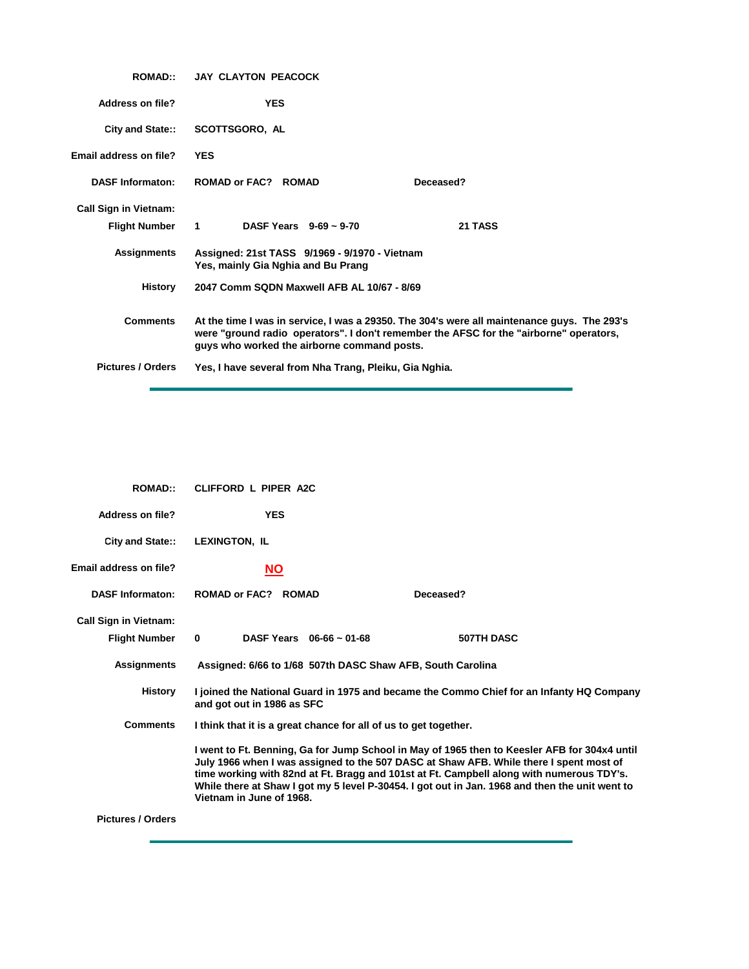| <b>ROMAD</b> :               | <b>JAY CLAYTON PEACOCK</b>                                                                                                                                                                                                           |           |
|------------------------------|--------------------------------------------------------------------------------------------------------------------------------------------------------------------------------------------------------------------------------------|-----------|
| Address on file?             | <b>YES</b>                                                                                                                                                                                                                           |           |
| City and State::             | <b>SCOTTSGORO, AL</b>                                                                                                                                                                                                                |           |
| Email address on file?       | <b>YES</b>                                                                                                                                                                                                                           |           |
| <b>DASF Informaton:</b>      | <b>ROMAD or FAC? ROMAD</b>                                                                                                                                                                                                           | Deceased? |
| <b>Call Sign in Vietnam:</b> |                                                                                                                                                                                                                                      |           |
| Flight Number 1              | DASF Years $9-69 \sim 9-70$                                                                                                                                                                                                          | 21 TASS   |
| <b>Assignments</b>           | Assigned: 21st TASS 9/1969 - 9/1970 - Vietnam<br>Yes, mainly Gia Nghia and Bu Prang                                                                                                                                                  |           |
| History                      | 2047 Comm SQDN Maxwell AFB AL 10/67 - 8/69                                                                                                                                                                                           |           |
| <b>Comments</b>              | At the time I was in service, I was a 29350. The 304's were all maintenance guys. The 293's<br>were "ground radio operators". I don't remember the AFSC for the "airborne" operators,<br>guys who worked the airborne command posts. |           |
| <b>Pictures / Orders</b>     | Yes, I have several from Nha Trang, Pleiku, Gia Nghia.                                                                                                                                                                               |           |

| <b>ROMAD::</b>                                       | CLIFFORD L PIPER A2C                                                                                                                                                                                                                                                                                                                                                                                             |                                                                                          |
|------------------------------------------------------|------------------------------------------------------------------------------------------------------------------------------------------------------------------------------------------------------------------------------------------------------------------------------------------------------------------------------------------------------------------------------------------------------------------|------------------------------------------------------------------------------------------|
| Address on file?                                     | <b>YES</b>                                                                                                                                                                                                                                                                                                                                                                                                       |                                                                                          |
| City and State::                                     | <b>LEXINGTON, IL</b>                                                                                                                                                                                                                                                                                                                                                                                             |                                                                                          |
| Email address on file?                               | <u>NO</u>                                                                                                                                                                                                                                                                                                                                                                                                        |                                                                                          |
| <b>DASF Informaton:</b>                              | ROMAD or FAC? ROMAD                                                                                                                                                                                                                                                                                                                                                                                              | Deceased?                                                                                |
| <b>Call Sign in Vietnam:</b><br><b>Flight Number</b> | DASF Years $06-66 \sim 01-68$<br>$\bf{0}$                                                                                                                                                                                                                                                                                                                                                                        | 507TH DASC                                                                               |
| <b>Assignments</b>                                   | Assigned: 6/66 to 1/68 507th DASC Shaw AFB, South Carolina                                                                                                                                                                                                                                                                                                                                                       |                                                                                          |
| History                                              | and got out in 1986 as SFC                                                                                                                                                                                                                                                                                                                                                                                       | I joined the National Guard in 1975 and became the Commo Chief for an Infanty HQ Company |
| <b>Comments</b>                                      | I think that it is a great chance for all of us to get together.                                                                                                                                                                                                                                                                                                                                                 |                                                                                          |
|                                                      | I went to Ft. Benning, Ga for Jump School in May of 1965 then to Keesler AFB for 304x4 until<br>July 1966 when I was assigned to the 507 DASC at Shaw AFB. While there I spent most of<br>time working with 82nd at Ft. Bragg and 101st at Ft. Campbell along with numerous TDY's.<br>While there at Shaw I got my 5 level P-30454. I got out in Jan. 1968 and then the unit went to<br>Vietnam in June of 1968. |                                                                                          |
| <b>Pictures / Orders</b>                             |                                                                                                                                                                                                                                                                                                                                                                                                                  |                                                                                          |

 $\sim$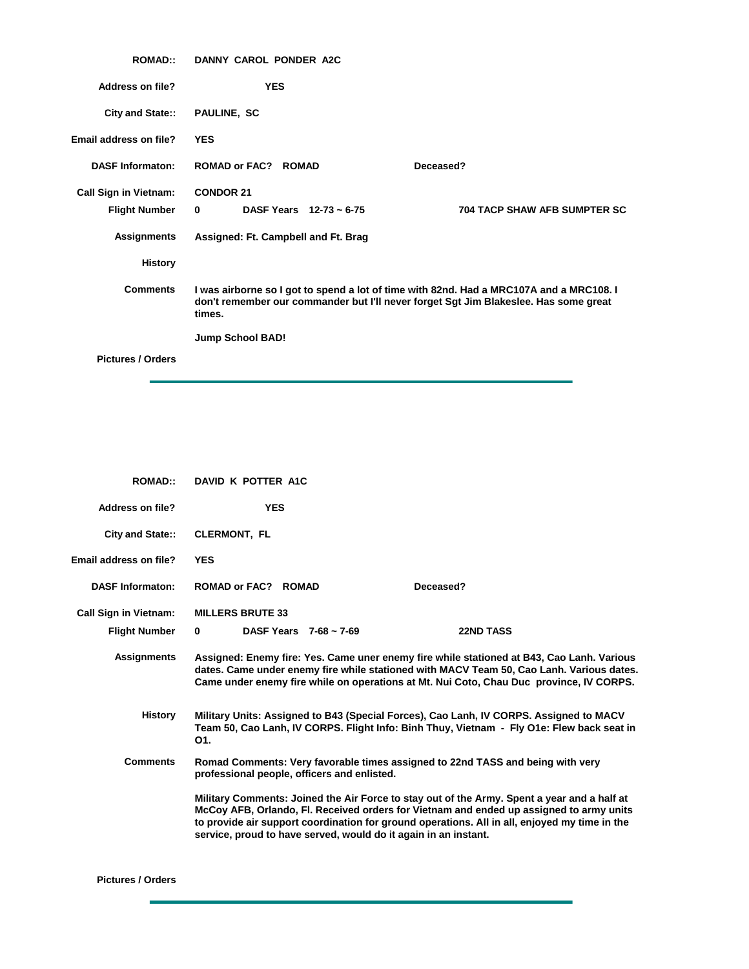| <b>ROMAD::</b>               | DANNY CAROL PONDER A2C                                                                                                                                                                    |                                     |
|------------------------------|-------------------------------------------------------------------------------------------------------------------------------------------------------------------------------------------|-------------------------------------|
| <b>Address on file?</b>      | <b>YES</b>                                                                                                                                                                                |                                     |
| City and State::             | <b>PAULINE, SC</b>                                                                                                                                                                        |                                     |
| Email address on file?       | <b>YES</b>                                                                                                                                                                                |                                     |
| <b>DASF Informaton:</b>      | <b>ROMAD or FAC? ROMAD</b>                                                                                                                                                                | Deceased?                           |
| <b>Call Sign in Vietnam:</b> | <b>CONDOR 21</b>                                                                                                                                                                          |                                     |
| <b>Flight Number</b>         | <b>DASF Years</b> $12-73 \sim 6-75$<br>$\mathbf{0}$                                                                                                                                       | <b>704 TACP SHAW AFB SUMPTER SC</b> |
| <b>Assignments</b>           | Assigned: Ft. Campbell and Ft. Brag                                                                                                                                                       |                                     |
| <b>History</b>               |                                                                                                                                                                                           |                                     |
| <b>Comments</b>              | I was airborne so I got to spend a lot of time with 82nd. Had a MRC107A and a MRC108. I<br>don't remember our commander but I'll never forget Sgt Jim Blakeslee. Has some great<br>times. |                                     |
|                              | <b>Jump School BAD!</b>                                                                                                                                                                   |                                     |
| <b>Pictures / Orders</b>     |                                                                                                                                                                                           |                                     |

| <b>ROMAD::</b>               | DAVID K POTTER A1C                                                                                                            |                                                                                                                                                                                                                                                                                         |
|------------------------------|-------------------------------------------------------------------------------------------------------------------------------|-----------------------------------------------------------------------------------------------------------------------------------------------------------------------------------------------------------------------------------------------------------------------------------------|
| Address on file?             | <b>YES</b>                                                                                                                    |                                                                                                                                                                                                                                                                                         |
| City and State::             | <b>CLERMONT, FL</b>                                                                                                           |                                                                                                                                                                                                                                                                                         |
| Email address on file?       | <b>YES</b>                                                                                                                    |                                                                                                                                                                                                                                                                                         |
| <b>DASF Informaton:</b>      | <b>ROMAD or FAC? ROMAD</b>                                                                                                    | Deceased?                                                                                                                                                                                                                                                                               |
| <b>Call Sign in Vietnam:</b> | <b>MILLERS BRUTE 33</b>                                                                                                       |                                                                                                                                                                                                                                                                                         |
| <b>Flight Number</b>         | $\bf{0}$<br>DASF Years $7-68 \sim 7-69$                                                                                       | <b>22ND TASS</b>                                                                                                                                                                                                                                                                        |
| <b>Assignments</b>           |                                                                                                                               | Assigned: Enemy fire: Yes. Came uner enemy fire while stationed at B43, Cao Lanh. Various<br>dates. Came under enemy fire while stationed with MACV Team 50, Cao Lanh. Various dates.<br>Came under enemy fire while on operations at Mt. Nui Coto, Chau Duc province, IV CORPS.        |
| <b>History</b>               | O <sub>1</sub> .                                                                                                              | Military Units: Assigned to B43 (Special Forces), Cao Lanh, IV CORPS. Assigned to MACV<br>Team 50, Cao Lanh, IV CORPS. Flight Info: Binh Thuy, Vietnam - Fly O1e: Flew back seat in                                                                                                     |
| <b>Comments</b>              | Romad Comments: Very favorable times assigned to 22nd TASS and being with very<br>professional people, officers and enlisted. |                                                                                                                                                                                                                                                                                         |
|                              | service, proud to have served, would do it again in an instant.                                                               | Military Comments: Joined the Air Force to stay out of the Army. Spent a year and a half at<br>McCoy AFB, Orlando, Fl. Received orders for Vietnam and ended up assigned to army units<br>to provide air support coordination for ground operations. All in all, enjoyed my time in the |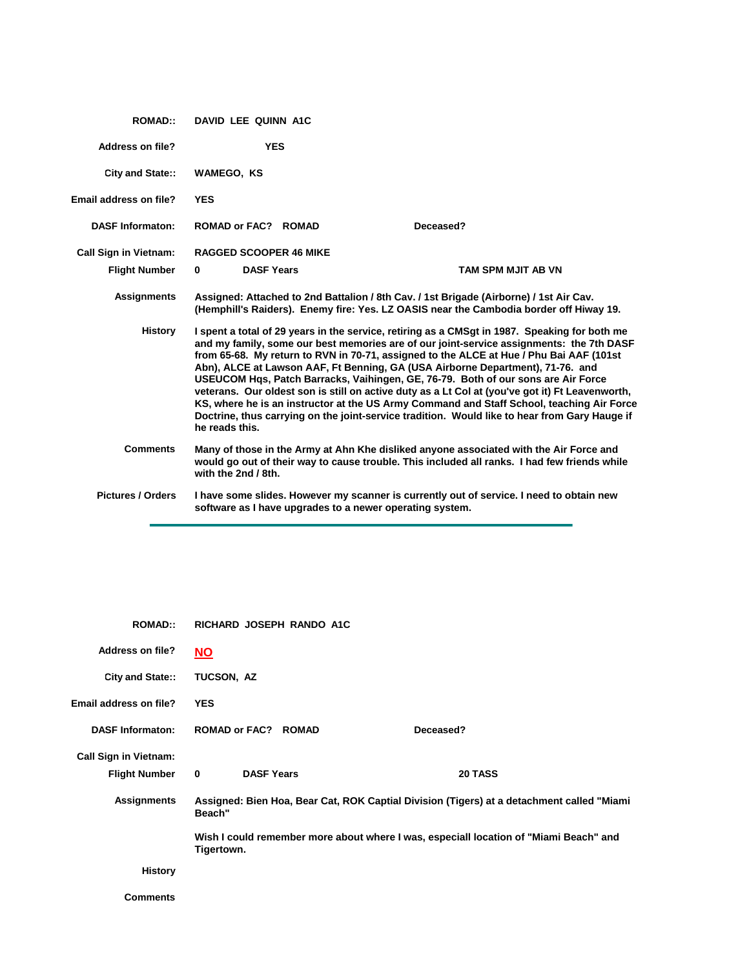| <b>ROMAD::</b>               | <b>DAVID LEE QUINN A1C</b>    |                                                          |                                                                                                                                                                                                                                                                                                                                                                                                                                                                                                                                                                                                                                                                                                                                                              |  |
|------------------------------|-------------------------------|----------------------------------------------------------|--------------------------------------------------------------------------------------------------------------------------------------------------------------------------------------------------------------------------------------------------------------------------------------------------------------------------------------------------------------------------------------------------------------------------------------------------------------------------------------------------------------------------------------------------------------------------------------------------------------------------------------------------------------------------------------------------------------------------------------------------------------|--|
| Address on file?             | <b>YES</b>                    |                                                          |                                                                                                                                                                                                                                                                                                                                                                                                                                                                                                                                                                                                                                                                                                                                                              |  |
| <b>City and State::</b>      | WAMEGO, KS                    |                                                          |                                                                                                                                                                                                                                                                                                                                                                                                                                                                                                                                                                                                                                                                                                                                                              |  |
| Email address on file?       | <b>YES</b>                    |                                                          |                                                                                                                                                                                                                                                                                                                                                                                                                                                                                                                                                                                                                                                                                                                                                              |  |
| <b>DASF Informaton:</b>      | <b>ROMAD or FAC? ROMAD</b>    |                                                          | Deceased?                                                                                                                                                                                                                                                                                                                                                                                                                                                                                                                                                                                                                                                                                                                                                    |  |
| <b>Call Sign in Vietnam:</b> | <b>RAGGED SCOOPER 46 MIKE</b> |                                                          |                                                                                                                                                                                                                                                                                                                                                                                                                                                                                                                                                                                                                                                                                                                                                              |  |
| <b>Flight Number</b>         | $\bf{0}$<br><b>DASF Years</b> |                                                          | <b>TAM SPM MJIT AB VN</b>                                                                                                                                                                                                                                                                                                                                                                                                                                                                                                                                                                                                                                                                                                                                    |  |
| <b>Assignments</b>           |                               |                                                          | Assigned: Attached to 2nd Battalion / 8th Cav. / 1st Brigade (Airborne) / 1st Air Cav.<br>(Hemphill's Raiders). Enemy fire: Yes. LZ OASIS near the Cambodia border off Hiway 19.                                                                                                                                                                                                                                                                                                                                                                                                                                                                                                                                                                             |  |
| <b>History</b>               | he reads this.                |                                                          | I spent a total of 29 years in the service, retiring as a CMSqt in 1987. Speaking for both me<br>and my family, some our best memories are of our joint-service assignments: the 7th DASF<br>from 65-68. My return to RVN in 70-71, assigned to the ALCE at Hue / Phu Bai AAF (101st<br>Abn), ALCE at Lawson AAF, Ft Benning, GA (USA Airborne Department), 71-76. and<br>USEUCOM Hgs, Patch Barracks, Vaihingen, GE, 76-79. Both of our sons are Air Force<br>veterans. Our oldest son is still on active duty as a Lt Col at (you've got it) Ft Leavenworth,<br>KS, where he is an instructor at the US Army Command and Staff School, teaching Air Force<br>Doctrine, thus carrying on the joint-service tradition. Would like to hear from Gary Hauge if |  |
| <b>Comments</b>              | with the 2nd / 8th.           |                                                          | Many of those in the Army at Ahn Khe disliked anyone associated with the Air Force and<br>would go out of their way to cause trouble. This included all ranks. I had few friends while                                                                                                                                                                                                                                                                                                                                                                                                                                                                                                                                                                       |  |
| <b>Pictures / Orders</b>     |                               | software as I have upgrades to a newer operating system. | I have some slides. However my scanner is currently out of service. I need to obtain new                                                                                                                                                                                                                                                                                                                                                                                                                                                                                                                                                                                                                                                                     |  |

| <b>ROMAD::</b>               | RICHARD JOSEPH RANDO A1C      |                                                                                           |
|------------------------------|-------------------------------|-------------------------------------------------------------------------------------------|
| <b>Address on file?</b>      | <b>NO</b>                     |                                                                                           |
| City and State::             | TUCSON, AZ                    |                                                                                           |
| Email address on file?       | <b>YES</b>                    |                                                                                           |
| <b>DASF Informaton:</b>      | <b>ROMAD or FAC? ROMAD</b>    | Deceased?                                                                                 |
| <b>Call Sign in Vietnam:</b> |                               |                                                                                           |
| <b>Flight Number</b>         | $\bf{0}$<br><b>DASF Years</b> | 20 TASS                                                                                   |
| Assignments                  | Beach"                        | Assigned: Bien Hoa, Bear Cat, ROK Captial Division (Tigers) at a detachment called "Miami |
|                              | Tigertown.                    | Wish I could remember more about where I was, especiall location of "Miami Beach" and     |
| <b>History</b>               |                               |                                                                                           |
| <b>Comments</b>              |                               |                                                                                           |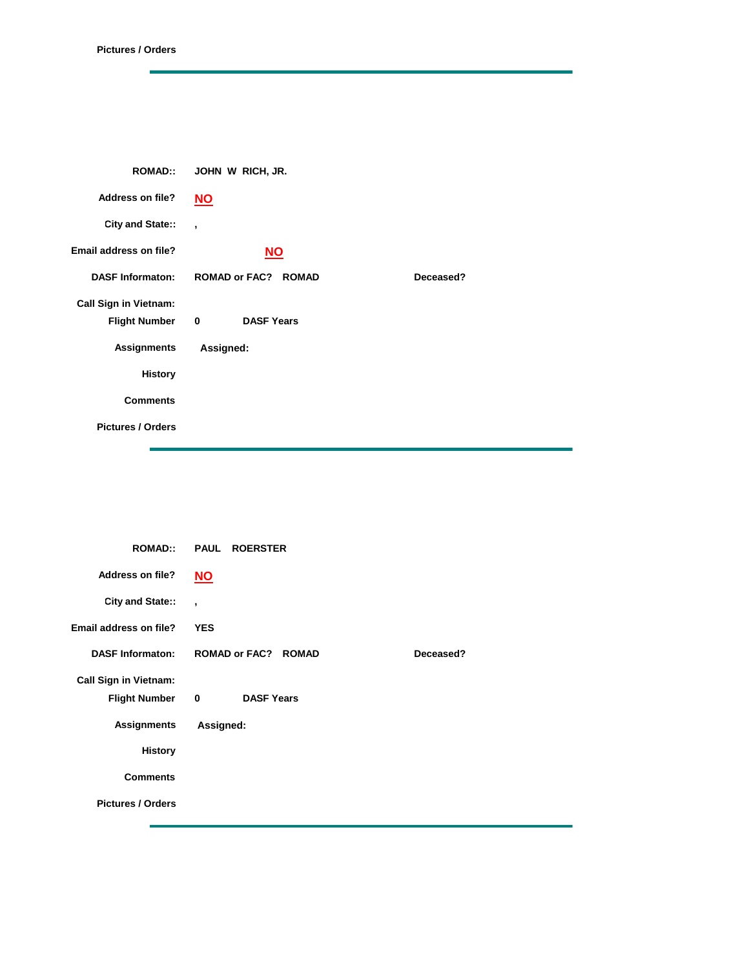| <b>ROMAD::</b>               | JOHN W RICH, JR.                             |           |
|------------------------------|----------------------------------------------|-----------|
| <b>Address on file?</b>      | $NO$                                         |           |
| City and State::             | $\overline{\phantom{a}}$                     |           |
| Email address on file?       | $NO$                                         |           |
| <b>DASF Informaton:</b>      | <b>ROMAD or FAC? ROMAD</b>                   | Deceased? |
| <b>Call Sign in Vietnam:</b> |                                              |           |
| <b>Flight Number</b>         | $\overline{\mathbf{0}}$<br><b>DASF Years</b> |           |
| <b>Assignments</b>           | Assigned:                                    |           |
| <b>History</b>               |                                              |           |
| <b>Comments</b>              |                                              |           |
| <b>Pictures / Orders</b>     |                                              |           |

| <b>ROMAD::</b>               | <b>PAUL ROERSTER</b>       |           |
|------------------------------|----------------------------|-----------|
| <b>Address on file?</b>      | $NO$                       |           |
| City and State::             | $\overline{\phantom{a}}$   |           |
| Email address on file?       | <b>YES</b>                 |           |
| <b>DASF Informaton:</b>      | <b>ROMAD or FAC? ROMAD</b> | Deceased? |
| <b>Call Sign in Vietnam:</b> |                            |           |
| <b>Flight Number</b>         | <b>DASF Years</b><br>0     |           |
| <b>Assignments</b>           | Assigned:                  |           |
| <b>History</b>               |                            |           |
| <b>Comments</b>              |                            |           |
| <b>Pictures / Orders</b>     |                            |           |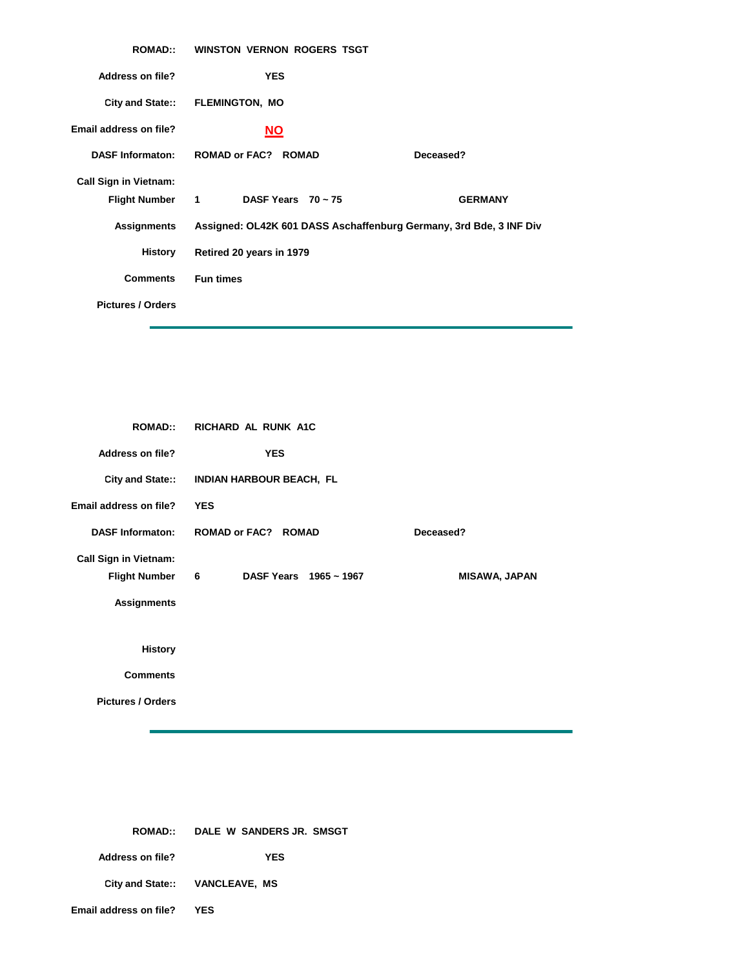| <b>ROMAD::</b>               | <b>WINSTON VERNON ROGERS TSGT</b> |                                                                    |
|------------------------------|-----------------------------------|--------------------------------------------------------------------|
| <b>Address on file?</b>      | <b>YES</b>                        |                                                                    |
|                              | City and State:: FLEMINGTON, MO   |                                                                    |
| Email address on file?       | <b>NO</b>                         |                                                                    |
| <b>DASF Informaton:</b>      | <b>ROMAD or FAC? ROMAD</b>        | Deceased?                                                          |
| <b>Call Sign in Vietnam:</b> |                                   |                                                                    |
| Flight Number 1              | DASF Years $70 \sim 75$           | <b>GERMANY</b>                                                     |
| <b>Assignments</b>           |                                   | Assigned: OL42K 601 DASS Aschaffenburg Germany, 3rd Bde, 3 INF Div |
| History                      | Retired 20 years in 1979          |                                                                    |
| <b>Comments</b>              | <b>Fun times</b>                  |                                                                    |
| <b>Pictures / Orders</b>     |                                   |                                                                    |

| <b>ROMAD::</b>               | RICHARD AL RUNK A1C        |                      |
|------------------------------|----------------------------|----------------------|
| <b>Address on file?</b>      | <b>YES</b>                 |                      |
| <b>City and State::</b>      | INDIAN HARBOUR BEACH, FL   |                      |
| Email address on file?       | <b>YES</b>                 |                      |
| <b>DASF Informaton:</b>      | <b>ROMAD or FAC? ROMAD</b> | Deceased?            |
| <b>Call Sign in Vietnam:</b> |                            |                      |
| <b>Flight Number</b>         | 6<br>DASF Years 1965~1967  | <b>MISAWA, JAPAN</b> |
| <b>Assignments</b>           |                            |                      |
|                              |                            |                      |
| <b>History</b>               |                            |                      |
| <b>Comments</b>              |                            |                      |
| <b>Pictures / Orders</b>     |                            |                      |
|                              |                            |                      |

|                               | ROMAD:: DALE W SANDERS JR. SMSGT |
|-------------------------------|----------------------------------|
| Address on file?              | YES                              |
|                               | City and State:: VANCLEAVE, MS   |
| <b>Email address on file?</b> | YES                              |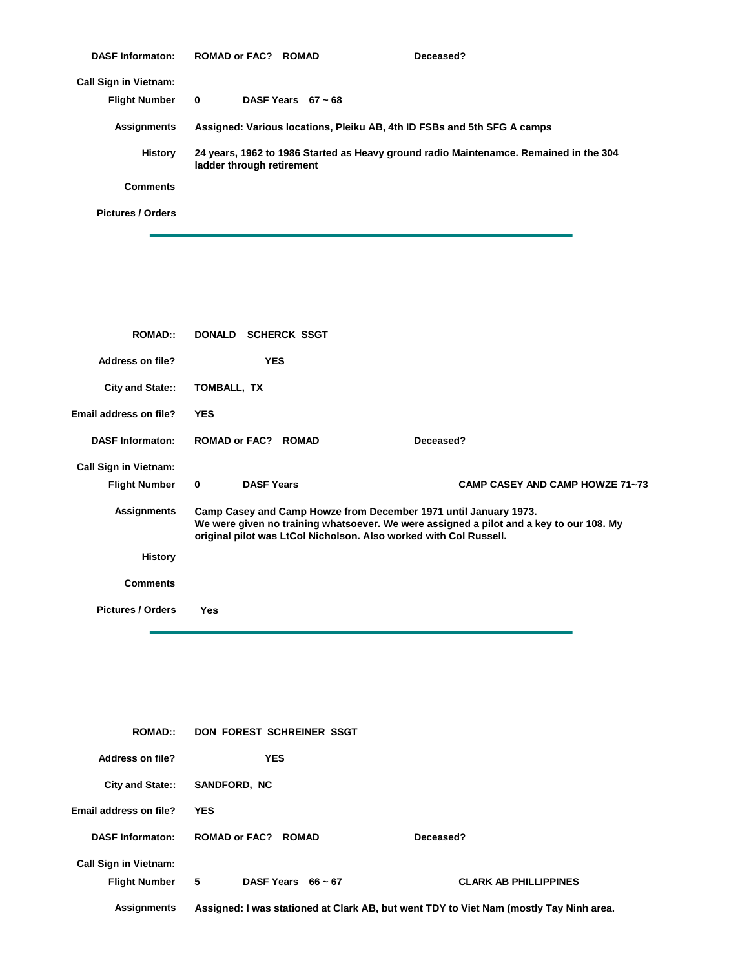| <b>DASF Informaton:</b>      | ROMAD or FAC? ROMAD       |                         | Deceased?                                                                             |
|------------------------------|---------------------------|-------------------------|---------------------------------------------------------------------------------------|
| <b>Call Sign in Vietnam:</b> |                           |                         |                                                                                       |
| <b>Flight Number</b>         | $\mathbf{0}$              | DASF Years $67 \sim 68$ |                                                                                       |
| Assignments                  |                           |                         | Assigned: Various locations, Pleiku AB, 4th ID FSBs and 5th SFG A camps               |
| History                      | ladder through retirement |                         | 24 years, 1962 to 1986 Started as Heavy ground radio Maintenamce. Remained in the 304 |
| <b>Comments</b>              |                           |                         |                                                                                       |
| <b>Pictures / Orders</b>     |                           |                         |                                                                                       |

| <b>ROMAD::</b>               | DONALD SCHERCK SSGT                                               |                                                                                                                                                             |
|------------------------------|-------------------------------------------------------------------|-------------------------------------------------------------------------------------------------------------------------------------------------------------|
| <b>Address on file?</b>      | <b>YES</b>                                                        |                                                                                                                                                             |
| City and State::             | TOMBALL, TX                                                       |                                                                                                                                                             |
| Email address on file?       | <b>YES</b>                                                        |                                                                                                                                                             |
| <b>DASF Informaton:</b>      | <b>ROMAD or FAC? ROMAD</b>                                        | Deceased?                                                                                                                                                   |
| <b>Call Sign in Vietnam:</b> |                                                                   |                                                                                                                                                             |
| <b>Flight Number</b>         | $\mathbf{0}$<br><b>DASF Years</b>                                 | <b>CAMP CASEY AND CAMP HOWZE 71~73</b>                                                                                                                      |
| <b>Assignments</b>           | original pilot was LtCol Nicholson. Also worked with Col Russell. | Camp Casey and Camp Howze from December 1971 until January 1973.<br>We were given no training whatsoever. We were assigned a pilot and a key to our 108. My |
| <b>History</b>               |                                                                   |                                                                                                                                                             |
| <b>Comments</b>              |                                                                   |                                                                                                                                                             |
| <b>Pictures / Orders</b>     | Yes                                                               |                                                                                                                                                             |

| <b>ROMAD::</b>                                  | DON FOREST SCHREINER SSGT  |                                                                                        |
|-------------------------------------------------|----------------------------|----------------------------------------------------------------------------------------|
| Address on file?                                | <b>YES</b>                 |                                                                                        |
| <b>City and State::</b>                         | <b>SANDFORD, NC</b>        |                                                                                        |
| Email address on file?                          | <b>YES</b>                 |                                                                                        |
| <b>DASF Informaton:</b>                         | <b>ROMAD or FAC? ROMAD</b> | Deceased?                                                                              |
| <b>Call Sign in Vietnam:</b><br>Flight Number 5 | DASF Years $66 \sim 67$    | <b>CLARK AB PHILLIPPINES</b>                                                           |
| <b>Assignments</b>                              |                            | Assigned: I was stationed at Clark AB, but went TDY to Viet Nam (mostly Tay Ninh area. |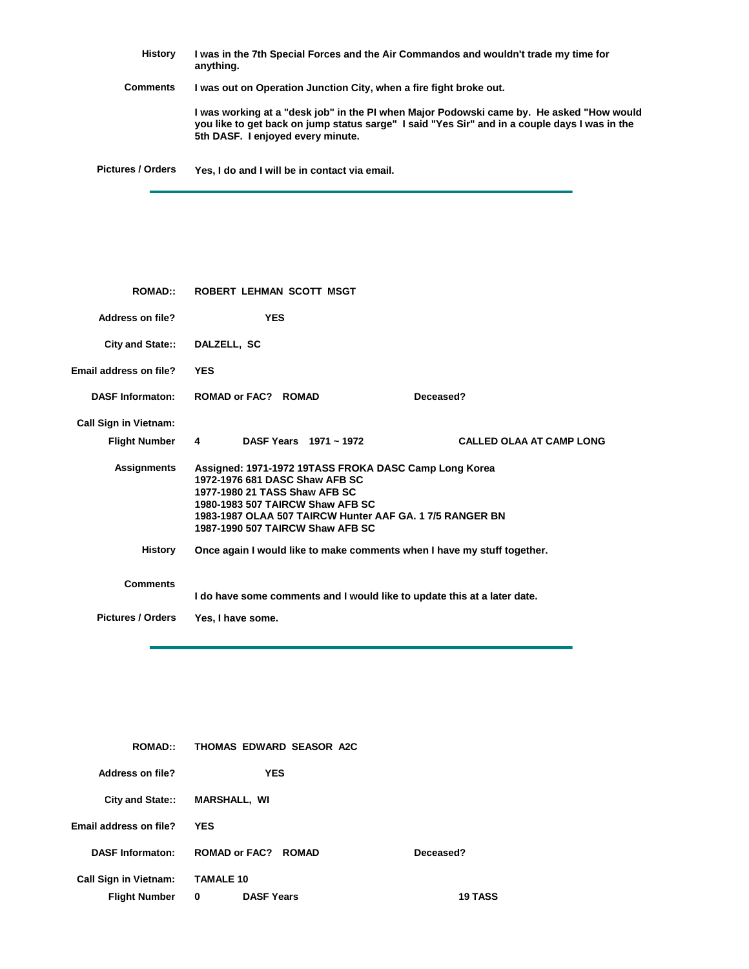**History Comments Pictures / Orders I was in the 7th Special Forces and the Air Commandos and wouldn't trade my time for anything. I was out on Operation Junction City, when a fire fight broke out. I was working at a "desk job" in the PI when Major Podowski came by. He asked "How would you like to get back on jump status sarge" I said "Yes Sir" and in a couple days I was in the 5th DASF. I enjoyed every minute. Yes, I do and I will be in contact via email.**

| <b>ROMAD</b>                                | ROBERT LEHMAN SCOTT MSGT                                                                                                                                                                                                                                    |
|---------------------------------------------|-------------------------------------------------------------------------------------------------------------------------------------------------------------------------------------------------------------------------------------------------------------|
| <b>Address on file?</b>                     | <b>YES</b>                                                                                                                                                                                                                                                  |
| City and State::                            | DALZELL, SC                                                                                                                                                                                                                                                 |
| Email address on file?                      | <b>YES</b>                                                                                                                                                                                                                                                  |
| <b>DASF Informaton:</b>                     | <b>ROMAD or FAC? ROMAD</b><br>Deceased?                                                                                                                                                                                                                     |
| <b>Call Sign in Vietnam:</b>                |                                                                                                                                                                                                                                                             |
| <b>Flight Number</b>                        | DASF Years 1971 ~ 1972<br><b>CALLED OLAA AT CAMP LONG</b><br>4                                                                                                                                                                                              |
| <b>Assignments</b>                          | Assigned: 1971-1972 19TASS FROKA DASC Camp Long Korea<br>1972-1976 681 DASC Shaw AFB SC<br>1977-1980 21 TASS Shaw AFB SC<br>1980-1983 507 TAIRCW Shaw AFB SC<br>1983-1987 OLAA 507 TAIRCW Hunter AAF GA. 17/5 RANGER BN<br>1987-1990 507 TAIRCW Shaw AFB SC |
| History                                     | Once again I would like to make comments when I have my stuff together.                                                                                                                                                                                     |
| <b>Comments</b><br><b>Pictures / Orders</b> | I do have some comments and I would like to update this at a later date.                                                                                                                                                                                    |
|                                             | Yes, I have some.                                                                                                                                                                                                                                           |

| <b>ROMAD::</b>               | THOMAS EDWARD SEASOR A2C   |                |
|------------------------------|----------------------------|----------------|
| Address on file?             | <b>YES</b>                 |                |
| <b>City and State::</b>      | <b>MARSHALL, WI</b>        |                |
| Email address on file?       | <b>YES</b>                 |                |
| <b>DASF Informaton:</b>      | <b>ROMAD or FAC? ROMAD</b> | Deceased?      |
| <b>Call Sign in Vietnam:</b> | <b>TAMALE 10</b>           |                |
| <b>Flight Number</b>         | 0<br><b>DASF Years</b>     | <b>19 TASS</b> |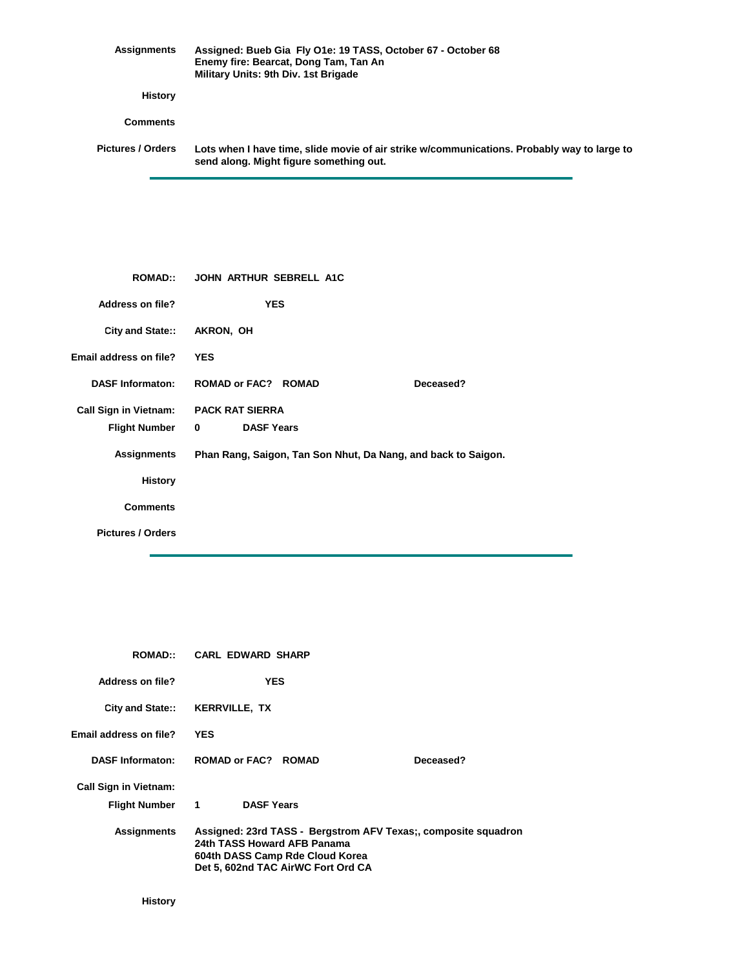| Assignments       | Assigned: Bueb Gia Fly O1e: 19 TASS, October 67 - October 68<br>Enemy fire: Bearcat, Dong Tam, Tan An<br>Military Units: 9th Div. 1st Brigade |
|-------------------|-----------------------------------------------------------------------------------------------------------------------------------------------|
| History           |                                                                                                                                               |
| <b>Comments</b>   |                                                                                                                                               |
| Pictures / Orders | Lots when I have time, slide movie of air strike w/communications. Probably way to large to<br>send along. Might figure something out.        |

| <b>ROMAD::</b>               | <b>JOHN ARTHUR SEBRELL A1C</b>                                |           |
|------------------------------|---------------------------------------------------------------|-----------|
| <b>Address on file?</b>      | <b>YES</b>                                                    |           |
| City and State::             | AKRON, OH                                                     |           |
| Email address on file?       | <b>YES</b>                                                    |           |
| <b>DASF Informaton:</b>      | <b>ROMAD or FAC? ROMAD</b>                                    | Deceased? |
| <b>Call Sign in Vietnam:</b> | <b>PACK RAT SIERRA</b>                                        |           |
| <b>Flight Number</b>         | <b>DASF Years</b><br>0                                        |           |
| <b>Assignments</b>           | Phan Rang, Saigon, Tan Son Nhut, Da Nang, and back to Saigon. |           |
| <b>History</b>               |                                                               |           |
| <b>Comments</b>              |                                                               |           |
| <b>Pictures / Orders</b>     |                                                               |           |

| <b>ROMAD::</b>               | <b>CARL EDWARD SHARP</b>                                                                                                                                               |            |           |
|------------------------------|------------------------------------------------------------------------------------------------------------------------------------------------------------------------|------------|-----------|
| Address on file?             |                                                                                                                                                                        | <b>YES</b> |           |
|                              | City and State:: KERRVILLE, TX                                                                                                                                         |            |           |
| Email address on file?       | <b>YES</b>                                                                                                                                                             |            |           |
| <b>DASF Informaton:</b>      | <b>ROMAD or FAC? ROMAD</b>                                                                                                                                             |            | Deceased? |
| <b>Call Sign in Vietnam:</b> |                                                                                                                                                                        |            |           |
| Flight Number                | $\mathbf{1}$<br><b>DASF Years</b>                                                                                                                                      |            |           |
| <b>Assignments</b>           | Assigned: 23rd TASS - Bergstrom AFV Texas;, composite squadron<br>24th TASS Howard AFB Panama<br>604th DASS Camp Rde Cloud Korea<br>Det 5, 602nd TAC AirWC Fort Ord CA |            |           |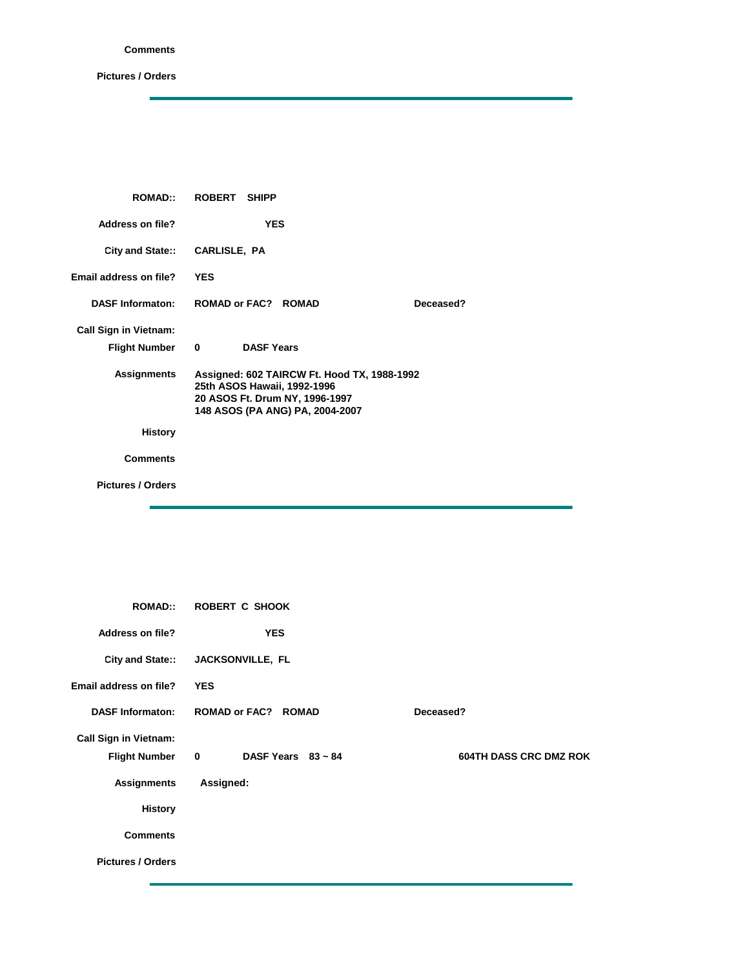## **Comments**

**Pictures / Orders**

| <b>ROMAD:</b>                | ROBERT SHIPP                                                                                                                                    |
|------------------------------|-------------------------------------------------------------------------------------------------------------------------------------------------|
| <b>Address on file?</b>      | <b>YES</b>                                                                                                                                      |
| City and State::             | CARLISLE, PA                                                                                                                                    |
| Email address on file?       | <b>YES</b>                                                                                                                                      |
| <b>DASF Informaton:</b>      | <b>ROMAD or FAC? ROMAD</b><br>Deceased?                                                                                                         |
| <b>Call Sign in Vietnam:</b> |                                                                                                                                                 |
| <b>Flight Number</b>         | <b>DASF Years</b><br>$\bf{0}$                                                                                                                   |
| <b>Assignments</b>           | Assigned: 602 TAIRCW Ft. Hood TX, 1988-1992<br>25th ASOS Hawaii, 1992-1996<br>20 ASOS Ft. Drum NY, 1996-1997<br>148 ASOS (PA ANG) PA, 2004-2007 |
| <b>History</b>               |                                                                                                                                                 |
| <b>Comments</b>              |                                                                                                                                                 |
| <b>Pictures / Orders</b>     |                                                                                                                                                 |
|                              |                                                                                                                                                 |

| <b>ROMAD::</b>               | <b>ROBERT C SHOOK</b>                              |                               |
|------------------------------|----------------------------------------------------|-------------------------------|
| Address on file?             | <b>YES</b>                                         |                               |
|                              | City and State:: JACKSONVILLE, FL                  |                               |
| Email address on file?       | <b>YES</b>                                         |                               |
| <b>DASF Informaton:</b>      | <b>ROMAD or FAC? ROMAD</b>                         | Deceased?                     |
| <b>Call Sign in Vietnam:</b> |                                                    |                               |
| <b>Flight Number</b>         | $\overline{\mathbf{0}}$<br>DASF Years $83 \sim 84$ | <b>604TH DASS CRC DMZ ROK</b> |
| <b>Assignments</b>           | Assigned:                                          |                               |
| <b>History</b>               |                                                    |                               |
| <b>Comments</b>              |                                                    |                               |
| <b>Pictures / Orders</b>     |                                                    |                               |
|                              |                                                    |                               |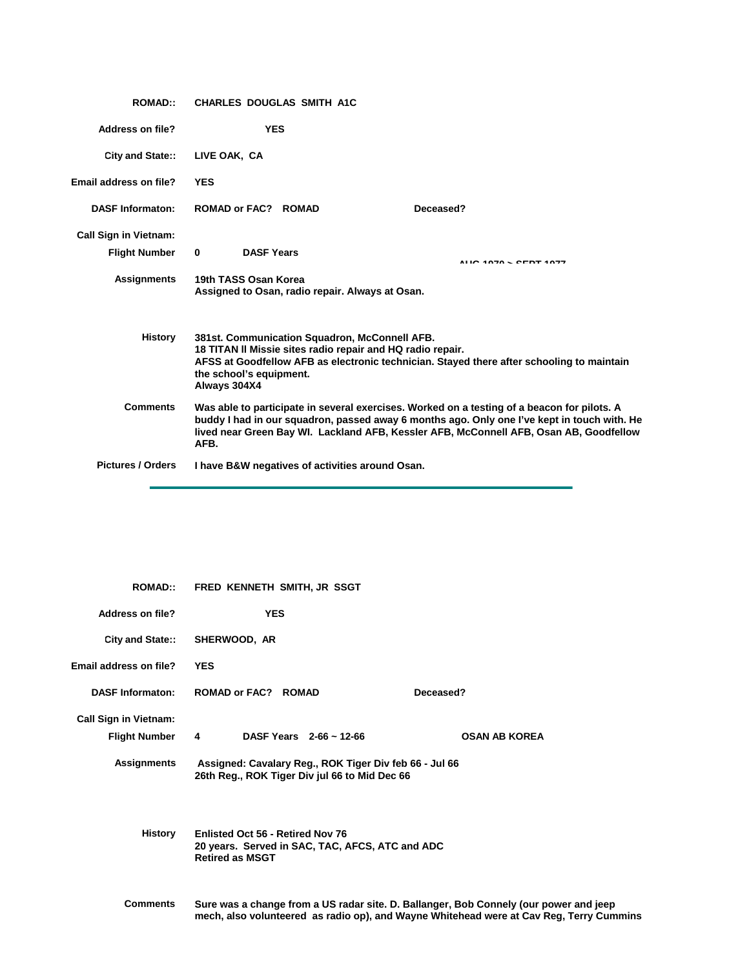| <b>ROMAD::</b>               | <b>CHARLES DOUGLAS SMITH A1C</b>                                                                                                                                                                                                                                                             |  |
|------------------------------|----------------------------------------------------------------------------------------------------------------------------------------------------------------------------------------------------------------------------------------------------------------------------------------------|--|
| Address on file?             | <b>YES</b>                                                                                                                                                                                                                                                                                   |  |
| <b>City and State::</b>      | LIVE OAK. CA                                                                                                                                                                                                                                                                                 |  |
| Email address on file?       | <b>YES</b>                                                                                                                                                                                                                                                                                   |  |
| <b>DASF Informaton:</b>      | ROMAD or FAC? ROMAD<br>Deceased?                                                                                                                                                                                                                                                             |  |
| <b>Call Sign in Vietnam:</b> |                                                                                                                                                                                                                                                                                              |  |
| <b>Flight Number</b>         | <b>DASF Years</b><br>$\mathbf{0}$<br>AUC 4070 - CEDT 4077                                                                                                                                                                                                                                    |  |
| <b>Assignments</b>           | 19th TASS Osan Korea<br>Assigned to Osan, radio repair. Always at Osan.                                                                                                                                                                                                                      |  |
| History                      | 381st. Communication Squadron, McConnell AFB.<br>18 TITAN II Missie sites radio repair and HQ radio repair.<br>AFSS at Goodfellow AFB as electronic technician. Stayed there after schooling to maintain<br>the school's equipment.<br>Always 304X4                                          |  |
| <b>Comments</b>              | Was able to participate in several exercises. Worked on a testing of a beacon for pilots. A<br>buddy I had in our squadron, passed away 6 months ago. Only one I've kept in touch with. He<br>lived near Green Bay WI. Lackland AFB, Kessler AFB, McConnell AFB, Osan AB, Goodfellow<br>AFB. |  |
| <b>Pictures / Orders</b>     | I have B&W negatives of activities around Osan.                                                                                                                                                                                                                                              |  |

| <b>ROMAD::</b>                | FRED KENNETH SMITH, JR SSGT                                                                                          |                                                                                                                                                                                  |
|-------------------------------|----------------------------------------------------------------------------------------------------------------------|----------------------------------------------------------------------------------------------------------------------------------------------------------------------------------|
| <b>Address on file?</b>       | <b>YES</b>                                                                                                           |                                                                                                                                                                                  |
| <b>City and State::</b>       | SHERWOOD, AR                                                                                                         |                                                                                                                                                                                  |
| <b>Email address on file?</b> | <b>YES</b>                                                                                                           |                                                                                                                                                                                  |
| <b>DASF Informaton:</b>       | <b>ROMAD or FAC? ROMAD</b>                                                                                           | Deceased?                                                                                                                                                                        |
| <b>Call Sign in Vietnam:</b>  |                                                                                                                      |                                                                                                                                                                                  |
| <b>Flight Number</b>          | DASF Years $2-66 \sim 12-66$<br>4                                                                                    | <b>OSAN AB KOREA</b>                                                                                                                                                             |
| <b>Assignments</b>            | Assigned: Cavalary Reg., ROK Tiger Div feb 66 - Jul 66<br>26th Reg., ROK Tiger Div jul 66 to Mid Dec 66              |                                                                                                                                                                                  |
| History                       | <b>Enlisted Oct 56 - Retired Nov 76</b><br>20 years. Served in SAC, TAC, AFCS, ATC and ADC<br><b>Retired as MSGT</b> |                                                                                                                                                                                  |
| <b>Comments</b>               |                                                                                                                      | Sure was a change from a US radar site. D. Ballanger, Bob Connely (our power and jeep<br>mech, also volunteered as radio op), and Wayne Whitehead were at Cav Reg, Terry Cummins |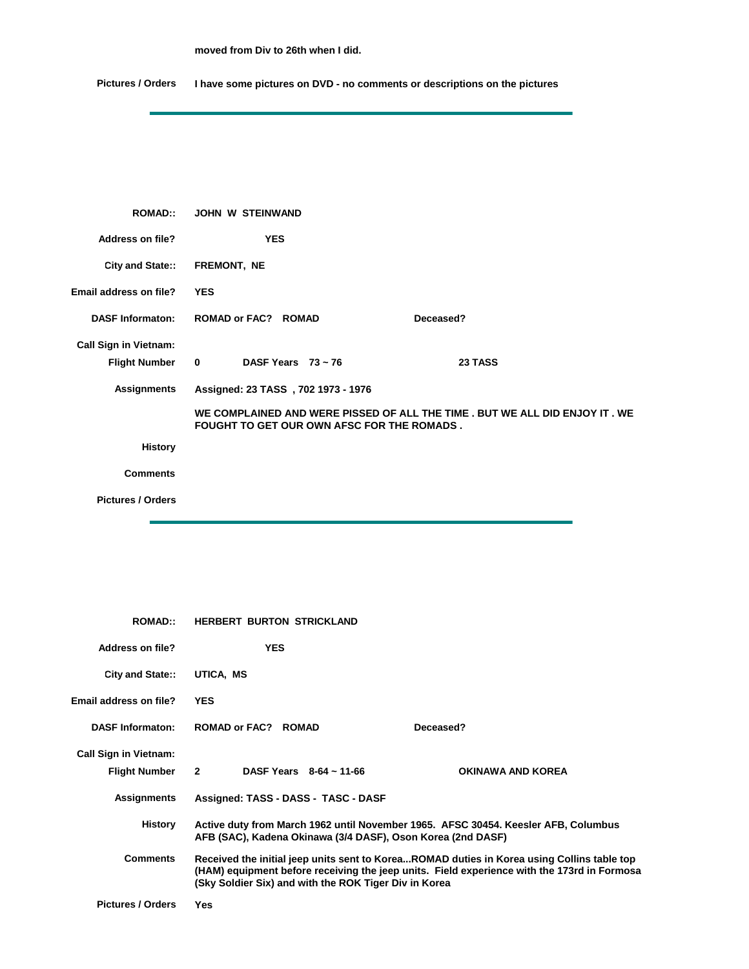**moved from Div to 26th when I did.**

**Pictures / Orders I have some pictures on DVD - no comments or descriptions on the pictures**

| <b>ROMAD::</b>               | JOHN W STEINWAND                                   |                                                                              |
|------------------------------|----------------------------------------------------|------------------------------------------------------------------------------|
| Address on file?             | <b>YES</b>                                         |                                                                              |
| City and State::             | FREMONT, NE                                        |                                                                              |
| Email address on file?       | <b>YES</b>                                         |                                                                              |
| <b>DASF Informaton:</b>      | <b>ROMAD or FAC? ROMAD</b>                         | Deceased?                                                                    |
| <b>Call Sign in Vietnam:</b> |                                                    |                                                                              |
| <b>Flight Number</b>         | $\overline{\mathbf{0}}$<br>DASF Years $73 \sim 76$ | 23 TASS                                                                      |
| <b>Assignments</b>           | Assigned: 23 TASS, 702 1973 - 1976                 |                                                                              |
|                              | <b>FOUGHT TO GET OUR OWN AFSC FOR THE ROMADS.</b>  | WE COMPLAINED AND WERE PISSED OF ALL THE TIME . BUT WE ALL DID ENJOY IT . WE |
| <b>History</b>               |                                                    |                                                                              |
| <b>Comments</b>              |                                                    |                                                                              |
| <b>Pictures / Orders</b>     |                                                    |                                                                              |

| <b>ROMAD::</b>               | <b>HERBERT BURTON STRICKLAND</b>                                                                                                                                                                                                                   |                   |
|------------------------------|----------------------------------------------------------------------------------------------------------------------------------------------------------------------------------------------------------------------------------------------------|-------------------|
| Address on file?             | <b>YES</b>                                                                                                                                                                                                                                         |                   |
| City and State::             | UTICA, MS                                                                                                                                                                                                                                          |                   |
| Email address on file?       | <b>YES</b>                                                                                                                                                                                                                                         |                   |
| <b>DASF Informaton:</b>      | ROMAD or FAC? ROMAD                                                                                                                                                                                                                                | Deceased?         |
| <b>Call Sign in Vietnam:</b> |                                                                                                                                                                                                                                                    |                   |
| <b>Flight Number</b>         | DASF Years $8-64 \sim 11-66$<br>$\mathbf{2}$                                                                                                                                                                                                       | OKINAWA AND KOREA |
| <b>Assignments</b>           | Assigned: TASS - DASS - TASC - DASF                                                                                                                                                                                                                |                   |
| <b>History</b>               | Active duty from March 1962 until November 1965. AFSC 30454. Keesler AFB, Columbus<br>AFB (SAC), Kadena Okinawa (3/4 DASF), Oson Korea (2nd DASF)                                                                                                  |                   |
| <b>Comments</b>              | Received the initial jeep units sent to KoreaROMAD duties in Korea using Collins table top<br>(HAM) equipment before receiving the jeep units. Field experience with the 173rd in Formosa<br>(Sky Soldier Six) and with the ROK Tiger Div in Korea |                   |
| <b>Pictures / Orders</b>     | Yes                                                                                                                                                                                                                                                |                   |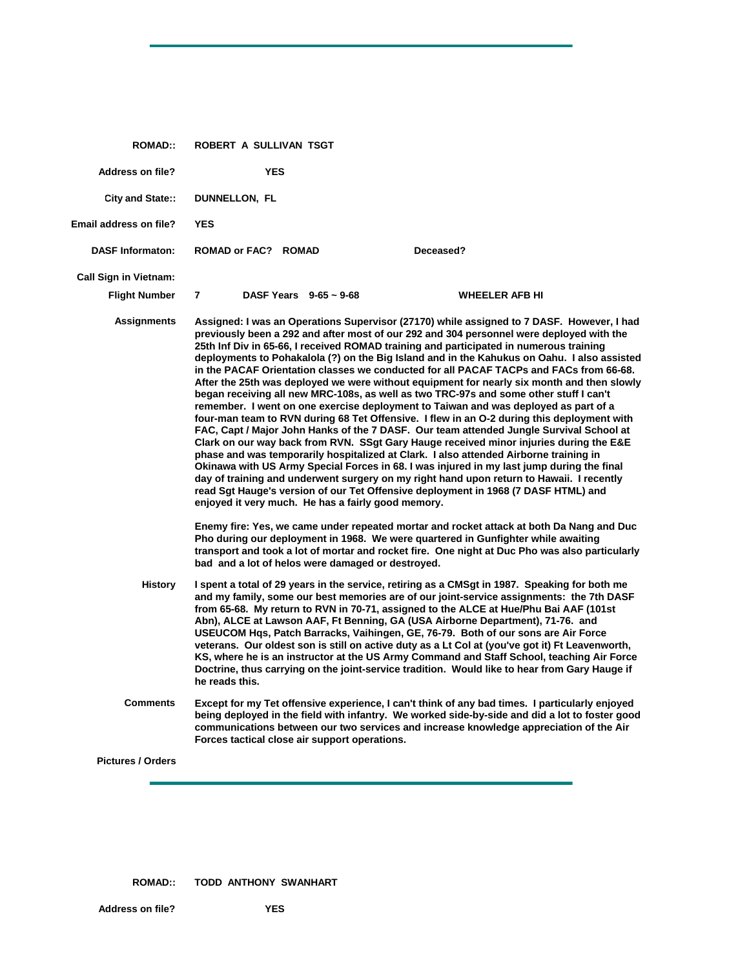| <b>ROMAD::</b>               | <b>ROBERT A SULLIVAN TSGT</b>                                                                                                                                                                                                                                                         |                                                                                                                                                                                                                                                                                                                                                                                                                                                                                                                                                                                                                                                                                                                                                                                                                                                                                                                                                                                                                                                                                                                                                                                                                                                                                                                                                                                                                                                                                                                        |
|------------------------------|---------------------------------------------------------------------------------------------------------------------------------------------------------------------------------------------------------------------------------------------------------------------------------------|------------------------------------------------------------------------------------------------------------------------------------------------------------------------------------------------------------------------------------------------------------------------------------------------------------------------------------------------------------------------------------------------------------------------------------------------------------------------------------------------------------------------------------------------------------------------------------------------------------------------------------------------------------------------------------------------------------------------------------------------------------------------------------------------------------------------------------------------------------------------------------------------------------------------------------------------------------------------------------------------------------------------------------------------------------------------------------------------------------------------------------------------------------------------------------------------------------------------------------------------------------------------------------------------------------------------------------------------------------------------------------------------------------------------------------------------------------------------------------------------------------------------|
| <b>Address on file?</b>      | <b>YES</b>                                                                                                                                                                                                                                                                            |                                                                                                                                                                                                                                                                                                                                                                                                                                                                                                                                                                                                                                                                                                                                                                                                                                                                                                                                                                                                                                                                                                                                                                                                                                                                                                                                                                                                                                                                                                                        |
| City and State::             | DUNNELLON, FL                                                                                                                                                                                                                                                                         |                                                                                                                                                                                                                                                                                                                                                                                                                                                                                                                                                                                                                                                                                                                                                                                                                                                                                                                                                                                                                                                                                                                                                                                                                                                                                                                                                                                                                                                                                                                        |
| Email address on file?       | <b>YES</b>                                                                                                                                                                                                                                                                            |                                                                                                                                                                                                                                                                                                                                                                                                                                                                                                                                                                                                                                                                                                                                                                                                                                                                                                                                                                                                                                                                                                                                                                                                                                                                                                                                                                                                                                                                                                                        |
| <b>DASF Informaton:</b>      | ROMAD or FAC? ROMAD                                                                                                                                                                                                                                                                   | Deceased?                                                                                                                                                                                                                                                                                                                                                                                                                                                                                                                                                                                                                                                                                                                                                                                                                                                                                                                                                                                                                                                                                                                                                                                                                                                                                                                                                                                                                                                                                                              |
| <b>Call Sign in Vietnam:</b> |                                                                                                                                                                                                                                                                                       |                                                                                                                                                                                                                                                                                                                                                                                                                                                                                                                                                                                                                                                                                                                                                                                                                                                                                                                                                                                                                                                                                                                                                                                                                                                                                                                                                                                                                                                                                                                        |
| <b>Flight Number</b>         | $\overline{7}$<br>DASF Years $9-65 \sim 9-68$                                                                                                                                                                                                                                         | <b>WHEELER AFB HI</b>                                                                                                                                                                                                                                                                                                                                                                                                                                                                                                                                                                                                                                                                                                                                                                                                                                                                                                                                                                                                                                                                                                                                                                                                                                                                                                                                                                                                                                                                                                  |
| <b>Assignments</b>           | phase and was temporarily hospitalized at Clark. I also attended Airborne training in<br>enjoyed it very much. He has a fairly good memory.<br>Pho during our deployment in 1968. We were quartered in Gunfighter while awaiting<br>bad and a lot of helos were damaged or destroyed. | Assigned: I was an Operations Supervisor (27170) while assigned to 7 DASF. However, I had<br>previously been a 292 and after most of our 292 and 304 personnel were deployed with the<br>25th Inf Div in 65-66, I received ROMAD training and participated in numerous training<br>deployments to Pohakalola (?) on the Big Island and in the Kahukus on Oahu. I also assisted<br>in the PACAF Orientation classes we conducted for all PACAF TACPs and FACs from 66-68.<br>After the 25th was deployed we were without equipment for nearly six month and then slowly<br>began receiving all new MRC-108s, as well as two TRC-97s and some other stuff I can't<br>remember. I went on one exercise deployment to Taiwan and was deployed as part of a<br>four-man team to RVN during 68 Tet Offensive. I flew in an O-2 during this deployment with<br>FAC, Capt / Major John Hanks of the 7 DASF. Our team attended Jungle Survival School at<br>Clark on our way back from RVN. SSgt Gary Hauge received minor injuries during the E&E<br>Okinawa with US Army Special Forces in 68. I was injured in my last jump during the final<br>day of training and underwent surgery on my right hand upon return to Hawaii. I recently<br>read Sgt Hauge's version of our Tet Offensive deployment in 1968 (7 DASF HTML) and<br>Enemy fire: Yes, we came under repeated mortar and rocket attack at both Da Nang and Duc<br>transport and took a lot of mortar and rocket fire. One night at Duc Pho was also particularly |
| <b>History</b>               | Abn), ALCE at Lawson AAF, Ft Benning, GA (USA Airborne Department), 71-76. and<br>he reads this.                                                                                                                                                                                      | I spent a total of 29 years in the service, retiring as a CMSqt in 1987. Speaking for both me<br>and my family, some our best memories are of our joint-service assignments: the 7th DASF<br>from 65-68. My return to RVN in 70-71, assigned to the ALCE at Hue/Phu Bai AAF (101st<br>USEUCOM Hgs, Patch Barracks, Vaihingen, GE, 76-79. Both of our sons are Air Force<br>veterans. Our oldest son is still on active duty as a Lt Col at (you've got it) Ft Leavenworth,<br>KS, where he is an instructor at the US Army Command and Staff School, teaching Air Force<br>Doctrine, thus carrying on the joint-service tradition. Would like to hear from Gary Hauge if                                                                                                                                                                                                                                                                                                                                                                                                                                                                                                                                                                                                                                                                                                                                                                                                                                               |
| <b>Comments</b>              | Forces tactical close air support operations.                                                                                                                                                                                                                                         | Except for my Tet offensive experience, I can't think of any bad times. I particularly enjoyed<br>being deployed in the field with infantry. We worked side-by-side and did a lot to foster good<br>communications between our two services and increase knowledge appreciation of the Air                                                                                                                                                                                                                                                                                                                                                                                                                                                                                                                                                                                                                                                                                                                                                                                                                                                                                                                                                                                                                                                                                                                                                                                                                             |
| <b>Pictures / Orders</b>     |                                                                                                                                                                                                                                                                                       |                                                                                                                                                                                                                                                                                                                                                                                                                                                                                                                                                                                                                                                                                                                                                                                                                                                                                                                                                                                                                                                                                                                                                                                                                                                                                                                                                                                                                                                                                                                        |

**ROMAD:: TODD ANTHONY SWANHART**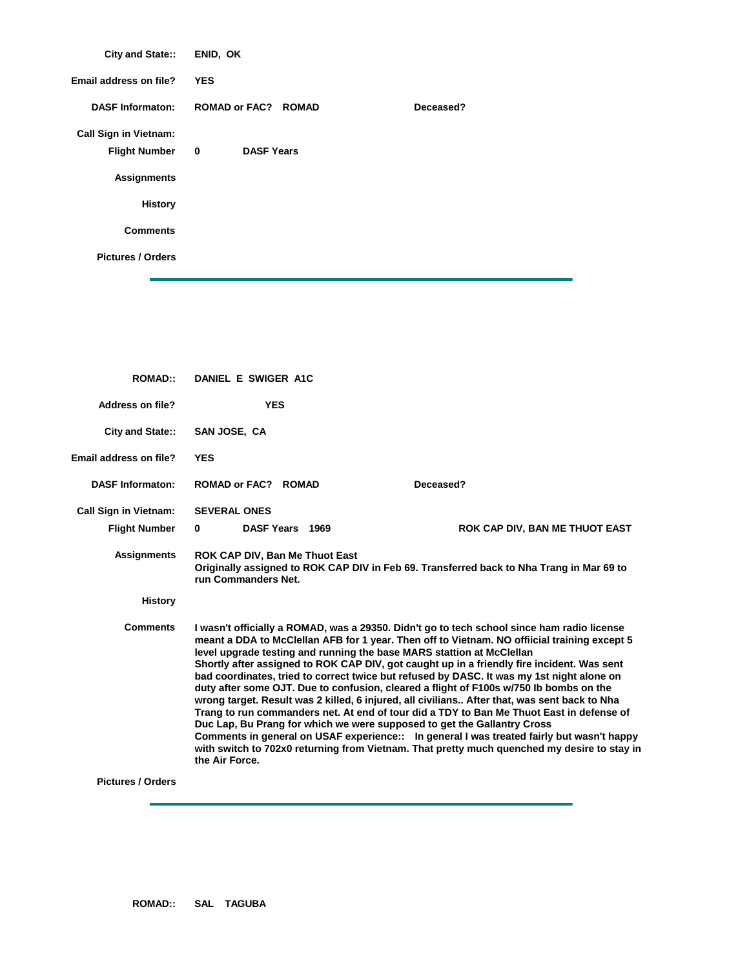| City and State::             | ENID, OK                                     |           |
|------------------------------|----------------------------------------------|-----------|
| Email address on file?       | <b>YES</b>                                   |           |
| <b>DASF Informaton:</b>      | <b>ROMAD or FAC? ROMAD</b>                   | Deceased? |
| <b>Call Sign in Vietnam:</b> |                                              |           |
| <b>Flight Number</b>         | $\overline{\mathbf{0}}$<br><b>DASF Years</b> |           |
| <b>Assignments</b>           |                                              |           |
| <b>History</b>               |                                              |           |
| <b>Comments</b>              |                                              |           |
| <b>Pictures / Orders</b>     |                                              |           |

| <b>ROMAD::</b>                | DANIEL E SWIGER A1C                                                                                                                                                                                                                                                                                                                                                                                                                                                                                                                                                                                                                                                                                                                                                                                                                                                                                                                                                                                                                           |  |                                |
|-------------------------------|-----------------------------------------------------------------------------------------------------------------------------------------------------------------------------------------------------------------------------------------------------------------------------------------------------------------------------------------------------------------------------------------------------------------------------------------------------------------------------------------------------------------------------------------------------------------------------------------------------------------------------------------------------------------------------------------------------------------------------------------------------------------------------------------------------------------------------------------------------------------------------------------------------------------------------------------------------------------------------------------------------------------------------------------------|--|--------------------------------|
| Address on file?              | <b>YES</b>                                                                                                                                                                                                                                                                                                                                                                                                                                                                                                                                                                                                                                                                                                                                                                                                                                                                                                                                                                                                                                    |  |                                |
| City and State::              | SAN JOSE, CA                                                                                                                                                                                                                                                                                                                                                                                                                                                                                                                                                                                                                                                                                                                                                                                                                                                                                                                                                                                                                                  |  |                                |
| <b>Email address on file?</b> | <b>YES</b>                                                                                                                                                                                                                                                                                                                                                                                                                                                                                                                                                                                                                                                                                                                                                                                                                                                                                                                                                                                                                                    |  |                                |
| <b>DASF Informaton:</b>       | <b>ROMAD or FAC? ROMAD</b>                                                                                                                                                                                                                                                                                                                                                                                                                                                                                                                                                                                                                                                                                                                                                                                                                                                                                                                                                                                                                    |  | Deceased?                      |
| <b>Call Sign in Vietnam:</b>  | <b>SEVERAL ONES</b>                                                                                                                                                                                                                                                                                                                                                                                                                                                                                                                                                                                                                                                                                                                                                                                                                                                                                                                                                                                                                           |  |                                |
| <b>Flight Number</b>          | $\bf{0}$<br>DASF Years 1969                                                                                                                                                                                                                                                                                                                                                                                                                                                                                                                                                                                                                                                                                                                                                                                                                                                                                                                                                                                                                   |  | ROK CAP DIV, BAN ME THUOT EAST |
| Assignments                   | ROK CAP DIV, Ban Me Thuot East<br>Originally assigned to ROK CAP DIV in Feb 69. Transferred back to Nha Trang in Mar 69 to<br>run Commanders Net.                                                                                                                                                                                                                                                                                                                                                                                                                                                                                                                                                                                                                                                                                                                                                                                                                                                                                             |  |                                |
| <b>History</b>                |                                                                                                                                                                                                                                                                                                                                                                                                                                                                                                                                                                                                                                                                                                                                                                                                                                                                                                                                                                                                                                               |  |                                |
| <b>Comments</b>               | I wasn't officially a ROMAD, was a 29350. Didn't go to tech school since ham radio license<br>meant a DDA to McClellan AFB for 1 year. Then off to Vietnam. NO offiicial training except 5<br>level upgrade testing and running the base MARS stattion at McClellan<br>Shortly after assigned to ROK CAP DIV, got caught up in a friendly fire incident. Was sent<br>bad coordinates, tried to correct twice but refused by DASC. It was my 1st night alone on<br>duty after some OJT. Due to confusion, cleared a flight of F100s w/750 lb bombs on the<br>wrong target. Result was 2 killed, 6 injured, all civilians After that, was sent back to Nha<br>Trang to run commanders net. At end of tour did a TDY to Ban Me Thuot East in defense of<br>Duc Lap, Bu Prang for which we were supposed to get the Gallantry Cross<br>Comments in general on USAF experience:: In general I was treated fairly but wasn't happy<br>with switch to 702x0 returning from Vietnam. That pretty much quenched my desire to stay in<br>the Air Force. |  |                                |
| Dicturne / Ordore             |                                                                                                                                                                                                                                                                                                                                                                                                                                                                                                                                                                                                                                                                                                                                                                                                                                                                                                                                                                                                                                               |  |                                |

**Pictures / Orders**

ł.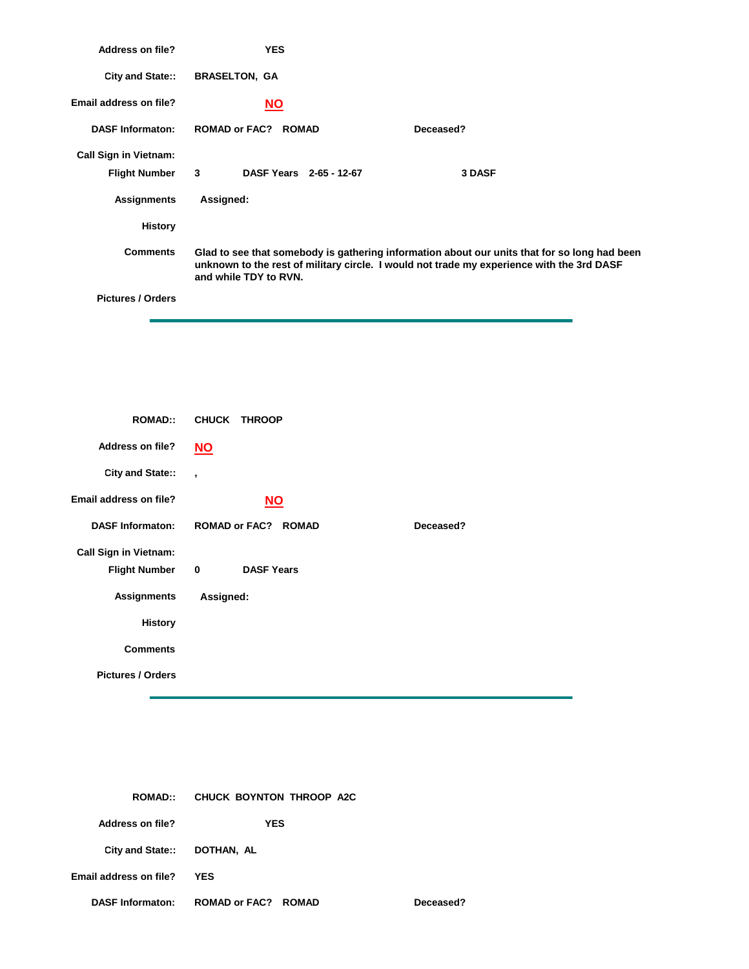| <b>Address on file?</b>      | <b>YES</b>                              |                                                                                                                                                                                           |
|------------------------------|-----------------------------------------|-------------------------------------------------------------------------------------------------------------------------------------------------------------------------------------------|
| City and State::             | <b>BRASELTON, GA</b>                    |                                                                                                                                                                                           |
| Email address on file?       | <u>NO</u>                               |                                                                                                                                                                                           |
| <b>DASF Informaton:</b>      | <b>ROMAD or FAC? ROMAD</b>              | Deceased?                                                                                                                                                                                 |
| <b>Call Sign in Vietnam:</b> |                                         |                                                                                                                                                                                           |
| <b>Flight Number</b>         | $\mathbf{3}$<br>DASF Years 2-65 - 12-67 | 3 DASF                                                                                                                                                                                    |
| <b>Assignments</b>           | Assigned:                               |                                                                                                                                                                                           |
| <b>History</b>               |                                         |                                                                                                                                                                                           |
| <b>Comments</b>              | and while TDY to RVN.                   | Glad to see that somebody is gathering information about our units that for so long had been<br>unknown to the rest of military circle. I would not trade my experience with the 3rd DASF |
| <b>Pictures / Orders</b>     |                                         |                                                                                                                                                                                           |

| <b>ROMAD::</b>               | <b>CHUCK</b><br><b>THROOP</b>    |           |
|------------------------------|----------------------------------|-----------|
| <b>Address on file?</b>      | $\underline{\mathsf{NO}}$        |           |
| <b>City and State::</b>      | $\overline{\phantom{a}}$         |           |
| Email address on file?       | $NO$                             |           |
| <b>DASF Informaton:</b>      | <b>ROMAD or FAC? ROMAD</b>       | Deceased? |
| <b>Call Sign in Vietnam:</b> |                                  |           |
| <b>Flight Number</b>         | $\mathbf 0$<br><b>DASF Years</b> |           |
| <b>Assignments</b>           | Assigned:                        |           |
| <b>History</b>               |                                  |           |
| <b>Comments</b>              |                                  |           |
| <b>Pictures / Orders</b>     |                                  |           |
|                              |                                  |           |

| <b>ROMAD::</b>              | CHUCK BOYNTON THROOP A2C   |           |
|-----------------------------|----------------------------|-----------|
| Address on file?            | <b>YES</b>                 |           |
| City and State:: DOTHAN, AL |                            |           |
| Email address on file?      | <b>YES</b>                 |           |
| <b>DASF Informaton:</b>     | <b>ROMAD or FAC? ROMAD</b> | Deceased? |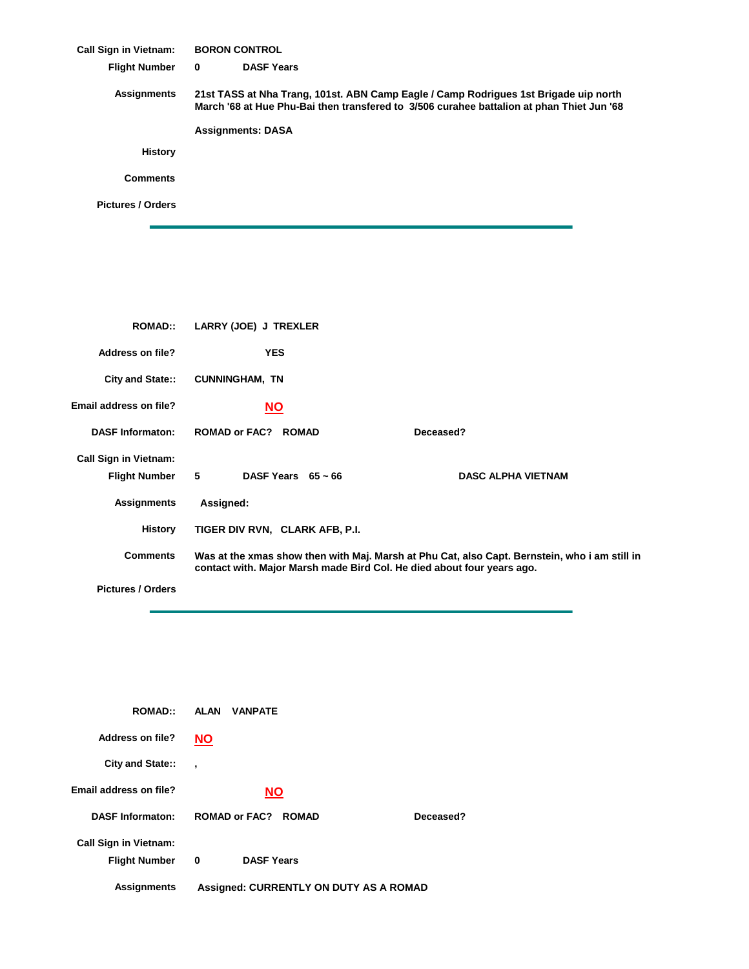**Call Sign in Vietnam: Flight Number DASF Years Assignments History Comments Pictures / Orders BORON CONTROL 0 21st TASS at Nha Trang, 101st. ABN Camp Eagle / Camp Rodrigues 1st Brigade uip north March '68 at Hue Phu-Bai then transfered to 3/506 curahee battalion at phan Thiet Jun '68 Assignments: DASA**

| <b>ROMAD::</b>               | LARRY (JOE) J TREXLER                                                                                                                                                   |                           |
|------------------------------|-------------------------------------------------------------------------------------------------------------------------------------------------------------------------|---------------------------|
| <b>Address on file?</b>      | <b>YES</b>                                                                                                                                                              |                           |
| City and State::             | <b>CUNNINGHAM, TN</b>                                                                                                                                                   |                           |
| Email address on file?       | <u>NO</u>                                                                                                                                                               |                           |
| <b>DASF Informaton:</b>      | <b>ROMAD or FAC? ROMAD</b>                                                                                                                                              | Deceased?                 |
| <b>Call Sign in Vietnam:</b> |                                                                                                                                                                         |                           |
| <b>Flight Number</b>         | $5^{\circ}$<br>DASF Years $65 \sim 66$                                                                                                                                  | <b>DASC ALPHA VIETNAM</b> |
| <b>Assignments</b>           | Assigned:                                                                                                                                                               |                           |
| <b>History</b>               | TIGER DIV RVN, CLARK AFB, P.I.                                                                                                                                          |                           |
| <b>Comments</b>              | Was at the xmas show then with Maj. Marsh at Phu Cat, also Capt. Bernstein, who i am still in<br>contact with. Major Marsh made Bird Col. He died about four years ago. |                           |
| <b>Pictures / Orders</b>     |                                                                                                                                                                         |                           |

| <b>ROMAD::</b>               | <b>ALAN</b><br><b>VANPATE</b>                 |           |
|------------------------------|-----------------------------------------------|-----------|
| Address on file?             | <b>NO</b>                                     |           |
| City and State::             | $\cdot$                                       |           |
| Email address on file?       | <b>NO</b>                                     |           |
| <b>DASF Informaton:</b>      | <b>ROMAD or FAC? ROMAD</b>                    | Deceased? |
| <b>Call Sign in Vietnam:</b> |                                               |           |
| <b>Flight Number</b>         | <b>DASF Years</b><br>0                        |           |
| <b>Assignments</b>           | <b>Assigned: CURRENTLY ON DUTY AS A ROMAD</b> |           |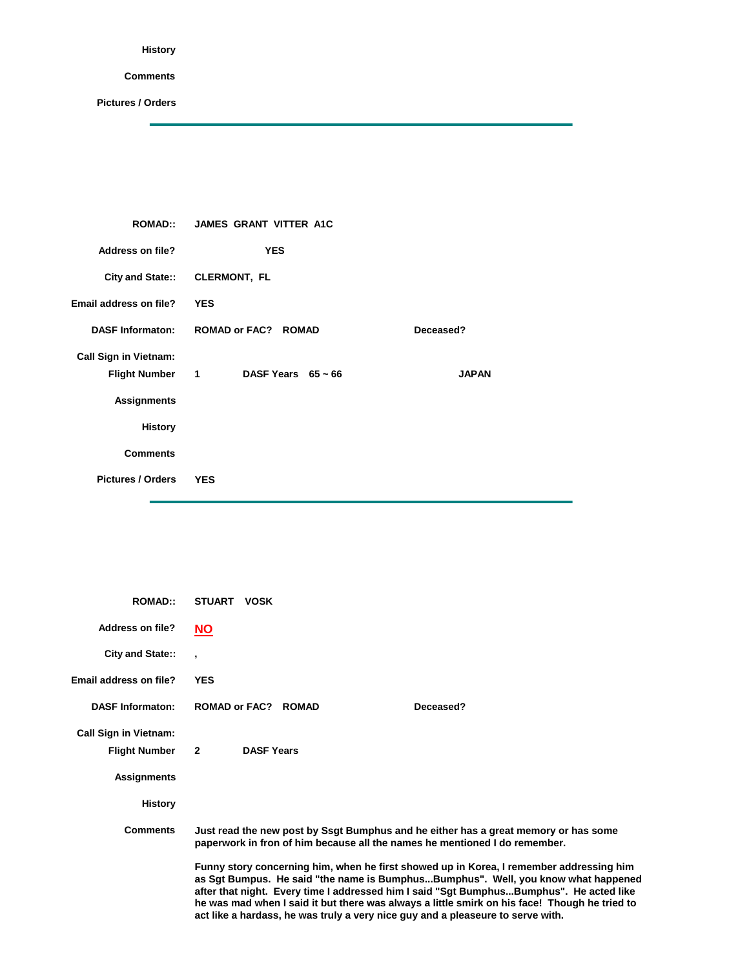## **History**

## **Comments**

Ë

**Pictures / Orders**

| <b>ROMAD::</b>               | <b>JAMES GRANT VITTER A1C</b> |              |
|------------------------------|-------------------------------|--------------|
| <b>Address on file?</b>      | <b>YES</b>                    |              |
|                              | City and State:: CLERMONT, FL |              |
| Email address on file?       | <b>YES</b>                    |              |
| <b>DASF Informaton:</b>      | <b>ROMAD or FAC? ROMAD</b>    | Deceased?    |
| <b>Call Sign in Vietnam:</b> |                               |              |
| Flight Number 1              | DASF Years $65 \sim 66$       | <b>JAPAN</b> |
| <b>Assignments</b>           |                               |              |
| <b>History</b>               |                               |              |
| <b>Comments</b>              |                               |              |
| <b>Pictures / Orders</b>     | <b>YES</b>                    |              |

| <b>ROMAD:</b>                | <b>STUART</b><br><b>VOSK</b>                                                                                                                                                                                                                                                                                                                                                                                                                                |  |
|------------------------------|-------------------------------------------------------------------------------------------------------------------------------------------------------------------------------------------------------------------------------------------------------------------------------------------------------------------------------------------------------------------------------------------------------------------------------------------------------------|--|
| Address on file?             | <b>NO</b>                                                                                                                                                                                                                                                                                                                                                                                                                                                   |  |
| City and State::             |                                                                                                                                                                                                                                                                                                                                                                                                                                                             |  |
| Email address on file?       | <b>YES</b>                                                                                                                                                                                                                                                                                                                                                                                                                                                  |  |
| <b>DASF Informaton:</b>      | <b>ROMAD or FAC? ROMAD</b><br>Deceased?                                                                                                                                                                                                                                                                                                                                                                                                                     |  |
| <b>Call Sign in Vietnam:</b> |                                                                                                                                                                                                                                                                                                                                                                                                                                                             |  |
| <b>Flight Number</b>         | $\overline{2}$<br><b>DASF Years</b>                                                                                                                                                                                                                                                                                                                                                                                                                         |  |
| <b>Assignments</b>           |                                                                                                                                                                                                                                                                                                                                                                                                                                                             |  |
| <b>History</b>               |                                                                                                                                                                                                                                                                                                                                                                                                                                                             |  |
| <b>Comments</b>              | Just read the new post by Ssgt Bumphus and he either has a great memory or has some<br>paperwork in fron of him because all the names he mentioned I do remember.                                                                                                                                                                                                                                                                                           |  |
|                              | Funny story concerning him, when he first showed up in Korea, I remember addressing him<br>as Sgt Bumpus. He said "the name is BumphusBumphus". Well, you know what happened<br>after that night. Every time I addressed him I said "Sgt BumphusBumphus". He acted like<br>he was mad when I said it but there was always a little smirk on his face! Though he tried to<br>act like a hardass, he was truly a very nice guy and a pleaseure to serve with. |  |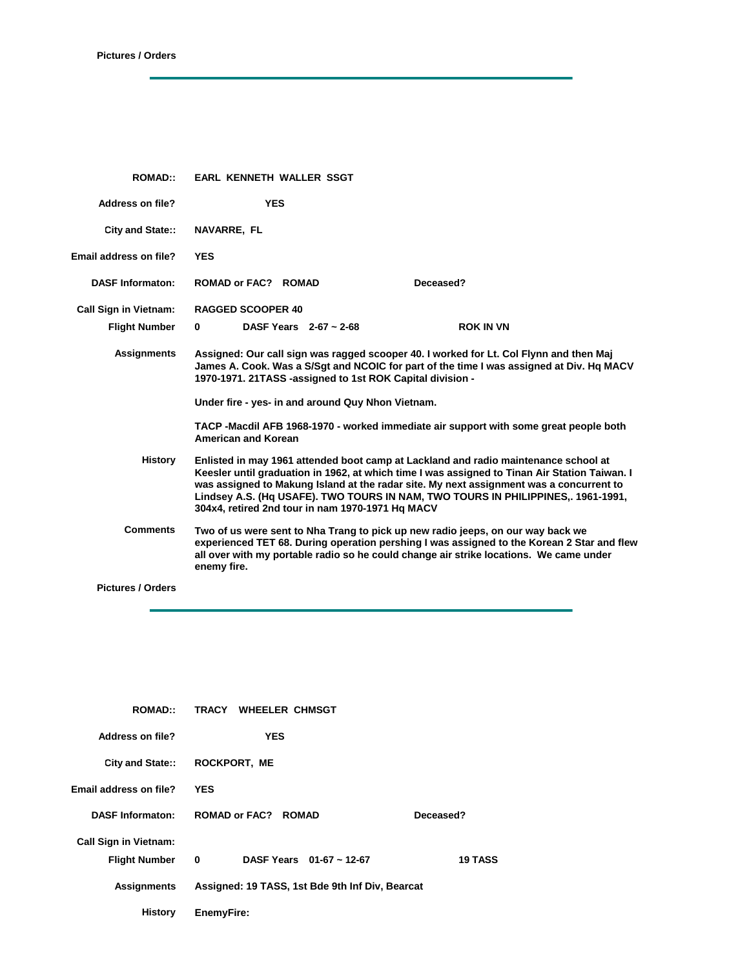ċ

| <b>ROMAD::</b>                | EARL KENNETH WALLER SSGT                                                                                                                                                                 |                                                                                                                                                                                                                                                                              |
|-------------------------------|------------------------------------------------------------------------------------------------------------------------------------------------------------------------------------------|------------------------------------------------------------------------------------------------------------------------------------------------------------------------------------------------------------------------------------------------------------------------------|
| <b>Address on file?</b>       | <b>YES</b>                                                                                                                                                                               |                                                                                                                                                                                                                                                                              |
| <b>City and State::</b>       | <b>NAVARRE, FL</b>                                                                                                                                                                       |                                                                                                                                                                                                                                                                              |
| <b>Email address on file?</b> | <b>YES</b>                                                                                                                                                                               |                                                                                                                                                                                                                                                                              |
| <b>DASF Informaton:</b>       | <b>ROMAD or FAC? ROMAD</b>                                                                                                                                                               | Deceased?                                                                                                                                                                                                                                                                    |
| <b>Call Sign in Vietnam:</b>  | <b>RAGGED SCOOPER 40</b>                                                                                                                                                                 |                                                                                                                                                                                                                                                                              |
| <b>Flight Number</b>          | DASF Years $2-67 \sim 2-68$<br>0                                                                                                                                                         | <b>ROK IN VN</b>                                                                                                                                                                                                                                                             |
| <b>Assignments</b>            | 1970-1971. 21TASS -assigned to 1st ROK Capital division -                                                                                                                                | Assigned: Our call sign was ragged scooper 40. I worked for Lt. Col Flynn and then Maj<br>James A. Cook. Was a S/Sgt and NCOIC for part of the time I was assigned at Div. Hq MACV                                                                                           |
|                               | Under fire - yes- in and around Quy Nhon Vietnam.                                                                                                                                        |                                                                                                                                                                                                                                                                              |
|                               | <b>American and Korean</b>                                                                                                                                                               | TACP -Macdil AFB 1968-1970 - worked immediate air support with some great people both                                                                                                                                                                                        |
| <b>History</b>                | Enlisted in may 1961 attended boot camp at Lackland and radio maintenance school at<br>304x4, retired 2nd tour in nam 1970-1971 Hg MACV                                                  | Keesler until graduation in 1962, at which time I was assigned to Tinan Air Station Taiwan. I<br>was assigned to Makung Island at the radar site. My next assignment was a concurrent to<br>Lindsey A.S. (Hq USAFE). TWO TOURS IN NAM, TWO TOURS IN PHILIPPINES,. 1961-1991, |
| <b>Comments</b>               | Two of us were sent to Nha Trang to pick up new radio jeeps, on our way back we<br>all over with my portable radio so he could change air strike locations. We came under<br>enemy fire. | experienced TET 68. During operation pershing I was assigned to the Korean 2 Star and flew                                                                                                                                                                                   |
| <b>Pictures / Orders</b>      |                                                                                                                                                                                          |                                                                                                                                                                                                                                                                              |
|                               |                                                                                                                                                                                          |                                                                                                                                                                                                                                                                              |

| <b>ROMAD::</b>               | TRACY WHEELER CHMSGT                            |                |
|------------------------------|-------------------------------------------------|----------------|
| Address on file?             | <b>YES</b>                                      |                |
| City and State::             | <b>ROCKPORT, ME</b>                             |                |
| Email address on file?       | <b>YES</b>                                      |                |
| <b>DASF Informaton:</b>      | <b>ROMAD or FAC? ROMAD</b>                      | Deceased?      |
| <b>Call Sign in Vietnam:</b> |                                                 |                |
| <b>Flight Number</b>         | DASF Years $01-67 \sim 12-67$<br>0              | <b>19 TASS</b> |
| <b>Assignments</b>           | Assigned: 19 TASS, 1st Bde 9th Inf Div, Bearcat |                |
| History                      | <b>EnemyFire:</b>                               |                |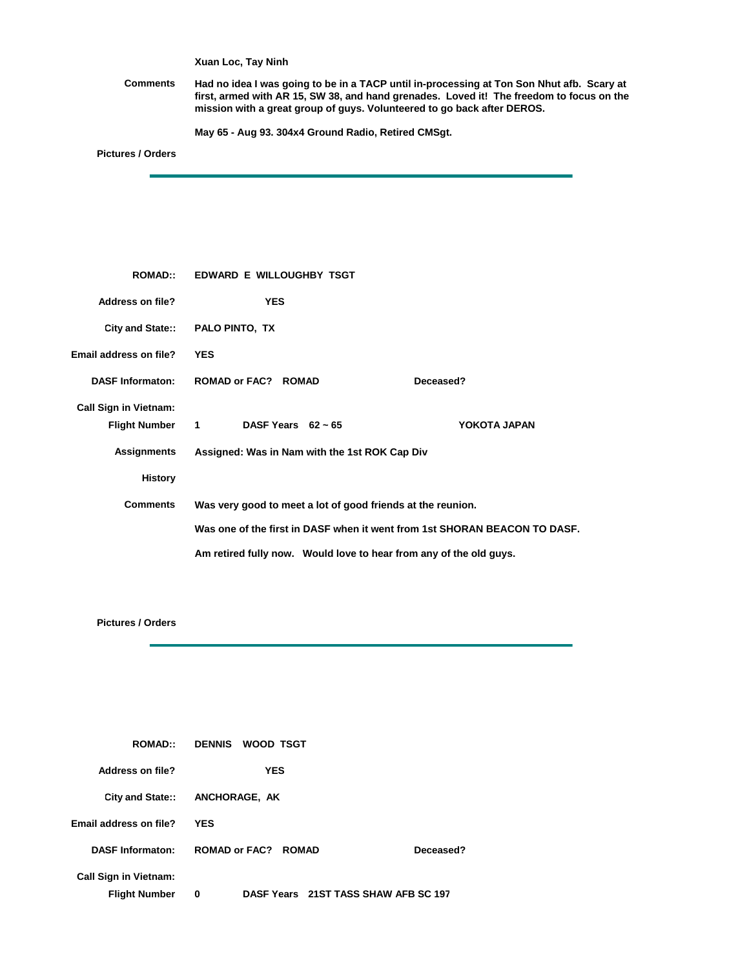**Xuan Loc, Tay Ninh**

**Comments Had no idea I was going to be in a TACP until in-processing at Ton Son Nhut afb. Scary at first, armed with AR 15, SW 38, and hand grenades. Loved it! The freedom to focus on the mission with a great group of guys. Volunteered to go back after DEROS.**

**May 65 - Aug 93. 304x4 Ground Radio, Retired CMSgt.** 

**Pictures / Orders**

| <b>ROMAD::</b>               | EDWARD E WILLOUGHBY TSGT                                    |                                                                           |  |
|------------------------------|-------------------------------------------------------------|---------------------------------------------------------------------------|--|
| <b>Address on file?</b>      | <b>YES</b>                                                  |                                                                           |  |
|                              | City and State:: PALO PINTO, TX                             |                                                                           |  |
| Email address on file?       | <b>YES</b>                                                  |                                                                           |  |
| <b>DASF Informaton:</b>      | <b>ROMAD or FAC? ROMAD</b>                                  | Deceased?                                                                 |  |
| <b>Call Sign in Vietnam:</b> |                                                             |                                                                           |  |
| <b>Flight Number</b>         | 1 DASF Years $62 \sim 65$                                   | YOKOTA JAPAN                                                              |  |
| Assignments                  | Assigned: Was in Nam with the 1st ROK Cap Div               |                                                                           |  |
| <b>History</b>               |                                                             |                                                                           |  |
| <b>Comments</b>              | Was very good to meet a lot of good friends at the reunion. |                                                                           |  |
|                              |                                                             | Was one of the first in DASF when it went from 1st SHORAN BEACON TO DASF. |  |
|                              |                                                             | Am retired fully now. Would love to hear from any of the old guys.        |  |

**Pictures / Orders**

| <b>ROMAD::</b>                                       | DENNIS WOOD TSGT                          |  |
|------------------------------------------------------|-------------------------------------------|--|
| Address on file?                                     | YES                                       |  |
|                                                      | City and State:: ANCHORAGE, AK            |  |
| Email address on file?                               | <b>YES</b>                                |  |
| <b>DASF Informaton:</b>                              | <b>ROMAD or FAC? ROMAD</b><br>Deceased?   |  |
| <b>Call Sign in Vietnam:</b><br><b>Flight Number</b> | DASF Years 21ST TASS SHAW AFB SC 197<br>0 |  |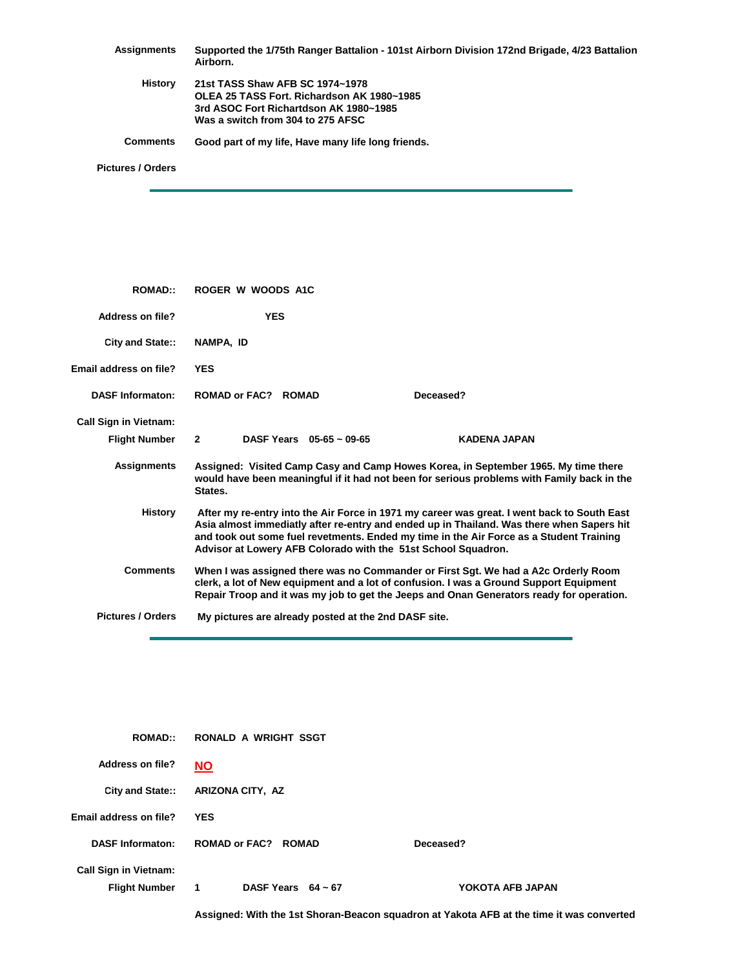| Assignments              | Supported the 1/75th Ranger Battalion - 101st Airborn Division 172nd Brigade, 4/23 Battalion<br>Airborn.                |
|--------------------------|-------------------------------------------------------------------------------------------------------------------------|
| History                  | 21st TASS Shaw AFB SC 1974~1978<br>OLEA 25 TASS Fort. Richardson AK 1980~1985<br>3rd ASOC Fort Richartdson AK 1980~1985 |
|                          | Was a switch from 304 to 275 AFSC                                                                                       |
| <b>Comments</b>          | Good part of my life, Have many life long friends.                                                                      |
| <b>Pictures / Orders</b> |                                                                                                                         |

**ROMAD:: Address on file? City and State:: Email address on file? DASF Informaton: ROMAD or FAC? ROMAD Deceased? Call Sign in Vietnam: Flight Number 2 Assignments History ROGER W WOODS A1C NAMPA, ID YES YES 2 05-65 ~ 09-65 KADENA JAPAN Assigned: Visited Camp Casy and Camp Howes Korea, in September 1965. My time there would have been meaningful if it had not been for serious problems with Family back in the States. After my re-entry into the Air Force in 1971 my career was great. I went back to South East Asia almost immediatly after re-entry and ended up in Thailand. Was there when Sapers hit and took out some fuel revetments. Ended my time in the Air Force as a Student Training Advisor at Lowery AFB Colorado with the 51st School Squadron.**

**Pictures / Orders My pictures are already posted at the 2nd DASF site.**

**Comments**

| <b>ROMAD::</b>                                       | RONALD A WRIGHT SSGT                    |                  |
|------------------------------------------------------|-----------------------------------------|------------------|
| Address on file?                                     | <b>NO</b>                               |                  |
| City and State::                                     | ARIZONA CITY, AZ                        |                  |
| Email address on file?                               | <b>YES</b>                              |                  |
| <b>DASF Informaton:</b>                              | <b>ROMAD or FAC? ROMAD</b>              | Deceased?        |
| <b>Call Sign in Vietnam:</b><br><b>Flight Number</b> | DASF Years $64 \sim 67$<br>$\mathbf{1}$ | YOKOTA AFB JAPAN |

**Assigned: With the 1st Shoran-Beacon squadron at Yakota AFB at the time it was converted** 

**When I was assigned there was no Commander or First Sgt. We had a A2c Orderly Room clerk, a lot of New equipment and a lot of confusion. I was a Ground Support Equipment Repair Troop and it was my job to get the Jeeps and Onan Generators ready for operation.**